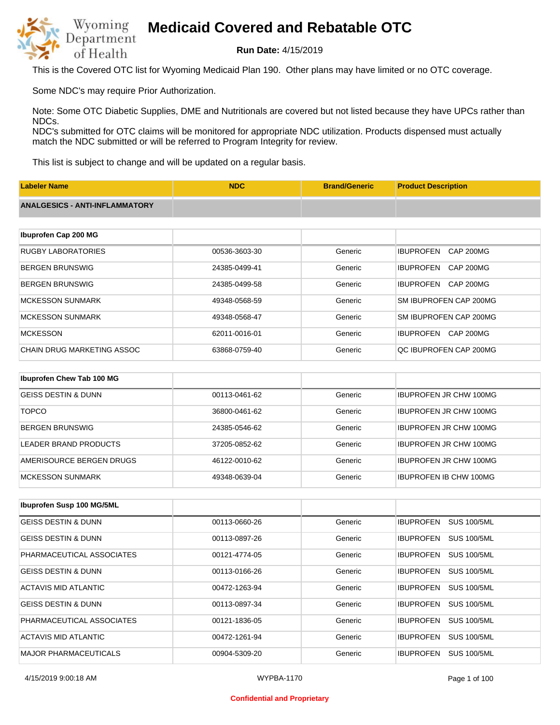

**Run Date:** 4/15/2019

This is the Covered OTC list for Wyoming Medicaid Plan 190. Other plans may have limited or no OTC coverage.

Some NDC's may require Prior Authorization.

Note: Some OTC Diabetic Supplies, DME and Nutritionals are covered but not listed because they have UPCs rather than NDCs.

NDC's submitted for OTC claims will be monitored for appropriate NDC utilization. Products dispensed must actually match the NDC submitted or will be referred to Program Integrity for review.

This list is subject to change and will be updated on a regular basis.

| <b>Labeler Name</b>                   | <b>NDC</b>    | <b>Brand/Generic</b> | <b>Product Description</b>           |
|---------------------------------------|---------------|----------------------|--------------------------------------|
| <b>ANALGESICS - ANTI-INFLAMMATORY</b> |               |                      |                                      |
|                                       |               |                      |                                      |
| Ibuprofen Cap 200 MG                  |               |                      |                                      |
| <b>RUGBY LABORATORIES</b>             | 00536-3603-30 | Generic              | <b>IBUPROFEN</b><br><b>CAP 200MG</b> |
| <b>BERGEN BRUNSWIG</b>                | 24385-0499-41 | Generic              | <b>IBUPROFEN</b><br><b>CAP 200MG</b> |
| <b>BERGEN BRUNSWIG</b>                | 24385-0499-58 | Generic              | <b>IBUPROFEN</b><br><b>CAP 200MG</b> |
| <b>MCKESSON SUNMARK</b>               | 49348-0568-59 | Generic              | SM IBUPROFEN CAP 200MG               |
| <b>MCKESSON SUNMARK</b>               | 49348-0568-47 | Generic              | SM IBUPROFEN CAP 200MG               |
| <b>MCKESSON</b>                       | 62011-0016-01 | Generic              | IBUPROFEN CAP 200MG                  |
| CHAIN DRUG MARKETING ASSOC            | 63868-0759-40 | Generic              | QC IBUPROFEN CAP 200MG               |
|                                       |               |                      |                                      |
| Ibuprofen Chew Tab 100 MG             |               |                      |                                      |
| <b>GEISS DESTIN &amp; DUNN</b>        | 00113-0461-62 | Generic              | <b>IBUPROFEN JR CHW 100MG</b>        |
| <b>TOPCO</b>                          | 36800-0461-62 | Generic              | <b>IBUPROFEN JR CHW 100MG</b>        |

| BERGEN BRUNSWIG          | 24385-0546-62 | Generic | IBUPROFEN JR CHW 100MG        |
|--------------------------|---------------|---------|-------------------------------|
| LEADER BRAND PRODUCTS    | 37205-0852-62 | Generic | <b>IBUPROFEN JR CHW 100MG</b> |
| AMERISOURCE BERGEN DRUGS | 46122-0010-62 | Generic | <b>IBUPROFEN JR CHW 100MG</b> |
| MCKESSON SUNMARK         | 49348-0639-04 | Generic | <b>IBUPROFEN IB CHW 100MG</b> |

| <b>Ibuprofen Susp 100 MG/5ML</b> |               |         |                                        |
|----------------------------------|---------------|---------|----------------------------------------|
| GEISS DESTIN & DUNN              | 00113-0660-26 | Generic | <b>IBUPROFEN</b><br>SUS 100/5ML        |
| <b>GEISS DESTIN &amp; DUNN</b>   | 00113-0897-26 | Generic | <b>SUS 100/5ML</b><br><b>IBUPROFEN</b> |
| PHARMACEUTICAL ASSOCIATES        | 00121-4774-05 | Generic | <b>SUS 100/5ML</b><br><b>IBUPROFEN</b> |
| <b>GEISS DESTIN &amp; DUNN</b>   | 00113-0166-26 | Generic | <b>SUS 100/5ML</b><br><b>IBUPROFEN</b> |
| ACTAVIS MID ATLANTIC             | 00472-1263-94 | Generic | <b>SUS 100/5ML</b><br><b>IBUPROFEN</b> |
| <b>GEISS DESTIN &amp; DUNN</b>   | 00113-0897-34 | Generic | <b>IBUPROFEN</b><br><b>SUS 100/5ML</b> |
| PHARMACEUTICAL ASSOCIATES        | 00121-1836-05 | Generic | <b>IBUPROFEN</b><br><b>SUS 100/5ML</b> |
| ACTAVIS MID ATLANTIC             | 00472-1261-94 | Generic | <b>SUS 100/5ML</b><br><b>IBUPROFEN</b> |
| <b>MAJOR PHARMACEUTICALS</b>     | 00904-5309-20 | Generic | <b>SUS 100/5ML</b><br><b>IBUPROFEN</b> |

#### **Confidential and Proprietary**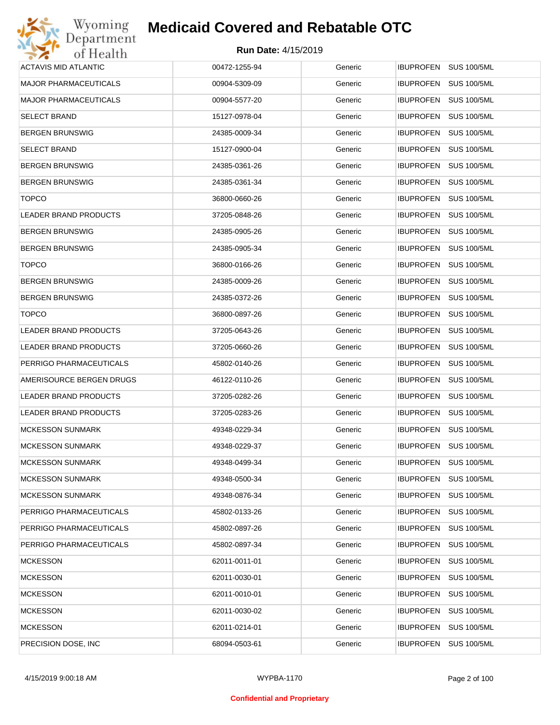| Wyoming                      | <b>Medicaid Covered and Rebatable OTC</b> |         |                                        |
|------------------------------|-------------------------------------------|---------|----------------------------------------|
| Department<br>of Health      | <b>Run Date: 4/15/2019</b>                |         |                                        |
| <b>ACTAVIS MID ATLANTIC</b>  | 00472-1255-94                             | Generic | IBUPROFEN SUS 100/5ML                  |
| <b>MAJOR PHARMACEUTICALS</b> | 00904-5309-09                             | Generic | <b>IBUPROFEN</b><br><b>SUS 100/5ML</b> |
| <b>MAJOR PHARMACEUTICALS</b> | 00904-5577-20                             | Generic | <b>SUS 100/5ML</b><br><b>IBUPROFEN</b> |
| <b>SELECT BRAND</b>          | 15127-0978-04                             | Generic | <b>IBUPROFEN</b><br><b>SUS 100/5ML</b> |
| <b>BERGEN BRUNSWIG</b>       | 24385-0009-34                             | Generic | <b>IBUPROFEN</b><br><b>SUS 100/5ML</b> |
| <b>SELECT BRAND</b>          | 15127-0900-04                             | Generic | <b>IBUPROFEN</b><br><b>SUS 100/5ML</b> |
| <b>BERGEN BRUNSWIG</b>       | 24385-0361-26                             | Generic | <b>IBUPROFEN</b><br><b>SUS 100/5ML</b> |
| <b>BERGEN BRUNSWIG</b>       | 24385-0361-34                             | Generic | <b>IBUPROFEN</b><br><b>SUS 100/5ML</b> |
| <b>TOPCO</b>                 | 36800-0660-26                             | Generic | <b>IBUPROFEN</b><br><b>SUS 100/5ML</b> |
| <b>LEADER BRAND PRODUCTS</b> | 37205-0848-26                             | Generic | <b>IBUPROFEN</b><br><b>SUS 100/5ML</b> |
| <b>BERGEN BRUNSWIG</b>       | 24385-0905-26                             | Generic | <b>IBUPROFEN</b><br><b>SUS 100/5ML</b> |
| <b>BERGEN BRUNSWIG</b>       | 24385-0905-34                             | Generic | <b>IBUPROFEN</b><br><b>SUS 100/5ML</b> |
| <b>TOPCO</b>                 | 36800-0166-26                             | Generic | <b>IBUPROFEN</b><br><b>SUS 100/5ML</b> |
| <b>BERGEN BRUNSWIG</b>       | 24385-0009-26                             | Generic | <b>IBUPROFEN</b><br><b>SUS 100/5ML</b> |
| <b>BERGEN BRUNSWIG</b>       | 24385-0372-26                             | Generic | <b>IBUPROFEN</b><br><b>SUS 100/5ML</b> |
| <b>TOPCO</b>                 | 36800-0897-26                             | Generic | <b>IBUPROFEN</b><br><b>SUS 100/5ML</b> |
| LEADER BRAND PRODUCTS        | 37205-0643-26                             | Generic | <b>IBUPROFEN</b><br><b>SUS 100/5ML</b> |
| LEADER BRAND PRODUCTS        | 37205-0660-26                             | Generic | <b>IBUPROFEN</b><br><b>SUS 100/5ML</b> |
| PERRIGO PHARMACEUTICALS      | 45802-0140-26                             | Generic | <b>IBUPROFEN</b><br><b>SUS 100/5ML</b> |
| AMERISOURCE BERGEN DRUGS     | 46122-0110-26                             | Generic | IBUPROFEN<br><b>SUS 100/5ML</b>        |
| LEADER BRAND PRODUCTS        | 37205-0282-26                             | Generic | <b>SUS 100/5ML</b><br><b>IBUPROFEN</b> |
| LEADER BRAND PRODUCTS        | 37205-0283-26                             | Generic | IBUPROFEN SUS 100/5ML                  |
| <b>MCKESSON SUNMARK</b>      | 49348-0229-34                             | Generic | IBUPROFEN SUS 100/5ML                  |
| <b>MCKESSON SUNMARK</b>      | 49348-0229-37                             | Generic | <b>IBUPROFEN</b><br><b>SUS 100/5ML</b> |
| <b>MCKESSON SUNMARK</b>      | 49348-0499-34                             | Generic | <b>IBUPROFEN</b><br><b>SUS 100/5ML</b> |
| <b>MCKESSON SUNMARK</b>      | 49348-0500-34                             | Generic | <b>IBUPROFEN</b><br><b>SUS 100/5ML</b> |
| <b>MCKESSON SUNMARK</b>      | 49348-0876-34                             | Generic | <b>IBUPROFEN</b><br><b>SUS 100/5ML</b> |
| PERRIGO PHARMACEUTICALS      | 45802-0133-26                             | Generic | <b>IBUPROFEN</b><br><b>SUS 100/5ML</b> |
| PERRIGO PHARMACEUTICALS      | 45802-0897-26                             | Generic | <b>IBUPROFEN</b><br><b>SUS 100/5ML</b> |
| PERRIGO PHARMACEUTICALS      | 45802-0897-34                             | Generic | <b>IBUPROFEN</b><br><b>SUS 100/5ML</b> |
| <b>MCKESSON</b>              | 62011-0011-01                             | Generic | <b>IBUPROFEN</b><br><b>SUS 100/5ML</b> |
| <b>MCKESSON</b>              | 62011-0030-01                             | Generic | <b>IBUPROFEN</b><br><b>SUS 100/5ML</b> |
| <b>MCKESSON</b>              | 62011-0010-01                             | Generic | <b>IBUPROFEN</b><br><b>SUS 100/5ML</b> |
| <b>MCKESSON</b>              | 62011-0030-02                             | Generic | <b>IBUPROFEN</b><br><b>SUS 100/5ML</b> |
| <b>MCKESSON</b>              | 62011-0214-01                             | Generic | <b>IBUPROFEN</b><br><b>SUS 100/5ML</b> |
| PRECISION DOSE, INC.         | 68094-0503-61                             | Generic | <b>SUS 100/5ML</b><br><b>IBUPROFEN</b> |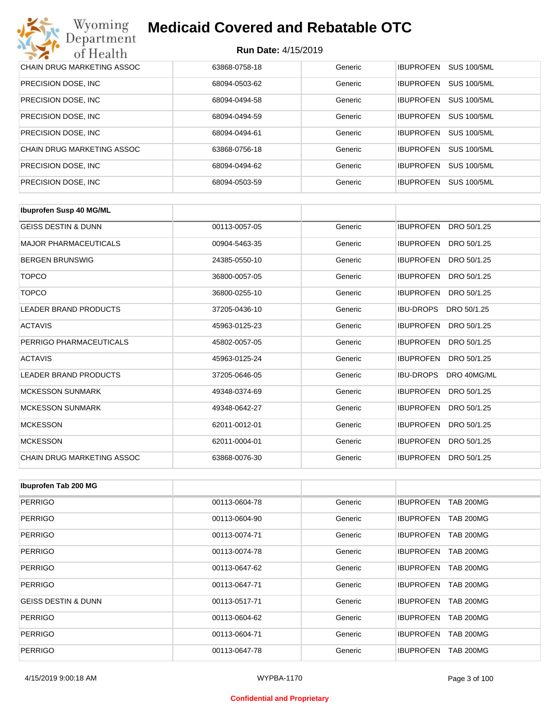| Wyoming<br><b>Medicaid Covered and Rebatable OTC</b><br>Department |                            |         |                  |                    |  |
|--------------------------------------------------------------------|----------------------------|---------|------------------|--------------------|--|
| of Health                                                          | <b>Run Date: 4/15/2019</b> |         |                  |                    |  |
| CHAIN DRUG MARKETING ASSOC                                         | 63868-0758-18              | Generic | <b>IBUPROFEN</b> | <b>SUS 100/5ML</b> |  |
| PRECISION DOSE, INC.                                               | 68094-0503-62              | Generic | <b>IBUPROFEN</b> | <b>SUS 100/5ML</b> |  |
| PRECISION DOSE, INC.                                               | 68094-0494-58              | Generic | <b>IBUPROFEN</b> | <b>SUS 100/5ML</b> |  |
| PRECISION DOSE, INC.                                               | 68094-0494-59              | Generic | <b>IBUPROFEN</b> | <b>SUS 100/5ML</b> |  |
| PRECISION DOSE, INC.                                               | 68094-0494-61              | Generic | <b>IBUPROFEN</b> | <b>SUS 100/5ML</b> |  |
| CHAIN DRUG MARKETING ASSOC                                         | 63868-0756-18              | Generic | <b>IBUPROFEN</b> | <b>SUS 100/5ML</b> |  |
| PRECISION DOSE, INC.                                               | 68094-0494-62              | Generic | <b>IBUPROFEN</b> | <b>SUS 100/5ML</b> |  |
| PRECISION DOSE, INC.                                               | 68094-0503-59              | Generic | <b>IBUPROFEN</b> | <b>SUS 100/5ML</b> |  |

| <b>Ibuprofen Susp 40 MG/ML</b> |               |         |                                 |
|--------------------------------|---------------|---------|---------------------------------|
| <b>GEISS DESTIN &amp; DUNN</b> | 00113-0057-05 | Generic | <b>IBUPROFEN</b><br>DRO 50/1.25 |
| <b>MAJOR PHARMACEUTICALS</b>   | 00904-5463-35 | Generic | <b>IBUPROFEN</b><br>DRO 50/1.25 |
| <b>BERGEN BRUNSWIG</b>         | 24385-0550-10 | Generic | <b>IBUPROFEN</b><br>DRO 50/1.25 |
| <b>TOPCO</b>                   | 36800-0057-05 | Generic | <b>IBUPROFEN</b><br>DRO 50/1.25 |
| <b>TOPCO</b>                   | 36800-0255-10 | Generic | <b>IBUPROFEN</b><br>DRO 50/1.25 |
| <b>LEADER BRAND PRODUCTS</b>   | 37205-0436-10 | Generic | <b>IBU-DROPS</b><br>DRO 50/1.25 |
| <b>ACTAVIS</b>                 | 45963-0125-23 | Generic | <b>IBUPROFEN</b><br>DRO 50/1.25 |
| PERRIGO PHARMACEUTICALS        | 45802-0057-05 | Generic | <b>IBUPROFEN</b><br>DRO 50/1.25 |
| <b>ACTAVIS</b>                 | 45963-0125-24 | Generic | <b>IBUPROFEN</b><br>DRO 50/1.25 |
| <b>LEADER BRAND PRODUCTS</b>   | 37205-0646-05 | Generic | <b>IBU-DROPS</b><br>DRO 40MG/ML |
| <b>MCKESSON SUNMARK</b>        | 49348-0374-69 | Generic | <b>IBUPROFEN</b><br>DRO 50/1.25 |
| <b>MCKESSON SUNMARK</b>        | 49348-0642-27 | Generic | <b>IBUPROFEN</b><br>DRO 50/1.25 |
| <b>MCKESSON</b>                | 62011-0012-01 | Generic | <b>IBUPROFEN</b><br>DRO 50/1.25 |
| <b>MCKESSON</b>                | 62011-0004-01 | Generic | <b>IBUPROFEN</b><br>DRO 50/1.25 |
| CHAIN DRUG MARKETING ASSOC     | 63868-0076-30 | Generic | <b>IBUPROFEN</b><br>DRO 50/1.25 |

| Ibuprofen Tab 200 MG           |               |         |                                      |
|--------------------------------|---------------|---------|--------------------------------------|
| <b>PERRIGO</b>                 | 00113-0604-78 | Generic | <b>IBUPROFEN</b><br><b>TAB 200MG</b> |
| <b>PERRIGO</b>                 | 00113-0604-90 | Generic | <b>TAB 200MG</b><br><b>IBUPROFEN</b> |
| <b>PERRIGO</b>                 | 00113-0074-71 | Generic | <b>IBUPROFEN</b><br><b>TAB 200MG</b> |
| <b>PERRIGO</b>                 | 00113-0074-78 | Generic | <b>TAB 200MG</b><br><b>IBUPROFEN</b> |
| <b>PERRIGO</b>                 | 00113-0647-62 | Generic | <b>IBUPROFEN</b><br><b>TAB 200MG</b> |
| <b>PERRIGO</b>                 | 00113-0647-71 | Generic | <b>IBUPROFEN</b><br><b>TAB 200MG</b> |
| <b>GEISS DESTIN &amp; DUNN</b> | 00113-0517-71 | Generic | <b>IBUPROFEN</b><br><b>TAB 200MG</b> |
| <b>PERRIGO</b>                 | 00113-0604-62 | Generic | <b>IBUPROFEN</b><br><b>TAB 200MG</b> |
| <b>PERRIGO</b>                 | 00113-0604-71 | Generic | <b>IBUPROFEN</b><br><b>TAB 200MG</b> |
| <b>PERRIGO</b>                 | 00113-0647-78 | Generic | <b>IBUPROFEN</b><br><b>TAB 200MG</b> |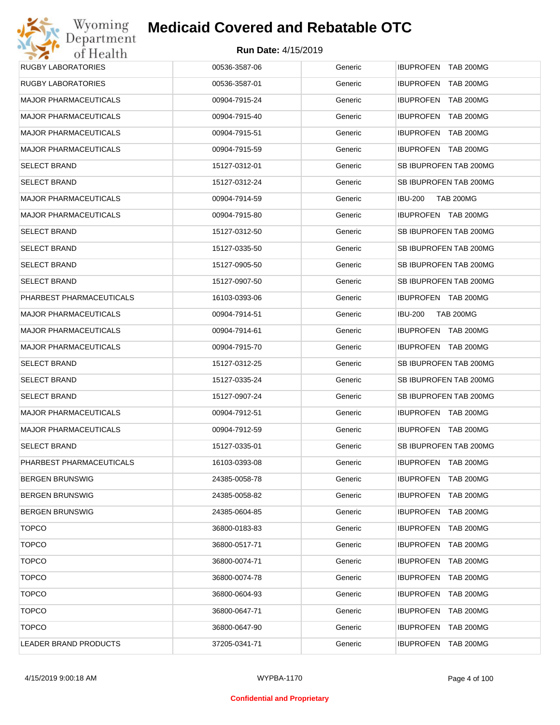# Wyoming<br>Department<br>of Health **Medicaid Covered and Rebatable OTC**

| <b>RUGBY LABORATORIES</b>    | 00536-3587-06 | Generic | IBUPROFEN TAB 200MG                |
|------------------------------|---------------|---------|------------------------------------|
| <b>RUGBY LABORATORIES</b>    | 00536-3587-01 | Generic | <b>IBUPROFEN TAB 200MG</b>         |
| <b>MAJOR PHARMACEUTICALS</b> | 00904-7915-24 | Generic | IBUPROFEN TAB 200MG                |
| <b>MAJOR PHARMACEUTICALS</b> | 00904-7915-40 | Generic | IBUPROFEN TAB 200MG                |
| <b>MAJOR PHARMACEUTICALS</b> | 00904-7915-51 | Generic | IBUPROFEN TAB 200MG                |
| <b>MAJOR PHARMACEUTICALS</b> | 00904-7915-59 | Generic | IBUPROFEN TAB 200MG                |
| <b>SELECT BRAND</b>          | 15127-0312-01 | Generic | SB IBUPROFEN TAB 200MG             |
| <b>SELECT BRAND</b>          | 15127-0312-24 | Generic | SB IBUPROFEN TAB 200MG             |
| <b>MAJOR PHARMACEUTICALS</b> | 00904-7914-59 | Generic | <b>TAB 200MG</b><br><b>IBU-200</b> |
| <b>MAJOR PHARMACEUTICALS</b> | 00904-7915-80 | Generic | IBUPROFEN TAB 200MG                |
| <b>SELECT BRAND</b>          | 15127-0312-50 | Generic | SB IBUPROFEN TAB 200MG             |
| <b>SELECT BRAND</b>          | 15127-0335-50 | Generic | SB IBUPROFEN TAB 200MG             |
| <b>SELECT BRAND</b>          | 15127-0905-50 | Generic | SB IBUPROFEN TAB 200MG             |
| <b>SELECT BRAND</b>          | 15127-0907-50 | Generic | SB IBUPROFEN TAB 200MG             |
| PHARBEST PHARMACEUTICALS     | 16103-0393-06 | Generic | IBUPROFEN TAB 200MG                |
| <b>MAJOR PHARMACEUTICALS</b> | 00904-7914-51 | Generic | <b>IBU-200</b><br><b>TAB 200MG</b> |
| <b>MAJOR PHARMACEUTICALS</b> | 00904-7914-61 | Generic | IBUPROFEN TAB 200MG                |
| <b>MAJOR PHARMACEUTICALS</b> | 00904-7915-70 | Generic | IBUPROFEN TAB 200MG                |
| <b>SELECT BRAND</b>          | 15127-0312-25 | Generic | SB IBUPROFEN TAB 200MG             |
| <b>SELECT BRAND</b>          | 15127-0335-24 | Generic | SB IBUPROFEN TAB 200MG             |
| <b>SELECT BRAND</b>          | 15127-0907-24 | Generic | SB IBUPROFEN TAB 200MG             |
| <b>MAJOR PHARMACEUTICALS</b> | 00904-7912-51 | Generic | IBUPROFEN TAB 200MG                |
| <b>MAJOR PHARMACEUTICALS</b> | 00904-7912-59 | Generic | IBUPROFEN TAB 200MG                |
| <b>SELECT BRAND</b>          | 15127-0335-01 | Generic | SB IBUPROFEN TAB 200MG             |
| PHARBEST PHARMACEUTICALS     | 16103-0393-08 | Generic | IBUPROFEN TAB 200MG                |
| <b>BERGEN BRUNSWIG</b>       | 24385-0058-78 | Generic | IBUPROFEN TAB 200MG                |
| <b>BERGEN BRUNSWIG</b>       | 24385-0058-82 | Generic | IBUPROFEN TAB 200MG                |
| <b>BERGEN BRUNSWIG</b>       | 24385-0604-85 | Generic | IBUPROFEN TAB 200MG                |
| <b>TOPCO</b>                 | 36800-0183-83 | Generic | IBUPROFEN TAB 200MG                |
| <b>TOPCO</b>                 | 36800-0517-71 | Generic | IBUPROFEN TAB 200MG                |
| <b>TOPCO</b>                 | 36800-0074-71 | Generic | IBUPROFEN TAB 200MG                |
| <b>TOPCO</b>                 | 36800-0074-78 | Generic | IBUPROFEN TAB 200MG                |
| <b>TOPCO</b>                 | 36800-0604-93 | Generic | IBUPROFEN TAB 200MG                |
| <b>TOPCO</b>                 | 36800-0647-71 | Generic | IBUPROFEN TAB 200MG                |
| <b>TOPCO</b>                 | 36800-0647-90 | Generic | IBUPROFEN TAB 200MG                |
| LEADER BRAND PRODUCTS        | 37205-0341-71 | Generic | IBUPROFEN TAB 200MG                |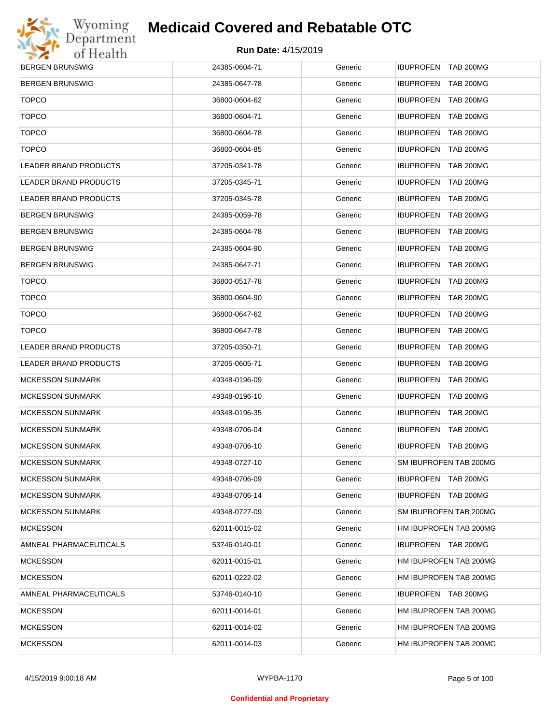

| <b>BERGEN BRUNSWIG</b>       | 24385-0604-71 | Generic | IBUPROFEN TAB 200MG    |
|------------------------------|---------------|---------|------------------------|
| <b>BERGEN BRUNSWIG</b>       | 24385-0647-78 | Generic | IBUPROFEN TAB 200MG    |
| <b>TOPCO</b>                 | 36800-0604-62 | Generic | IBUPROFEN TAB 200MG    |
| <b>TOPCO</b>                 | 36800-0604-71 | Generic | IBUPROFEN TAB 200MG    |
| <b>TOPCO</b>                 | 36800-0604-78 | Generic | IBUPROFEN TAB 200MG    |
| <b>TOPCO</b>                 | 36800-0604-85 | Generic | IBUPROFEN TAB 200MG    |
| <b>LEADER BRAND PRODUCTS</b> | 37205-0341-78 | Generic | IBUPROFEN TAB 200MG    |
| <b>LEADER BRAND PRODUCTS</b> | 37205-0345-71 | Generic | IBUPROFEN TAB 200MG    |
| <b>LEADER BRAND PRODUCTS</b> | 37205-0345-78 | Generic | IBUPROFEN TAB 200MG    |
| <b>BERGEN BRUNSWIG</b>       | 24385-0059-78 | Generic | IBUPROFEN TAB 200MG    |
| <b>BERGEN BRUNSWIG</b>       | 24385-0604-78 | Generic | IBUPROFEN TAB 200MG    |
| <b>BERGEN BRUNSWIG</b>       | 24385-0604-90 | Generic | IBUPROFEN TAB 200MG    |
| <b>BERGEN BRUNSWIG</b>       | 24385-0647-71 | Generic | IBUPROFEN TAB 200MG    |
| <b>TOPCO</b>                 | 36800-0517-78 | Generic | IBUPROFEN TAB 200MG    |
| <b>TOPCO</b>                 | 36800-0604-90 | Generic | IBUPROFEN TAB 200MG    |
| <b>TOPCO</b>                 | 36800-0647-62 | Generic | IBUPROFEN TAB 200MG    |
| <b>TOPCO</b>                 | 36800-0647-78 | Generic | IBUPROFEN TAB 200MG    |
| <b>LEADER BRAND PRODUCTS</b> | 37205-0350-71 | Generic | IBUPROFEN TAB 200MG    |
| <b>LEADER BRAND PRODUCTS</b> | 37205-0605-71 | Generic | IBUPROFEN TAB 200MG    |
| <b>MCKESSON SUNMARK</b>      | 49348-0196-09 | Generic | IBUPROFEN TAB 200MG    |
| <b>MCKESSON SUNMARK</b>      | 49348-0196-10 | Generic | IBUPROFEN TAB 200MG    |
| <b>MCKESSON SUNMARK</b>      | 49348-0196-35 | Generic | IBUPROFEN TAB 200MG    |
| <b>MCKESSON SUNMARK</b>      | 49348-0706-04 | Generic | IBUPROFEN TAB 200MG    |
| <b>MCKESSON SUNMARK</b>      | 49348-0706-10 | Generic | IBUPROFEN TAB 200MG    |
| <b>MCKESSON SUNMARK</b>      | 49348-0727-10 | Generic | SM IBUPROFEN TAB 200MG |
| <b>MCKESSON SUNMARK</b>      | 49348-0706-09 | Generic | IBUPROFEN TAB 200MG    |
| <b>MCKESSON SUNMARK</b>      | 49348-0706-14 | Generic | IBUPROFEN TAB 200MG    |
| <b>MCKESSON SUNMARK</b>      | 49348-0727-09 | Generic | SM IBUPROFEN TAB 200MG |
| <b>MCKESSON</b>              | 62011-0015-02 | Generic | HM IBUPROFEN TAB 200MG |
| AMNEAL PHARMACEUTICALS       | 53746-0140-01 | Generic | IBUPROFEN TAB 200MG    |
| <b>MCKESSON</b>              | 62011-0015-01 | Generic | HM IBUPROFEN TAB 200MG |
| <b>MCKESSON</b>              | 62011-0222-02 | Generic | HM IBUPROFEN TAB 200MG |
| AMNEAL PHARMACEUTICALS       | 53746-0140-10 | Generic | IBUPROFEN TAB 200MG    |
| <b>MCKESSON</b>              | 62011-0014-01 | Generic | HM IBUPROFEN TAB 200MG |
| <b>MCKESSON</b>              | 62011-0014-02 | Generic | HM IBUPROFEN TAB 200MG |
| <b>MCKESSON</b>              | 62011-0014-03 | Generic | HM IBUPROFEN TAB 200MG |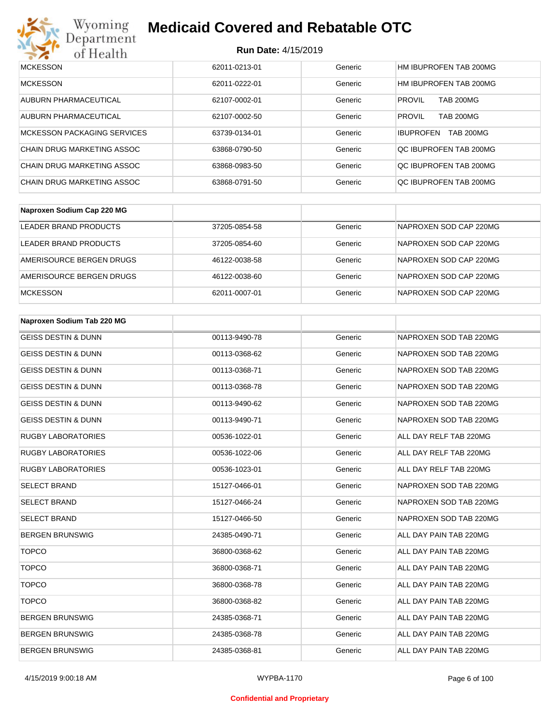

# Wyoming<br>Department<br>of Health

# **Medicaid Covered and Rebatable OTC**

| <b>MCKESSON</b>                    | 62011-0213-01 | Generic | HM IBUPROFEN TAB 200MG               |
|------------------------------------|---------------|---------|--------------------------------------|
| <b>MCKESSON</b>                    | 62011-0222-01 | Generic | HM IBUPROFEN TAB 200MG               |
| AUBURN PHARMACEUTICAL              | 62107-0002-01 | Generic | <b>PROVIL</b><br><b>TAB 200MG</b>    |
| AUBURN PHARMACEUTICAL              | 62107-0002-50 | Generic | <b>PROVIL</b><br><b>TAB 200MG</b>    |
| <b>MCKESSON PACKAGING SERVICES</b> | 63739-0134-01 | Generic | <b>TAB 200MG</b><br><b>IBUPROFEN</b> |
| CHAIN DRUG MARKETING ASSOC         | 63868-0790-50 | Generic | QC IBUPROFEN TAB 200MG               |
| CHAIN DRUG MARKETING ASSOC         | 63868-0983-50 | Generic | QC IBUPROFEN TAB 200MG               |
| CHAIN DRUG MARKETING ASSOC         | 63868-0791-50 | Generic | OC IBUPROFEN TAB 200MG               |

| Naproxen Sodium Cap 220 MG |               |         |                        |
|----------------------------|---------------|---------|------------------------|
| LEADER BRAND PRODUCTS      | 37205-0854-58 | Generic | NAPROXEN SOD CAP 220MG |
| LEADER BRAND PRODUCTS      | 37205-0854-60 | Generic | NAPROXEN SOD CAP 220MG |
| AMERISOURCE BERGEN DRUGS   | 46122-0038-58 | Generic | NAPROXEN SOD CAP 220MG |
| AMERISOURCE BERGEN DRUGS   | 46122-0038-60 | Generic | NAPROXEN SOD CAP 220MG |
| <b>MCKESSON</b>            | 62011-0007-01 | Generic | NAPROXEN SOD CAP 220MG |

| Naproxen Sodium Tab 220 MG     |               |         |                        |
|--------------------------------|---------------|---------|------------------------|
| <b>GEISS DESTIN &amp; DUNN</b> | 00113-9490-78 | Generic | NAPROXEN SOD TAB 220MG |
| <b>GEISS DESTIN &amp; DUNN</b> | 00113-0368-62 | Generic | NAPROXEN SOD TAB 220MG |
| <b>GEISS DESTIN &amp; DUNN</b> | 00113-0368-71 | Generic | NAPROXEN SOD TAB 220MG |
| <b>GEISS DESTIN &amp; DUNN</b> | 00113-0368-78 | Generic | NAPROXEN SOD TAB 220MG |
| <b>GEISS DESTIN &amp; DUNN</b> | 00113-9490-62 | Generic | NAPROXEN SOD TAB 220MG |
| <b>GEISS DESTIN &amp; DUNN</b> | 00113-9490-71 | Generic | NAPROXEN SOD TAB 220MG |
| <b>RUGBY LABORATORIES</b>      | 00536-1022-01 | Generic | ALL DAY RELF TAB 220MG |
| <b>RUGBY LABORATORIES</b>      | 00536-1022-06 | Generic | ALL DAY RELF TAB 220MG |
| <b>RUGBY LABORATORIES</b>      | 00536-1023-01 | Generic | ALL DAY RELF TAB 220MG |
| <b>SELECT BRAND</b>            | 15127-0466-01 | Generic | NAPROXEN SOD TAB 220MG |
| <b>SELECT BRAND</b>            | 15127-0466-24 | Generic | NAPROXEN SOD TAB 220MG |
| <b>SELECT BRAND</b>            | 15127-0466-50 | Generic | NAPROXEN SOD TAB 220MG |
| <b>BERGEN BRUNSWIG</b>         | 24385-0490-71 | Generic | ALL DAY PAIN TAB 220MG |
| <b>TOPCO</b>                   | 36800-0368-62 | Generic | ALL DAY PAIN TAB 220MG |
| <b>TOPCO</b>                   | 36800-0368-71 | Generic | ALL DAY PAIN TAB 220MG |
| <b>TOPCO</b>                   | 36800-0368-78 | Generic | ALL DAY PAIN TAB 220MG |
| <b>TOPCO</b>                   | 36800-0368-82 | Generic | ALL DAY PAIN TAB 220MG |
| <b>BERGEN BRUNSWIG</b>         | 24385-0368-71 | Generic | ALL DAY PAIN TAB 220MG |
| <b>BERGEN BRUNSWIG</b>         | 24385-0368-78 | Generic | ALL DAY PAIN TAB 220MG |
| <b>BERGEN BRUNSWIG</b>         | 24385-0368-81 | Generic | ALL DAY PAIN TAB 220MG |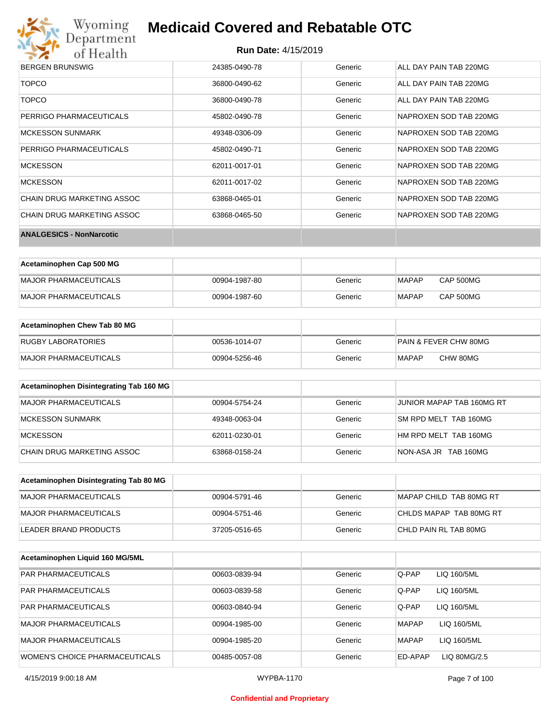

#### **Run Date:** 4/15/2019

| <b>BERGEN BRUNSWIG</b>            | 24385-0490-78 | Generic | ALL DAY PAIN TAB 220MG |
|-----------------------------------|---------------|---------|------------------------|
| <b>TOPCO</b>                      | 36800-0490-62 | Generic | ALL DAY PAIN TAB 220MG |
| <b>TOPCO</b>                      | 36800-0490-78 | Generic | ALL DAY PAIN TAB 220MG |
| PERRIGO PHARMACEUTICALS           | 45802-0490-78 | Generic | NAPROXEN SOD TAB 220MG |
| <b>MCKESSON SUNMARK</b>           | 49348-0306-09 | Generic | NAPROXEN SOD TAB 220MG |
| PERRIGO PHARMACEUTICALS           | 45802-0490-71 | Generic | NAPROXEN SOD TAB 220MG |
| <b>MCKESSON</b>                   | 62011-0017-01 | Generic | NAPROXEN SOD TAB 220MG |
| <b>MCKESSON</b>                   | 62011-0017-02 | Generic | NAPROXEN SOD TAB 220MG |
| CHAIN DRUG MARKETING ASSOC        | 63868-0465-01 | Generic | NAPROXEN SOD TAB 220MG |
| <b>CHAIN DRUG MARKETING ASSOC</b> | 63868-0465-50 | Generic | NAPROXEN SOD TAB 220MG |
| <b>ANALGESICS - NonNarcotic</b>   |               |         |                        |

| Acetaminophen Cap 500 MG |               |         |              |           |
|--------------------------|---------------|---------|--------------|-----------|
| MAJOR PHARMACEUTICALS    | 00904-1987-80 | Generic | MAPAP        | CAP 500MG |
| MAJOR PHARMACEUTICALS    | 00904-1987-60 | Generic | <b>MAPAP</b> | CAP 500MG |

| Acetaminophen Chew Tab 80 MG |               |         |                                  |
|------------------------------|---------------|---------|----------------------------------|
| <b>RUGBY LABORATORIES</b>    | 00536-1014-07 | Generic | <b>PAIN &amp; FEVER CHW 80MG</b> |
| MAJOR PHARMACEUTICALS        | 00904-5256-46 | Generic | CHW 80MG<br>MAPAP                |

| Acetaminophen Disintegrating Tab 160 MG |               |         |                           |
|-----------------------------------------|---------------|---------|---------------------------|
| MAJOR PHARMACEUTICALS                   | 00904-5754-24 | Generic | JUNIOR MAPAP TAB 160MG RT |
| MCKESSON SUNMARK                        | 49348-0063-04 | Generic | SM RPD MELT TAB 160MG     |
| <b>MCKESSON</b>                         | 62011-0230-01 | Generic | HM RPD MELT TAB 160MG     |
| CHAIN DRUG MARKETING ASSOC              | 63868-0158-24 | Generic | NON-ASA JR TAB 160MG      |

| Acetaminophen Disintegrating Tab 80 MG |               |         |                         |
|----------------------------------------|---------------|---------|-------------------------|
| MAJOR PHARMACEUTICALS                  | 00904-5791-46 | Generic | MAPAP CHILD TAB 80MG RT |
| IMAJOR PHARMACEUTICALS                 | 00904-5751-46 | Generic | CHLDS MAPAP TAB 80MG RT |
| LEADER BRAND PRODUCTS                  | 37205-0516-65 | Generic | CHLD PAIN RL TAB 80MG   |

| Acetaminophen Liquid 160 MG/5ML       |               |         |              |              |
|---------------------------------------|---------------|---------|--------------|--------------|
| <b>PAR PHARMACEUTICALS</b>            | 00603-0839-94 | Generic | Q-PAP        | LIQ 160/5ML  |
| <b>PAR PHARMACEUTICALS</b>            | 00603-0839-58 | Generic | Q-PAP        | LIQ 160/5ML  |
| <b>PAR PHARMACEUTICALS</b>            | 00603-0840-94 | Generic | Q-PAP        | LIQ 160/5ML  |
| <b>MAJOR PHARMACEUTICALS</b>          | 00904-1985-00 | Generic | <b>MAPAP</b> | LIQ 160/5ML  |
| <b>MAJOR PHARMACEUTICALS</b>          | 00904-1985-20 | Generic | <b>MAPAP</b> | LIQ 160/5ML  |
| <b>WOMEN'S CHOICE PHARMACEUTICALS</b> | 00485-0057-08 | Generic | ED-APAP      | LIQ 80MG/2.5 |

#### **Confidential and Proprietary**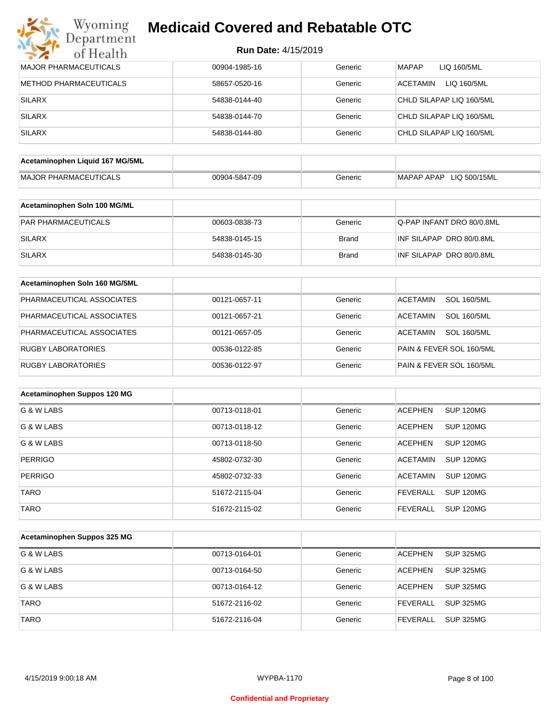# Wyoming<br>Department<br>of Health **Medicaid Covered and Rebatable OTC**

| <b>MAJOR PHARMACEUTICALS</b>    | 00904-1985-16 | Generic      | <b>MAPAP</b><br>LIQ 160/5ML           |
|---------------------------------|---------------|--------------|---------------------------------------|
| <b>METHOD PHARMACEUTICALS</b>   | 58657-0520-16 | Generic      | <b>ACETAMIN</b><br>LIQ 160/5ML        |
| <b>SILARX</b>                   | 54838-0144-40 | Generic      | CHLD SILAPAP LIQ 160/5ML              |
| <b>SILARX</b>                   | 54838-0144-70 | Generic      | CHLD SILAPAP LIQ 160/5ML              |
| <b>SILARX</b>                   | 54838-0144-80 | Generic      | CHLD SILAPAP LIQ 160/5ML              |
|                                 |               |              |                                       |
| Acetaminophen Liquid 167 MG/5ML |               |              |                                       |
| <b>MAJOR PHARMACEUTICALS</b>    | 00904-5847-09 | Generic      | MAPAP APAP LIQ 500/15ML               |
| Acetaminophen Soln 100 MG/ML    |               |              |                                       |
|                                 |               |              |                                       |
| PAR PHARMACEUTICALS             | 00603-0838-73 | Generic      | Q-PAP INFANT DRO 80/0.8ML             |
| <b>SILARX</b>                   | 54838-0145-15 | <b>Brand</b> | INF SILAPAP DRO 80/0.8ML              |
| <b>SILARX</b>                   | 54838-0145-30 | <b>Brand</b> | INF SILAPAP DRO 80/0.8ML              |
| Acetaminophen Soln 160 MG/5ML   |               |              |                                       |
| PHARMACEUTICAL ASSOCIATES       | 00121-0657-11 | Generic      | <b>SOL 160/5ML</b><br><b>ACETAMIN</b> |
| PHARMACEUTICAL ASSOCIATES       | 00121-0657-21 | Generic      | <b>ACETAMIN</b><br><b>SOL 160/5ML</b> |
| PHARMACEUTICAL ASSOCIATES       | 00121-0657-05 | Generic      | <b>ACETAMIN</b><br><b>SOL 160/5ML</b> |
| <b>RUGBY LABORATORIES</b>       | 00536-0122-85 | Generic      | PAIN & FEVER SOL 160/5ML              |
| RUGBY LABORATORIES              | 00536-0122-97 | Generic      | PAIN & FEVER SOL 160/5ML              |
|                                 |               |              |                                       |
| Acetaminophen Suppos 120 MG     |               |              |                                       |
| G & W LABS                      | 00713-0118-01 | Generic      | SUP 120MG<br><b>ACEPHEN</b>           |
| G & W LABS                      | 00713-0118-12 | Generic      | <b>ACEPHEN</b><br>SUP 120MG           |
| G & W LABS                      | 00713-0118-50 | Generic      | <b>SUP 120MG</b><br><b>ACEPHEN</b>    |
| <b>PERRIGO</b>                  | 45802-0732-30 | Generic      | <b>ACETAMIN</b><br><b>SUP 120MG</b>   |
| PERRIGO                         | 45802-0732-33 | Generic      | ACETAMIN SUP 120MG                    |
| TARO                            | 51672-2115-04 | Generic      | <b>FEVERALL</b><br><b>SUP 120MG</b>   |
| <b>TARO</b>                     | 51672-2115-02 | Generic      | <b>FEVERALL</b><br><b>SUP 120MG</b>   |
|                                 |               |              |                                       |
| Acetaminophen Suppos 325 MG     |               |              |                                       |
| G & W LABS                      | 00713-0164-01 | Generic      | <b>ACEPHEN</b><br><b>SUP 325MG</b>    |
| G & W LABS                      | 00713-0164-50 | Generic      | <b>ACEPHEN</b><br><b>SUP 325MG</b>    |
| G & W LABS                      | 00713-0164-12 | Generic      | <b>ACEPHEN</b><br><b>SUP 325MG</b>    |
| <b>TARO</b>                     | 51672-2116-02 | Generic      | <b>FEVERALL</b><br><b>SUP 325MG</b>   |
| <b>TARO</b>                     | 51672-2116-04 | Generic      | <b>FEVERALL</b><br><b>SUP 325MG</b>   |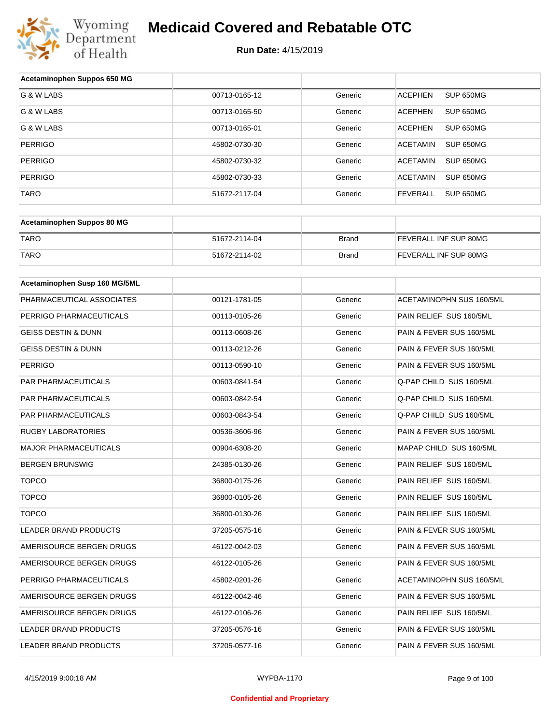

| Acetaminophen Suppos 650 MG    |               |         |                                 |
|--------------------------------|---------------|---------|---------------------------------|
| G & W LABS                     | 00713-0165-12 | Generic | SUP 650MG<br><b>ACEPHEN</b>     |
| G & W LABS                     | 00713-0165-50 | Generic | <b>ACEPHEN</b><br>SUP 650MG     |
| G & W LABS                     | 00713-0165-01 | Generic | <b>ACEPHEN</b><br>SUP 650MG     |
| <b>PERRIGO</b>                 | 45802-0730-30 | Generic | <b>ACETAMIN</b><br>SUP 650MG    |
| <b>PERRIGO</b>                 | 45802-0730-32 | Generic | <b>ACETAMIN</b><br>SUP 650MG    |
| <b>PERRIGO</b>                 | 45802-0730-33 | Generic | <b>ACETAMIN</b><br>SUP 650MG    |
| TARO                           | 51672-2117-04 | Generic | <b>FEVERALL</b><br>SUP 650MG    |
|                                |               |         |                                 |
| Acetaminophen Suppos 80 MG     |               |         |                                 |
| <b>TARO</b>                    | 51672-2114-04 | Brand   | FEVERALL INF SUP 80MG           |
| <b>TARO</b>                    | 51672-2114-02 | Brand   | FEVERALL INF SUP 80MG           |
|                                |               |         |                                 |
| Acetaminophen Susp 160 MG/5ML  |               |         |                                 |
| PHARMACEUTICAL ASSOCIATES      | 00121-1781-05 | Generic | <b>ACETAMINOPHN SUS 160/5ML</b> |
| PERRIGO PHARMACEUTICALS        | 00113-0105-26 | Generic | PAIN RELIEF SUS 160/5ML         |
| <b>GEISS DESTIN &amp; DUNN</b> | 00113-0608-26 | Generic | PAIN & FEVER SUS 160/5ML        |
| <b>GEISS DESTIN &amp; DUNN</b> | 00113-0212-26 | Generic | PAIN & FEVER SUS 160/5ML        |
| <b>PERRIGO</b>                 | 00113-0590-10 | Generic | PAIN & FEVER SUS 160/5ML        |
| PAR PHARMACEUTICALS            | 00603-0841-54 | Generic | Q-PAP CHILD SUS 160/5ML         |
| PAR PHARMACEUTICALS            | 00603-0842-54 | Generic | Q-PAP CHILD SUS 160/5ML         |
| PAR PHARMACEUTICALS            | 00603-0843-54 | Generic | Q-PAP CHILD SUS 160/5ML         |
| <b>RUGBY LABORATORIES</b>      | 00536-3606-96 | Generic | PAIN & FEVER SUS 160/5ML        |
| <b>MAJOR PHARMACEUTICALS</b>   | 00904-6308-20 | Generic | MAPAP CHILD SUS 160/5ML         |
| <b>BERGEN BRUNSWIG</b>         | 24385-0130-26 | Generic | PAIN RELIEF SUS 160/5ML         |
| <b>TOPCO</b>                   | 36800-0175-26 | Generic | PAIN RELIEF SUS 160/5ML         |
| <b>TOPCO</b>                   | 36800-0105-26 | Generic | PAIN RELIEF SUS 160/5ML         |
| <b>TOPCO</b>                   | 36800-0130-26 | Generic | PAIN RELIEF SUS 160/5ML         |
| <b>LEADER BRAND PRODUCTS</b>   | 37205-0575-16 | Generic | PAIN & FEVER SUS 160/5ML        |
| AMERISOURCE BERGEN DRUGS       | 46122-0042-03 | Generic | PAIN & FEVER SUS 160/5ML        |
| AMERISOURCE BERGEN DRUGS       | 46122-0105-26 | Generic | PAIN & FEVER SUS 160/5ML        |
| PERRIGO PHARMACEUTICALS        | 45802-0201-26 | Generic | ACETAMINOPHN SUS 160/5ML        |
| AMERISOURCE BERGEN DRUGS       | 46122-0042-46 | Generic | PAIN & FEVER SUS 160/5ML        |
| AMERISOURCE BERGEN DRUGS       | 46122-0106-26 | Generic | PAIN RELIEF SUS 160/5ML         |
| LEADER BRAND PRODUCTS          | 37205-0576-16 | Generic | PAIN & FEVER SUS 160/5ML        |
| LEADER BRAND PRODUCTS          | 37205-0577-16 | Generic | PAIN & FEVER SUS 160/5ML        |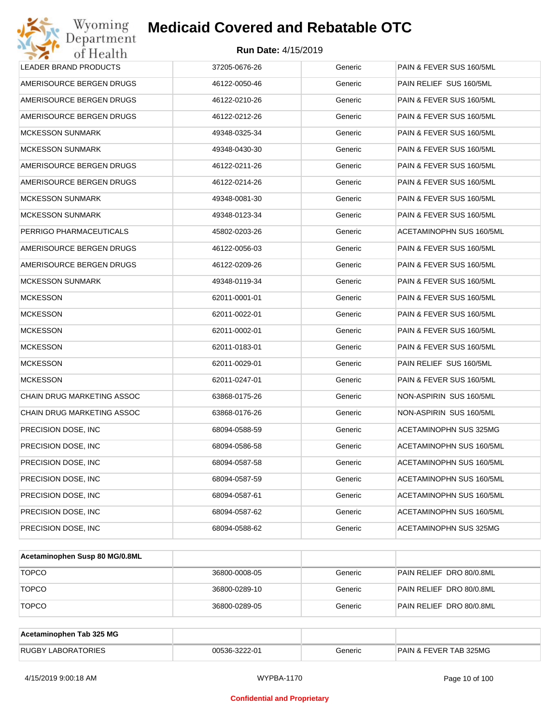| Wyoming<br>Department                   | <b>Medicaid Covered and Rebatable OTC</b> |         |                          |  |  |  |
|-----------------------------------------|-------------------------------------------|---------|--------------------------|--|--|--|
| <b>Run Date: 4/15/2019</b><br>of Health |                                           |         |                          |  |  |  |
| LEADER BRAND PRODUCTS                   | 37205-0676-26                             | Generic | PAIN & FEVER SUS 160/5ML |  |  |  |
| AMERISOURCE BERGEN DRUGS                | 46122-0050-46                             | Generic | PAIN RELIEF SUS 160/5ML  |  |  |  |
| AMERISOURCE BERGEN DRUGS                | 46122-0210-26                             | Generic | PAIN & FEVER SUS 160/5ML |  |  |  |
| AMERISOURCE BERGEN DRUGS                | 46122-0212-26                             | Generic | PAIN & FEVER SUS 160/5ML |  |  |  |
| <b>MCKESSON SUNMARK</b>                 | 49348-0325-34                             | Generic | PAIN & FEVER SUS 160/5ML |  |  |  |
| <b>MCKESSON SUNMARK</b>                 | 49348-0430-30                             | Generic | PAIN & FEVER SUS 160/5ML |  |  |  |
| AMERISOURCE BERGEN DRUGS                | 46122-0211-26                             | Generic | PAIN & FEVER SUS 160/5ML |  |  |  |
| AMERISOURCE BERGEN DRUGS                | 46122-0214-26                             | Generic | PAIN & FEVER SUS 160/5ML |  |  |  |
| <b>MCKESSON SUNMARK</b>                 | 49348-0081-30                             | Generic | PAIN & FEVER SUS 160/5ML |  |  |  |
| <b>MCKESSON SUNMARK</b>                 | 49348-0123-34                             | Generic | PAIN & FEVER SUS 160/5ML |  |  |  |
| PERRIGO PHARMACEUTICALS                 | 45802-0203-26                             | Generic | ACETAMINOPHN SUS 160/5ML |  |  |  |
| AMERISOURCE BERGEN DRUGS                | 46122-0056-03                             | Generic | PAIN & FEVER SUS 160/5ML |  |  |  |
| AMERISOURCE BERGEN DRUGS                | 46122-0209-26                             | Generic | PAIN & FEVER SUS 160/5ML |  |  |  |
| <b>MCKESSON SUNMARK</b>                 | 49348-0119-34                             | Generic | PAIN & FEVER SUS 160/5ML |  |  |  |
| <b>MCKESSON</b>                         | 62011-0001-01                             | Generic | PAIN & FEVER SUS 160/5ML |  |  |  |
| <b>MCKESSON</b>                         | 62011-0022-01                             | Generic | PAIN & FEVER SUS 160/5ML |  |  |  |
| <b>MCKESSON</b>                         | 62011-0002-01                             | Generic | PAIN & FEVER SUS 160/5ML |  |  |  |
| <b>MCKESSON</b>                         | 62011-0183-01                             | Generic | PAIN & FEVER SUS 160/5ML |  |  |  |
| <b>MCKESSON</b>                         | 62011-0029-01                             | Generic | PAIN RELIEF SUS 160/5ML  |  |  |  |
| <b>MCKESSON</b>                         | 62011-0247-01                             | Generic | PAIN & FEVER SUS 160/5ML |  |  |  |
| CHAIN DRUG MARKETING ASSOC              | 63868-0175-26                             | Generic | NON-ASPIRIN SUS 160/5ML  |  |  |  |
| CHAIN DRUG MARKETING ASSOC              | 63868-0176-26                             | Generic | NON-ASPIRIN SUS 160/5ML  |  |  |  |
| PRECISION DOSE, INC                     | 68094-0588-59                             | Generic | ACETAMINOPHN SUS 325MG   |  |  |  |
| PRECISION DOSE, INC                     | 68094-0586-58                             | Generic | ACETAMINOPHN SUS 160/5ML |  |  |  |
| PRECISION DOSE, INC                     | 68094-0587-58                             | Generic | ACETAMINOPHN SUS 160/5ML |  |  |  |
| PRECISION DOSE, INC                     | 68094-0587-59                             | Generic | ACETAMINOPHN SUS 160/5ML |  |  |  |
| PRECISION DOSE, INC                     | 68094-0587-61                             | Generic | ACETAMINOPHN SUS 160/5ML |  |  |  |
| PRECISION DOSE, INC                     | 68094-0587-62                             | Generic | ACETAMINOPHN SUS 160/5ML |  |  |  |
| PRECISION DOSE, INC                     | 68094-0588-62                             | Generic | ACETAMINOPHN SUS 325MG   |  |  |  |

| Acetaminophen Susp 80 MG/0.8ML |               |         |                          |
|--------------------------------|---------------|---------|--------------------------|
| <b>TOPCO</b>                   | 36800-0008-05 | Generic | PAIN RELIEF DRO 80/0.8ML |
| <b>TOPCO</b>                   | 36800-0289-10 | Generic | PAIN RELIEF DRO 80/0.8ML |
| <b>TOPCO</b>                   | 36800-0289-05 | Generic | PAIN RELIEF DRO 80/0.8ML |

| Acetaminophen Tab 325 MG  |               |         |                                   |
|---------------------------|---------------|---------|-----------------------------------|
| <b>RUGBY LABORATORIES</b> | 00536-3222-01 | Generic | <b>PAIN &amp; FEVER TAB 325MG</b> |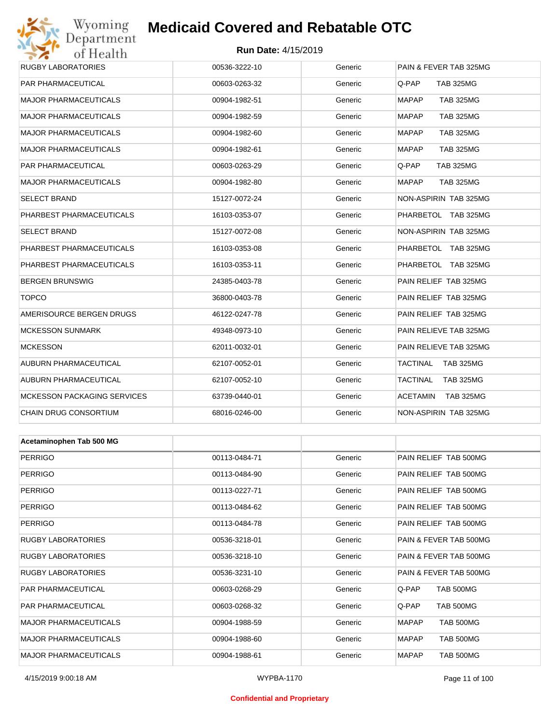# Wyoming<br>Department<br>of Health

# **Medicaid Covered and Rebatable OTC**

#### **Run Date:** 4/15/2019

| <b>OF TECALLE</b>                  |               |         |                                  |
|------------------------------------|---------------|---------|----------------------------------|
| RUGBY LABORATORIES                 | 00536-3222-10 | Generic | PAIN & FEVER TAB 325MG           |
| PAR PHARMACEUTICAL                 | 00603-0263-32 | Generic | Q-PAP<br><b>TAB 325MG</b>        |
| <b>MAJOR PHARMACEUTICALS</b>       | 00904-1982-51 | Generic | <b>MAPAP</b><br><b>TAB 325MG</b> |
| <b>MAJOR PHARMACEUTICALS</b>       | 00904-1982-59 | Generic | <b>MAPAP</b><br><b>TAB 325MG</b> |
| <b>MAJOR PHARMACEUTICALS</b>       | 00904-1982-60 | Generic | <b>MAPAP</b><br><b>TAB 325MG</b> |
| <b>MAJOR PHARMACEUTICALS</b>       | 00904-1982-61 | Generic | <b>TAB 325MG</b><br><b>MAPAP</b> |
| PAR PHARMACEUTICAL                 | 00603-0263-29 | Generic | Q-PAP<br><b>TAB 325MG</b>        |
| <b>MAJOR PHARMACEUTICALS</b>       | 00904-1982-80 | Generic | <b>MAPAP</b><br><b>TAB 325MG</b> |
| <b>SELECT BRAND</b>                | 15127-0072-24 | Generic | NON-ASPIRIN TAB 325MG            |
| PHARBEST PHARMACEUTICALS           | 16103-0353-07 | Generic | PHARBETOL TAB 325MG              |
| <b>SELECT BRAND</b>                | 15127-0072-08 | Generic | NON-ASPIRIN TAB 325MG            |
| PHARBEST PHARMACEUTICALS           | 16103-0353-08 | Generic | PHARBETOL TAB 325MG              |
| PHARBEST PHARMACEUTICALS           | 16103-0353-11 | Generic | PHARBETOL TAB 325MG              |
| <b>BERGEN BRUNSWIG</b>             | 24385-0403-78 | Generic | PAIN RELIEF TAB 325MG            |
| <b>TOPCO</b>                       | 36800-0403-78 | Generic | PAIN RELIEF TAB 325MG            |
| AMERISOURCE BERGEN DRUGS           | 46122-0247-78 | Generic | PAIN RELIEF TAB 325MG            |
| <b>MCKESSON SUNMARK</b>            | 49348-0973-10 | Generic | PAIN RELIEVE TAB 325MG           |
| <b>MCKESSON</b>                    | 62011-0032-01 | Generic | PAIN RELIEVE TAB 325MG           |
| AUBURN PHARMACEUTICAL              | 62107-0052-01 | Generic | TACTINAL<br><b>TAB 325MG</b>     |
| AUBURN PHARMACEUTICAL              | 62107-0052-10 | Generic | TACTINAL<br><b>TAB 325MG</b>     |
| <b>MCKESSON PACKAGING SERVICES</b> | 63739-0440-01 | Generic | ACETAMIN<br><b>TAB 325MG</b>     |
| CHAIN DRUG CONSORTIUM              | 68016-0246-00 | Generic | NON-ASPIRIN TAB 325MG            |
|                                    |               |         |                                  |
| Acetaminophen Tab 500 MG           |               |         |                                  |
| <b>PERRIGO</b>                     | 00113-0484-71 | Generic | PAIN RELIEF TAB 500MG            |
| <b>PERRIGO</b>                     | 00113-0484-90 | Generic | PAIN RELIEF TAB 500MG            |
| <b>PERRIGO</b>                     | 00113-0227-71 | Generic | PAIN RELIEF TAB 500MG            |
| <b>PERRIGO</b>                     | 00113-0484-62 | Generic | PAIN RELIEF TAB 500MG            |
| <b>PERRIGO</b>                     | 00113-0484-78 | Generic | PAIN RELIEF TAB 500MG            |
| <b>RUGBY LABORATORIES</b>          | 00536-3218-01 | Generic | PAIN & FEVER TAB 500MG           |
| <b>RUGBY LABORATORIES</b>          | 00536-3218-10 | Generic | PAIN & FEVER TAB 500MG           |
| <b>RUGBY LABORATORIES</b>          | 00536-3231-10 | Generic | PAIN & FEVER TAB 500MG           |
| PAR PHARMACEUTICAL                 | 00603-0268-29 | Generic | Q-PAP<br><b>TAB 500MG</b>        |

PAR PHARMACEUTICAL 00603-0268-32 Generic Q-PAP TAB 500MG MAJOR PHARMACEUTICALS 00904-1988-59 Generic MAPAP TAB 500MG MAJOR PHARMACEUTICALS 00904-1988-60 Generic MAPAP TAB 500MG MAJOR PHARMACEUTICALS 00904-1988-61 Generic MAPAP TAB 500MG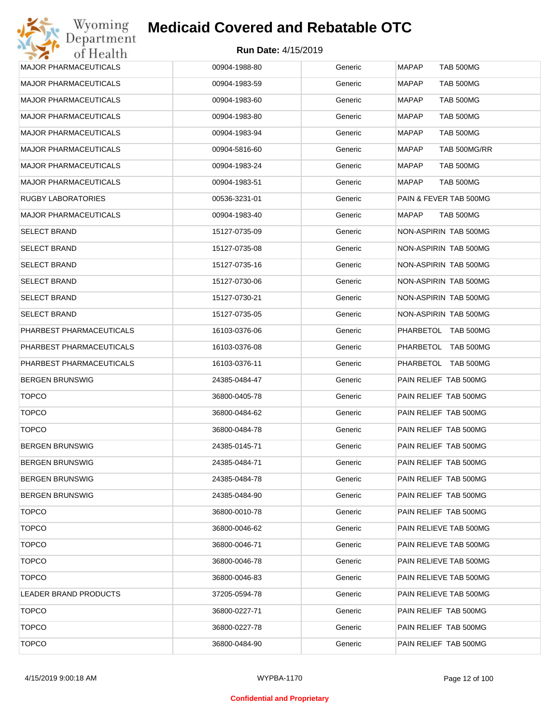| <b>MAJOR PHARMACEUTICALS</b> | 00904-1988-80 | Generic | <b>MAPAP</b><br><b>TAB 500MG</b> |
|------------------------------|---------------|---------|----------------------------------|
|                              |               |         |                                  |
| <b>MAJOR PHARMACEUTICALS</b> | 00904-1983-59 | Generic | <b>MAPAP</b><br>TAB 500MG        |
| <b>MAJOR PHARMACEUTICALS</b> | 00904-1983-60 | Generic | <b>MAPAP</b><br>TAB 500MG        |
| <b>MAJOR PHARMACEUTICALS</b> | 00904-1983-80 | Generic | <b>TAB 500MG</b><br>MAPAP        |
| <b>MAJOR PHARMACEUTICALS</b> | 00904-1983-94 | Generic | TAB 500MG<br>MAPAP               |
| <b>MAJOR PHARMACEUTICALS</b> | 00904-5816-60 | Generic | <b>MAPAP</b><br>TAB 500MG/RR     |
| <b>MAJOR PHARMACEUTICALS</b> | 00904-1983-24 | Generic | TAB 500MG<br>MAPAP               |
| <b>MAJOR PHARMACEUTICALS</b> | 00904-1983-51 | Generic | <b>MAPAP</b><br>TAB 500MG        |
| RUGBY LABORATORIES           | 00536-3231-01 | Generic | PAIN & FEVER TAB 500MG           |
| <b>MAJOR PHARMACEUTICALS</b> | 00904-1983-40 | Generic | <b>TAB 500MG</b><br>MAPAP        |
| <b>SELECT BRAND</b>          | 15127-0735-09 | Generic | NON-ASPIRIN TAB 500MG            |
| <b>SELECT BRAND</b>          | 15127-0735-08 | Generic | NON-ASPIRIN TAB 500MG            |
| <b>SELECT BRAND</b>          | 15127-0735-16 | Generic | NON-ASPIRIN TAB 500MG            |
| <b>SELECT BRAND</b>          | 15127-0730-06 | Generic | NON-ASPIRIN TAB 500MG            |
| <b>SELECT BRAND</b>          | 15127-0730-21 | Generic | NON-ASPIRIN TAB 500MG            |
| <b>SELECT BRAND</b>          | 15127-0735-05 | Generic | NON-ASPIRIN TAB 500MG            |
| PHARBEST PHARMACEUTICALS     | 16103-0376-06 | Generic | PHARBETOL TAB 500MG              |
| PHARBEST PHARMACEUTICALS     | 16103-0376-08 | Generic | PHARBETOL TAB 500MG              |
| PHARBEST PHARMACEUTICALS     | 16103-0376-11 | Generic | PHARBETOL TAB 500MG              |
| <b>BERGEN BRUNSWIG</b>       | 24385-0484-47 | Generic | PAIN RELIEF TAB 500MG            |
| <b>TOPCO</b>                 | 36800-0405-78 | Generic | PAIN RELIEF TAB 500MG            |
| <b>TOPCO</b>                 | 36800-0484-62 | Generic | PAIN RELIEF TAB 500MG            |
| <b>TOPCO</b>                 | 36800-0484-78 | Generic | PAIN RELIEF TAB 500MG            |
| <b>BERGEN BRUNSWIG</b>       | 24385-0145-71 | Generic | PAIN RELIEF TAB 500MG            |
| <b>BERGEN BRUNSWIG</b>       | 24385-0484-71 | Generic | PAIN RELIEF TAB 500MG            |
| <b>BERGEN BRUNSWIG</b>       | 24385-0484-78 | Generic | PAIN RELIEF TAB 500MG            |
| <b>BERGEN BRUNSWIG</b>       | 24385-0484-90 | Generic | PAIN RELIEF TAB 500MG            |
| <b>TOPCO</b>                 | 36800-0010-78 | Generic | PAIN RELIEF TAB 500MG            |
| <b>TOPCO</b>                 | 36800-0046-62 | Generic | PAIN RELIEVE TAB 500MG           |
| <b>TOPCO</b>                 | 36800-0046-71 | Generic | PAIN RELIEVE TAB 500MG           |
| <b>TOPCO</b>                 | 36800-0046-78 | Generic | PAIN RELIEVE TAB 500MG           |
| <b>TOPCO</b>                 | 36800-0046-83 | Generic | PAIN RELIEVE TAB 500MG           |
| LEADER BRAND PRODUCTS        | 37205-0594-78 | Generic | PAIN RELIEVE TAB 500MG           |
| <b>TOPCO</b>                 | 36800-0227-71 | Generic | PAIN RELIEF TAB 500MG            |
| <b>TOPCO</b>                 | 36800-0227-78 | Generic | PAIN RELIEF TAB 500MG            |
| <b>TOPCO</b>                 | 36800-0484-90 | Generic | PAIN RELIEF TAB 500MG            |
|                              |               |         |                                  |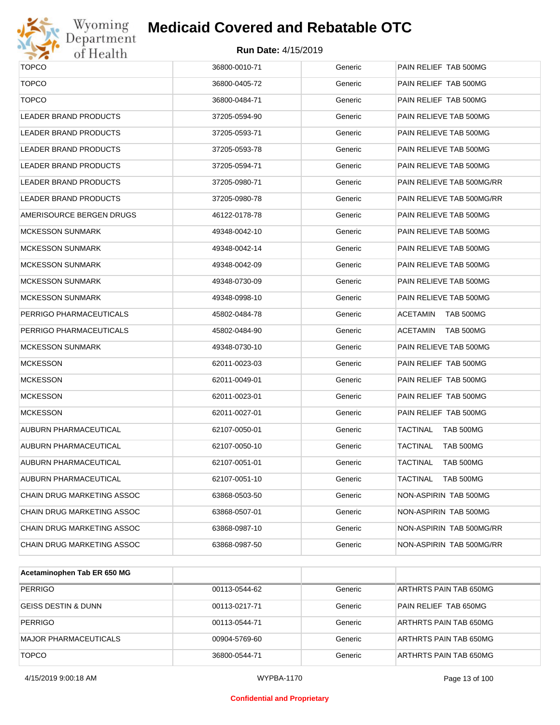

# Wyoming<br>Department<br>of Health

# **Medicaid Covered and Rebatable OTC**

| <b>TOPCO</b>               | 36800-0010-71 | Generic | PAIN RELIEF TAB 500MG               |
|----------------------------|---------------|---------|-------------------------------------|
| <b>TOPCO</b>               | 36800-0405-72 | Generic | PAIN RELIEF TAB 500MG               |
| <b>TOPCO</b>               | 36800-0484-71 | Generic | PAIN RELIEF TAB 500MG               |
| LEADER BRAND PRODUCTS      | 37205-0594-90 | Generic | PAIN RELIEVE TAB 500MG              |
|                            |               |         |                                     |
| LEADER BRAND PRODUCTS      | 37205-0593-71 | Generic | PAIN RELIEVE TAB 500MG              |
| LEADER BRAND PRODUCTS      | 37205-0593-78 | Generic | PAIN RELIEVE TAB 500MG              |
| LEADER BRAND PRODUCTS      | 37205-0594-71 | Generic | PAIN RELIEVE TAB 500MG              |
| LEADER BRAND PRODUCTS      | 37205-0980-71 | Generic | PAIN RELIEVE TAB 500MG/RR           |
| LEADER BRAND PRODUCTS      | 37205-0980-78 | Generic | PAIN RELIEVE TAB 500MG/RR           |
| AMERISOURCE BERGEN DRUGS   | 46122-0178-78 | Generic | PAIN RELIEVE TAB 500MG              |
| <b>MCKESSON SUNMARK</b>    | 49348-0042-10 | Generic | PAIN RELIEVE TAB 500MG              |
| <b>MCKESSON SUNMARK</b>    | 49348-0042-14 | Generic | PAIN RELIEVE TAB 500MG              |
| MCKESSON SUNMARK           | 49348-0042-09 | Generic | PAIN RELIEVE TAB 500MG              |
| MCKESSON SUNMARK           | 49348-0730-09 | Generic | PAIN RELIEVE TAB 500MG              |
| MCKESSON SUNMARK           | 49348-0998-10 | Generic | PAIN RELIEVE TAB 500MG              |
| PERRIGO PHARMACEUTICALS    | 45802-0484-78 | Generic | ACETAMIN<br>TAB 500MG               |
| PERRIGO PHARMACEUTICALS    | 45802-0484-90 | Generic | ACETAMIN<br>TAB 500MG               |
| MCKESSON SUNMARK           | 49348-0730-10 | Generic | PAIN RELIEVE TAB 500MG              |
| <b>MCKESSON</b>            | 62011-0023-03 | Generic | PAIN RELIEF TAB 500MG               |
| <b>MCKESSON</b>            | 62011-0049-01 | Generic | PAIN RELIEF TAB 500MG               |
| <b>MCKESSON</b>            | 62011-0023-01 | Generic | PAIN RELIEF TAB 500MG               |
| <b>MCKESSON</b>            | 62011-0027-01 | Generic | PAIN RELIEF TAB 500MG               |
| AUBURN PHARMACEUTICAL      | 62107-0050-01 | Generic | TACTINAL<br>TAB 500MG               |
| AUBURN PHARMACEUTICAL      | 62107-0050-10 | Generic | TACTINAL<br>TAB 500MG               |
| AUBURN PHARMACEUTICAL      | 62107-0051-01 | Generic | TACTINAL<br>TAB 500MG               |
| AUBURN PHARMACEUTICAL      | 62107-0051-10 | Generic | <b>TACTINAL</b><br><b>TAB 500MG</b> |
| CHAIN DRUG MARKETING ASSOC | 63868-0503-50 | Generic | NON-ASPIRIN TAB 500MG               |
| CHAIN DRUG MARKETING ASSOC | 63868-0507-01 | Generic | NON-ASPIRIN TAB 500MG               |
| CHAIN DRUG MARKETING ASSOC | 63868-0987-10 | Generic | NON-ASPIRIN TAB 500MG/RR            |
| CHAIN DRUG MARKETING ASSOC | 63868-0987-50 | Generic | NON-ASPIRIN TAB 500MG/RR            |
|                            |               |         |                                     |

| Acetaminophen Tab ER 650 MG    |               |         |                        |
|--------------------------------|---------------|---------|------------------------|
| <b>PERRIGO</b>                 | 00113-0544-62 | Generic | ARTHRTS PAIN TAB 650MG |
| <b>GEISS DESTIN &amp; DUNN</b> | 00113-0217-71 | Generic | PAIN RELIEF TAB 650MG  |
| <b>PERRIGO</b>                 | 00113-0544-71 | Generic | ARTHRTS PAIN TAB 650MG |
| MAJOR PHARMACEUTICALS          | 00904-5769-60 | Generic | ARTHRTS PAIN TAB 650MG |
| <b>TOPCO</b>                   | 36800-0544-71 | Generic | ARTHRTS PAIN TAB 650MG |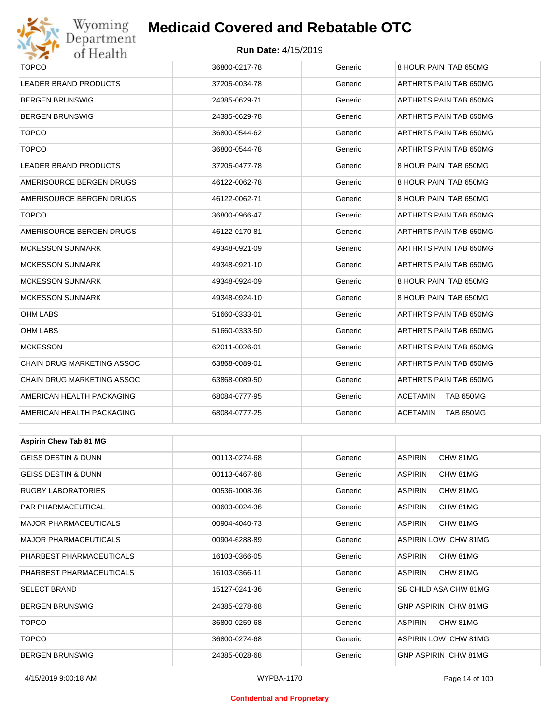

#### **Run Date:** 4/15/2019

| <b>TOPCO</b>                   | 36800-0217-78 | Generic | 8 HOUR PAIN TAB 650MG        |
|--------------------------------|---------------|---------|------------------------------|
| <b>LEADER BRAND PRODUCTS</b>   | 37205-0034-78 | Generic | ARTHRTS PAIN TAB 650MG       |
| <b>BERGEN BRUNSWIG</b>         | 24385-0629-71 | Generic | ARTHRTS PAIN TAB 650MG       |
| <b>BERGEN BRUNSWIG</b>         | 24385-0629-78 | Generic | ARTHRTS PAIN TAB 650MG       |
| <b>TOPCO</b>                   | 36800-0544-62 | Generic | ARTHRTS PAIN TAB 650MG       |
| <b>TOPCO</b>                   | 36800-0544-78 | Generic | ARTHRTS PAIN TAB 650MG       |
| <b>LEADER BRAND PRODUCTS</b>   | 37205-0477-78 | Generic | 8 HOUR PAIN TAB 650MG        |
| AMERISOURCE BERGEN DRUGS       | 46122-0062-78 | Generic | 8 HOUR PAIN TAB 650MG        |
| AMERISOURCE BERGEN DRUGS       | 46122-0062-71 | Generic | 8 HOUR PAIN TAB 650MG        |
| <b>TOPCO</b>                   | 36800-0966-47 | Generic | ARTHRTS PAIN TAB 650MG       |
| AMERISOURCE BERGEN DRUGS       | 46122-0170-81 | Generic | ARTHRTS PAIN TAB 650MG       |
| <b>MCKESSON SUNMARK</b>        | 49348-0921-09 | Generic | ARTHRTS PAIN TAB 650MG       |
| <b>MCKESSON SUNMARK</b>        | 49348-0921-10 | Generic | ARTHRTS PAIN TAB 650MG       |
| <b>MCKESSON SUNMARK</b>        | 49348-0924-09 | Generic | 8 HOUR PAIN TAB 650MG        |
| <b>MCKESSON SUNMARK</b>        | 49348-0924-10 | Generic | 8 HOUR PAIN TAB 650MG        |
| <b>OHM LABS</b>                | 51660-0333-01 | Generic | ARTHRTS PAIN TAB 650MG       |
| <b>OHM LABS</b>                | 51660-0333-50 | Generic | ARTHRTS PAIN TAB 650MG       |
| <b>MCKESSON</b>                | 62011-0026-01 | Generic | ARTHRTS PAIN TAB 650MG       |
| CHAIN DRUG MARKETING ASSOC     | 63868-0089-01 | Generic | ARTHRTS PAIN TAB 650MG       |
| CHAIN DRUG MARKETING ASSOC     | 63868-0089-50 | Generic | ARTHRTS PAIN TAB 650MG       |
| AMERICAN HEALTH PACKAGING      | 68084-0777-95 | Generic | <b>ACETAMIN</b><br>TAB 650MG |
| AMERICAN HEALTH PACKAGING      | 68084-0777-25 | Generic | <b>ACETAMIN</b><br>TAB 650MG |
|                                |               |         |                              |
| <b>Aspirin Chew Tab 81 MG</b>  |               |         |                              |
| <b>GEISS DESTIN &amp; DUNN</b> | 00113-0274-68 | Generic | <b>ASPIRIN</b><br>CHW 81MG   |
| <b>GEISS DESTIN &amp; DUNN</b> | 00113-0467-68 | Generic | <b>ASPIRIN</b><br>CHW 81MG   |
| <b>RUGBY LABORATORIES</b>      | 00536-1008-36 | Generic | <b>ASPIRIN</b><br>CHW 81MG   |
| PAR PHARMACEUTICAL             | 00603-0024-36 | Generic | <b>ASPIRIN</b><br>CHW 81MG   |
| <b>MAJOR PHARMACEUTICALS</b>   | 00904-4040-73 | Generic | <b>ASPIRIN</b><br>CHW 81MG   |
| <b>MAJOR PHARMACEUTICALS</b>   | 00904-6288-89 | Generic | ASPIRIN LOW CHW 81MG         |
| PHARBEST PHARMACEUTICALS       | 16103-0366-05 | Generic | <b>ASPIRIN</b><br>CHW 81MG   |
| PHARBEST PHARMACEUTICALS       | 16103-0366-11 | Generic | <b>ASPIRIN</b><br>CHW 81MG   |
| <b>SELECT BRAND</b>            | 15127-0241-36 | Generic | SB CHILD ASA CHW 81MG        |
| <b>BERGEN BRUNSWIG</b>         | 24385-0278-68 | Generic | GNP ASPIRIN CHW 81MG         |
| <b>TOPCO</b>                   | 36800-0259-68 | Generic | <b>ASPIRIN</b><br>CHW 81MG   |

TOPCO 36800-0274-68 Generic ASPIRIN LOW CHW 81MG BERGEN BRUNSWIG 24385-0028-68 Generic GNP ASPIRIN CHW 81MG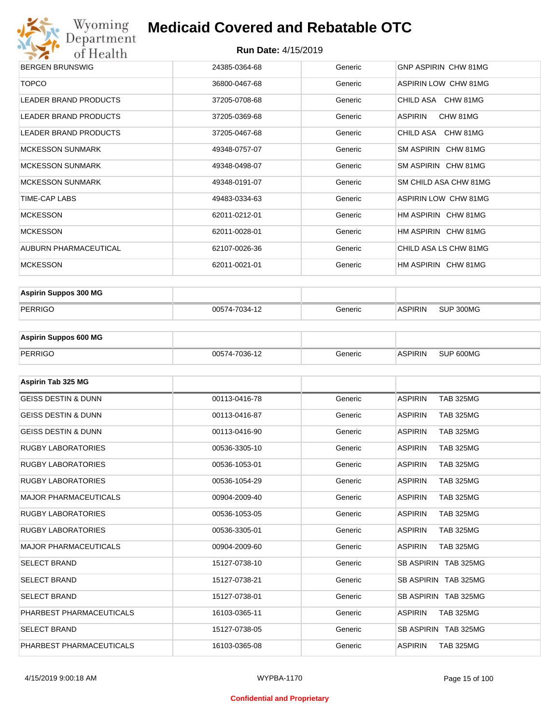

| <b>BERGEN BRUNSWIG</b>       | 24385-0364-68 | Generic | GNP ASPIRIN CHW 81MG  |
|------------------------------|---------------|---------|-----------------------|
| <b>TOPCO</b>                 | 36800-0467-68 | Generic | ASPIRIN LOW CHW 81MG  |
| LEADER BRAND PRODUCTS        | 37205-0708-68 | Generic | CHILD ASA CHW 81MG    |
| <b>LEADER BRAND PRODUCTS</b> | 37205-0369-68 | Generic | ASPIRIN<br>CHW 81MG   |
| <b>LEADER BRAND PRODUCTS</b> | 37205-0467-68 | Generic | CHILD ASA CHW 81MG    |
| <b>MCKESSON SUNMARK</b>      | 49348-0757-07 | Generic | SM ASPIRIN CHW 81MG   |
| <b>MCKESSON SUNMARK</b>      | 49348-0498-07 | Generic | SM ASPIRIN CHW 81MG   |
| <b>MCKESSON SUNMARK</b>      | 49348-0191-07 | Generic | SM CHILD ASA CHW 81MG |
| TIME-CAP LABS                | 49483-0334-63 | Generic | ASPIRIN LOW CHW 81MG  |
| <b>MCKESSON</b>              | 62011-0212-01 | Generic | HM ASPIRIN CHW 81MG   |
| <b>MCKESSON</b>              | 62011-0028-01 | Generic | HM ASPIRIN CHW 81MG   |
| AUBURN PHARMACEUTICAL        | 62107-0026-36 | Generic | CHILD ASA LS CHW 81MG |
| <b>MCKESSON</b>              | 62011-0021-01 | Generic | HM ASPIRIN CHW 81MG   |

| <b>Aspirin Suppos 300 MG</b> |               |         |                |           |
|------------------------------|---------------|---------|----------------|-----------|
| PERRIGO                      | 00574-7034-12 | Generic | <b>ASPIRIN</b> | SUP 300MG |

| <b>Aspirin Suppos 600 MG</b> |               |           |                |           |
|------------------------------|---------------|-----------|----------------|-----------|
| PERRIGO                      | 00574-7036-12 | Generic : | <b>ASPIRIN</b> | SUP 600MG |

| Aspirin Tab 325 MG             |               |         |                                    |
|--------------------------------|---------------|---------|------------------------------------|
| <b>GEISS DESTIN &amp; DUNN</b> | 00113-0416-78 | Generic | <b>ASPIRIN</b><br><b>TAB 325MG</b> |
| <b>GEISS DESTIN &amp; DUNN</b> | 00113-0416-87 | Generic | <b>ASPIRIN</b><br><b>TAB 325MG</b> |
| <b>GEISS DESTIN &amp; DUNN</b> | 00113-0416-90 | Generic | <b>ASPIRIN</b><br><b>TAB 325MG</b> |
| <b>RUGBY LABORATORIES</b>      | 00536-3305-10 | Generic | <b>ASPIRIN</b><br><b>TAB 325MG</b> |
| <b>RUGBY LABORATORIES</b>      | 00536-1053-01 | Generic | <b>ASPIRIN</b><br><b>TAB 325MG</b> |
| <b>RUGBY LABORATORIES</b>      | 00536-1054-29 | Generic | <b>ASPIRIN</b><br><b>TAB 325MG</b> |
| <b>MAJOR PHARMACEUTICALS</b>   | 00904-2009-40 | Generic | <b>ASPIRIN</b><br><b>TAB 325MG</b> |
| <b>RUGBY LABORATORIES</b>      | 00536-1053-05 | Generic | <b>ASPIRIN</b><br><b>TAB 325MG</b> |
| <b>RUGBY LABORATORIES</b>      | 00536-3305-01 | Generic | <b>TAB 325MG</b><br><b>ASPIRIN</b> |
| <b>MAJOR PHARMACEUTICALS</b>   | 00904-2009-60 | Generic | <b>ASPIRIN</b><br><b>TAB 325MG</b> |
| <b>SELECT BRAND</b>            | 15127-0738-10 | Generic | SB ASPIRIN TAB 325MG               |
| <b>SELECT BRAND</b>            | 15127-0738-21 | Generic | SB ASPIRIN TAB 325MG               |
| <b>SELECT BRAND</b>            | 15127-0738-01 | Generic | SB ASPIRIN TAB 325MG               |
| PHARBEST PHARMACEUTICALS       | 16103-0365-11 | Generic | <b>ASPIRIN</b><br><b>TAB 325MG</b> |
| <b>SELECT BRAND</b>            | 15127-0738-05 | Generic | SB ASPIRIN TAB 325MG               |
| PHARBEST PHARMACEUTICALS       | 16103-0365-08 | Generic | <b>ASPIRIN</b><br><b>TAB 325MG</b> |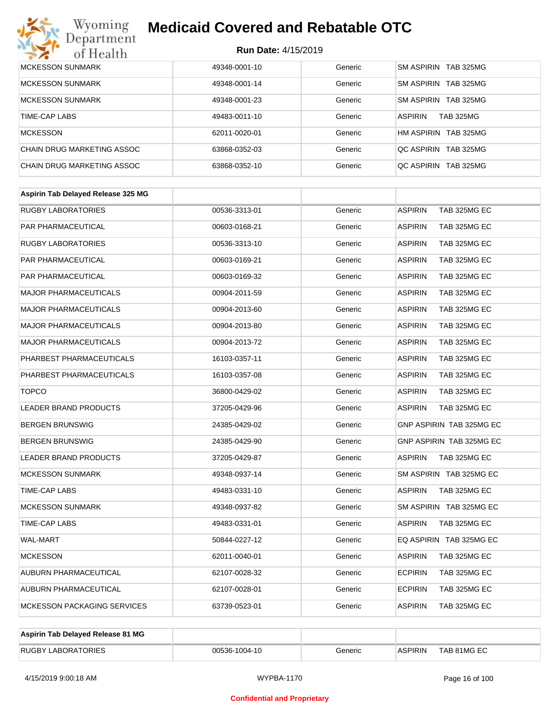

| <b>MCKESSON SUNMARK</b>    | 49348-0001-10 | Generic | SM ASPIRIN TAB 325MG               |
|----------------------------|---------------|---------|------------------------------------|
| <b>MCKESSON SUNMARK</b>    | 49348-0001-14 | Generic | SM ASPIRIN TAB 325MG               |
| <b>MCKESSON SUNMARK</b>    | 49348-0001-23 | Generic | SM ASPIRIN TAB 325MG               |
| TIME-CAP LABS              | 49483-0011-10 | Generic | <b>ASPIRIN</b><br><b>TAB 325MG</b> |
| <b>MCKESSON</b>            | 62011-0020-01 | Generic | HM ASPIRIN TAB 325MG               |
| CHAIN DRUG MARKETING ASSOC | 63868-0352-03 | Generic | OC ASPIRIN TAB 325MG               |
| CHAIN DRUG MARKETING ASSOC | 63868-0352-10 | Generic | OC ASPIRIN TAB 325MG               |

| 00536-3313-01 | Generic | <b>ASPIRIN</b><br>TAB 325MG EC |
|---------------|---------|--------------------------------|
| 00603-0168-21 | Generic | <b>ASPIRIN</b><br>TAB 325MG EC |
| 00536-3313-10 | Generic | <b>ASPIRIN</b><br>TAB 325MG EC |
| 00603-0169-21 | Generic | TAB 325MG EC<br><b>ASPIRIN</b> |
| 00603-0169-32 | Generic | <b>ASPIRIN</b><br>TAB 325MG EC |
| 00904-2011-59 | Generic | <b>ASPIRIN</b><br>TAB 325MG EC |
| 00904-2013-60 | Generic | <b>ASPIRIN</b><br>TAB 325MG EC |
| 00904-2013-80 | Generic | <b>ASPIRIN</b><br>TAB 325MG EC |
| 00904-2013-72 | Generic | <b>ASPIRIN</b><br>TAB 325MG EC |
| 16103-0357-11 | Generic | <b>ASPIRIN</b><br>TAB 325MG EC |
| 16103-0357-08 | Generic | TAB 325MG EC<br><b>ASPIRIN</b> |
| 36800-0429-02 | Generic | <b>ASPIRIN</b><br>TAB 325MG EC |
| 37205-0429-96 | Generic | <b>ASPIRIN</b><br>TAB 325MG EC |
| 24385-0429-02 | Generic | GNP ASPIRIN TAB 325MG EC       |
| 24385-0429-90 | Generic | GNP ASPIRIN TAB 325MG EC       |
| 37205-0429-87 | Generic | <b>ASPIRIN</b><br>TAB 325MG EC |
| 49348-0937-14 | Generic | SM ASPIRIN TAB 325MG EC        |
| 49483-0331-10 | Generic | <b>ASPIRIN</b><br>TAB 325MG EC |
| 49348-0937-82 | Generic | SM ASPIRIN TAB 325MG EC        |
| 49483-0331-01 | Generic | <b>ASPIRIN</b><br>TAB 325MG EC |
| 50844-0227-12 | Generic | EQ ASPIRIN TAB 325MG EC        |
| 62011-0040-01 | Generic | <b>ASPIRIN</b><br>TAB 325MG EC |
| 62107-0028-32 | Generic | <b>ECPIRIN</b><br>TAB 325MG EC |
| 62107-0028-01 | Generic | <b>ECPIRIN</b><br>TAB 325MG EC |
| 63739-0523-01 | Generic | <b>ASPIRIN</b><br>TAB 325MG EC |
|               |         |                                |

| Aspirin Tab Delayed Release 81 MG |               |         |                |             |
|-----------------------------------|---------------|---------|----------------|-------------|
| <b>RUGBY LABORATORIES</b>         | 00536-1004-10 | Generic | <b>ASPIRIN</b> | TAB 81MG EC |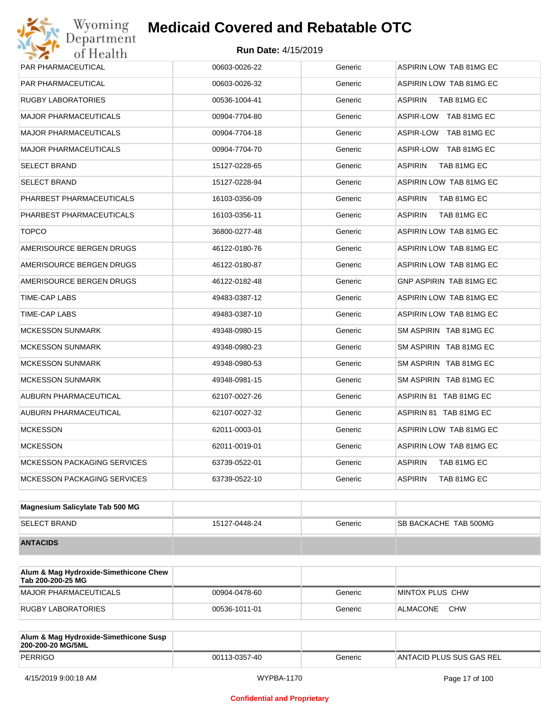| <b>PAR PHARMACEUTICAL</b>          | 00603-0026-22 | Generic | ASPIRIN LOW TAB 81MG EC        |
|------------------------------------|---------------|---------|--------------------------------|
| <b>PAR PHARMACEUTICAL</b>          | 00603-0026-32 | Generic | ASPIRIN LOW TAB 81MG EC        |
| <b>RUGBY LABORATORIES</b>          | 00536-1004-41 | Generic | <b>ASPIRIN</b><br>TAB 81MG EC  |
| <b>MAJOR PHARMACEUTICALS</b>       | 00904-7704-80 | Generic | ASPIR-LOW TAB 81MG EC          |
| <b>MAJOR PHARMACEUTICALS</b>       | 00904-7704-18 | Generic | ASPIR-LOW TAB 81MG EC          |
| <b>MAJOR PHARMACEUTICALS</b>       | 00904-7704-70 | Generic | ASPIR-LOW TAB 81MG EC          |
| <b>SELECT BRAND</b>                | 15127-0228-65 | Generic | <b>ASPIRIN</b><br>TAB 81MG EC  |
| <b>SELECT BRAND</b>                | 15127-0228-94 | Generic | ASPIRIN LOW TAB 81MG EC        |
| PHARBEST PHARMACEUTICALS           | 16103-0356-09 | Generic | <b>ASPIRIN</b><br>TAB 81MG EC  |
| PHARBEST PHARMACEUTICALS           | 16103-0356-11 | Generic | <b>ASPIRIN</b><br>TAB 81MG EC  |
| <b>TOPCO</b>                       | 36800-0277-48 | Generic | ASPIRIN LOW TAB 81MG EC        |
| AMERISOURCE BERGEN DRUGS           | 46122-0180-76 | Generic | ASPIRIN LOW TAB 81MG EC        |
| AMERISOURCE BERGEN DRUGS           | 46122-0180-87 | Generic | ASPIRIN LOW TAB 81MG EC        |
| AMERISOURCE BERGEN DRUGS           | 46122-0182-48 | Generic | <b>GNP ASPIRIN TAB 81MG EC</b> |
| TIME-CAP LABS                      | 49483-0387-12 | Generic | ASPIRIN LOW TAB 81MG EC        |
| TIME-CAP LABS                      | 49483-0387-10 | Generic | ASPIRIN LOW TAB 81MG EC        |
| <b>MCKESSON SUNMARK</b>            | 49348-0980-15 | Generic | SM ASPIRIN TAB 81MG EC         |
| <b>MCKESSON SUNMARK</b>            | 49348-0980-23 | Generic | SM ASPIRIN TAB 81MG EC         |
| <b>MCKESSON SUNMARK</b>            | 49348-0980-53 | Generic | SM ASPIRIN TAB 81MG EC         |
| <b>MCKESSON SUNMARK</b>            | 49348-0981-15 | Generic | SM ASPIRIN TAB 81MG EC         |
| AUBURN PHARMACEUTICAL              | 62107-0027-26 | Generic | ASPIRIN 81 TAB 81MG EC         |
| AUBURN PHARMACEUTICAL              | 62107-0027-32 | Generic | ASPIRIN 81 TAB 81MG EC         |
| <b>MCKESSON</b>                    | 62011-0003-01 | Generic | ASPIRIN LOW TAB 81MG EC        |
| <b>MCKESSON</b>                    | 62011-0019-01 | Generic | ASPIRIN LOW TAB 81MG EC        |
| <b>MCKESSON PACKAGING SERVICES</b> | 63739-0522-01 | Generic | <b>ASPIRIN</b><br>TAB 81MG EC  |
| <b>MCKESSON PACKAGING SERVICES</b> | 63739-0522-10 | Generic | <b>ASPIRIN</b><br>TAB 81MG EC  |
|                                    |               |         |                                |

| Magnesium Salicylate Tab 500 MG |               |         |                              |
|---------------------------------|---------------|---------|------------------------------|
| <b>SELECT BRAND</b>             | 15127-0448-24 | Generic | <b>SB BACKACHE TAB 500MG</b> |
| <b>ANTACIDS</b>                 |               |         |                              |

| Alum & Mag Hydroxide-Simethicone Chew<br>Tab 200-200-25 MG |               |         |                        |
|------------------------------------------------------------|---------------|---------|------------------------|
| MAJOR PHARMACEUTICALS                                      | 00904-0478-60 | Generic | MINTOX PLUS CHW        |
| RUGBY LABORATORIES                                         | 00536-1011-01 | Generic | <b>CHW</b><br>ALMACONE |

| Alum & Mag Hydroxide-Simethicone Susp<br>200-200-20 MG/5ML |               |         |                          |
|------------------------------------------------------------|---------------|---------|--------------------------|
| PERRIGO                                                    | 00113-0357-40 | Generic | ANTACID PLUS SUS GAS REL |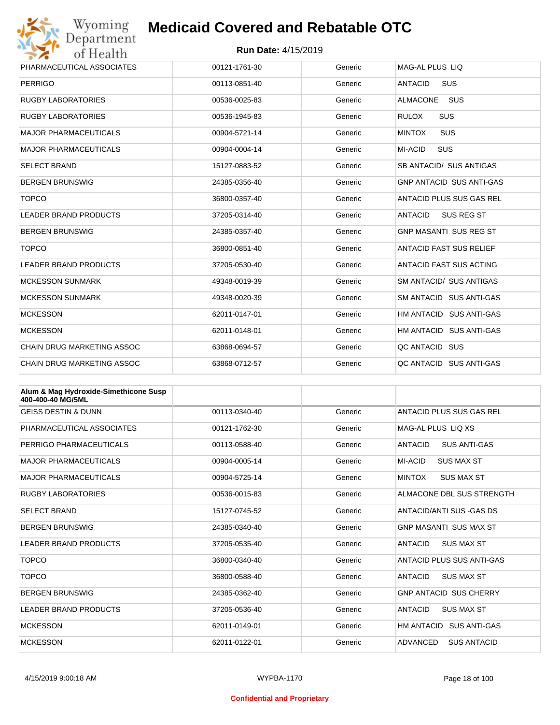

| Wyoming                           | <b>Medicaid Covered and Rebatable OTC</b> |         |                                 |  |
|-----------------------------------|-------------------------------------------|---------|---------------------------------|--|
| Department<br>of Health           | <b>Run Date: 4/15/2019</b>                |         |                                 |  |
| PHARMACEUTICAL ASSOCIATES         | 00121-1761-30                             | Generic | MAG-AL PLUS LIQ                 |  |
| <b>PERRIGO</b>                    | 00113-0851-40                             | Generic | <b>ANTACID</b><br><b>SUS</b>    |  |
| <b>RUGBY LABORATORIES</b>         | 00536-0025-83                             | Generic | <b>ALMACONE</b><br>SUS          |  |
| <b>RUGBY LABORATORIES</b>         | 00536-1945-83                             | Generic | <b>RULOX</b><br><b>SUS</b>      |  |
| <b>MAJOR PHARMACEUTICALS</b>      | 00904-5721-14                             | Generic | SUS<br><b>MINTOX</b>            |  |
| <b>MAJOR PHARMACEUTICALS</b>      | 00904-0004-14                             | Generic | <b>SUS</b><br><b>MI-ACID</b>    |  |
| <b>SELECT BRAND</b>               | 15127-0883-52                             | Generic | SB ANTACID/ SUS ANTIGAS         |  |
| <b>BERGEN BRUNSWIG</b>            | 24385-0356-40                             | Generic | <b>GNP ANTACID SUS ANTI-GAS</b> |  |
| <b>TOPCO</b>                      | 36800-0357-40                             | Generic | ANTACID PLUS SUS GAS REL        |  |
| <b>LEADER BRAND PRODUCTS</b>      | 37205-0314-40                             | Generic | <b>SUS REG ST</b><br>ANTACID    |  |
| <b>BERGEN BRUNSWIG</b>            | 24385-0357-40                             | Generic | <b>GNP MASANTI SUS REG ST</b>   |  |
| <b>TOPCO</b>                      | 36800-0851-40                             | Generic | <b>ANTACID FAST SUS RELIEF</b>  |  |
| <b>LEADER BRAND PRODUCTS</b>      | 37205-0530-40                             | Generic | ANTACID FAST SUS ACTING         |  |
| <b>MCKESSON SUNMARK</b>           | 49348-0019-39                             | Generic | <b>SM ANTACID/ SUS ANTIGAS</b>  |  |
| <b>MCKESSON SUNMARK</b>           | 49348-0020-39                             | Generic | SM ANTACID SUS ANTI-GAS         |  |
| <b>MCKESSON</b>                   | 62011-0147-01                             | Generic | HM ANTACID SUS ANTI-GAS         |  |
| <b>MCKESSON</b>                   | 62011-0148-01                             | Generic | HM ANTACID SUS ANTI-GAS         |  |
| <b>CHAIN DRUG MARKETING ASSOC</b> | 63868-0694-57                             | Generic | QC ANTACID SUS                  |  |
| CHAIN DRUG MARKETING ASSOC        | 63868-0712-57                             | Generic | OC ANTACID SUS ANTI-GAS         |  |

| Alum & Mag Hydroxide-Simethicone Susp<br>400-400-40 MG/5ML |               |         |                                       |
|------------------------------------------------------------|---------------|---------|---------------------------------------|
| <b>GEISS DESTIN &amp; DUNN</b>                             | 00113-0340-40 | Generic | ANTACID PLUS SUS GAS REL              |
| PHARMACEUTICAL ASSOCIATES                                  | 00121-1762-30 | Generic | MAG-AL PLUS LIO XS                    |
| PERRIGO PHARMACEUTICALS                                    | 00113-0588-40 | Generic | <b>ANTACID</b><br><b>SUS ANTI-GAS</b> |
| <b>MAJOR PHARMACEUTICALS</b>                               | 00904-0005-14 | Generic | MI-ACID<br><b>SUS MAX ST</b>          |
| MAJOR PHARMACFUTICALS                                      | 00904-5725-14 | Generic | <b>MINTOX</b><br><b>SUS MAX ST</b>    |
| <b>RUGBY LABORATORIES</b>                                  | 00536-0015-83 | Generic | ALMACONE DBL SUS STRENGTH             |
| <b>SELECT BRAND</b>                                        | 15127-0745-52 | Generic | ANTACID/ANTI SUS - GAS DS             |
| <b>BERGEN BRUNSWIG</b>                                     | 24385-0340-40 | Generic | <b>GNP MASANTI SUS MAX ST</b>         |
| <b>LEADER BRAND PRODUCTS</b>                               | 37205-0535-40 | Generic | <b>ANTACID</b><br><b>SUS MAX ST</b>   |
| <b>TOPCO</b>                                               | 36800-0340-40 | Generic | ANTACID PLUS SUS ANTI-GAS             |
| <b>TOPCO</b>                                               | 36800-0588-40 | Generic | <b>SUS MAX ST</b><br><b>ANTACID</b>   |
| <b>BERGEN BRUNSWIG</b>                                     | 24385-0362-40 | Generic | <b>GNP ANTACID SUS CHERRY</b>         |
| <b>LEADER BRAND PRODUCTS</b>                               | 37205-0536-40 | Generic | <b>ANTACID</b><br><b>SUS MAX ST</b>   |
| <b>MCKESSON</b>                                            | 62011-0149-01 | Generic | HM ANTACID SUS ANTI-GAS               |
| <b>MCKESSON</b>                                            | 62011-0122-01 | Generic | ADVANCED<br><b>SUS ANTACID</b>        |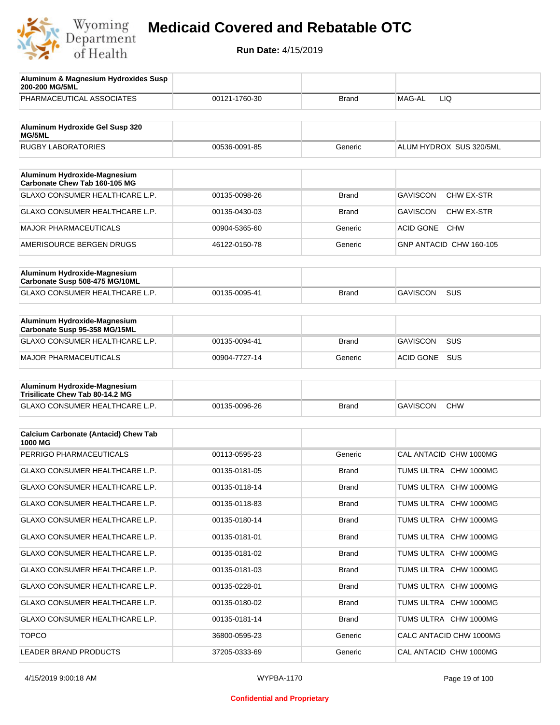

| Aluminum & Magnesium Hydroxides Susp<br>200-200 MG/5ML                  |               |              |                                |
|-------------------------------------------------------------------------|---------------|--------------|--------------------------------|
| PHARMACEUTICAL ASSOCIATES                                               | 00121-1760-30 | Brand        | MAG-AL<br>LIQ                  |
| Aluminum Hydroxide Gel Susp 320<br><b>MG/5ML</b>                        |               |              |                                |
| <b>RUGBY LABORATORIES</b>                                               | 00536-0091-85 | Generic      | ALUM HYDROX SUS 320/5ML        |
| Aluminum Hydroxide-Magnesium                                            |               |              |                                |
| Carbonate Chew Tab 160-105 MG                                           |               |              |                                |
| GLAXO CONSUMER HEALTHCARE L.P.                                          | 00135-0098-26 | Brand        | <b>GAVISCON</b><br>CHW EX-STR  |
| GLAXO CONSUMER HEALTHCARE L.P.                                          | 00135-0430-03 | Brand        | <b>GAVISCON</b><br>CHW EX-STR  |
| <b>MAJOR PHARMACEUTICALS</b>                                            | 00904-5365-60 | Generic      | <b>ACID GONE</b><br><b>CHW</b> |
| AMERISOURCE BERGEN DRUGS                                                | 46122-0150-78 | Generic      | GNP ANTACID CHW 160-105        |
| Aluminum Hydroxide-Magnesium                                            |               |              |                                |
| Carbonate Susp 508-475 MG/10ML<br><b>GLAXO CONSUMER HEALTHCARE L.P.</b> | 00135-0095-41 | Brand        | <b>GAVISCON</b><br><b>SUS</b>  |
|                                                                         |               |              |                                |
| Aluminum Hydroxide-Magnesium<br>Carbonate Susp 95-358 MG/15ML           |               |              |                                |
| <b>GLAXO CONSUMER HEALTHCARE L.P.</b>                                   | 00135-0094-41 | <b>Brand</b> | <b>GAVISCON</b><br><b>SUS</b>  |
| <b>MAJOR PHARMACEUTICALS</b>                                            | 00904-7727-14 | Generic      | ACID GONE<br>SUS               |
| Aluminum Hydroxide-Magnesium<br>Trisilicate Chew Tab 80-14.2 MG         |               |              |                                |
| GLAXO CONSUMER HEALTHCARE L.P.                                          | 00135-0096-26 | <b>Brand</b> | <b>GAVISCON</b><br><b>CHW</b>  |
|                                                                         |               |              |                                |
| <b>Calcium Carbonate (Antacid) Chew Tab</b><br>1000 MG                  |               |              |                                |
| PERRIGO PHARMACEUTICALS                                                 | 00113-0595-23 | Generic      | CAL ANTACID CHW 1000MG         |
| <b>GLAXO CONSUMER HEALTHCARE L.P.</b>                                   | 00135-0181-05 | <b>Brand</b> | TUMS ULTRA CHW 1000MG          |
| GLAXO CONSUMER HEALTHCARE L.P.                                          | 00135-0118-14 | <b>Brand</b> | TUMS ULTRA CHW 1000MG          |
| GLAXO CONSUMER HEALTHCARE L.P.                                          | 00135-0118-83 | <b>Brand</b> | TUMS ULTRA CHW 1000MG          |
| GLAXO CONSUMER HEALTHCARE L.P.                                          | 00135-0180-14 | <b>Brand</b> | TUMS ULTRA CHW 1000MG          |
| GLAXO CONSUMER HEALTHCARE L.P.                                          | 00135-0181-01 | <b>Brand</b> | TUMS ULTRA CHW 1000MG          |
| GLAXO CONSUMER HEALTHCARE L.P.                                          | 00135-0181-02 | <b>Brand</b> | TUMS ULTRA CHW 1000MG          |
| GLAXO CONSUMER HEALTHCARE L.P.                                          | 00135-0181-03 | <b>Brand</b> | TUMS ULTRA CHW 1000MG          |
| GLAXO CONSUMER HEALTHCARE L.P.                                          | 00135-0228-01 | <b>Brand</b> | TUMS ULTRA CHW 1000MG          |
| GLAXO CONSUMER HEALTHCARE L.P.                                          | 00135-0180-02 | <b>Brand</b> | TUMS ULTRA CHW 1000MG          |
| GLAXO CONSUMER HEALTHCARE L.P.                                          | 00135-0181-14 | <b>Brand</b> | TUMS ULTRA CHW 1000MG          |
| <b>TOPCO</b>                                                            | 36800-0595-23 | Generic      | CALC ANTACID CHW 1000MG        |
| LEADER BRAND PRODUCTS                                                   | 37205-0333-69 | Generic      | CAL ANTACID CHW 1000MG         |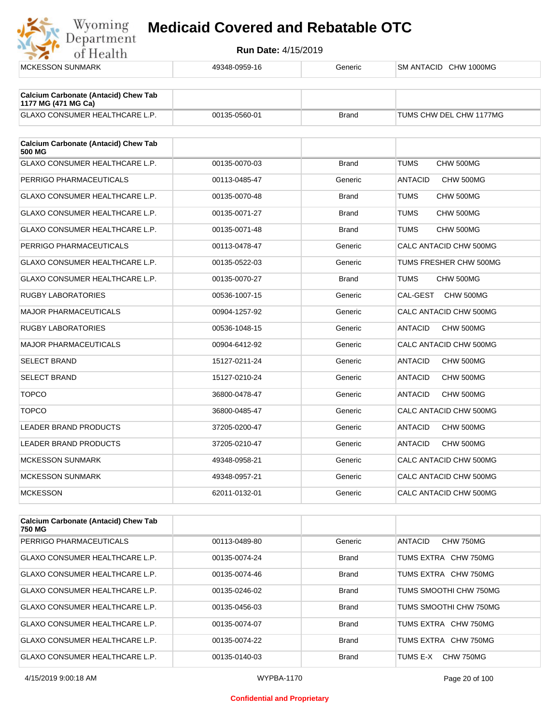

| <b>MCKESSON SUNMARK</b>                                            | 49348-0959-16 | Generic      | SM ANTACID CHW 1000MG       |
|--------------------------------------------------------------------|---------------|--------------|-----------------------------|
|                                                                    |               |              |                             |
| <b>Calcium Carbonate (Antacid) Chew Tab</b><br>1177 MG (471 MG Ca) |               |              |                             |
| GLAXO CONSUMER HEALTHCARE L.P.                                     | 00135-0560-01 | <b>Brand</b> | TUMS CHW DEL CHW 1177MG     |
|                                                                    |               |              |                             |
| <b>Calcium Carbonate (Antacid) Chew Tab</b><br>500 MG              |               |              |                             |
| <b>GLAXO CONSUMER HEALTHCARE L.P.</b>                              | 00135-0070-03 | <b>Brand</b> | <b>TUMS</b><br>CHW 500MG    |
| PERRIGO PHARMACEUTICALS                                            | 00113-0485-47 | Generic      | <b>ANTACID</b><br>CHW 500MG |
| <b>GLAXO CONSUMER HEALTHCARE L.P.</b>                              | 00135-0070-48 | <b>Brand</b> | TUMS<br>CHW 500MG           |
| GLAXO CONSUMER HEALTHCARE L.P.                                     | 00135-0071-27 | <b>Brand</b> | TUMS<br>CHW 500MG           |
| <b>GLAXO CONSUMER HEALTHCARE L.P.</b>                              | 00135-0071-48 | <b>Brand</b> | <b>TUMS</b><br>CHW 500MG    |
| PERRIGO PHARMACEUTICALS                                            | 00113-0478-47 | Generic      | CALC ANTACID CHW 500MG      |
| GLAXO CONSUMER HEALTHCARE L.P.                                     | 00135-0522-03 | Generic      | TUMS FRESHER CHW 500MG      |
| <b>GLAXO CONSUMER HEALTHCARE L.P.</b>                              | 00135-0070-27 | <b>Brand</b> | TUMS<br>CHW 500MG           |
| RUGBY LABORATORIES                                                 | 00536-1007-15 | Generic      | CAL-GEST<br>CHW 500MG       |
| <b>MAJOR PHARMACEUTICALS</b>                                       | 00904-1257-92 | Generic      | CALC ANTACID CHW 500MG      |
| <b>RUGBY LABORATORIES</b>                                          | 00536-1048-15 | Generic      | <b>ANTACID</b><br>CHW 500MG |
| <b>MAJOR PHARMACEUTICALS</b>                                       | 00904-6412-92 | Generic      | CALC ANTACID CHW 500MG      |
| <b>SELECT BRAND</b>                                                | 15127-0211-24 | Generic      | CHW 500MG<br><b>ANTACID</b> |
| <b>SELECT BRAND</b>                                                | 15127-0210-24 | Generic      | <b>ANTACID</b><br>CHW 500MG |
| <b>TOPCO</b>                                                       | 36800-0478-47 | Generic      | <b>ANTACID</b><br>CHW 500MG |
| <b>TOPCO</b>                                                       | 36800-0485-47 | Generic      | CALC ANTACID CHW 500MG      |
| <b>LEADER BRAND PRODUCTS</b>                                       | 37205-0200-47 | Generic      | <b>ANTACID</b><br>CHW 500MG |
| <b>LEADER BRAND PRODUCTS</b>                                       | 37205-0210-47 | Generic      | CHW 500MG<br><b>ANTACID</b> |
| <b>MCKESSON SUNMARK</b>                                            | 49348-0958-21 | Generic      | CALC ANTACID CHW 500MG      |
| <b>MCKESSON SUNMARK</b>                                            | 49348-0957-21 | Generic      | CALC ANTACID CHW 500MG      |
| <b>MCKESSON</b>                                                    | 62011-0132-01 | Generic      | CALC ANTACID CHW 500MG      |
|                                                                    |               |              |                             |

| <b>Calcium Carbonate (Antacid) Chew Tab</b><br>750 MG |               |              |                        |
|-------------------------------------------------------|---------------|--------------|------------------------|
| <b>PERRIGO PHARMACEUTICALS</b>                        | 00113-0489-80 | Generic      | ANTACID<br>CHW 750MG   |
| <b>GLAXO CONSUMER HEALTHCARE L.P.</b>                 | 00135-0074-24 | <b>Brand</b> | TUMS EXTRA CHW 750MG   |
| GLAXO CONSUMER HEALTHCARE L.P.                        | 00135-0074-46 | <b>Brand</b> | TUMS EXTRA CHW 750MG   |
| <b>GLAXO CONSUMER HEALTHCARE L.P.</b>                 | 00135-0246-02 | <b>Brand</b> | TUMS SMOOTHI CHW 750MG |
| <b>GLAXO CONSUMER HEALTHCARE L.P.</b>                 | 00135-0456-03 | <b>Brand</b> | TUMS SMOOTHI CHW 750MG |
| <b>GLAXO CONSUMER HEALTHCARE L.P.</b>                 | 00135-0074-07 | <b>Brand</b> | TUMS EXTRA CHW 750MG   |
| <b>GLAXO CONSUMER HEALTHCARE L.P.</b>                 | 00135-0074-22 | <b>Brand</b> | TUMS EXTRA CHW 750MG   |
| <b>GLAXO CONSUMER HEALTHCARE L.P.</b>                 | 00135-0140-03 | Brand        | TUMS E-X<br>CHW 750MG  |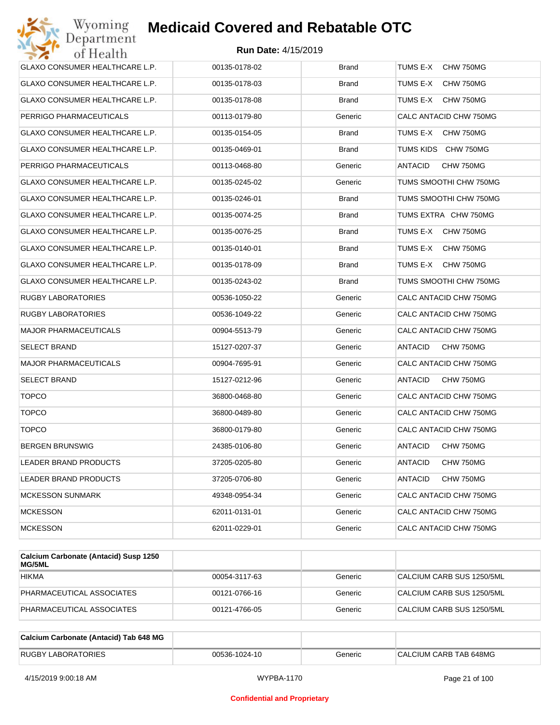| Wyoming<br>Department                 | <b>Medicaid Covered and Rebatable OTC</b> |              |                             |
|---------------------------------------|-------------------------------------------|--------------|-----------------------------|
| of Health                             | <b>Run Date: 4/15/2019</b>                |              |                             |
| <b>GLAXO CONSUMER HEALTHCARE L.P.</b> | 00135-0178-02                             | <b>Brand</b> | TUMS E-X<br>CHW 750MG       |
| GLAXO CONSUMER HEALTHCARE L.P.        | 00135-0178-03                             | Brand        | TUMS E-X<br>CHW 750MG       |
| GLAXO CONSUMER HEALTHCARE L.P.        | 00135-0178-08                             | <b>Brand</b> | TUMS E-X<br>CHW 750MG       |
| PERRIGO PHARMACEUTICALS               | 00113-0179-80                             | Generic      | CALC ANTACID CHW 750MG      |
| GLAXO CONSUMER HEALTHCARE L.P.        | 00135-0154-05                             | <b>Brand</b> | TUMS E-X<br>CHW 750MG       |
| GLAXO CONSUMER HEALTHCARE L.P.        | 00135-0469-01                             | <b>Brand</b> | TUMS KIDS CHW 750MG         |
| PERRIGO PHARMACEUTICALS               | 00113-0468-80                             | Generic      | <b>ANTACID</b><br>CHW 750MG |
| GLAXO CONSUMER HEALTHCARE L.P.        | 00135-0245-02                             | Generic      | TUMS SMOOTHI CHW 750MG      |
| GLAXO CONSUMER HEALTHCARE L.P.        | 00135-0246-01                             | <b>Brand</b> | TUMS SMOOTHI CHW 750MG      |
| GLAXO CONSUMER HEALTHCARE L.P.        | 00135-0074-25                             | Brand        | TUMS EXTRA CHW 750MG        |
| GLAXO CONSUMER HEALTHCARE L.P.        | 00135-0076-25                             | <b>Brand</b> | TUMS E-X<br>CHW 750MG       |
| <b>GLAXO CONSUMER HEALTHCARE L.P.</b> | 00135-0140-01                             | Brand        | TUMS E-X<br>CHW 750MG       |
| GLAXO CONSUMER HEALTHCARE L.P.        | 00135-0178-09                             | <b>Brand</b> | TUMS E-X<br>CHW 750MG       |
| GLAXO CONSUMER HEALTHCARE L.P.        | 00135-0243-02                             | <b>Brand</b> | TUMS SMOOTHI CHW 750MG      |
| RUGBY LABORATORIES                    | 00536-1050-22                             | Generic      | CALC ANTACID CHW 750MG      |
| RUGBY LABORATORIES                    | 00536-1049-22                             | Generic      | CALC ANTACID CHW 750MG      |
| MAJOR PHARMACEUTICALS                 | 00904-5513-79                             | Generic      | CALC ANTACID CHW 750MG      |
| <b>SELECT BRAND</b>                   | 15127-0207-37                             | Generic      | ANTACID<br>CHW 750MG        |
| <b>MAJOR PHARMACEUTICALS</b>          | 00904-7695-91                             | Generic      | CALC ANTACID CHW 750MG      |
| <b>SELECT BRAND</b>                   | 15127-0212-96                             | Generic      | ANTACID<br>CHW 750MG        |
| <b>TOPCO</b>                          | 36800-0468-80                             | Generic      | CALC ANTACID CHW 750MG      |
| <b>TOPCO</b>                          | 36800-0489-80                             | Generic      | CALC ANTACID CHW 750MG      |
| <b>TOPCO</b>                          | 36800-0179-80                             | Generic      | CALC ANTACID CHW 750MG      |
| <b>BERGEN BRUNSWIG</b>                | 24385-0106-80                             | Generic      | CHW 750MG<br>ANTACID        |
| <b>LEADER BRAND PRODUCTS</b>          | 37205-0205-80                             | Generic      | ANTACID<br>CHW 750MG        |
| LEADER BRAND PRODUCTS                 | 37205-0706-80                             | Generic      | ANTACID<br>CHW 750MG        |
| <b>MCKESSON SUNMARK</b>               | 49348-0954-34                             | Generic      | CALC ANTACID CHW 750MG      |
| <b>MCKESSON</b>                       | 62011-0131-01                             | Generic      | CALC ANTACID CHW 750MG      |
| MCKESSON                              | 62011-0229-01                             | Generic      | CALC ANTACID CHW 750MG      |
|                                       |                                           |              |                             |

| Calcium Carbonate (Antacid) Susp 1250<br><b>MG/5ML</b> |               |         |                           |
|--------------------------------------------------------|---------------|---------|---------------------------|
| <b>HIKMA</b>                                           | 00054-3117-63 | Generic | CALCIUM CARB SUS 1250/5ML |
| PHARMACEUTICAL ASSOCIATES                              | 00121-0766-16 | Generic | CALCIUM CARB SUS 1250/5ML |
| PHARMACEUTICAL ASSOCIATES                              | 00121-4766-05 | Generic | CALCIUM CARB SUS 1250/5ML |

| Calcium Carbonate (Antacid) Tab 648 MG |               |         |                        |
|----------------------------------------|---------------|---------|------------------------|
| <b>RUGBY LABORATORIES</b>              | 00536-1024-10 | Generic | CALCIUM CARB TAB 648MG |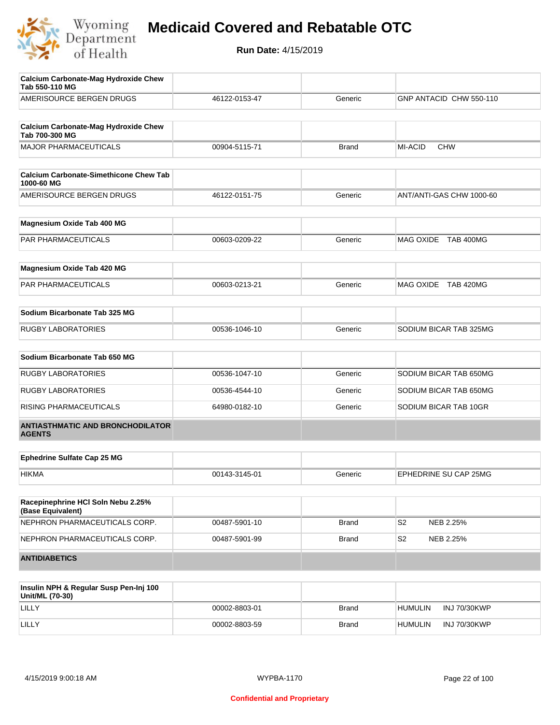

| <b>Calcium Carbonate-Mag Hydroxide Chew</b><br>Tab 550-110 MG |               |              |                             |
|---------------------------------------------------------------|---------------|--------------|-----------------------------|
| AMERISOURCE BERGEN DRUGS                                      | 46122-0153-47 | Generic      | GNP ANTACID CHW 550-110     |
|                                                               |               |              |                             |
| <b>Calcium Carbonate-Mag Hydroxide Chew</b><br>Tab 700-300 MG |               |              |                             |
| <b>MAJOR PHARMACEUTICALS</b>                                  | 00904-5115-71 | <b>Brand</b> | MI-ACID<br><b>CHW</b>       |
| <b>Calcium Carbonate-Simethicone Chew Tab</b><br>1000-60 MG   |               |              |                             |
| AMERISOURCE BERGEN DRUGS                                      | 46122-0151-75 | Generic      | ANT/ANTI-GAS CHW 1000-60    |
| Magnesium Oxide Tab 400 MG                                    |               |              |                             |
| <b>PAR PHARMACEUTICALS</b>                                    | 00603-0209-22 | Generic      | MAG OXIDE TAB 400MG         |
| Magnesium Oxide Tab 420 MG                                    |               |              |                             |
| PAR PHARMACEUTICALS                                           | 00603-0213-21 | Generic      | MAG OXIDE TAB 420MG         |
| Sodium Bicarbonate Tab 325 MG                                 |               |              |                             |
| <b>RUGBY LABORATORIES</b>                                     | 00536-1046-10 | Generic      | SODIUM BICAR TAB 325MG      |
| Sodium Bicarbonate Tab 650 MG                                 |               |              |                             |
| <b>RUGBY LABORATORIES</b>                                     | 00536-1047-10 | Generic      | SODIUM BICAR TAB 650MG      |
| <b>RUGBY LABORATORIES</b>                                     | 00536-4544-10 | Generic      | SODIUM BICAR TAB 650MG      |
| RISING PHARMACEUTICALS                                        | 64980-0182-10 | Generic      | SODIUM BICAR TAB 10GR       |
| <b>ANTIASTHMATIC AND BRONCHODILATOR</b><br><b>AGENTS</b>      |               |              |                             |
| <b>Ephedrine Sulfate Cap 25 MG</b>                            |               |              |                             |
|                                                               |               |              |                             |
| <b>HIKMA</b>                                                  | 00143-3145-01 | Generic      | EPHEDRINE SU CAP 25MG       |
| Racepinephrine HCI Soln Nebu 2.25%<br>(Base Equivalent)       |               |              |                             |
| NEPHRON PHARMACEUTICALS CORP.                                 | 00487-5901-10 | Brand        | S <sub>2</sub><br>NEB 2.25% |
| NEPHRON PHARMACEUTICALS CORP.                                 | 00487-5901-99 | <b>Brand</b> | S2<br>NEB 2.25%             |
| <b>ANTIDIABETICS</b>                                          |               |              |                             |

| Insulin NPH & Regular Susp Pen-Inj 100<br>Unit/ML (70-30) |               |              |                                |
|-----------------------------------------------------------|---------------|--------------|--------------------------------|
| LILLY                                                     | 00002-8803-01 | <b>Brand</b> | INJ 70/30KWP<br><b>HUMULIN</b> |
| LILLY                                                     | 00002-8803-59 | <b>Brand</b> | <b>HUMULIN</b><br>INJ 70/30KWP |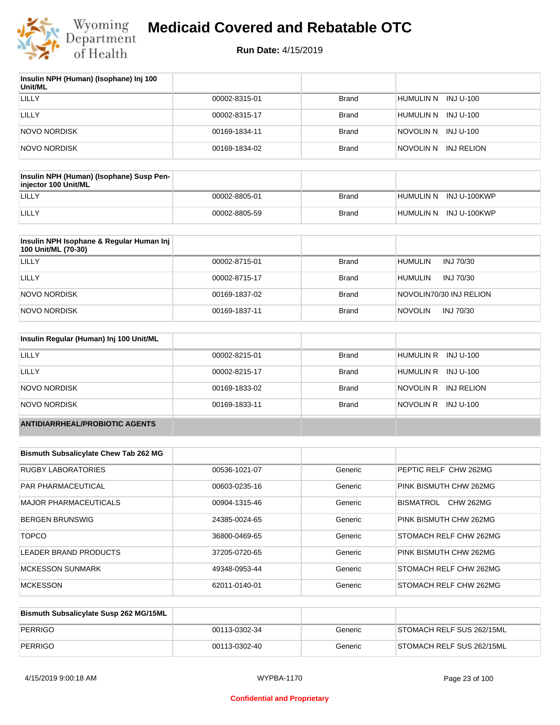

| Insulin NPH (Human) (Isophane) Inj 100<br>Unit/ML |               |              |                      |
|---------------------------------------------------|---------------|--------------|----------------------|
| LILLY                                             | 00002-8315-01 | <b>Brand</b> | HUMULIN N INJ U-100  |
| LILLY                                             | 00002-8315-17 | <b>Brand</b> | HUMULIN N INJ U-100  |
| <b>NOVO NORDISK</b>                               | 00169-1834-11 | <b>Brand</b> | NOVOLIN N INJ U-100  |
| <b>NOVO NORDISK</b>                               | 00169-1834-02 | <b>Brand</b> | NOVOLIN N INJ RELION |

| Insulin NPH (Human) (Isophane) Susp Pen-<br>injector 100 Unit/ML |               |              |                        |
|------------------------------------------------------------------|---------------|--------------|------------------------|
| LILLY                                                            | 00002-8805-01 | Brand        | HUMULIN N INJ U-100KWP |
| LILLY                                                            | 00002-8805-59 | <b>Brand</b> | HUMULIN N INJ U-100KWP |

| Insulin NPH Isophane & Regular Human Inj<br>100 Unit/ML (70-30) |               |              |                             |
|-----------------------------------------------------------------|---------------|--------------|-----------------------------|
| LILLY                                                           | 00002-8715-01 | <b>Brand</b> | HUMULIN<br>INJ 70/30        |
| LILLY                                                           | 00002-8715-17 | <b>Brand</b> | INJ 70/30<br><b>HUMULIN</b> |
| NOVO NORDISK                                                    | 00169-1837-02 | <b>Brand</b> | NOVOLIN70/30 INJ RELION     |
| NOVO NORDISK                                                    | 00169-1837-11 | <b>Brand</b> | <b>NOVOLIN</b><br>INJ 70/30 |

| Insulin Regular (Human) Inj 100 Unit/ML |               |              |                         |
|-----------------------------------------|---------------|--------------|-------------------------|
| <b>LILLY</b>                            | 00002-8215-01 | <b>Brand</b> | HUMULIN R INJ U-100     |
| LILLY                                   | 00002-8215-17 | <b>Brand</b> | HUMULIN R INJ U-100     |
| NOVO NORDISK                            | 00169-1833-02 | <b>Brand</b> | NOVOLIN R<br>INJ RELION |
| NOVO NORDISK                            | 00169-1833-11 | <b>Brand</b> | NOVOLIN R INJ U-100     |
| <b>ANTIDIARRHEAL/PROBIOTIC AGENTS</b>   |               |              |                         |

| <b>Bismuth Subsalicylate Chew Tab 262 MG</b> |               |         |                               |
|----------------------------------------------|---------------|---------|-------------------------------|
| <b>RUGBY LABORATORIES</b>                    | 00536-1021-07 | Generic | PEPTIC RELF CHW 262MG         |
| <b>PAR PHARMACEUTICAL</b>                    | 00603-0235-16 | Generic | PINK BISMUTH CHW 262MG        |
| <b>MAJOR PHARMACEUTICALS</b>                 | 00904-1315-46 | Generic | <b>CHW 262MG</b><br>BISMATROL |
| <b>BERGEN BRUNSWIG</b>                       | 24385-0024-65 | Generic | PINK BISMUTH CHW 262MG        |
| <b>TOPCO</b>                                 | 36800-0469-65 | Generic | <b>STOMACH RELF CHW 262MG</b> |
| LEADER BRAND PRODUCTS                        | 37205-0720-65 | Generic | PINK BISMUTH CHW 262MG        |
| <b>MCKESSON SUNMARK</b>                      | 49348-0953-44 | Generic | <b>STOMACH RELF CHW 262MG</b> |
| <b>MCKESSON</b>                              | 62011-0140-01 | Generic | <b>STOMACH RELF CHW 262MG</b> |

| Bismuth Subsalicylate Susp 262 MG/15ML |               |         |                           |
|----------------------------------------|---------------|---------|---------------------------|
| PERRIGO                                | 00113-0302-34 | Generic | STOMACH RELF SUS 262/15ML |
| PERRIGO                                | 00113-0302-40 | Generic | STOMACH RELF SUS 262/15ML |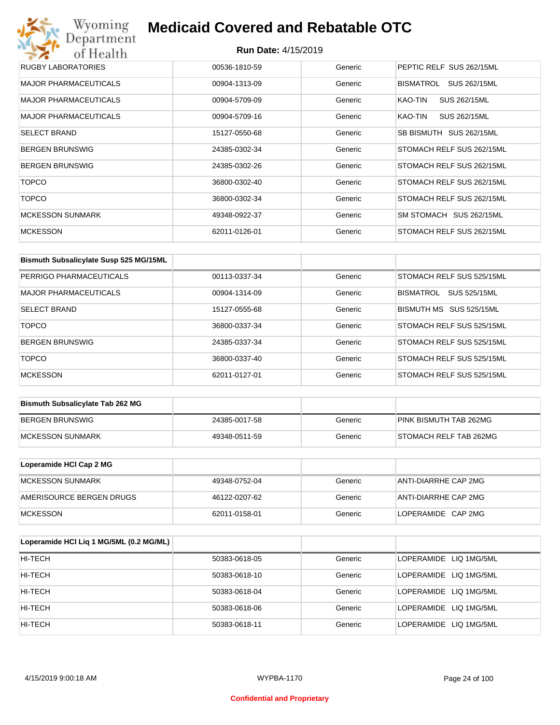# Wyoming<br>Department<br>of Health **Medicaid Covered and Rebatable OTC**

| RUGBY LABORATORIES           | 00536-1810-59 | Generic | PEPTIC RELF SUS 262/15ML  |
|------------------------------|---------------|---------|---------------------------|
| <b>MAJOR PHARMACEUTICALS</b> | 00904-1313-09 | Generic | SUS 262/15ML<br>BISMATROL |
| <b>MAJOR PHARMACEUTICALS</b> | 00904-5709-09 | Generic | KAO-TIN<br>SUS 262/15ML   |
| <b>MAJOR PHARMACEUTICALS</b> | 00904-5709-16 | Generic | SUS 262/15ML<br>KAO-TIN   |
| <b>SELECT BRAND</b>          | 15127-0550-68 | Generic | SB BISMUTH SUS 262/15ML   |
| <b>BERGEN BRUNSWIG</b>       | 24385-0302-34 | Generic | STOMACH RELF SUS 262/15ML |
| <b>BERGEN BRUNSWIG</b>       | 24385-0302-26 | Generic | STOMACH RELF SUS 262/15ML |
| <b>TOPCO</b>                 | 36800-0302-40 | Generic | STOMACH RELF SUS 262/15ML |
| <b>TOPCO</b>                 | 36800-0302-34 | Generic | STOMACH RELF SUS 262/15ML |
| <b>MCKESSON SUNMARK</b>      | 49348-0922-37 | Generic | SM STOMACH SUS 262/15ML   |
| <b>MCKESSON</b>              | 62011-0126-01 | Generic | STOMACH RELF SUS 262/15ML |

| Bismuth Subsalicylate Susp 525 MG/15ML |               |         |                           |
|----------------------------------------|---------------|---------|---------------------------|
| PERRIGO PHARMACEUTICALS                | 00113-0337-34 | Generic | STOMACH RELF SUS 525/15ML |
| <b>MAJOR PHARMACEUTICALS</b>           | 00904-1314-09 | Generic | SUS 525/15ML<br>BISMATROL |
| <b>SELECT BRAND</b>                    | 15127-0555-68 | Generic | BISMUTH MS SUS 525/15ML   |
| <b>TOPCO</b>                           | 36800-0337-34 | Generic | STOMACH RELF SUS 525/15ML |
| <b>BERGEN BRUNSWIG</b>                 | 24385-0337-34 | Generic | STOMACH RELF SUS 525/15ML |
| <b>TOPCO</b>                           | 36800-0337-40 | Generic | STOMACH RELF SUS 525/15ML |
| <b>MCKESSON</b>                        | 62011-0127-01 | Generic | STOMACH RELF SUS 525/15ML |

| <b>Bismuth Subsalicylate Tab 262 MG</b> |               |         |                        |
|-----------------------------------------|---------------|---------|------------------------|
| BERGEN BRUNSWIG                         | 24385-0017-58 | Generic | PINK BISMUTH TAB 262MG |
| <b>IMCKESSON SUNMARK</b>                | 49348-0511-59 | Generic | STOMACH RELF TAB 262MG |

| Loperamide HCI Cap 2 MG  |               |         |                      |
|--------------------------|---------------|---------|----------------------|
| IMCKESSON SUNMARK        | 49348-0752-04 | Generic | ANTI-DIARRHE CAP 2MG |
| AMERISOURCE BERGEN DRUGS | 46122-0207-62 | Generic | ANTI-DIARRHE CAP 2MG |
| <b>IMCKESSON</b>         | 62011-0158-01 | Generic | LOPERAMIDE CAP 2MG   |

| Loperamide HCI Liq 1 MG/5ML (0.2 MG/ML) |               |         |                        |
|-----------------------------------------|---------------|---------|------------------------|
| HI-TECH                                 | 50383-0618-05 | Generic | LOPERAMIDE LIQ 1MG/5ML |
| HI-TECH                                 | 50383-0618-10 | Generic | LOPERAMIDE LIQ 1MG/5ML |
| HI-TECH                                 | 50383-0618-04 | Generic | LOPERAMIDE LIQ 1MG/5ML |
| HI-TECH                                 | 50383-0618-06 | Generic | LOPERAMIDE LIQ 1MG/5ML |
| HI-TECH                                 | 50383-0618-11 | Generic | LOPERAMIDE LIQ 1MG/5ML |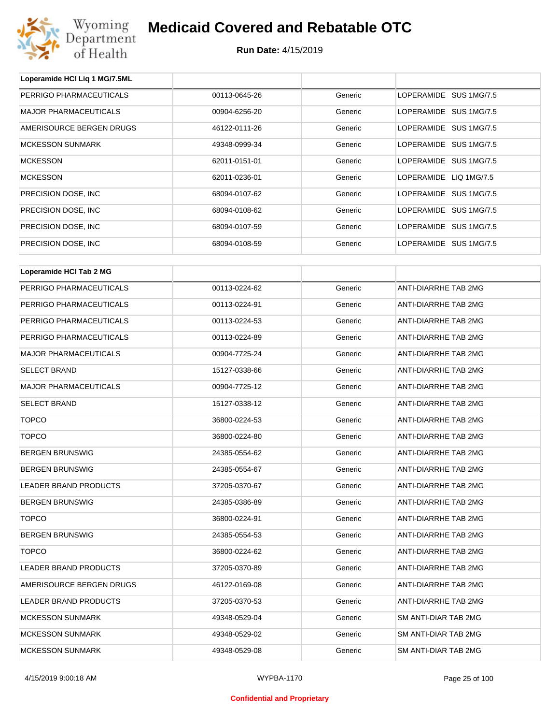

**Loperamide HCl Liq 1 MG/7.5ML**

# **Medicaid Covered and Rebatable OTC**

| PERRIGO PHARMACEUTICALS      | 00113-0645-26 | Generic | LOPERAMIDE SUS 1MG/7.5 |
|------------------------------|---------------|---------|------------------------|
| <b>MAJOR PHARMACEUTICALS</b> | 00904-6256-20 | Generic | LOPERAMIDE SUS 1MG/7.5 |
| AMERISOURCE BERGEN DRUGS     | 46122-0111-26 | Generic | LOPERAMIDE SUS 1MG/7.5 |
| <b>MCKESSON SUNMARK</b>      | 49348-0999-34 | Generic | LOPERAMIDE SUS 1MG/7.5 |
| <b>MCKESSON</b>              | 62011-0151-01 | Generic | LOPERAMIDE SUS 1MG/7.5 |
| <b>MCKESSON</b>              | 62011-0236-01 | Generic | LOPERAMIDE LIQ 1MG/7.5 |
| PRECISION DOSE, INC          | 68094-0107-62 | Generic | LOPERAMIDE SUS 1MG/7.5 |
| PRECISION DOSE, INC.         | 68094-0108-62 | Generic | LOPERAMIDE SUS 1MG/7.5 |
| PRECISION DOSE, INC          | 68094-0107-59 | Generic | LOPERAMIDE SUS 1MG/7.5 |
| PRECISION DOSE, INC          | 68094-0108-59 | Generic | LOPERAMIDE SUS 1MG/7.5 |
| Loperamide HCI Tab 2 MG      |               |         |                        |
| PERRIGO PHARMACEUTICALS      | 00113-0224-62 | Generic | ANTI-DIARRHE TAB 2MG   |
| PERRIGO PHARMACEUTICALS      | 00113-0224-91 | Generic | ANTI-DIARRHE TAB 2MG   |
| PERRIGO PHARMACEUTICALS      | 00113-0224-53 | Generic | ANTI-DIARRHE TAB 2MG   |
| PERRIGO PHARMACEUTICALS      | 00113-0224-89 | Generic | ANTI-DIARRHE TAB 2MG   |
| <b>MAJOR PHARMACEUTICALS</b> | 00904-7725-24 | Generic | ANTI-DIARRHE TAB 2MG   |
| <b>SELECT BRAND</b>          | 15127-0338-66 | Generic | ANTI-DIARRHE TAB 2MG   |
| <b>MAJOR PHARMACEUTICALS</b> | 00904-7725-12 | Generic | ANTI-DIARRHE TAB 2MG   |
| <b>SELECT BRAND</b>          | 15127-0338-12 | Generic | ANTI-DIARRHE TAB 2MG   |
| <b>TOPCO</b>                 | 36800-0224-53 | Generic | ANTI-DIARRHE TAB 2MG   |
| <b>TOPCO</b>                 | 36800-0224-80 | Generic | ANTI-DIARRHE TAB 2MG   |
| <b>BERGEN BRUNSWIG</b>       | 24385-0554-62 | Generic | ANTI-DIARRHE TAB 2MG   |
| <b>BERGEN BRUNSWIG</b>       | 24385-0554-67 | Generic | ANTI-DIARRHE TAB 2MG   |
| LEADER BRAND PRODUCTS        | 37205-0370-67 | Generic | ANTI-DIARRHE TAB 2MG   |
| <b>BERGEN BRUNSWIG</b>       | 24385-0386-89 | Generic | ANTI-DIARRHE TAB 2MG   |
| <b>TOPCO</b>                 | 36800-0224-91 | Generic | ANTI-DIARRHE TAB 2MG   |
| <b>BERGEN BRUNSWIG</b>       | 24385-0554-53 | Generic | ANTI-DIARRHE TAB 2MG   |
| <b>TOPCO</b>                 | 36800-0224-62 | Generic | ANTI-DIARRHE TAB 2MG   |
| LEADER BRAND PRODUCTS        | 37205-0370-89 | Generic | ANTI-DIARRHE TAB 2MG   |
| AMERISOURCE BERGEN DRUGS     | 46122-0169-08 | Generic | ANTI-DIARRHE TAB 2MG   |
| LEADER BRAND PRODUCTS        | 37205-0370-53 | Generic | ANTI-DIARRHE TAB 2MG   |
| <b>MCKESSON SUNMARK</b>      | 49348-0529-04 | Generic | SM ANTI-DIAR TAB 2MG   |
| <b>MCKESSON SUNMARK</b>      | 49348-0529-02 | Generic | SM ANTI-DIAR TAB 2MG   |
| <b>MCKESSON SUNMARK</b>      | 49348-0529-08 | Generic | SM ANTI-DIAR TAB 2MG   |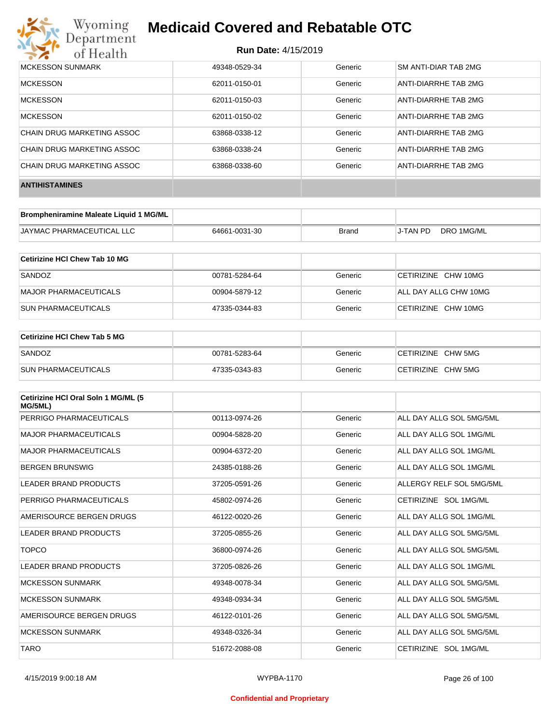

| <b>MCKESSON SUNMARK</b>    | 49348-0529-34 | Generic | SM ANTI-DIAR TAB 2MG |
|----------------------------|---------------|---------|----------------------|
| <b>MCKESSON</b>            | 62011-0150-01 | Generic | ANTI-DIARRHE TAB 2MG |
| <b>MCKESSON</b>            | 62011-0150-03 | Generic | ANTI-DIARRHE TAB 2MG |
| <b>MCKESSON</b>            | 62011-0150-02 | Generic | ANTI-DIARRHE TAB 2MG |
| CHAIN DRUG MARKETING ASSOC | 63868-0338-12 | Generic | ANTI-DIARRHE TAB 2MG |
| CHAIN DRUG MARKETING ASSOC | 63868-0338-24 | Generic | ANTI-DIARRHE TAB 2MG |
| CHAIN DRUG MARKETING ASSOC | 63868-0338-60 | Generic | ANTI-DIARRHE TAB 2MG |
| <b>ANTIHISTAMINES</b>      |               |         |                      |

| Brompheniramine Maleate Liquid 1 MG/ML |               |       |          |            |
|----------------------------------------|---------------|-------|----------|------------|
| JAYMAC PHARMACEUTICAL LLC              | 64661-0031-30 | Brand | J-TAN PD | DRO 1MG/ML |

| Cetirizine HCI Chew Tab 10 MG |               |         |                       |
|-------------------------------|---------------|---------|-----------------------|
| SANDOZ                        | 00781-5284-64 | Generic | CETIRIZINE CHW 10MG   |
| MAJOR PHARMACEUTICALS         | 00904-5879-12 | Generic | ALL DAY ALLG CHW 10MG |
| <b>SUN PHARMACEUTICALS</b>    | 47335-0344-83 | Generic | CETIRIZINE CHW 10MG   |

| <b>Cetirizine HCI Chew Tab 5 MG</b> |               |         |                    |
|-------------------------------------|---------------|---------|--------------------|
| SANDOZ                              | 00781-5283-64 | Generic | CETIRIZINE CHW 5MG |
| <b>SUN PHARMACEUTICALS</b>          | 47335-0343-83 | Generic | CETIRIZINE CHW 5MG |

| Cetirizine HCI Oral Soln 1 MG/ML (5<br>MG/5ML) |               |         |                          |
|------------------------------------------------|---------------|---------|--------------------------|
| PERRIGO PHARMACEUTICALS                        | 00113-0974-26 | Generic | ALL DAY ALLG SOL 5MG/5ML |
| <b>MAJOR PHARMACEUTICALS</b>                   | 00904-5828-20 | Generic | ALL DAY ALLG SOL 1MG/ML  |
| <b>MAJOR PHARMACEUTICALS</b>                   | 00904-6372-20 | Generic | ALL DAY ALLG SOL 1MG/ML  |
| <b>BERGEN BRUNSWIG</b>                         | 24385-0188-26 | Generic | ALL DAY ALLG SOL 1MG/ML  |
| <b>LEADER BRAND PRODUCTS</b>                   | 37205-0591-26 | Generic | ALLERGY RELF SOL 5MG/5ML |
| PERRIGO PHARMACEUTICALS                        | 45802-0974-26 | Generic | CETIRIZINE SOL 1MG/ML    |
| AMERISOURCE BERGEN DRUGS                       | 46122-0020-26 | Generic | ALL DAY ALLG SOL 1MG/ML  |
| LEADER BRAND PRODUCTS                          | 37205-0855-26 | Generic | ALL DAY ALLG SOL 5MG/5ML |
| <b>TOPCO</b>                                   | 36800-0974-26 | Generic | ALL DAY ALLG SOL 5MG/5ML |
| <b>LEADER BRAND PRODUCTS</b>                   | 37205-0826-26 | Generic | ALL DAY ALLG SOL 1MG/ML  |
| <b>MCKESSON SUNMARK</b>                        | 49348-0078-34 | Generic | ALL DAY ALLG SOL 5MG/5ML |
| <b>MCKESSON SUNMARK</b>                        | 49348-0934-34 | Generic | ALL DAY ALLG SOL 5MG/5ML |
| AMERISOURCE BERGEN DRUGS                       | 46122-0101-26 | Generic | ALL DAY ALLG SOL 5MG/5ML |
| <b>MCKESSON SUNMARK</b>                        | 49348-0326-34 | Generic | ALL DAY ALLG SOL 5MG/5ML |
| <b>TARO</b>                                    | 51672-2088-08 | Generic | CETIRIZINE SOL 1MG/ML    |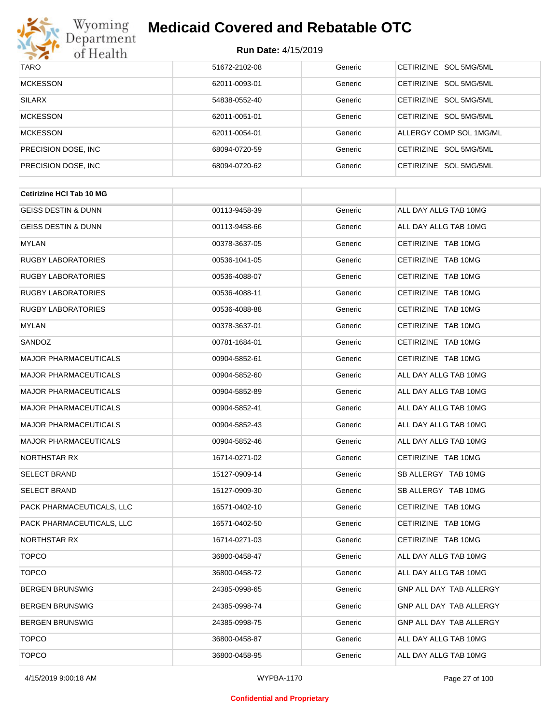

| <b>TARO</b>          | 51672-2102-08 | Generic | CETIRIZINE SOL 5MG/5ML  |
|----------------------|---------------|---------|-------------------------|
| MCKESSON             | 62011-0093-01 | Generic | CETIRIZINE SOL 5MG/5ML  |
| <b>SILARX</b>        | 54838-0552-40 | Generic | CETIRIZINE SOL 5MG/5ML  |
| <b>MCKESSON</b>      | 62011-0051-01 | Generic | CETIRIZINE SOL 5MG/5ML  |
| <b>MCKESSON</b>      | 62011-0054-01 | Generic | ALLERGY COMP SOL 1MG/ML |
| PRECISION DOSE, INC. | 68094-0720-59 | Generic | CETIRIZINE SOL 5MG/5ML  |
| PRECISION DOSE, INC. | 68094-0720-62 | Generic | CETIRIZINE SOL 5MG/5ML  |

| 00113-9458-39 | Generic | ALL DAY ALLG TAB 10MG          |
|---------------|---------|--------------------------------|
| 00113-9458-66 | Generic | ALL DAY ALLG TAB 10MG          |
| 00378-3637-05 | Generic | CETIRIZINE TAB 10MG            |
| 00536-1041-05 | Generic | CETIRIZINE TAB 10MG            |
| 00536-4088-07 | Generic | CETIRIZINE TAB 10MG            |
| 00536-4088-11 | Generic | CETIRIZINE TAB 10MG            |
| 00536-4088-88 | Generic | CETIRIZINE TAB 10MG            |
| 00378-3637-01 | Generic | CETIRIZINE TAB 10MG            |
| 00781-1684-01 | Generic | CETIRIZINE TAB 10MG            |
| 00904-5852-61 | Generic | CETIRIZINE TAB 10MG            |
| 00904-5852-60 | Generic | ALL DAY ALLG TAB 10MG          |
| 00904-5852-89 | Generic | ALL DAY ALLG TAB 10MG          |
| 00904-5852-41 | Generic | ALL DAY ALLG TAB 10MG          |
| 00904-5852-43 | Generic | ALL DAY ALLG TAB 10MG          |
| 00904-5852-46 | Generic | ALL DAY ALLG TAB 10MG          |
| 16714-0271-02 | Generic | CETIRIZINE TAB 10MG            |
| 15127-0909-14 | Generic | SB ALLERGY TAB 10MG            |
| 15127-0909-30 | Generic | SB ALLERGY TAB 10MG            |
| 16571-0402-10 | Generic | CETIRIZINE TAB 10MG            |
| 16571-0402-50 | Generic | CETIRIZINE TAB 10MG            |
| 16714-0271-03 | Generic | CETIRIZINE TAB 10MG            |
| 36800-0458-47 | Generic | ALL DAY ALLG TAB 10MG          |
| 36800-0458-72 | Generic | ALL DAY ALLG TAB 10MG          |
| 24385-0998-65 | Generic | GNP ALL DAY TAB ALLERGY        |
| 24385-0998-74 | Generic | GNP ALL DAY TAB ALLERGY        |
| 24385-0998-75 | Generic | <b>GNP ALL DAY TAB ALLERGY</b> |
| 36800-0458-87 | Generic | ALL DAY ALLG TAB 10MG          |
| 36800-0458-95 | Generic | ALL DAY ALLG TAB 10MG          |
|               |         |                                |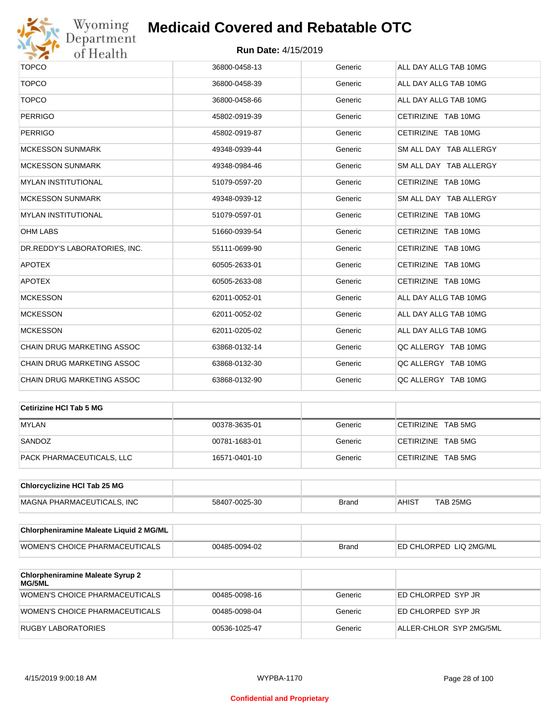

| <b>TOPCO</b>                  | 36800-0458-13 | Generic | ALL DAY ALLG TAB 10MG  |
|-------------------------------|---------------|---------|------------------------|
| <b>TOPCO</b>                  | 36800-0458-39 | Generic | ALL DAY ALLG TAB 10MG  |
| <b>TOPCO</b>                  | 36800-0458-66 | Generic | ALL DAY ALLG TAB 10MG  |
| <b>PERRIGO</b>                | 45802-0919-39 | Generic | CETIRIZINE TAB 10MG    |
| <b>PERRIGO</b>                | 45802-0919-87 | Generic | CETIRIZINE TAB 10MG    |
| <b>MCKESSON SUNMARK</b>       | 49348-0939-44 | Generic | SM ALL DAY TAB ALLERGY |
| <b>MCKESSON SUNMARK</b>       | 49348-0984-46 | Generic | SM ALL DAY TAB ALLERGY |
| <b>MYLAN INSTITUTIONAL</b>    | 51079-0597-20 | Generic | CETIRIZINE TAB 10MG    |
| <b>MCKESSON SUNMARK</b>       | 49348-0939-12 | Generic | SM ALL DAY TAB ALLERGY |
| <b>MYLAN INSTITUTIONAL</b>    | 51079-0597-01 | Generic | CETIRIZINE TAB 10MG    |
| <b>OHM LABS</b>               | 51660-0939-54 | Generic | CETIRIZINE TAB 10MG    |
| DR.REDDY'S LABORATORIES, INC. | 55111-0699-90 | Generic | CETIRIZINE TAB 10MG    |
| <b>APOTEX</b>                 | 60505-2633-01 | Generic | CETIRIZINE TAB 10MG    |
| <b>APOTEX</b>                 | 60505-2633-08 | Generic | CETIRIZINE TAB 10MG    |
| <b>MCKESSON</b>               | 62011-0052-01 | Generic | ALL DAY ALLG TAB 10MG  |
| <b>MCKESSON</b>               | 62011-0052-02 | Generic | ALL DAY ALLG TAB 10MG  |
| <b>MCKESSON</b>               | 62011-0205-02 | Generic | ALL DAY ALLG TAB 10MG  |
| CHAIN DRUG MARKETING ASSOC    | 63868-0132-14 | Generic | QC ALLERGY TAB 10MG    |
| CHAIN DRUG MARKETING ASSOC    | 63868-0132-30 | Generic | QC ALLERGY TAB 10MG    |
| CHAIN DRUG MARKETING ASSOC    | 63868-0132-90 | Generic | QC ALLERGY TAB 10MG    |
|                               |               |         |                        |

| Cetirizine HCI Tab 5 MG   |               |         |                    |
|---------------------------|---------------|---------|--------------------|
| <b>MYLAN</b>              | 00378-3635-01 | Generic | CETIRIZINE TAB 5MG |
| SANDOZ                    | 00781-1683-01 | Generic | CETIRIZINE TAB 5MG |
| PACK PHARMACEUTICALS, LLC | 16571-0401-10 | Generic | CETIRIZINE TAB 5MG |

| <b>Chlorcyclizine HCI Tab 25 MG</b> |               |       |              |          |
|-------------------------------------|---------------|-------|--------------|----------|
| MAGNA PHARMACEUTICALS. INC          | 58407-0025-30 | Brand | <b>AHIST</b> | TAB 25MG |

| <b>Chlorpheniramine Maleate Liquid 2 MG/ML</b> |               |              |                                |
|------------------------------------------------|---------------|--------------|--------------------------------|
| WOMEN'S CHOICE PHARMACEUTICALS                 | 00485-0094-02 | <b>Brand</b> | <b>IED CHLORPED LIQ 2MG/ML</b> |

| <b>Chlorpheniramine Maleate Syrup 2</b><br><b>MG/5ML</b> |               |         |                         |
|----------------------------------------------------------|---------------|---------|-------------------------|
| WOMEN'S CHOICE PHARMACEUTICALS                           | 00485-0098-16 | Generic | ED CHLORPED SYP JR      |
| WOMEN'S CHOICE PHARMACEUTICALS                           | 00485-0098-04 | Generic | ED CHLORPED SYP JR      |
| RUGBY LABORATORIES                                       | 00536-1025-47 | Generic | ALLER-CHLOR SYP 2MG/5ML |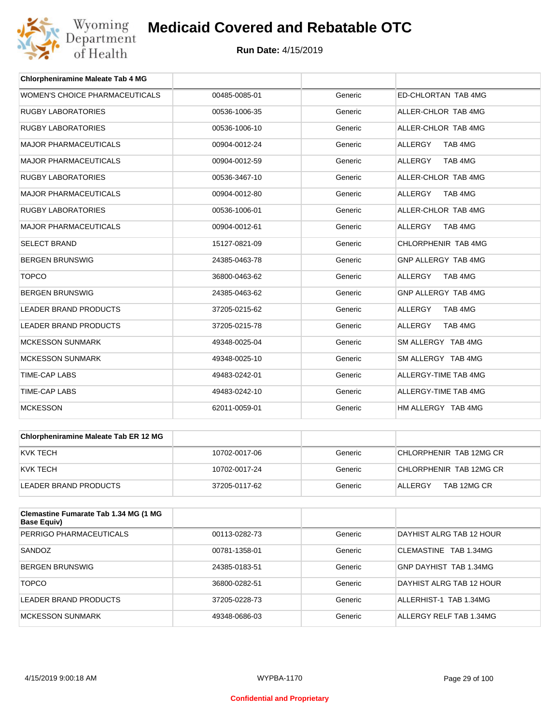

| <b>Chlorpheniramine Maleate Tab 4 MG</b> |               |         |                            |
|------------------------------------------|---------------|---------|----------------------------|
| WOMEN'S CHOICE PHARMACEUTICALS           | 00485-0085-01 | Generic | <b>ED-CHLORTAN TAB 4MG</b> |
| <b>RUGBY LABORATORIES</b>                | 00536-1006-35 | Generic | ALLER-CHLOR TAB 4MG        |
| <b>RUGBY LABORATORIES</b>                | 00536-1006-10 | Generic | ALLER-CHLOR TAB 4MG        |
| <b>MAJOR PHARMACEUTICALS</b>             | 00904-0012-24 | Generic | <b>ALLERGY</b><br>TAB 4MG  |
| <b>MAJOR PHARMACEUTICALS</b>             | 00904-0012-59 | Generic | TAB 4MG<br><b>ALLERGY</b>  |
| <b>RUGBY LABORATORIES</b>                | 00536-3467-10 | Generic | ALLER-CHLOR TAB 4MG        |
| <b>MAJOR PHARMACEUTICALS</b>             | 00904-0012-80 | Generic | <b>ALLERGY</b><br>TAB 4MG  |
| <b>RUGBY LABORATORIES</b>                | 00536-1006-01 | Generic | ALLER-CHLOR TAB 4MG        |
| <b>MAJOR PHARMACEUTICALS</b>             | 00904-0012-61 | Generic | TAB 4MG<br><b>ALLERGY</b>  |
| <b>SELECT BRAND</b>                      | 15127-0821-09 | Generic | CHLORPHENIR TAB 4MG        |
| <b>BERGEN BRUNSWIG</b>                   | 24385-0463-78 | Generic | GNP ALLERGY TAB 4MG        |
| <b>TOPCO</b>                             | 36800-0463-62 | Generic | <b>ALLERGY</b><br>TAB 4MG  |
| <b>BERGEN BRUNSWIG</b>                   | 24385-0463-62 | Generic | GNP ALLERGY TAB 4MG        |
| <b>LEADER BRAND PRODUCTS</b>             | 37205-0215-62 | Generic | <b>ALLERGY</b><br>TAB 4MG  |
| <b>LEADER BRAND PRODUCTS</b>             | 37205-0215-78 | Generic | <b>ALLERGY</b><br>TAB 4MG  |
| <b>MCKESSON SUNMARK</b>                  | 49348-0025-04 | Generic | SM ALLERGY TAB 4MG         |
| <b>MCKESSON SUNMARK</b>                  | 49348-0025-10 | Generic | SM ALLERGY TAB 4MG         |
| <b>TIME-CAP LABS</b>                     | 49483-0242-01 | Generic | ALLERGY-TIME TAB 4MG       |
| <b>TIME-CAP LABS</b>                     | 49483-0242-10 | Generic | ALLERGY-TIME TAB 4MG       |
| <b>MCKESSON</b>                          | 62011-0059-01 | Generic | HM ALLERGY TAB 4MG         |

| Chlorpheniramine Maleate Tab ER 12 MG |               |         |                         |
|---------------------------------------|---------------|---------|-------------------------|
| IKVK TECH                             | 10702-0017-06 | Generic | CHLORPHENIR TAB 12MG CR |
| IKVK TECH                             | 10702-0017-24 | Generic | CHLORPHENIR TAB 12MG CR |
| LEADER BRAND PRODUCTS                 | 37205-0117-62 | Generic | TAB 12MG CR<br>ALLERGY  |

| <b>Clemastine Fumarate Tab 1.34 MG (1 MG)</b><br>Base Equiv) |               |         |                          |
|--------------------------------------------------------------|---------------|---------|--------------------------|
| PERRIGO PHARMACEUTICALS                                      | 00113-0282-73 | Generic | DAYHIST ALRG TAB 12 HOUR |
| SANDOZ                                                       | 00781-1358-01 | Generic | CLEMASTINE TAB 1.34MG    |
| <b>BERGEN BRUNSWIG</b>                                       | 24385-0183-51 | Generic | GNP DAYHIST TAB 1.34MG   |
| <b>TOPCO</b>                                                 | 36800-0282-51 | Generic | DAYHIST ALRG TAB 12 HOUR |
| LEADER BRAND PRODUCTS                                        | 37205-0228-73 | Generic | ALLERHIST-1 TAB 1.34MG   |
| MCKESSON SUNMARK                                             | 49348-0686-03 | Generic | ALLERGY RELF TAB 1.34MG  |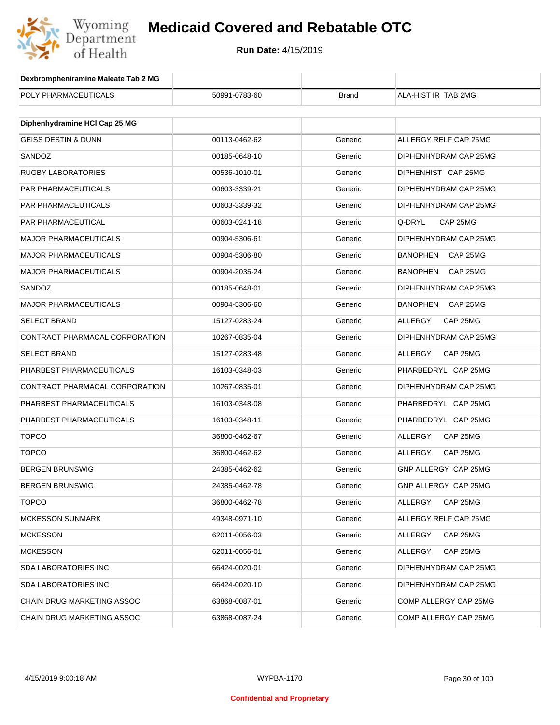

| Dexbrompheniramine Maleate Tab 2 MG |               |              |                             |
|-------------------------------------|---------------|--------------|-----------------------------|
| POLY PHARMACEUTICALS                | 50991-0783-60 | <b>Brand</b> | ALA-HIST IR TAB 2MG         |
|                                     |               |              |                             |
| Diphenhydramine HCI Cap 25 MG       |               |              |                             |
| <b>GEISS DESTIN &amp; DUNN</b>      | 00113-0462-62 | Generic      | ALLERGY RELF CAP 25MG       |
| SANDOZ                              | 00185-0648-10 | Generic      | DIPHENHYDRAM CAP 25MG       |
| <b>RUGBY LABORATORIES</b>           | 00536-1010-01 | Generic      | DIPHENHIST CAP 25MG         |
| <b>PAR PHARMACEUTICALS</b>          | 00603-3339-21 | Generic      | DIPHENHYDRAM CAP 25MG       |
| PAR PHARMACEUTICALS                 | 00603-3339-32 | Generic      | DIPHENHYDRAM CAP 25MG       |
| PAR PHARMACEUTICAL                  | 00603-0241-18 | Generic      | Q-DRYL<br>CAP 25MG          |
| <b>MAJOR PHARMACEUTICALS</b>        | 00904-5306-61 | Generic      | DIPHENHYDRAM CAP 25MG       |
| <b>MAJOR PHARMACEUTICALS</b>        | 00904-5306-80 | Generic      | BANOPHEN<br>CAP 25MG        |
| <b>MAJOR PHARMACEUTICALS</b>        | 00904-2035-24 | Generic      | <b>BANOPHEN</b><br>CAP 25MG |
| SANDOZ                              | 00185-0648-01 | Generic      | DIPHENHYDRAM CAP 25MG       |
| <b>MAJOR PHARMACEUTICALS</b>        | 00904-5306-60 | Generic      | BANOPHEN<br>CAP 25MG        |
| <b>SELECT BRAND</b>                 | 15127-0283-24 | Generic      | ALLERGY<br>CAP 25MG         |
| CONTRACT PHARMACAL CORPORATION      | 10267-0835-04 | Generic      | DIPHENHYDRAM CAP 25MG       |
| <b>SELECT BRAND</b>                 | 15127-0283-48 | Generic      | ALLERGY<br>CAP 25MG         |
| PHARBEST PHARMACEUTICALS            | 16103-0348-03 | Generic      | PHARBEDRYL CAP 25MG         |
| CONTRACT PHARMACAL CORPORATION      | 10267-0835-01 | Generic      | DIPHENHYDRAM CAP 25MG       |
| PHARBEST PHARMACEUTICALS            | 16103-0348-08 | Generic      | PHARBEDRYL CAP 25MG         |
| PHARBEST PHARMACEUTICALS            | 16103-0348-11 | Generic      | PHARBEDRYL CAP 25MG         |
| <b>TOPCO</b>                        | 36800-0462-67 | Generic      | ALLERGY<br>CAP 25MG         |
| <b>TOPCO</b>                        | 36800-0462-62 | Generic      | ALLERGY<br>CAP 25MG         |
| <b>BERGEN BRUNSWIG</b>              | 24385-0462-62 | Generic      | GNP ALLERGY CAP 25MG        |
| BERGEN BRUNSWIG                     | 24385-0462-78 | Generic      | GNP ALLERGY CAP 25MG        |
| <b>TOPCO</b>                        | 36800-0462-78 | Generic      | ALLERGY<br>CAP 25MG         |
| <b>MCKESSON SUNMARK</b>             | 49348-0971-10 | Generic      | ALLERGY RELF CAP 25MG       |
| <b>MCKESSON</b>                     | 62011-0056-03 | Generic      | ALLERGY<br>CAP 25MG         |
| <b>MCKESSON</b>                     | 62011-0056-01 | Generic      | <b>ALLERGY</b><br>CAP 25MG  |
| SDA LABORATORIES INC                | 66424-0020-01 | Generic      | DIPHENHYDRAM CAP 25MG       |
| <b>SDA LABORATORIES INC</b>         | 66424-0020-10 | Generic      | DIPHENHYDRAM CAP 25MG       |
| CHAIN DRUG MARKETING ASSOC          | 63868-0087-01 | Generic      | COMP ALLERGY CAP 25MG       |
| CHAIN DRUG MARKETING ASSOC          | 63868-0087-24 | Generic      | COMP ALLERGY CAP 25MG       |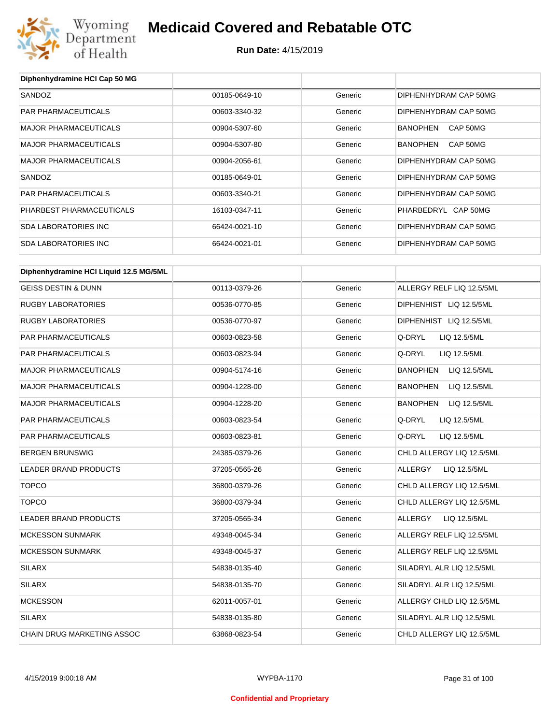

| Diphenhydramine HCI Cap 50 MG          |               |         |                                 |
|----------------------------------------|---------------|---------|---------------------------------|
| SANDOZ                                 | 00185-0649-10 | Generic | DIPHENHYDRAM CAP 50MG           |
| PAR PHARMACEUTICALS                    | 00603-3340-32 | Generic | DIPHENHYDRAM CAP 50MG           |
| <b>MAJOR PHARMACEUTICALS</b>           | 00904-5307-60 | Generic | CAP 50MG<br><b>BANOPHEN</b>     |
| <b>MAJOR PHARMACEUTICALS</b>           | 00904-5307-80 | Generic | <b>BANOPHEN</b><br>CAP 50MG     |
| <b>MAJOR PHARMACEUTICALS</b>           | 00904-2056-61 | Generic | DIPHENHYDRAM CAP 50MG           |
| SANDOZ                                 | 00185-0649-01 | Generic | DIPHENHYDRAM CAP 50MG           |
| <b>PAR PHARMACEUTICALS</b>             | 00603-3340-21 | Generic | DIPHENHYDRAM CAP 50MG           |
| PHARBEST PHARMACEUTICALS               | 16103-0347-11 | Generic | PHARBEDRYL CAP 50MG             |
| <b>SDA LABORATORIES INC</b>            | 66424-0021-10 | Generic | DIPHENHYDRAM CAP 50MG           |
| <b>SDA LABORATORIES INC</b>            | 66424-0021-01 | Generic | DIPHENHYDRAM CAP 50MG           |
| Diphenhydramine HCI Liquid 12.5 MG/5ML |               |         |                                 |
| <b>GEISS DESTIN &amp; DUNN</b>         | 00113-0379-26 | Generic | ALLERGY RELF LIQ 12.5/5ML       |
| <b>RUGBY LABORATORIES</b>              | 00536-0770-85 | Generic | DIPHENHIST LIQ 12.5/5ML         |
| <b>RUGBY LABORATORIES</b>              | 00536-0770-97 | Generic | DIPHENHIST LIQ 12.5/5ML         |
| PAR PHARMACEUTICALS                    | 00603-0823-58 | Generic | Q-DRYL<br>LIQ 12.5/5ML          |
| PAR PHARMACEUTICALS                    | 00603-0823-94 | Generic | Q-DRYL<br>LIQ 12.5/5ML          |
| <b>MAJOR PHARMACEUTICALS</b>           | 00904-5174-16 | Generic | <b>BANOPHEN</b><br>LIQ 12.5/5ML |
| <b>MAJOR PHARMACEUTICALS</b>           | 00904-1228-00 | Generic | <b>BANOPHEN</b><br>LIQ 12.5/5ML |
| <b>MAJOR PHARMACEUTICALS</b>           | 00904-1228-20 | Generic | <b>BANOPHEN</b><br>LIQ 12.5/5ML |
| PAR PHARMACEUTICALS                    | 00603-0823-54 | Generic | Q-DRYL<br>LIQ 12.5/5ML          |
| <b>PAR PHARMACEUTICALS</b>             | 00603-0823-81 | Generic | Q-DRYL<br>LIQ 12.5/5ML          |
| <b>BERGEN BRUNSWIG</b>                 | 24385-0379-26 | Generic | CHLD ALLERGY LIQ 12.5/5ML       |
| <b>LEADER BRAND PRODUCTS</b>           | 37205-0565-26 | Generic | ALLERGY<br>LIQ 12.5/5ML         |
| TOPCO                                  | 36800-0379-26 | Generic | CHLD ALLERGY LIQ 12.5/5ML       |
| <b>TOPCO</b>                           | 36800-0379-34 | Generic | CHLD ALLERGY LIQ 12.5/5ML       |
| LEADER BRAND PRODUCTS                  | 37205-0565-34 | Generic | ALLERGY<br>LIQ 12.5/5ML         |
| <b>MCKESSON SUNMARK</b>                | 49348-0045-34 | Generic | ALLERGY RELF LIQ 12.5/5ML       |
| <b>MCKESSON SUNMARK</b>                | 49348-0045-37 | Generic | ALLERGY RELF LIQ 12.5/5ML       |
| SILARX                                 | 54838-0135-40 | Generic | SILADRYL ALR LIQ 12.5/5ML       |
| <b>SILARX</b>                          | 54838-0135-70 | Generic | SILADRYL ALR LIQ 12.5/5ML       |
| <b>MCKESSON</b>                        | 62011-0057-01 | Generic | ALLERGY CHLD LIQ 12.5/5ML       |
| <b>SILARX</b>                          | 54838-0135-80 | Generic | SILADRYL ALR LIQ 12.5/5ML       |
| CHAIN DRUG MARKETING ASSOC             | 63868-0823-54 | Generic | CHLD ALLERGY LIQ 12.5/5ML       |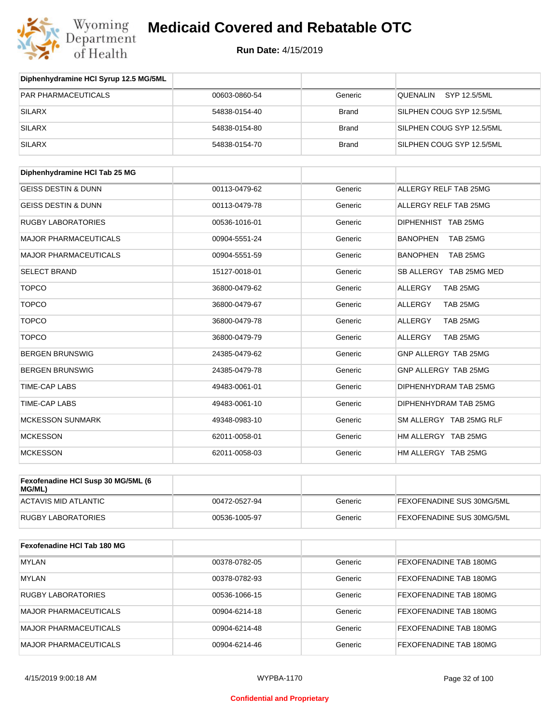

**Run Date:** 4/15/2019

| Diphenhydramine HCI Syrup 12.5 MG/5ML        |               |              |                             |
|----------------------------------------------|---------------|--------------|-----------------------------|
| PAR PHARMACEUTICALS                          | 00603-0860-54 | Generic      | QUENALIN<br>SYP 12.5/5ML    |
| <b>SILARX</b>                                | 54838-0154-40 | <b>Brand</b> | SILPHEN COUG SYP 12.5/5ML   |
| <b>SILARX</b>                                | 54838-0154-80 | <b>Brand</b> | SILPHEN COUG SYP 12.5/5ML   |
| <b>SILARX</b>                                | 54838-0154-70 | <b>Brand</b> | SILPHEN COUG SYP 12.5/5ML   |
| Diphenhydramine HCI Tab 25 MG                |               |              |                             |
| <b>GEISS DESTIN &amp; DUNN</b>               | 00113-0479-62 | Generic      | ALLERGY RELF TAB 25MG       |
| <b>GEISS DESTIN &amp; DUNN</b>               | 00113-0479-78 | Generic      | ALLERGY RELF TAB 25MG       |
| <b>RUGBY LABORATORIES</b>                    | 00536-1016-01 | Generic      | DIPHENHIST TAB 25MG         |
| <b>MAJOR PHARMACEUTICALS</b>                 | 00904-5551-24 | Generic      | <b>BANOPHEN</b><br>TAB 25MG |
| <b>MAJOR PHARMACEUTICALS</b>                 | 00904-5551-59 | Generic      | <b>BANOPHEN</b><br>TAB 25MG |
| <b>SELECT BRAND</b>                          | 15127-0018-01 | Generic      | SB ALLERGY TAB 25MG MED     |
| <b>TOPCO</b>                                 | 36800-0479-62 | Generic      | <b>ALLERGY</b><br>TAB 25MG  |
| <b>TOPCO</b>                                 | 36800-0479-67 | Generic      | ALLERGY<br>TAB 25MG         |
| <b>TOPCO</b>                                 | 36800-0479-78 | Generic      | ALLERGY<br>TAB 25MG         |
| <b>TOPCO</b>                                 | 36800-0479-79 | Generic      | ALLERGY<br>TAB 25MG         |
| <b>BERGEN BRUNSWIG</b>                       | 24385-0479-62 | Generic      | GNP ALLERGY TAB 25MG        |
| <b>BERGEN BRUNSWIG</b>                       | 24385-0479-78 | Generic      | GNP ALLERGY TAB 25MG        |
| TIME-CAP LABS                                | 49483-0061-01 | Generic      | DIPHENHYDRAM TAB 25MG       |
| TIME-CAP LABS                                | 49483-0061-10 | Generic      | DIPHENHYDRAM TAB 25MG       |
| <b>MCKESSON SUNMARK</b>                      | 49348-0983-10 | Generic      | SM ALLERGY TAB 25MG RLF     |
| <b>MCKESSON</b>                              | 62011-0058-01 | Generic      | HM ALLERGY TAB 25MG         |
| <b>MCKESSON</b>                              | 62011-0058-03 | Generic      | HM ALLERGY TAB 25MG         |
| Fexofenadine HCI Susp 30 MG/5ML (6<br>MG/ML) |               |              |                             |
| <b>ACTAVIS MID ATLANTIC</b>                  | 00472-0527-94 | Generic      | FEXOFENADINE SUS 30MG/5ML   |
| <b>RUGBY LABORATORIES</b>                    | 00536-1005-97 | Generic      | FEXOFENADINE SUS 30MG/5ML   |
| Fexofenadine HCI Tab 180 MG                  |               |              |                             |
| <b>MYLAN</b>                                 | 00378-0782-05 | Generic      | FEXOFENADINE TAB 180MG      |
| <b>MYLAN</b>                                 | 00378-0782-93 | Generic      | FEXOFENADINE TAB 180MG      |
| <b>RUGBY LABORATORIES</b>                    | 00536-1066-15 | Generic      | FEXOFENADINE TAB 180MG      |
| <b>MAJOR PHARMACEUTICALS</b>                 | 00904-6214-18 | Generic      | FEXOFENADINE TAB 180MG      |
| <b>MAJOR PHARMACEUTICALS</b>                 | 00904-6214-48 | Generic      | FEXOFENADINE TAB 180MG      |

MAJOR PHARMACEUTICALS **DO904-6214-46** 00904-6214-46 Generic FEXOFENADINE TAB 180MG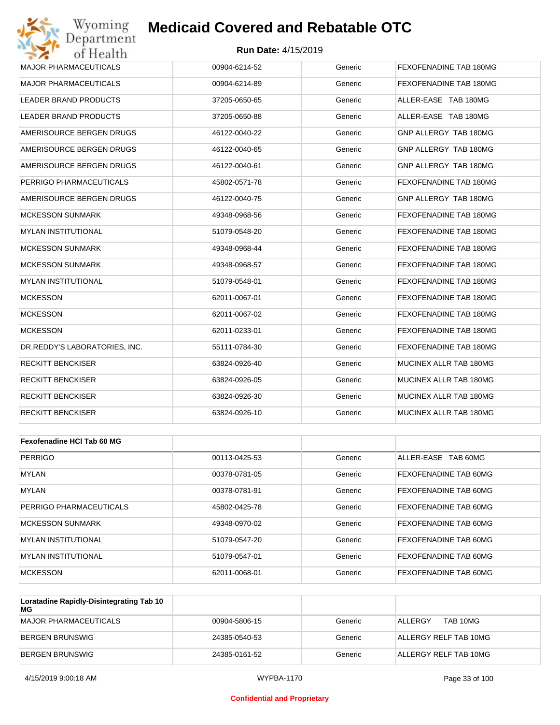#### **Run Date:** 4/15/2019

| Wyoming<br>Department         | <b>Medicaid Covered and Rebatable OTC</b> |         |                        |
|-------------------------------|-------------------------------------------|---------|------------------------|
| of Health                     | <b>Run Date: 4/15/2019</b>                |         |                        |
| <b>MAJOR PHARMACEUTICALS</b>  | 00904-6214-52                             | Generic | FEXOFENADINE TAB 180MG |
| <b>MAJOR PHARMACEUTICALS</b>  | 00904-6214-89                             | Generic | FEXOFENADINE TAB 180MG |
| LEADER BRAND PRODUCTS         | 37205-0650-65                             | Generic | ALLER-EASE TAB 180MG   |
| LEADER BRAND PRODUCTS         | 37205-0650-88                             | Generic | ALLER-EASE TAB 180MG   |
| AMERISOURCE BERGEN DRUGS      | 46122-0040-22                             | Generic | GNP ALLERGY TAB 180MG  |
| AMERISOURCE BERGEN DRUGS      | 46122-0040-65                             | Generic | GNP ALLERGY TAB 180MG  |
| AMERISOURCE BERGEN DRUGS      | 46122-0040-61                             | Generic | GNP ALLERGY TAB 180MG  |
| PERRIGO PHARMACEUTICALS       | 45802-0571-78                             | Generic | FEXOFENADINE TAB 180MG |
| AMERISOURCE BERGEN DRUGS      | 46122-0040-75                             | Generic | GNP ALLERGY TAB 180MG  |
| <b>MCKESSON SUNMARK</b>       | 49348-0968-56                             | Generic | FEXOFENADINE TAB 180MG |
| <b>MYLAN INSTITUTIONAL</b>    | 51079-0548-20                             | Generic | FEXOFENADINE TAB 180MG |
| <b>MCKESSON SUNMARK</b>       | 49348-0968-44                             | Generic | FEXOFENADINE TAB 180MG |
| <b>MCKESSON SUNMARK</b>       | 49348-0968-57                             | Generic | FEXOFENADINE TAB 180MG |
| <b>MYLAN INSTITUTIONAL</b>    | 51079-0548-01                             | Generic | FEXOFENADINE TAB 180MG |
| <b>MCKESSON</b>               | 62011-0067-01                             | Generic | FEXOFENADINE TAB 180MG |
| <b>MCKESSON</b>               | 62011-0067-02                             | Generic | FEXOFENADINE TAB 180MG |
| <b>MCKESSON</b>               | 62011-0233-01                             | Generic | FEXOFENADINE TAB 180MG |
| DR.REDDY'S LABORATORIES, INC. | 55111-0784-30                             | Generic | FEXOFENADINE TAB 180MG |
| <b>RECKITT BENCKISER</b>      | 63824-0926-40                             | Generic | MUCINEX ALLR TAB 180MG |
| <b>RECKITT BENCKISER</b>      | 63824-0926-05                             | Generic | MUCINEX ALLR TAB 180MG |
| <b>RECKITT BENCKISER</b>      | 63824-0926-30                             | Generic | MUCINEX ALLR TAB 180MG |
| <b>RECKITT BENCKISER</b>      | 63824-0926-10                             | Generic | MUCINEX ALLR TAB 180MG |
| Fexofenadine HCI Tab 60 MG    |                                           |         |                        |
| <b>PERRIGO</b>                | 00113-0425-53                             | Generic | ALLER-EASE TAB 60MG    |
| MYLAN                         | 00378-0781-05                             | Generic | FEXOFENADINE TAB 60MG  |
| <b>MYLAN</b>                  | 00378-0781-91                             | Generic | FEXOFENADINE TAB 60MG  |
| PERRIGO PHARMACEUTICALS       | 45802-0425-78                             | Generic | FEXOFENADINE TAB 60MG  |
| MCKESSON SUNMARK              | 49348-0970-02                             | Generic | FEXOFENADINE TAR 60MG  |

| PERRIGO PHARMACEUTICALS | 45802-0425-78 | Generic | FEXOFENADINE TAB 60MG        |
|-------------------------|---------------|---------|------------------------------|
| IMCKESSON SUNMARK       | 49348-0970-02 | Generic | <b>FEXOFENADINE TAB 60MG</b> |
| IMYLAN INSTITUTIONAL    | 51079-0547-20 | Generic | <b>FEXOFENADINE TAB 60MG</b> |
| IMYLAN INSTITUTIONAL    | 51079-0547-01 | Generic | <b>FEXOFENADINE TAB 60MG</b> |
| MCKESSON                | 62011-0068-01 | Generic | <b>FEXOFENADINE TAB 60MG</b> |

| Loratadine Rapidly-Disintegrating Tab 10<br>МG |               |         |                       |
|------------------------------------------------|---------------|---------|-----------------------|
| MAJOR PHARMACEUTICALS                          | 00904-5806-15 | Generic | TAB 10MG<br>ALL FRGY  |
| BERGEN BRUNSWIG                                | 24385-0540-53 | Generic | ALLERGY RELF TAB 10MG |
| BERGEN BRUNSWIG                                | 24385-0161-52 | Generic | ALLERGY RELF TAB 10MG |

#### **Confidential and Proprietary**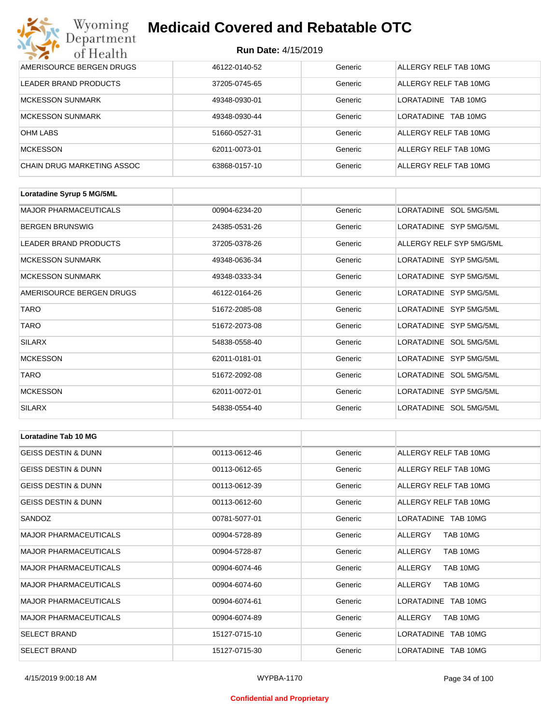| Wyoming<br>Department             | <b>Medicaid Covered and Rebatable OTC</b><br><b>Run Date: 4/15/2019</b> |         |                        |  |
|-----------------------------------|-------------------------------------------------------------------------|---------|------------------------|--|
| of Health                         |                                                                         |         |                        |  |
| AMERISOURCE BERGEN DRUGS          | 46122-0140-52                                                           | Generic | ALLERGY RELF TAB 10MG  |  |
| LEADER BRAND PRODUCTS             | 37205-0745-65                                                           | Generic | ALLERGY RELF TAB 10MG  |  |
| <b>MCKESSON SUNMARK</b>           | 49348-0930-01                                                           | Generic | LORATADINE<br>TAB 10MG |  |
| <b>MCKESSON SUNMARK</b>           | 49348-0930-44                                                           | Generic | LORATADINE<br>TAB 10MG |  |
| <b>OHM LABS</b>                   | 51660-0527-31                                                           | Generic | ALLERGY RELF TAB 10MG  |  |
| <b>MCKESSON</b>                   | 62011-0073-01                                                           | Generic | ALLERGY RELF TAB 10MG  |  |
| <b>CHAIN DRUG MARKETING ASSOC</b> | 63868-0157-10                                                           | Generic | ALLERGY RELF TAB 10MG  |  |

| Loratadine Syrup 5 MG/5ML    |               |         |                          |
|------------------------------|---------------|---------|--------------------------|
| <b>MAJOR PHARMACEUTICALS</b> | 00904-6234-20 | Generic | LORATADINE SOL 5MG/5ML   |
| <b>BERGEN BRUNSWIG</b>       | 24385-0531-26 | Generic | LORATADINE SYP 5MG/5ML   |
| <b>LEADER BRAND PRODUCTS</b> | 37205-0378-26 | Generic | ALLERGY RELF SYP 5MG/5ML |
| <b>MCKESSON SUNMARK</b>      | 49348-0636-34 | Generic | LORATADINE SYP 5MG/5ML   |
| <b>MCKESSON SUNMARK</b>      | 49348-0333-34 | Generic | LORATADINE SYP 5MG/5ML   |
| AMERISOURCE BERGEN DRUGS     | 46122-0164-26 | Generic | LORATADINE SYP 5MG/5ML   |
| <b>TARO</b>                  | 51672-2085-08 | Generic | LORATADINE SYP 5MG/5ML   |
| <b>TARO</b>                  | 51672-2073-08 | Generic | LORATADINE SYP 5MG/5ML   |
| <b>SILARX</b>                | 54838-0558-40 | Generic | LORATADINE SOL 5MG/5ML   |
| <b>MCKESSON</b>              | 62011-0181-01 | Generic | LORATADINE SYP 5MG/5ML   |
| <b>TARO</b>                  | 51672-2092-08 | Generic | LORATADINE SOL 5MG/5ML   |
| <b>MCKESSON</b>              | 62011-0072-01 | Generic | LORATADINE SYP 5MG/5ML   |
| <b>SILARX</b>                | 54838-0554-40 | Generic | LORATADINE SOL 5MG/5ML   |

| <b>Loratadine Tab 10 MG</b>    |               |         |                       |  |  |
|--------------------------------|---------------|---------|-----------------------|--|--|
| <b>GEISS DESTIN &amp; DUNN</b> | 00113-0612-46 | Generic | ALLERGY RELF TAB 10MG |  |  |
| <b>GEISS DESTIN &amp; DUNN</b> | 00113-0612-65 | Generic | ALLERGY RELF TAB 10MG |  |  |
| <b>GEISS DESTIN &amp; DUNN</b> | 00113-0612-39 | Generic | ALLERGY RELF TAB 10MG |  |  |
| <b>GEISS DESTIN &amp; DUNN</b> | 00113-0612-60 | Generic | ALLERGY RELF TAB 10MG |  |  |
| SANDOZ                         | 00781-5077-01 | Generic | LORATADINE TAB 10MG   |  |  |
| <b>MAJOR PHARMACEUTICALS</b>   | 00904-5728-89 | Generic | ALLERGY<br>TAB 10MG   |  |  |
| <b>MAJOR PHARMACEUTICALS</b>   | 00904-5728-87 | Generic | ALLERGY<br>TAB 10MG   |  |  |
| <b>MAJOR PHARMACEUTICALS</b>   | 00904-6074-46 | Generic | TAB 10MG<br>ALLERGY   |  |  |
| <b>MAJOR PHARMACEUTICALS</b>   | 00904-6074-60 | Generic | TAB 10MG<br>ALLERGY   |  |  |
| <b>MAJOR PHARMACEUTICALS</b>   | 00904-6074-61 | Generic | LORATADINE TAB 10MG   |  |  |
| <b>MAJOR PHARMACEUTICALS</b>   | 00904-6074-89 | Generic | TAB 10MG<br>ALLERGY   |  |  |
| <b>SELECT BRAND</b>            | 15127-0715-10 | Generic | LORATADINE TAB 10MG   |  |  |
| <b>SELECT BRAND</b>            | 15127-0715-30 | Generic | LORATADINE TAB 10MG   |  |  |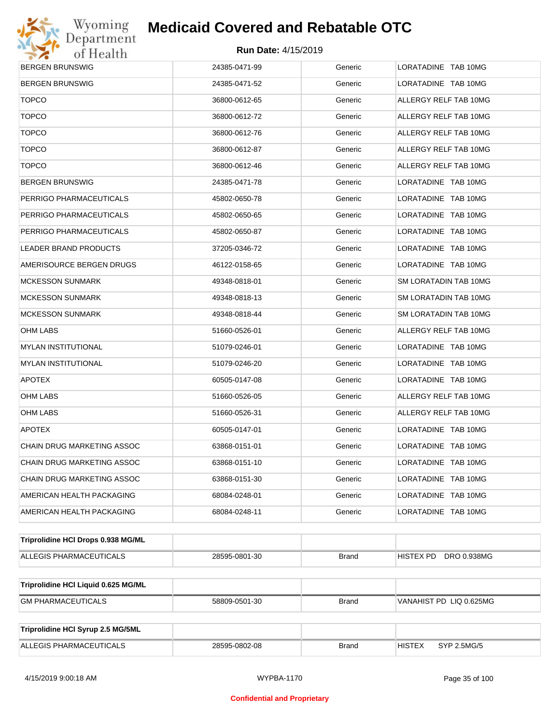

| <b>BERGEN BRUNSWIG</b>              | 24385-0471-99 | Generic      | LORATADINE TAB 10MG          |  |  |
|-------------------------------------|---------------|--------------|------------------------------|--|--|
| BERGEN BRUNSWIG                     | 24385-0471-52 | Generic      | LORATADINE TAB 10MG          |  |  |
| <b>TOPCO</b>                        | 36800-0612-65 | Generic      | ALLERGY RELF TAB 10MG        |  |  |
| <b>TOPCO</b>                        | 36800-0612-72 | Generic      | ALLERGY RELF TAB 10MG        |  |  |
| <b>TOPCO</b>                        | 36800-0612-76 | Generic      | ALLERGY RELF TAB 10MG        |  |  |
| <b>TOPCO</b>                        | 36800-0612-87 | Generic      | ALLERGY RELF TAB 10MG        |  |  |
| <b>TOPCO</b>                        | 36800-0612-46 | Generic      | ALLERGY RELF TAB 10MG        |  |  |
| BERGEN BRUNSWIG                     | 24385-0471-78 | Generic      | LORATADINE TAB 10MG          |  |  |
| PERRIGO PHARMACEUTICALS             | 45802-0650-78 | Generic      | LORATADINE TAB 10MG          |  |  |
| PERRIGO PHARMACEUTICALS             | 45802-0650-65 | Generic      | LORATADINE TAB 10MG          |  |  |
| PERRIGO PHARMACEUTICALS             | 45802-0650-87 | Generic      | LORATADINE TAB 10MG          |  |  |
| <b>LEADER BRAND PRODUCTS</b>        | 37205-0346-72 | Generic      | LORATADINE TAB 10MG          |  |  |
| AMERISOURCE BERGEN DRUGS            | 46122-0158-65 | Generic      | LORATADINE TAB 10MG          |  |  |
| MCKESSON SUNMARK                    | 49348-0818-01 | Generic      | SM LORATADIN TAB 10MG        |  |  |
| MCKESSON SUNMARK                    | 49348-0818-13 | Generic      | SM LORATADIN TAB 10MG        |  |  |
| MCKESSON SUNMARK                    | 49348-0818-44 | Generic      | SM LORATADIN TAB 10MG        |  |  |
| OHM LABS                            | 51660-0526-01 | Generic      | ALLERGY RELF TAB 10MG        |  |  |
| MYLAN INSTITUTIONAL                 | 51079-0246-01 | Generic      | LORATADINE TAB 10MG          |  |  |
| MYLAN INSTITUTIONAL                 | 51079-0246-20 | Generic      | LORATADINE TAB 10MG          |  |  |
| <b>APOTEX</b>                       | 60505-0147-08 | Generic      | LORATADINE TAB 10MG          |  |  |
| OHM LABS                            | 51660-0526-05 | Generic      | ALLERGY RELF TAB 10MG        |  |  |
| OHM LABS                            | 51660-0526-31 | Generic      | ALLERGY RELF TAB 10MG        |  |  |
| <b>APOTEX</b>                       | 60505-0147-01 | Generic      | LORATADINE TAB 10MG          |  |  |
| CHAIN DRUG MARKETING ASSOC          | 63868-0151-01 | Generic      | LORATADINE TAB 10MG          |  |  |
| CHAIN DRUG MARKETING ASSOC          | 63868-0151-10 | Generic      | LORATADINE TAB 10MG          |  |  |
| CHAIN DRUG MARKETING ASSOC          | 63868-0151-30 | Generic      | LORATADINE TAB 10MG          |  |  |
| AMERICAN HEALTH PACKAGING           | 68084-0248-01 | Generic      | LORATADINE TAB 10MG          |  |  |
| AMERICAN HEALTH PACKAGING           | 68084-0248-11 | Generic      | LORATADINE TAB 10MG          |  |  |
| Triprolidine HCI Drops 0.938 MG/ML  |               |              |                              |  |  |
| ALLEGIS PHARMACEUTICALS             | 28595-0801-30 | <b>Brand</b> | DRO 0.938MG<br>HISTEX PD     |  |  |
| Triprolidine HCI Liquid 0.625 MG/ML |               |              |                              |  |  |
| <b>GM PHARMACEUTICALS</b>           | 58809-0501-30 | <b>Brand</b> | VANAHIST PD LIQ 0.625MG      |  |  |
|                                     |               |              |                              |  |  |
| Triprolidine HCI Syrup 2.5 MG/5ML   |               |              |                              |  |  |
| ALLEGIS PHARMACEUTICALS             | 28595-0802-08 | <b>Brand</b> | <b>HISTEX</b><br>SYP 2.5MG/5 |  |  |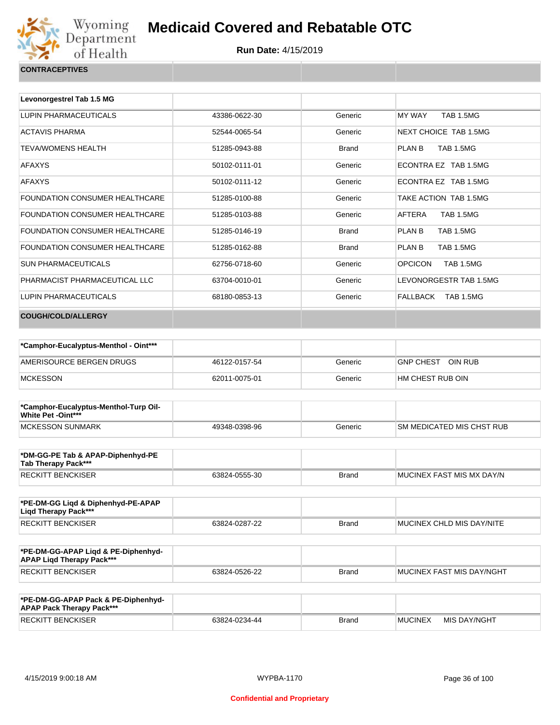

| <b>CONTRACEPTIVES</b> |  |
|-----------------------|--|
|                       |  |

| Levonorgestrel Tab 1.5 MG             |               |              |                                    |
|---------------------------------------|---------------|--------------|------------------------------------|
| LUPIN PHARMACEUTICALS                 | 43386-0622-30 | Generic      | <b>TAB 1.5MG</b><br>MY WAY         |
| <b>ACTAVIS PHARMA</b>                 | 52544-0065-54 | Generic      | NEXT CHOICE TAB 1.5MG              |
| <b>TEVA/WOMENS HEALTH</b>             | 51285-0943-88 | <b>Brand</b> | <b>TAB 1.5MG</b><br>PLAN B         |
| <b>AFAXYS</b>                         | 50102-0111-01 | Generic      | ECONTRA EZ TAB 1.5MG               |
| <b>AFAXYS</b>                         | 50102-0111-12 | Generic      | FCONTRA FZ TAB 1.5MG               |
| <b>FOUNDATION CONSUMER HEALTHCARE</b> | 51285-0100-88 | Generic      | TAKE ACTION TAB 1.5MG              |
| FOUNDATION CONSUMER HEALTHCARE        | 51285-0103-88 | Generic      | AFTERA<br><b>TAB 1.5MG</b>         |
| FOUNDATION CONSUMER HEALTHCARE        | 51285-0146-19 | <b>Brand</b> | <b>TAB 1.5MG</b><br>PLAN B         |
| FOUNDATION CONSUMER HEALTHCARE        | 51285-0162-88 | <b>Brand</b> | PLAN B<br><b>TAB 1.5MG</b>         |
| SUN PHARMACEUTICALS                   | 62756-0718-60 | Generic      | <b>OPCICON</b><br><b>TAB 1.5MG</b> |
| PHARMACIST PHARMACEUTICAL LLC         | 63704-0010-01 | Generic      | LEVONORGESTR TAB 1.5MG             |
| LUPIN PHARMACEUTICALS                 | 68180-0853-13 | Generic      | FALLBACK TAB 1.5MG                 |
| <b>COUGH/COLD/ALLERGY</b>             |               |              |                                    |

| *Camphor-Eucalyptus-Menthol - Oint*** |               |         |                   |
|---------------------------------------|---------------|---------|-------------------|
| AMERISOURCE BERGEN DRUGS              | 46122-0157-54 | Generic | GNP CHEST OIN RUB |
| MCKESSON                              | 62011-0075-01 | Generic | HM CHEST RUB OIN  |

| *Camphor-Eucalyptus-Menthol-Turp Oil-<br><b>White Pet -Oint***</b> |               |         |                                  |
|--------------------------------------------------------------------|---------------|---------|----------------------------------|
| MCKESSON SUNMARK                                                   | 49348-0398-96 | Generic | <b>SM MEDICATED MIS CHST RUB</b> |

| *DM-GG-PE Tab & APAP-Diphenhyd-PE<br>Tab Therapy Pack*** |               |       |                            |
|----------------------------------------------------------|---------------|-------|----------------------------|
| <b>RECKITT BENCKISER</b>                                 | 63824-0555-30 | Brand | IMUCINEX FAST MIS MX DAY/N |

| *PE-DM-GG Ligd & Diphenhyd-PE-APAP<br>Ligd Therapy Pack*** |               |              |                                   |
|------------------------------------------------------------|---------------|--------------|-----------------------------------|
| RECKITT BENCKISER                                          | 63824-0287-22 | <b>Brand</b> | <b>IMUCINEX CHLD MIS DAY/NITE</b> |

| *PE-DM-GG-APAP Ligd & PE-Diphenhyd-<br><b>APAP Ligd Therapy Pack***</b> |               |       |                             |
|-------------------------------------------------------------------------|---------------|-------|-----------------------------|
| <b>RECKITT BENCKISER</b>                                                | 63824-0526-22 | Brand | I MUCINEX FAST MIS DAY/NGHT |

| *PE-DM-GG-APAP Pack & PE-Diphenhyd-<br><b>APAP Pack Therapy Pack***</b> |               |              |                |              |
|-------------------------------------------------------------------------|---------------|--------------|----------------|--------------|
| <b>RECKITT BENCKISER</b>                                                | 63824-0234-44 | <b>Brand</b> | <b>MUCINEX</b> | MIS DAY/NGHT |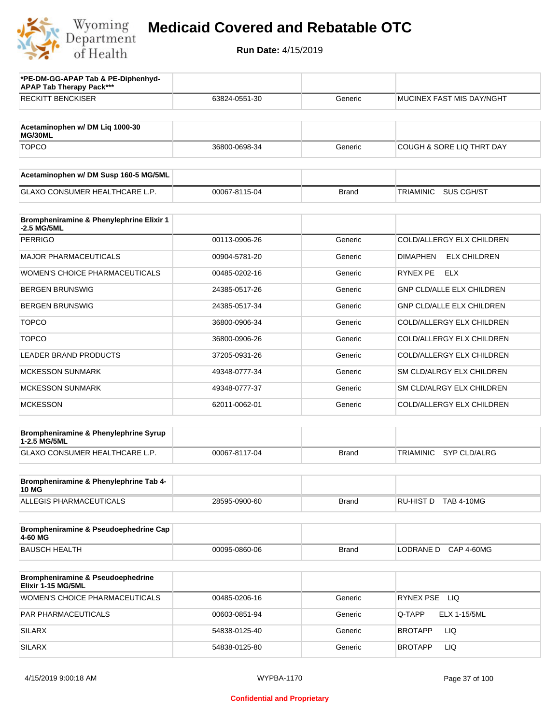

| *PE-DM-GG-APAP Tab & PE-Diphenhyd-<br><b>APAP Tab Therapy Pack***</b> |               |              |                                        |
|-----------------------------------------------------------------------|---------------|--------------|----------------------------------------|
| <b>RECKITT BENCKISER</b>                                              | 63824-0551-30 | Generic      | <b>MUCINEX FAST MIS DAY/NGHT</b>       |
| Acetaminophen w/ DM Liq 1000-30<br>MG/30ML                            |               |              |                                        |
| <b>TOPCO</b>                                                          | 36800-0698-34 | Generic      | COUGH & SORE LIQ THRT DAY              |
| Acetaminophen w/ DM Susp 160-5 MG/5ML                                 |               |              |                                        |
| <b>GLAXO CONSUMER HEALTHCARE L.P.</b>                                 | 00067-8115-04 | <b>Brand</b> | <b>TRIAMINIC</b><br>SUS CGH/ST         |
| Brompheniramine & Phenylephrine Elixir 1<br>-2.5 MG/5ML               |               |              |                                        |
| <b>PERRIGO</b>                                                        | 00113-0906-26 | Generic      | COLD/ALLERGY ELX CHILDREN              |
| <b>MAJOR PHARMACEUTICALS</b>                                          | 00904-5781-20 | Generic      | <b>DIMAPHEN</b><br><b>ELX CHILDREN</b> |
| <b>WOMEN'S CHOICE PHARMACEUTICALS</b>                                 | 00485-0202-16 | Generic      | RYNEX PE<br><b>ELX</b>                 |
| <b>BERGEN BRUNSWIG</b>                                                | 24385-0517-26 | Generic      | <b>GNP CLD/ALLE ELX CHILDREN</b>       |
| <b>BERGEN BRUNSWIG</b>                                                | 24385-0517-34 | Generic      | GNP CLD/ALLE ELX CHILDREN              |
| <b>TOPCO</b>                                                          | 36800-0906-34 | Generic      | COLD/ALLERGY ELX CHILDREN              |
| <b>TOPCO</b>                                                          | 36800-0906-26 | Generic      | COLD/ALLERGY ELX CHILDREN              |
| <b>LEADER BRAND PRODUCTS</b>                                          | 37205-0931-26 | Generic      | COLD/ALLERGY ELX CHILDREN              |
| <b>MCKESSON SUNMARK</b>                                               | 49348-0777-34 | Generic      | SM CLD/ALRGY ELX CHILDREN              |
| <b>MCKESSON SUNMARK</b>                                               | 49348-0777-37 | Generic      | SM CLD/ALRGY ELX CHILDREN              |
| <b>MCKESSON</b>                                                       | 62011-0062-01 | Generic      | COLD/ALLERGY ELX CHILDREN              |
| Brompheniramine & Phenylephrine Syrup<br>1-2.5 MG/5ML                 |               |              |                                        |
| GLAXO CONSUMER HEALTHCARE L.P.                                        | 00067-8117-04 | <b>Brand</b> | <b>SYP CLD/ALRG</b><br>TRIAMINIC       |
| Brompheniramine & Phenylephrine Tab 4-<br><b>10 MG</b>                |               |              |                                        |
| ALLEGIS PHARMACEUTICALS                                               | 28595-0900-60 | <b>Brand</b> | RU-HIST D TAB 4-10MG                   |
| Brompheniramine & Pseudoephedrine Cap<br>4-60 MG                      |               |              |                                        |
| <b>BAUSCH HEALTH</b>                                                  | 00095-0860-06 | <b>Brand</b> | LODRANE D<br><b>CAP 4-60MG</b>         |
| Brompheniramine & Pseudoephedrine<br>Elixir 1-15 MG/5ML               |               |              |                                        |
| <b>WOMEN'S CHOICE PHARMACEUTICALS</b>                                 | 00485-0206-16 | Generic      | RYNEX PSE LIQ                          |
| PAR PHARMACEUTICALS                                                   | 00603-0851-94 | Generic      | <b>ELX 1-15/5ML</b><br>Q-TAPP          |
| <b>SILARX</b>                                                         | 54838-0125-40 | Generic      | LIQ<br><b>BROTAPP</b>                  |
| <b>SILARX</b>                                                         | 54838-0125-80 | Generic      | LIQ<br><b>BROTAPP</b>                  |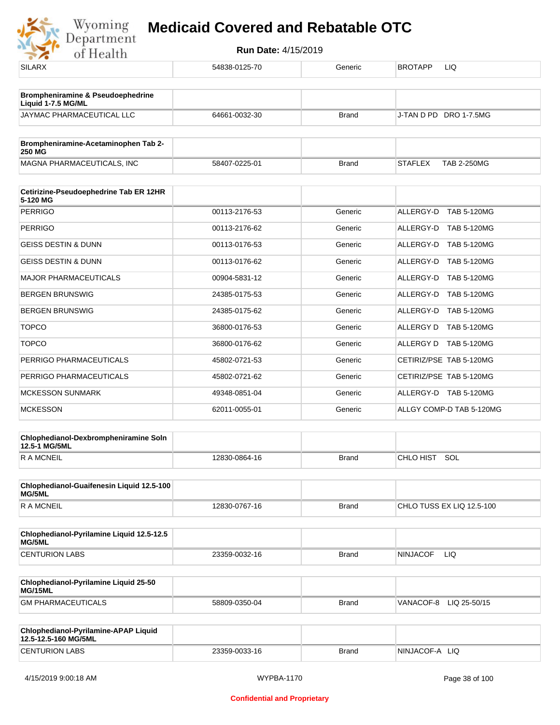

| <b>SILARX</b>                                                | 54838-0125-70 | Generic      | BROTAPP<br>LIQ                       |
|--------------------------------------------------------------|---------------|--------------|--------------------------------------|
| Brompheniramine & Pseudoephedrine<br>Liquid 1-7.5 MG/ML      |               |              |                                      |
| JAYMAC PHARMACEUTICAL LLC                                    | 64661-0032-30 | <b>Brand</b> | J-TAN D PD DRO 1-7.5MG               |
| Brompheniramine-Acetaminophen Tab 2-<br><b>250 MG</b>        |               |              |                                      |
| MAGNA PHARMACEUTICALS, INC                                   | 58407-0225-01 | <b>Brand</b> | <b>STAFLEX</b><br><b>TAB 2-250MG</b> |
| Cetirizine-Pseudoephedrine Tab ER 12HR                       |               |              |                                      |
| 5-120 MG<br><b>PERRIGO</b>                                   | 00113-2176-53 | Generic      | ALLERGY-D TAB 5-120MG                |
| <b>PERRIGO</b>                                               | 00113-2176-62 | Generic      | ALLERGY-D TAB 5-120MG                |
| <b>GEISS DESTIN &amp; DUNN</b>                               | 00113-0176-53 | Generic      | ALLERGY-D<br><b>TAB 5-120MG</b>      |
| <b>GEISS DESTIN &amp; DUNN</b>                               | 00113-0176-62 | Generic      | ALLERGY-D TAB 5-120MG                |
| <b>MAJOR PHARMACEUTICALS</b>                                 | 00904-5831-12 | Generic      | ALLERGY-D<br><b>TAB 5-120MG</b>      |
| <b>BERGEN BRUNSWIG</b>                                       | 24385-0175-53 | Generic      | ALLERGY-D TAB 5-120MG                |
| <b>BERGEN BRUNSWIG</b>                                       | 24385-0175-62 | Generic      | ALLERGY-D TAB 5-120MG                |
| <b>TOPCO</b>                                                 | 36800-0176-53 | Generic      | ALLERGY D TAB 5-120MG                |
| <b>TOPCO</b>                                                 | 36800-0176-62 | Generic      | ALLERGY D TAB 5-120MG                |
| PERRIGO PHARMACEUTICALS                                      | 45802-0721-53 | Generic      | CETIRIZ/PSE TAB 5-120MG              |
| PERRIGO PHARMACEUTICALS                                      | 45802-0721-62 | Generic      | CETIRIZ/PSE TAB 5-120MG              |
| <b>MCKESSON SUNMARK</b>                                      | 49348-0851-04 | Generic      | ALLERGY-D TAB 5-120MG                |
| <b>MCKESSON</b>                                              | 62011-0055-01 | Generic      | ALLGY COMP-D TAB 5-120MG             |
|                                                              |               |              |                                      |
| Chlophedianol-Dexbrompheniramine Soln<br>12.5-1 MG/5ML       |               |              |                                      |
| <b>RAMCNEIL</b>                                              | 12830-0864-16 | <b>Brand</b> | CHLO HIST SOL                        |
| Chlophedianol-Guaifenesin Liquid 12.5-100<br>MG/5ML          |               |              |                                      |
| <b>RAMCNEIL</b>                                              | 12830-0767-16 | <b>Brand</b> | CHLO TUSS EX LIQ 12.5-100            |
| Chlophedianol-Pyrilamine Liquid 12.5-12.5<br>MG/5ML          |               |              |                                      |
| <b>CENTURION LABS</b>                                        | 23359-0032-16 | <b>Brand</b> | <b>NINJACOF</b><br>LIQ               |
| Chlophedianol-Pyrilamine Liquid 25-50<br>MG/15ML             |               |              |                                      |
| <b>GM PHARMACEUTICALS</b>                                    | 58809-0350-04 | <b>Brand</b> | VANACOF-8 LIQ 25-50/15               |
| Chlophedianol-Pyrilamine-APAP Liquid<br>12.5-12.5-160 MG/5ML |               |              |                                      |
| <b>CENTURION LABS</b>                                        | 23359-0033-16 | <b>Brand</b> | NINJACOF-A LIQ                       |
|                                                              |               |              |                                      |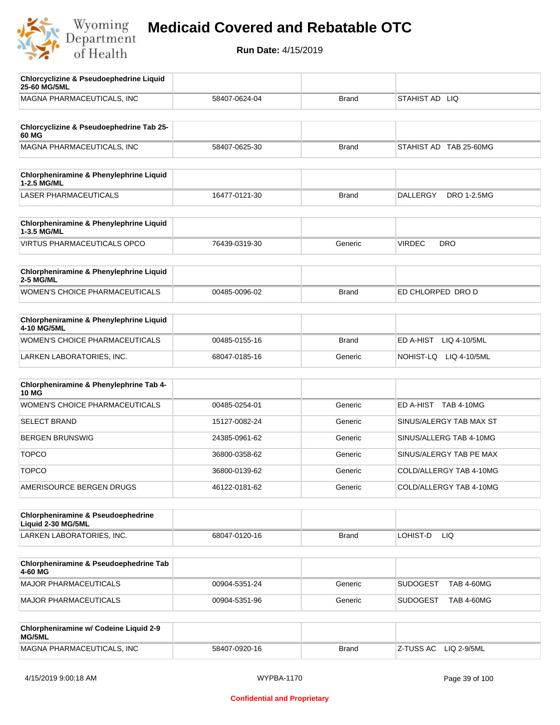

| <b>Chlorcyclizine &amp; Pseudoephedrine Liquid</b><br>25-60 MG/5ML  |               |              |                                       |
|---------------------------------------------------------------------|---------------|--------------|---------------------------------------|
| MAGNA PHARMACEUTICALS, INC                                          | 58407-0624-04 | <b>Brand</b> | STAHIST AD LIQ                        |
|                                                                     |               |              |                                       |
| Chlorcyclizine & Pseudoephedrine Tab 25-<br>60 MG                   |               |              |                                       |
| MAGNA PHARMACEUTICALS, INC                                          | 58407-0625-30 | <b>Brand</b> | STAHIST AD TAB 25-60MG                |
|                                                                     |               |              |                                       |
| Chlorpheniramine & Phenylephrine Liquid<br>1-2.5 MG/ML              |               |              |                                       |
| <b>LASER PHARMACEUTICALS</b>                                        | 16477-0121-30 | <b>Brand</b> | <b>DRO 1-2.5MG</b><br><b>DALLERGY</b> |
|                                                                     |               |              |                                       |
| Chlorpheniramine & Phenylephrine Liquid<br>1-3.5 MG/ML              |               |              |                                       |
| <b>VIRTUS PHARMACEUTICALS OPCO</b>                                  | 76439-0319-30 | Generic      | <b>VIRDEC</b><br><b>DRO</b>           |
| Chlorpheniramine & Phenylephrine Liquid                             |               |              |                                       |
| 2-5 MG/ML                                                           |               |              |                                       |
| <b>WOMEN'S CHOICE PHARMACEUTICALS</b>                               | 00485-0096-02 | <b>Brand</b> | ED CHLORPED DRO D                     |
| Chlorpheniramine & Phenylephrine Liquid                             |               |              |                                       |
| 4-10 MG/5ML                                                         |               |              |                                       |
| WOMEN'S CHOICE PHARMACEUTICALS                                      | 00485-0155-16 | <b>Brand</b> | ED A-HIST<br>LIQ 4-10/5ML             |
| LARKEN LABORATORIES, INC.                                           | 68047-0185-16 | Generic      | NOHIST-LQ<br>LIQ 4-10/5ML             |
|                                                                     |               |              |                                       |
| Chlorpheniramine & Phenylephrine Tab 4-<br><b>10 MG</b>             |               |              |                                       |
| <b>WOMEN'S CHOICE PHARMACEUTICALS</b>                               | 00485-0254-01 | Generic      | ED A-HIST TAB 4-10MG                  |
| <b>SELECT BRAND</b>                                                 | 15127-0082-24 | Generic      | SINUS/ALERGY TAB MAX ST               |
| <b>BERGEN BRUNSWIG</b>                                              | 24385-0961-62 | Generic      | SINUS/ALLERG TAB 4-10MG               |
| <b>TOPCO</b>                                                        | 36800-0358-62 | Generic      | SINUS/ALERGY TAB PE MAX               |
| <b>TOPCO</b>                                                        | 36800-0139-62 | Generic      | COLD/ALLERGY TAB 4-10MG               |
| AMERISOURCE BERGEN DRUGS                                            | 46122-0181-62 | Generic      | COLD/ALLERGY TAB 4-10MG               |
|                                                                     |               |              |                                       |
| <b>Chlorpheniramine &amp; Pseudoephedrine</b><br>Liquid 2-30 MG/5ML |               |              |                                       |
| LARKEN LABORATORIES, INC.                                           | 68047-0120-16 | Brand        | LOHIST-D<br>LIQ                       |
| Chlorpheniramine & Pseudoephedrine Tab                              |               |              |                                       |
| 4-60 MG                                                             |               |              |                                       |
| <b>MAJOR PHARMACEUTICALS</b>                                        | 00904-5351-24 | Generic      | <b>SUDOGEST</b><br><b>TAB 4-60MG</b>  |
| <b>MAJOR PHARMACEUTICALS</b>                                        | 00904-5351-96 | Generic      | <b>SUDOGEST</b><br><b>TAB 4-60MG</b>  |
|                                                                     |               |              |                                       |
| Chlorpheniramine w/ Codeine Liquid 2-9<br>MG/5ML                    |               |              |                                       |
| MAGNA PHARMACEUTICALS, INC                                          | 58407-0920-16 | <b>Brand</b> | Z-TUSS AC<br>LIQ 2-9/5ML              |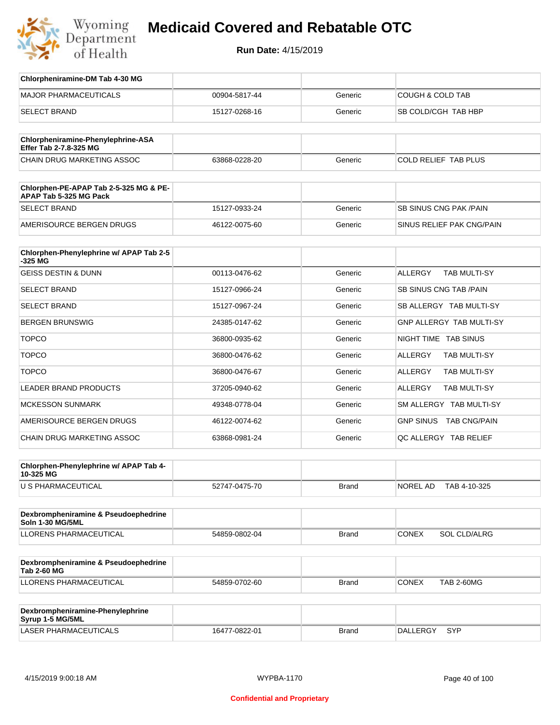

**Run Date:** 4/15/2019

| Chlorpheniramine-DM Tab 4-30 MG                                  |               |         |                                       |
|------------------------------------------------------------------|---------------|---------|---------------------------------------|
| <b>MAJOR PHARMACEUTICALS</b>                                     | 00904-5817-44 | Generic | <b>COUGH &amp; COLD TAB</b>           |
| <b>SELECT BRAND</b>                                              | 15127-0268-16 | Generic | SB COLD/CGH TAB HBP                   |
|                                                                  |               |         |                                       |
| Chlorpheniramine-Phenylephrine-ASA<br>Effer Tab 2-7.8-325 MG     |               |         |                                       |
| CHAIN DRUG MARKETING ASSOC                                       | 63868-0228-20 | Generic | COLD RELIEF TAB PLUS                  |
|                                                                  |               |         |                                       |
| Chlorphen-PE-APAP Tab 2-5-325 MG & PE-<br>APAP Tab 5-325 MG Pack |               |         |                                       |
| <b>SELECT BRAND</b>                                              | 15127-0933-24 | Generic | <b>SB SINUS CNG PAK/PAIN</b>          |
| AMERISOURCE BERGEN DRUGS                                         | 46122-0075-60 | Generic | SINUS RELIEF PAK CNG/PAIN             |
|                                                                  |               |         |                                       |
| Chlorphen-Phenylephrine w/ APAP Tab 2-5<br>$-325$ MG             |               |         |                                       |
| <b>GEISS DESTIN &amp; DUNN</b>                                   | 00113-0476-62 | Generic | <b>ALLERGY</b><br><b>TAB MULTI-SY</b> |
| <b>SELECT BRAND</b>                                              | 15127-0966-24 | Generic | <b>SB SINUS CNG TAB /PAIN</b>         |
| <b>SELECT BRAND</b>                                              | 15127-0967-24 | Generic | SB ALLERGY TAB MULTI-SY               |
| <b>BERGEN BRUNSWIG</b>                                           | 24385-0147-62 | Generic | GNP ALLERGY TAB MULTI-SY              |
| <b>TOPCO</b>                                                     | 36800-0935-62 | Generic | NIGHT TIME TAB SINUS                  |
| <b>TOPCO</b>                                                     | 36800-0476-62 | Generic | <b>ALLERGY</b><br>TAB MULTI-SY        |
| <b>TOPCO</b>                                                     | 36800-0476-67 | Generic | <b>ALLERGY</b><br><b>TAB MULTI-SY</b> |
| <b>LEADER BRAND PRODUCTS</b>                                     | 37205-0940-62 | Generic | <b>ALLERGY</b><br>TAB MULTI-SY        |
| <b>MCKESSON SUNMARK</b>                                          | 49348-0778-04 | Generic | SM ALLERGY TAB MULTI-SY               |
| AMERISOURCE BERGEN DRUGS                                         | 46122-0074-62 | Generic | GNP SINUS TAB CNG/PAIN                |
| CHAIN DRUG MARKETING ASSOC                                       | 63868-0981-24 | Generic | QC ALLERGY TAB RELIEF                 |
|                                                                  |               |         |                                       |
| Chlorphen-Phenylephrine w/ APAP Tab 4-<br>10-325 MG              |               |         |                                       |
| U S PHARMACEUTICAL                                               | 52747-0475-70 | Brand   | NOREL AD<br>TAB 4-10-325              |
|                                                                  |               |         |                                       |
| Dexbrompheniramine & Pseudoephedrine<br><b>Soln 1-30 MG/5ML</b>  |               |         |                                       |
| LLORENS PHARMACEUTICAL                                           | 54859-0802-04 | Brand   | CONEX<br>SOL CLD/ALRG                 |
|                                                                  |               |         |                                       |
| Dexbrompheniramine & Pseudoephedrine<br><b>Tab 2-60 MG</b>       |               |         |                                       |
| LLORENS PHARMACEUTICAL                                           | 54859-0702-60 | Brand   | <b>CONEX</b><br><b>TAB 2-60MG</b>     |
|                                                                  |               |         |                                       |
| Dexbrompheniramine-Phenylephrine<br>Syrup 1-5 MG/5ML             |               |         |                                       |

LASER PHARMACEUTICALS 16477-0822-01 Brand DALLERGY SYP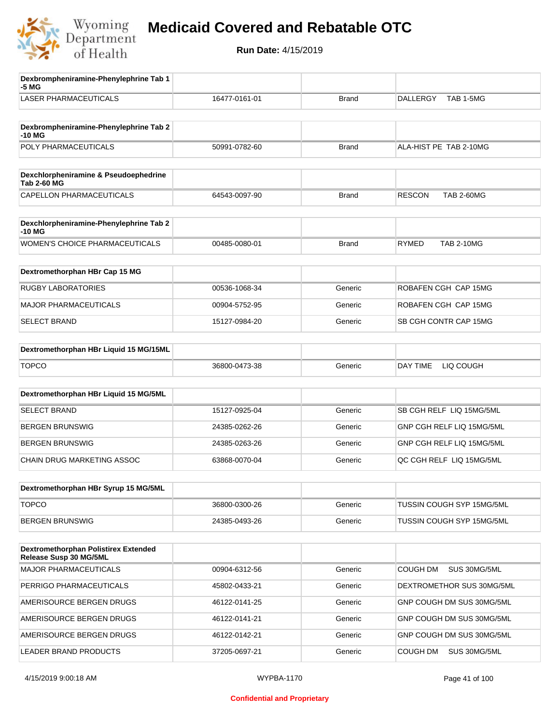

| Dexbrompheniramine-Phenylephrine Tab 1<br>-5 MG                |               |              |                                    |
|----------------------------------------------------------------|---------------|--------------|------------------------------------|
| <b>LASER PHARMACEUTICALS</b>                                   | 16477-0161-01 | Brand        | TAB 1-5MG<br><b>DALLERGY</b>       |
| Dexbrompheniramine-Phenylephrine Tab 2                         |               |              |                                    |
| -10 MG                                                         |               |              |                                    |
| POLY PHARMACEUTICALS                                           | 50991-0782-60 | Brand        | ALA-HIST PE TAB 2-10MG             |
| Dexchlorpheniramine & Pseudoephedrine<br><b>Tab 2-60 MG</b>    |               |              |                                    |
| CAPELLON PHARMACEUTICALS                                       | 64543-0097-90 | <b>Brand</b> | <b>RESCON</b><br><b>TAB 2-60MG</b> |
| Dexchlorpheniramine-Phenylephrine Tab 2<br>$-10MG$             |               |              |                                    |
| <b>WOMEN'S CHOICE PHARMACEUTICALS</b>                          | 00485-0080-01 | <b>Brand</b> | <b>RYMED</b><br><b>TAB 2-10MG</b>  |
| Dextromethorphan HBr Cap 15 MG                                 |               |              |                                    |
| <b>RUGBY LABORATORIES</b>                                      | 00536-1068-34 | Generic      | ROBAFEN CGH CAP 15MG               |
| <b>MAJOR PHARMACEUTICALS</b>                                   | 00904-5752-95 | Generic      | ROBAFEN CGH CAP 15MG               |
| <b>SELECT BRAND</b>                                            | 15127-0984-20 | Generic      | SB CGH CONTR CAP 15MG              |
| Dextromethorphan HBr Liquid 15 MG/15ML                         |               |              |                                    |
| <b>TOPCO</b>                                                   | 36800-0473-38 | Generic      | DAY TIME<br>LIQ COUGH              |
| Dextromethorphan HBr Liquid 15 MG/5ML                          |               |              |                                    |
| <b>SELECT BRAND</b>                                            | 15127-0925-04 | Generic      | SB CGH RELF LIQ 15MG/5ML           |
| <b>BERGEN BRUNSWIG</b>                                         | 24385-0262-26 | Generic      | GNP CGH RELF LIQ 15MG/5ML          |
| <b>BERGEN BRUNSWIG</b>                                         | 24385-0263-26 | Generic      | GNP CGH RELF LIQ 15MG/5ML          |
| CHAIN DRUG MARKETING ASSOC                                     | 63868-0070-04 | Generic      | QC CGH RELF LIQ 15MG/5ML           |
| Dextromethorphan HBr Syrup 15 MG/5ML                           |               |              |                                    |
| <b>TOPCO</b>                                                   | 36800-0300-26 | Generic      | TUSSIN COUGH SYP 15MG/5ML          |
| <b>BERGEN BRUNSWIG</b>                                         | 24385-0493-26 | Generic      | TUSSIN COUGH SYP 15MG/5ML          |
|                                                                |               |              |                                    |
| Dextromethorphan Polistirex Extended<br>Release Susp 30 MG/5ML |               |              |                                    |
| <b>MAJOR PHARMACEUTICALS</b>                                   | 00904-6312-56 | Generic      | COUGH DM<br>SUS 30MG/5ML           |
| PERRIGO PHARMACEUTICALS                                        | 45802-0433-21 | Generic      | DEXTROMETHOR SUS 30MG/5ML          |
| AMERISOURCE BERGEN DRUGS                                       | 46122-0141-25 | Generic      | GNP COUGH DM SUS 30MG/5ML          |
| AMERISOURCE BERGEN DRUGS                                       | 46122-0141-21 | Generic      | GNP COUGH DM SUS 30MG/5ML          |
| AMERISOURCE BERGEN DRUGS                                       | 46122-0142-21 | Generic      | GNP COUGH DM SUS 30MG/5ML          |
| LEADER BRAND PRODUCTS                                          | 37205-0697-21 | Generic      | COUGH DM<br>SUS 30MG/5ML           |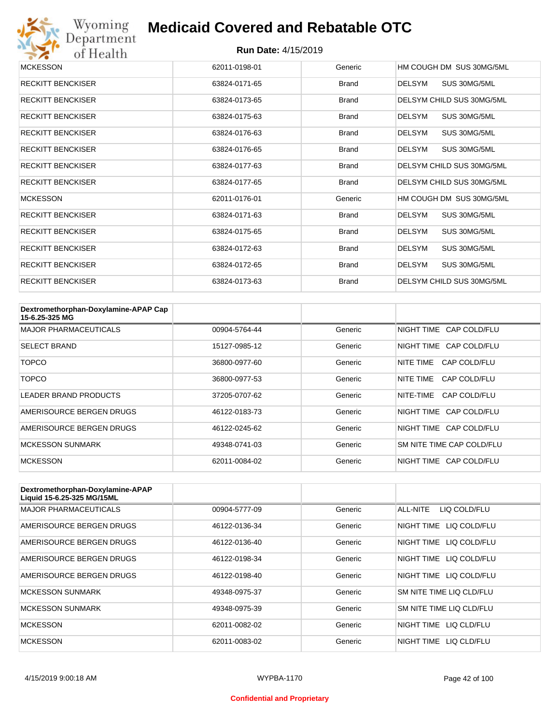

| <b>MCKESSON</b>          | 62011-0198-01 | Generic      | HM COUGH DM SUS 30MG/5ML      |
|--------------------------|---------------|--------------|-------------------------------|
| <b>RECKITT BENCKISER</b> | 63824-0171-65 | <b>Brand</b> | SUS 30MG/5ML<br>DELSYM        |
| <b>RECKITT BENCKISER</b> | 63824-0173-65 | <b>Brand</b> | DELSYM CHILD SUS 30MG/5ML     |
| <b>RECKITT BENCKISER</b> | 63824-0175-63 | <b>Brand</b> | <b>DELSYM</b><br>SUS 30MG/5ML |
| <b>RECKITT BENCKISER</b> | 63824-0176-63 | <b>Brand</b> | SUS 30MG/5ML<br>DELSYM        |
| <b>RECKITT BENCKISER</b> | 63824-0176-65 | <b>Brand</b> | SUS 30MG/5ML<br><b>DELSYM</b> |
| <b>RECKITT BENCKISER</b> | 63824-0177-63 | <b>Brand</b> | DELSYM CHILD SUS 30MG/5ML     |
| <b>RECKITT BENCKISER</b> | 63824-0177-65 | <b>Brand</b> | DELSYM CHILD SUS 30MG/5ML     |
| <b>MCKESSON</b>          | 62011-0176-01 | Generic      | HM COUGH DM SUS 30MG/5ML      |
| <b>RECKITT BENCKISER</b> | 63824-0171-63 | <b>Brand</b> | DELSYM<br>SUS 30MG/5ML        |
| <b>RECKITT BENCKISER</b> | 63824-0175-65 | <b>Brand</b> | <b>DELSYM</b><br>SUS 30MG/5ML |
| <b>RECKITT BENCKISER</b> | 63824-0172-63 | <b>Brand</b> | SUS 30MG/5ML<br><b>DELSYM</b> |
| <b>RECKITT BENCKISER</b> | 63824-0172-65 | <b>Brand</b> | DELSYM<br>SUS 30MG/5ML        |
| <b>RECKITT BENCKISER</b> | 63824-0173-63 | <b>Brand</b> | DELSYM CHILD SUS 30MG/5ML     |

| Dextromethorphan-Doxylamine-APAP Cap<br>15-6.25-325 MG |               |         |                           |
|--------------------------------------------------------|---------------|---------|---------------------------|
| <b>MAJOR PHARMACEUTICALS</b>                           | 00904-5764-44 | Generic | NIGHT TIME CAP COLD/FLU   |
| <b>SELECT BRAND</b>                                    | 15127-0985-12 | Generic | NIGHT TIME CAP COLD/FLU   |
| TOPCO                                                  | 36800-0977-60 | Generic | NITF TIMF<br>CAP COLD/FLU |
| TOPCO                                                  | 36800-0977-53 | Generic | NITE TIME<br>CAP COLD/FLU |
| <b>LEADER BRAND PRODUCTS</b>                           | 37205-0707-62 | Generic | NITE-TIME<br>CAP COLD/FLU |
| AMERISOURCE BERGEN DRUGS                               | 46122-0183-73 | Generic | NIGHT TIME CAP COLD/FLU   |
| AMERISOURCE BERGEN DRUGS                               | 46122-0245-62 | Generic | NIGHT TIME CAP COLD/FLU   |
| <b>MCKESSON SUNMARK</b>                                | 49348-0741-03 | Generic | SM NITE TIME CAP COLD/FLU |
| <b>MCKESSON</b>                                        | 62011-0084-02 | Generic | NIGHT TIME CAP COLD/FLU   |

| Dextromethorphan-Doxylamine-APAP<br>Liquid 15-6.25-325 MG/15ML |               |         |                            |
|----------------------------------------------------------------|---------------|---------|----------------------------|
| <b>MAJOR PHARMACEUTICALS</b>                                   | 00904-5777-09 | Generic | ALL-NITE<br>LIQ COLD/FLU   |
| AMERISOURCE BERGEN DRUGS                                       | 46122-0136-34 | Generic | NIGHT TIME<br>LIQ COLD/FLU |
| AMERISOURCE BERGEN DRUGS                                       | 46122-0136-40 | Generic | NIGHT TIME<br>LIQ COLD/FLU |
| AMERISOURCE BERGEN DRUGS                                       | 46122-0198-34 | Generic | NIGHT TIME<br>LIQ COLD/FLU |
| AMERISOURCE BERGEN DRUGS                                       | 46122-0198-40 | Generic | NIGHT TIME LIQ COLD/FLU    |
| <b>MCKESSON SUNMARK</b>                                        | 49348-0975-37 | Generic | SM NITE TIME LIQ CLD/FLU   |
| <b>MCKESSON SUNMARK</b>                                        | 49348-0975-39 | Generic | SM NITE TIME LIQ CLD/FLU   |
| <b>MCKESSON</b>                                                | 62011-0082-02 | Generic | NIGHT TIME<br>LIQ CLD/FLU  |
| <b>MCKESSON</b>                                                | 62011-0083-02 | Generic | NIGHT TIME<br>LIO CLD/FLU  |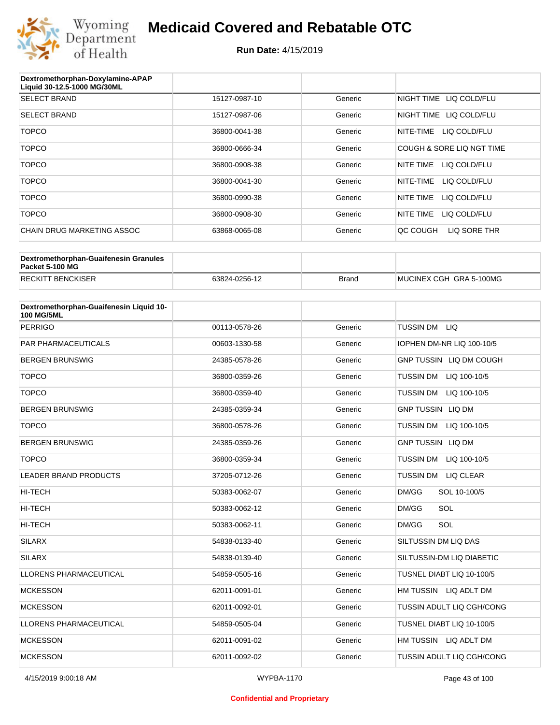

| Dextromethorphan-Doxylamine-APAP<br>Liquid 30-12.5-1000 MG/30ML |               |         |                            |
|-----------------------------------------------------------------|---------------|---------|----------------------------|
| <b>SELECT BRAND</b>                                             | 15127-0987-10 | Generic | NIGHT TIME LIQ COLD/FLU    |
| <b>SELECT BRAND</b>                                             | 15127-0987-06 | Generic | LIQ COLD/FLU<br>NIGHT TIME |
| <b>TOPCO</b>                                                    | 36800-0041-38 | Generic | LIQ COLD/FLU<br>NITE-TIME  |
| <b>TOPCO</b>                                                    | 36800-0666-34 | Generic | COUGH & SORE LIQ NGT TIME  |
| <b>TOPCO</b>                                                    | 36800-0908-38 | Generic | LIQ COLD/FLU<br>NITE TIME  |
| <b>TOPCO</b>                                                    | 36800-0041-30 | Generic | LIQ COLD/FLU<br>NITE-TIME  |
| <b>TOPCO</b>                                                    | 36800-0990-38 | Generic | NITE TIME<br>LIQ COLD/FLU  |
| <b>TOPCO</b>                                                    | 36800-0908-30 | Generic | NITE TIME<br>LIQ COLD/FLU  |
| CHAIN DRUG MARKETING ASSOC                                      | 63868-0065-08 | Generic | QC COUGH<br>LIQ SORE THR   |

| Dextromethorphan-Guaifenesin Granules<br>Packet 5-100 MG |               |              |                         |
|----------------------------------------------------------|---------------|--------------|-------------------------|
| <b>RECKITT BENCKISER</b>                                 | 63824-0256-12 | <b>Brand</b> | MUCINEX CGH GRA 5-100MG |

| Dextromethorphan-Guaifenesin Liquid 10-<br><b>100 MG/5ML</b> |               |         |                                  |
|--------------------------------------------------------------|---------------|---------|----------------------------------|
| <b>PERRIGO</b>                                               | 00113-0578-26 | Generic | TUSSIN DM LIQ                    |
| <b>PAR PHARMACEUTICALS</b>                                   | 00603-1330-58 | Generic | IOPHEN DM-NR LIQ 100-10/5        |
| <b>BERGEN BRUNSWIG</b>                                       | 24385-0578-26 | Generic | GNP TUSSIN LIQ DM COUGH          |
| <b>TOPCO</b>                                                 | 36800-0359-26 | Generic | <b>TUSSIN DM</b><br>LIQ 100-10/5 |
| <b>TOPCO</b>                                                 | 36800-0359-40 | Generic | TUSSIN DM LIQ 100-10/5           |
| <b>BERGEN BRUNSWIG</b>                                       | 24385-0359-34 | Generic | <b>GNP TUSSIN LIQ DM</b>         |
| <b>TOPCO</b>                                                 | 36800-0578-26 | Generic | <b>TUSSIN DM</b><br>LIQ 100-10/5 |
| <b>BERGEN BRUNSWIG</b>                                       | 24385-0359-26 | Generic | <b>GNP TUSSIN LIQ DM</b>         |
| <b>TOPCO</b>                                                 | 36800-0359-34 | Generic | <b>TUSSIN DM</b><br>LIQ 100-10/5 |
| <b>LEADER BRAND PRODUCTS</b>                                 | 37205-0712-26 | Generic | TUSSIN DM<br><b>LIQ CLEAR</b>    |
| <b>HI-TECH</b>                                               | 50383-0062-07 | Generic | DM/GG<br>SOL 10-100/5            |
| <b>HI-TECH</b>                                               | 50383-0062-12 | Generic | DM/GG<br>SOL                     |
| <b>HI-TECH</b>                                               | 50383-0062-11 | Generic | SOL<br>DM/GG                     |
| <b>SILARX</b>                                                | 54838-0133-40 | Generic | SILTUSSIN DM LIQ DAS             |
| <b>SILARX</b>                                                | 54838-0139-40 | Generic | SILTUSSIN-DM LIQ DIABETIC        |
| <b>LLORENS PHARMACEUTICAL</b>                                | 54859-0505-16 | Generic | TUSNEL DIABT LIQ 10-100/5        |
| <b>MCKESSON</b>                                              | 62011-0091-01 | Generic | HM TUSSIN LIQ ADLT DM            |
| <b>MCKESSON</b>                                              | 62011-0092-01 | Generic | TUSSIN ADULT LIQ CGH/CONG        |
| <b>LLORENS PHARMACEUTICAL</b>                                | 54859-0505-04 | Generic | TUSNEL DIABT LIQ 10-100/5        |
| <b>MCKESSON</b>                                              | 62011-0091-02 | Generic | HM TUSSIN LIQ ADLT DM            |
| <b>MCKESSON</b>                                              | 62011-0092-02 | Generic | TUSSIN ADULT LIQ CGH/CONG        |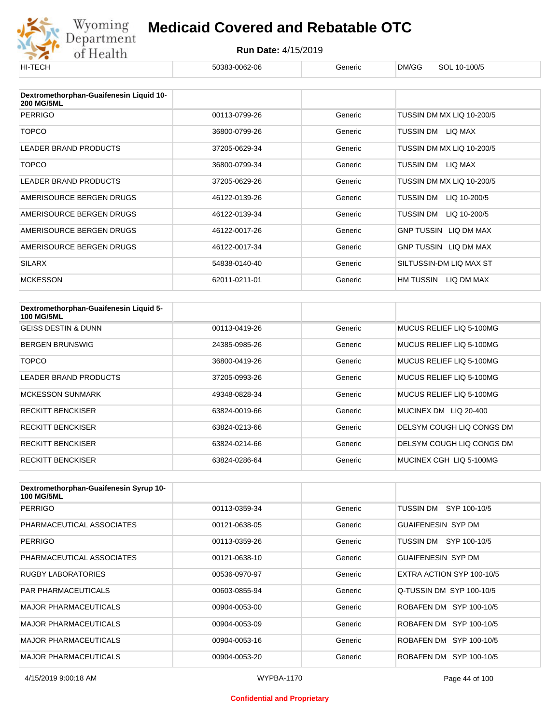

| HI-TECH                                                      | 50383-0062-06 | Generic | DM/GG<br>SOL 10-100/5     |
|--------------------------------------------------------------|---------------|---------|---------------------------|
|                                                              |               |         |                           |
| Dextromethorphan-Guaifenesin Liquid 10-<br><b>200 MG/5ML</b> |               |         |                           |
| <b>PERRIGO</b>                                               | 00113-0799-26 | Generic | TUSSIN DM MX LIQ 10-200/5 |
| <b>TOPCO</b>                                                 | 36800-0799-26 | Generic | TUSSIN DM<br>LIQ MAX      |
| <b>LEADER BRAND PRODUCTS</b>                                 | 37205-0629-34 | Generic | TUSSIN DM MX LIQ 10-200/5 |
| <b>TOPCO</b>                                                 | 36800-0799-34 | Generic | TUSSIN DM LIQ MAX         |
| LEADER BRAND PRODUCTS                                        | 37205-0629-26 | Generic | TUSSIN DM MX LIQ 10-200/5 |
| AMERISOURCE BERGEN DRUGS                                     | 46122-0139-26 | Generic | LIQ 10-200/5<br>TUSSIN DM |
| AMERISOURCE BERGEN DRUGS                                     | 46122-0139-34 | Generic | TUSSIN DM<br>LIQ 10-200/5 |
| AMERISOURCE BERGEN DRUGS                                     | 46122-0017-26 | Generic | GNP TUSSIN LIQ DM MAX     |
| AMERISOURCE BERGEN DRUGS                                     | 46122-0017-34 | Generic | GNP TUSSIN LIQ DM MAX     |
| <b>SILARX</b>                                                | 54838-0140-40 | Generic | SILTUSSIN-DM LIQ MAX ST   |
| <b>MCKESSON</b>                                              | 62011-0211-01 | Generic | HM TUSSIN<br>LIQ DM MAX   |

| Dextromethorphan-Guaifenesin Liquid 5-<br><b>100 MG/5ML</b> |               |         |                           |
|-------------------------------------------------------------|---------------|---------|---------------------------|
| <b>GEISS DESTIN &amp; DUNN</b>                              | 00113-0419-26 | Generic | MUCUS RELIEF LIQ 5-100MG  |
| <b>BERGEN BRUNSWIG</b>                                      | 24385-0985-26 | Generic | MUCUS RELIEF LIO 5-100MG  |
| TOPCO                                                       | 36800-0419-26 | Generic | MUCUS RELIEF LIQ 5-100MG  |
| <b>LEADER BRAND PRODUCTS</b>                                | 37205-0993-26 | Generic | MUCUS RELIEF LIQ 5-100MG  |
| <b>MCKESSON SUNMARK</b>                                     | 49348-0828-34 | Generic | MUCUS RELIEF LIQ 5-100MG  |
| <b>RECKITT BENCKISER</b>                                    | 63824-0019-66 | Generic | MUCINEX DM LIQ 20-400     |
| <b>RECKITT BENCKISER</b>                                    | 63824-0213-66 | Generic | DELSYM COUGH LIQ CONGS DM |
| <b>RECKITT BENCKISER</b>                                    | 63824-0214-66 | Generic | DELSYM COUGH LIQ CONGS DM |
| <b>RECKITT BENCKISER</b>                                    | 63824-0286-64 | Generic | MUCINEX CGH LIQ 5-100MG   |

| Dextromethorphan-Guaifenesin Syrup 10-<br><b>100 MG/5ML</b> |               |         |                           |
|-------------------------------------------------------------|---------------|---------|---------------------------|
| <b>PERRIGO</b>                                              | 00113-0359-34 | Generic | TUSSIN DM SYP 100-10/5    |
| PHARMACEUTICAL ASSOCIATES                                   | 00121-0638-05 | Generic | <b>GUAIFENESIN SYP DM</b> |
| <b>PERRIGO</b>                                              | 00113-0359-26 | Generic | SYP 100-10/5<br>TUSSIN DM |
| PHARMACEUTICAL ASSOCIATES                                   | 00121-0638-10 | Generic | <b>GUAIFENESIN SYP DM</b> |
| <b>RUGBY LABORATORIES</b>                                   | 00536-0970-97 | Generic | EXTRA ACTION SYP 100-10/5 |
| <b>PAR PHARMACEUTICALS</b>                                  | 00603-0855-94 | Generic | Q-TUSSIN DM SYP 100-10/5  |
| <b>MAJOR PHARMACEUTICALS</b>                                | 00904-0053-00 | Generic | ROBAFEN DM SYP 100-10/5   |
| <b>MAJOR PHARMACEUTICALS</b>                                | 00904-0053-09 | Generic | ROBAFEN DM SYP 100-10/5   |
| <b>MAJOR PHARMACEUTICALS</b>                                | 00904-0053-16 | Generic | ROBAFEN DM SYP 100-10/5   |
| <b>MAJOR PHARMACEUTICALS</b>                                | 00904-0053-20 | Generic | ROBAFEN DM SYP 100-10/5   |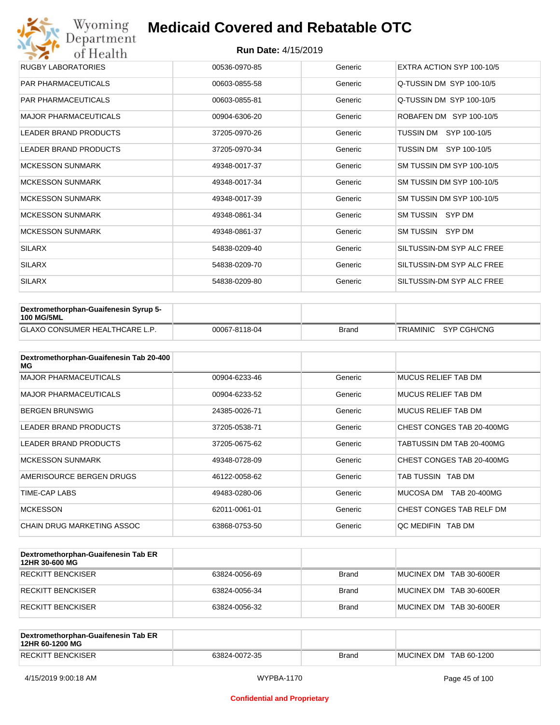## Wyoming<br>Department<br>of Health **Medicaid Covered and Rebatable OTC**

| RUGBY LABORATORIES           | 00536-0970-85 | Generic | EXTRA ACTION SYP 100-10/5 |
|------------------------------|---------------|---------|---------------------------|
| <b>PAR PHARMACEUTICALS</b>   | 00603-0855-58 | Generic | Q-TUSSIN DM SYP 100-10/5  |
| <b>PAR PHARMACEUTICALS</b>   | 00603-0855-81 | Generic | Q-TUSSIN DM SYP 100-10/5  |
| <b>MAJOR PHARMACEUTICALS</b> | 00904-6306-20 | Generic | ROBAFEN DM SYP 100-10/5   |
| <b>LEADER BRAND PRODUCTS</b> | 37205-0970-26 | Generic | TUSSIN DM SYP 100-10/5    |
| <b>LEADER BRAND PRODUCTS</b> | 37205-0970-34 | Generic | TUSSIN DM SYP 100-10/5    |
| <b>MCKESSON SUNMARK</b>      | 49348-0017-37 | Generic | SM TUSSIN DM SYP 100-10/5 |
| <b>MCKESSON SUNMARK</b>      | 49348-0017-34 | Generic | SM TUSSIN DM SYP 100-10/5 |
| <b>MCKESSON SUNMARK</b>      | 49348-0017-39 | Generic | SM TUSSIN DM SYP 100-10/5 |
| <b>MCKESSON SUNMARK</b>      | 49348-0861-34 | Generic | SM TUSSIN SYP DM          |
| <b>MCKESSON SUNMARK</b>      | 49348-0861-37 | Generic | SM TUSSIN SYP DM          |
| <b>SILARX</b>                | 54838-0209-40 | Generic | SILTUSSIN-DM SYP ALC FREE |
| <b>SILARX</b>                | 54838-0209-70 | Generic | SILTUSSIN-DM SYP ALC FREE |
| <b>SILARX</b>                | 54838-0209-80 | Generic | SILTUSSIN-DM SYP ALC FREE |

| <b>Dextromethorphan-Guaifenesin Syrup 5-</b><br>100 MG/5ML |               |       |                       |
|------------------------------------------------------------|---------------|-------|-----------------------|
| <b>GLAXO CONSUMER HEALTHCARE L.P.</b>                      | 00067-8118-04 | Brand | TRIAMINIC SYP CGH/CNG |

| Dextromethorphan-Guaifenesin Tab 20-400<br>MG |               |         |                            |
|-----------------------------------------------|---------------|---------|----------------------------|
| <b>MAJOR PHARMACEUTICALS</b>                  | 00904-6233-46 | Generic | <b>MUCUS RELIEF TAB DM</b> |
| <b>MAJOR PHARMACEUTICALS</b>                  | 00904-6233-52 | Generic | MUCUS RELIEF TAB DM        |
| <b>BERGEN BRUNSWIG</b>                        | 24385-0026-71 | Generic | <b>MUCUS RELIEF TAB DM</b> |
| <b>LEADER BRAND PRODUCTS</b>                  | 37205-0538-71 | Generic | CHEST CONGES TAB 20-400MG  |
| <b>LEADER BRAND PRODUCTS</b>                  | 37205-0675-62 | Generic | TABTUSSIN DM TAB 20-400MG  |
| <b>MCKESSON SUNMARK</b>                       | 49348-0728-09 | Generic | CHEST CONGES TAB 20-400MG  |
| AMERISOURCE BERGEN DRUGS                      | 46122-0058-62 | Generic | TAB TUSSIN TAB DM          |
| TIME-CAP LABS                                 | 49483-0280-06 | Generic | MUCOSA DM<br>TAB 20-400MG  |
| <b>MCKESSON</b>                               | 62011-0061-01 | Generic | CHEST CONGES TAB RELF DM   |
| CHAIN DRUG MARKETING ASSOC                    | 63868-0753-50 | Generic | OC MEDIFIN TAB DM          |

| Dextromethorphan-Guaifenesin Tab ER<br>12HR 30-600 MG |               |              |                         |
|-------------------------------------------------------|---------------|--------------|-------------------------|
| RECKITT BENCKISER                                     | 63824-0056-69 | <b>Brand</b> | MUCINEX DM TAB 30-600ER |
| RECKITT BENCKISER                                     | 63824-0056-34 | <b>Brand</b> | MUCINEX DM TAB 30-600ER |
| RECKITT BENCKISER                                     | 63824-0056-32 | <b>Brand</b> | MUCINEX DM TAB 30-600ER |

| Dextromethorphan-Guaifenesin Tab ER<br>12HR 60-1200 MG |               |              |                        |
|--------------------------------------------------------|---------------|--------------|------------------------|
| <b>RECKITT BENCKISER</b>                               | 63824-0072-35 | <b>Brand</b> | MUCINEX DM TAB 60-1200 |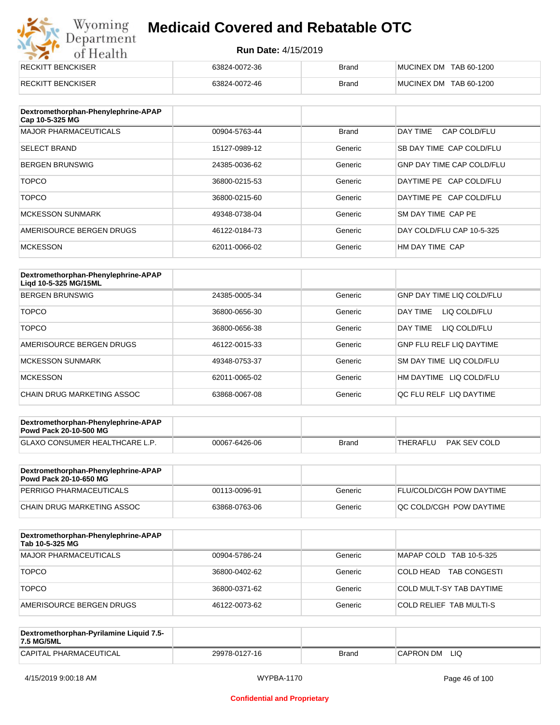# Wyoming<br>Department<br>of Health

### **Medicaid Covered and Rebatable OTC**

| <b>RECKITT BENCKISER</b> | 63824-0072-36 | <b>Brand</b> | MUCINEX DM TAB 60-1200 |
|--------------------------|---------------|--------------|------------------------|
|                          |               |              |                        |
| <b>RECKITT BENCKISER</b> | 63824-0072-46 | <b>Brand</b> | MUCINEX DM TAB 60-1200 |
|                          |               |              |                        |

| Dextromethorphan-Phenylephrine-APAP<br>Cap 10-5-325 MG |               |              |                                  |
|--------------------------------------------------------|---------------|--------------|----------------------------------|
| <b>MAJOR PHARMACEUTICALS</b>                           | 00904-5763-44 | <b>Brand</b> | DAY TIME<br>CAP COLD/FLU         |
| <b>SELECT BRAND</b>                                    | 15127-0989-12 | Generic      | SB DAY TIME CAP COLD/FLU         |
| <b>BERGEN BRUNSWIG</b>                                 | 24385-0036-62 | Generic      | <b>GNP DAY TIME CAP COLD/FLU</b> |
| <b>TOPCO</b>                                           | 36800-0215-53 | Generic      | DAYTIME PE CAP COLD/FLU          |
| <b>TOPCO</b>                                           | 36800-0215-60 | Generic      | DAYTIME PE CAP COLD/FLU          |
| <b>MCKESSON SUNMARK</b>                                | 49348-0738-04 | Generic      | SM DAY TIME CAP PE               |
| AMERISOURCE BERGEN DRUGS                               | 46122-0184-73 | Generic      | DAY COLD/FLU CAP 10-5-325        |
| <b>MCKESSON</b>                                        | 62011-0066-02 | Generic      | HM DAY TIME CAP                  |

| Dextromethorphan-Phenylephrine-APAP<br>Ligd 10-5-325 MG/15ML |               |         |                                  |
|--------------------------------------------------------------|---------------|---------|----------------------------------|
| <b>BERGEN BRUNSWIG</b>                                       | 24385-0005-34 | Generic | <b>GNP DAY TIME LIQ COLD/FLU</b> |
| <b>TOPCO</b>                                                 | 36800-0656-30 | Generic | LIQ COLD/FLU<br><b>DAY TIME</b>  |
| <b>TOPCO</b>                                                 | 36800-0656-38 | Generic | <b>DAY TIME</b><br>LIQ COLD/FLU  |
| AMERISOURCE BERGEN DRUGS                                     | 46122-0015-33 | Generic | <b>GNP FLU RELF LIQ DAYTIME</b>  |
| <b>MCKESSON SUNMARK</b>                                      | 49348-0753-37 | Generic | <b>SM DAY TIME LIQ COLD/FLU</b>  |
| <b>MCKESSON</b>                                              | 62011-0065-02 | Generic | HM DAYTIME LIQ COLD/FLU          |
| CHAIN DRUG MARKETING ASSOC                                   | 63868-0067-08 | Generic | OC FLU RELF LIO DAYTIME          |

| Dextromethorphan-Phenylephrine-APAP<br><b>Powd Pack 20-10-500 MG</b> |               |       |                          |
|----------------------------------------------------------------------|---------------|-------|--------------------------|
| GLAXO CONSUMER HEALTHCARE L.P.                                       | 00067-6426-06 | Brand | PAK SEV COLD<br>THERAFLU |
|                                                                      |               |       |                          |

| Dextromethorphan-Phenylephrine-APAP<br><b>Powd Pack 20-10-650 MG</b> |               |         |                                 |
|----------------------------------------------------------------------|---------------|---------|---------------------------------|
| PERRIGO PHARMACEUTICALS                                              | 00113-0096-91 | Generic | <b>FLU/COLD/CGH POW DAYTIME</b> |
| CHAIN DRUG MARKETING ASSOC                                           | 63868-0763-06 | Generic | <b>OC COLD/CGH POW DAYTIME</b>  |

| Dextromethorphan-Phenylephrine-APAP<br>Tab 10-5-325 MG |               |         |                                   |
|--------------------------------------------------------|---------------|---------|-----------------------------------|
| <b>MAJOR PHARMACEUTICALS</b>                           | 00904-5786-24 | Generic | MAPAP COLD TAB 10-5-325           |
| <b>TOPCO</b>                                           | 36800-0402-62 | Generic | 'COLD HEAD<br><b>TAB CONGESTI</b> |
| <b>TOPCO</b>                                           | 36800-0371-62 | Generic | COLD MULT-SY TAB DAYTIME          |
| AMERISOURCE BERGEN DRUGS                               | 46122-0073-62 | Generic | <b>COLD RELIEF TAB MULTI-S</b>    |

| Dextromethorphan-Pyrilamine Liquid 7.5-<br>7.5 MG/5ML |               |       |                  |
|-------------------------------------------------------|---------------|-------|------------------|
| CAPITAL PHARMACEUTICAL                                | 29978-0127-16 | Brand | LIQ<br>CAPRON DM |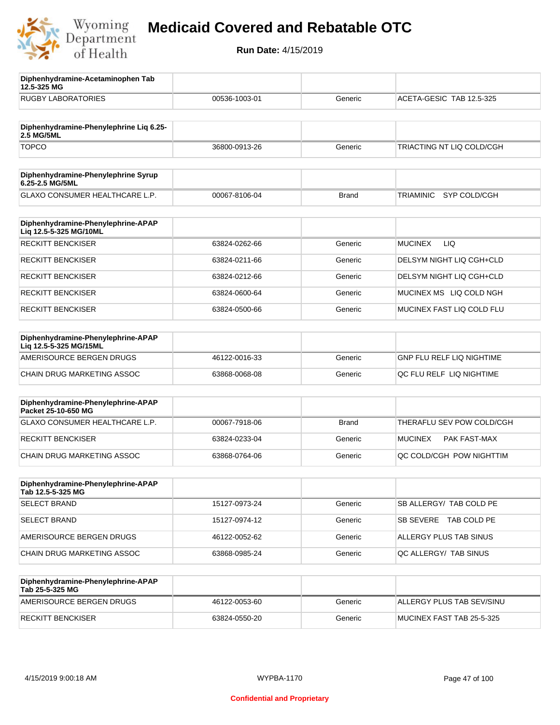

**12.5-325 MG**

**Diphenhydramine-Acetaminophen Tab** 

### **Medicaid Covered and Rebatable OTC**

| <b>RUGBY LABORATORIES</b>                                    | 00536-1003-01 | Generic      | ACETA-GESIC TAB 12.5-325       |
|--------------------------------------------------------------|---------------|--------------|--------------------------------|
| Diphenhydramine-Phenylephrine Lig 6.25-<br>2.5 MG/5ML        |               |              |                                |
| <b>TOPCO</b>                                                 | 36800-0913-26 | Generic      | TRIACTING NT LIQ COLD/CGH      |
| Diphenhydramine-Phenylephrine Syrup<br>6.25-2.5 MG/5ML       |               |              |                                |
| GLAXO CONSUMER HEALTHCARE L.P.                               | 00067-8106-04 | <b>Brand</b> | SYP COLD/CGH<br>TRIAMINIC      |
| Diphenhydramine-Phenylephrine-APAP<br>Liq 12.5-5-325 MG/10ML |               |              |                                |
| <b>RECKITT BENCKISER</b>                                     | 63824-0262-66 | Generic      | <b>MUCINEX</b><br>LIQ.         |
| <b>RECKITT BENCKISER</b>                                     | 63824-0211-66 | Generic      | DELSYM NIGHT LIQ CGH+CLD       |
| <b>RECKITT BENCKISER</b>                                     | 63824-0212-66 | Generic      | DELSYM NIGHT LIQ CGH+CLD       |
| <b>RECKITT BENCKISER</b>                                     | 63824-0600-64 | Generic      | MUCINEX MS LIQ COLD NGH        |
| <b>RECKITT BENCKISER</b>                                     | 63824-0500-66 | Generic      | MUCINEX FAST LIQ COLD FLU      |
| Diphenhydramine-Phenylephrine-APAP<br>Liq 12.5-5-325 MG/15ML |               |              |                                |
| AMERISOURCE BERGEN DRUGS                                     | 46122-0016-33 | Generic      | GNP FLU RELF LIQ NIGHTIME      |
| CHAIN DRUG MARKETING ASSOC                                   | 63868-0068-08 | Generic      | QC FLU RELF LIQ NIGHTIME       |
| Diphenhydramine-Phenylephrine-APAP<br>Packet 25-10-650 MG    |               |              |                                |
| GLAXO CONSUMER HEALTHCARE L.P.                               | 00067-7918-06 | <b>Brand</b> | THERAFLU SEV POW COLD/CGH      |
| <b>RECKITT BENCKISER</b>                                     | 63824-0233-04 | Generic      | <b>MUCINEX</b><br>PAK FAST-MAX |
| <b>CHAIN DRUG MARKETING ASSOC</b>                            | 63868-0764-06 | Generic      | QC COLD/CGH POW NIGHTTIM       |
| Diphenhydramine-Phenylephrine-APAP<br>Tab 12.5-5-325 MG      |               |              |                                |
| <b>SELECT BRAND</b>                                          | 15127-0973-24 | Generic      | SB ALLERGY/ TAB COLD PE        |
| <b>SELECT BRAND</b>                                          | 15127-0974-12 | Generic      | SB SEVERE TAB COLD PE          |
| AMERISOURCE BERGEN DRUGS                                     | 46122-0052-62 | Generic      | ALLERGY PLUS TAB SINUS         |
| CHAIN DRUG MARKETING ASSOC                                   | 63868-0985-24 | Generic      | QC ALLERGY/ TAB SINUS          |
| Diphenhydramine-Phenylephrine-APAP<br>Tab 25-5-325 MG        |               |              |                                |
| AMERISOURCE BERGEN DRUGS                                     | 46122-0053-60 | Generic      | ALLERGY PLUS TAB SEV/SINU      |
| <b>RECKITT BENCKISER</b>                                     | 63824-0550-20 | Generic      | MUCINEX FAST TAB 25-5-325      |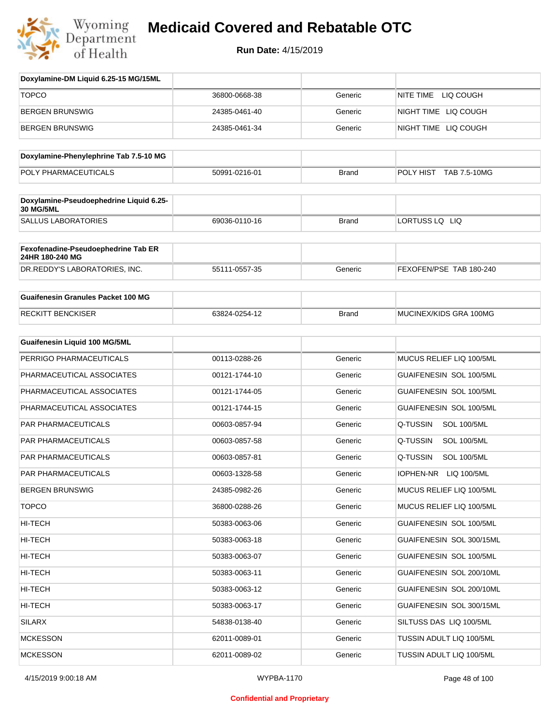

| Doxylamine-DM Liquid 6.25-15 MG/15ML                   |               |              |                                |
|--------------------------------------------------------|---------------|--------------|--------------------------------|
| <b>TOPCO</b>                                           | 36800-0668-38 | Generic      | NITE TIME<br>LIQ COUGH         |
| <b>BERGEN BRUNSWIG</b>                                 | 24385-0461-40 | Generic      | NIGHT TIME LIQ COUGH           |
| <b>BERGEN BRUNSWIG</b>                                 | 24385-0461-34 | Generic      | NIGHT TIME LIQ COUGH           |
| Doxylamine-Phenylephrine Tab 7.5-10 MG                 |               |              |                                |
| POLY PHARMACEUTICALS                                   | 50991-0216-01 | <b>Brand</b> | POLY HIST TAB 7.5-10MG         |
| Doxylamine-Pseudoephedrine Liquid 6.25-                |               |              |                                |
| 30 MG/5ML<br><b>SALLUS LABORATORIES</b>                | 69036-0110-16 | <b>Brand</b> | LORTUSS LQ LIQ                 |
|                                                        |               |              |                                |
| Fexofenadine-Pseudoephedrine Tab ER<br>24HR 180-240 MG |               |              |                                |
| DR.REDDY'S LABORATORIES, INC.                          | 55111-0557-35 | Generic      | FEXOFEN/PSE TAB 180-240        |
| <b>Guaifenesin Granules Packet 100 MG</b>              |               |              |                                |
| <b>RECKITT BENCKISER</b>                               | 63824-0254-12 | <b>Brand</b> | MUCINEX/KIDS GRA 100MG         |
| <b>Guaifenesin Liquid 100 MG/5ML</b>                   |               |              |                                |
| PERRIGO PHARMACEUTICALS                                | 00113-0288-26 | Generic      | MUCUS RELIEF LIQ 100/5ML       |
| PHARMACEUTICAL ASSOCIATES                              | 00121-1744-10 | Generic      | GUAIFENESIN SOL 100/5ML        |
| PHARMACEUTICAL ASSOCIATES                              | 00121-1744-05 | Generic      | GUAIFENESIN SOL 100/5ML        |
| PHARMACEUTICAL ASSOCIATES                              | 00121-1744-15 | Generic      | GUAIFENESIN SOL 100/5ML        |
| PAR PHARMACEUTICALS                                    | 00603-0857-94 | Generic      | Q-TUSSIN<br><b>SOL 100/5ML</b> |
| PAR PHARMACEUTICALS                                    | 00603-0857-58 | Generic      | Q-TUSSIN<br><b>SOL 100/5ML</b> |
| PAR PHARMACEUTICALS                                    | 00603-0857-81 | Generic      | Q-TUSSIN<br><b>SOL 100/5ML</b> |
| <b>PAR PHARMACEUTICALS</b>                             | 00603-1328-58 | Generic      | IOPHEN-NR<br>LIQ 100/5ML       |
| <b>BERGEN BRUNSWIG</b>                                 | 24385-0982-26 | Generic      | MUCUS RELIEF LIQ 100/5ML       |
| <b>TOPCO</b>                                           | 36800-0288-26 | Generic      | MUCUS RELIEF LIQ 100/5ML       |
| HI-TECH                                                | 50383-0063-06 | Generic      | GUAIFENESIN SOL 100/5ML        |
| HI-TECH                                                | 50383-0063-18 | Generic      | GUAIFENESIN SOL 300/15ML       |
| HI-TECH                                                | 50383-0063-07 | Generic      | GUAIFENESIN SOL 100/5ML        |
| HI-TECH                                                | 50383-0063-11 | Generic      | GUAIFENESIN SOL 200/10ML       |
| HI-TECH                                                | 50383-0063-12 | Generic      | GUAIFENESIN SOL 200/10ML       |
| HI-TECH                                                | 50383-0063-17 | Generic      | GUAIFENESIN SOL 300/15ML       |
| SILARX                                                 | 54838-0138-40 | Generic      | SILTUSS DAS LIQ 100/5ML        |
| <b>MCKESSON</b>                                        | 62011-0089-01 | Generic      | TUSSIN ADULT LIQ 100/5ML       |
| <b>MCKESSON</b>                                        | 62011-0089-02 | Generic      | TUSSIN ADULT LIQ 100/5ML       |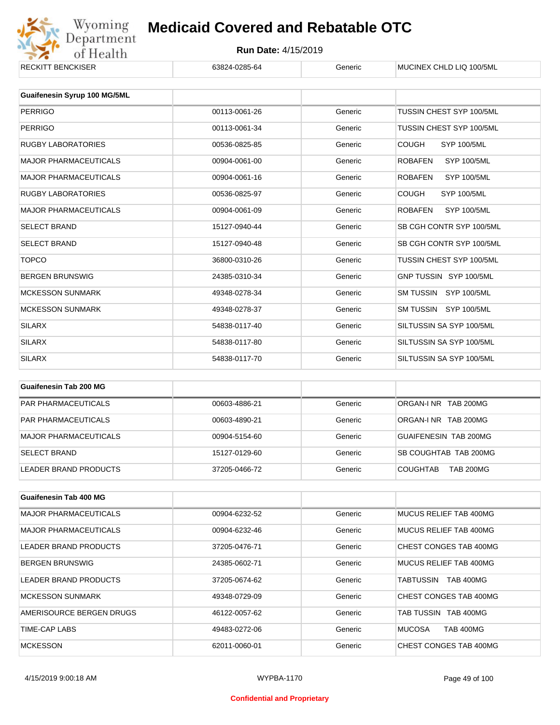

#### **Run Date:** 4/15/2019

| <b>RECKITT BENCKISER</b>     | 63824-0285-64 | Generic | MUCINEX CHLD LIQ 100/5ML             |
|------------------------------|---------------|---------|--------------------------------------|
|                              |               |         |                                      |
| Guaifenesin Syrup 100 MG/5ML |               |         |                                      |
| <b>PERRIGO</b>               | 00113-0061-26 | Generic | TUSSIN CHEST SYP 100/5ML             |
| <b>PERRIGO</b>               | 00113-0061-34 | Generic | TUSSIN CHEST SYP 100/5ML             |
| <b>RUGBY LABORATORIES</b>    | 00536-0825-85 | Generic | <b>COUGH</b><br>SYP 100/5ML          |
| <b>MAJOR PHARMACEUTICALS</b> | 00904-0061-00 | Generic | <b>ROBAFEN</b><br><b>SYP 100/5ML</b> |
| <b>MAJOR PHARMACEUTICALS</b> | 00904-0061-16 | Generic | <b>ROBAFEN</b><br><b>SYP 100/5ML</b> |
| <b>RUGBY LABORATORIES</b>    | 00536-0825-97 | Generic | <b>COUGH</b><br>SYP 100/5ML          |
| <b>MAJOR PHARMACEUTICALS</b> | 00904-0061-09 | Generic | SYP 100/5ML<br><b>ROBAFEN</b>        |
| <b>SELECT BRAND</b>          | 15127-0940-44 | Generic | SB CGH CONTR SYP 100/5ML             |
| <b>SELECT BRAND</b>          | 15127-0940-48 | Generic | SB CGH CONTR SYP 100/5ML             |
| <b>TOPCO</b>                 | 36800-0310-26 | Generic | TUSSIN CHEST SYP 100/5ML             |
| <b>BERGEN BRUNSWIG</b>       | 24385-0310-34 | Generic | GNP TUSSIN SYP 100/5ML               |
| <b>MCKESSON SUNMARK</b>      | 49348-0278-34 | Generic | SM TUSSIN SYP 100/5ML                |
| <b>MCKESSON SUNMARK</b>      | 49348-0278-37 | Generic | SM TUSSIN SYP 100/5ML                |
| <b>SILARX</b>                | 54838-0117-40 | Generic | SILTUSSIN SA SYP 100/5ML             |
| <b>SILARX</b>                | 54838-0117-80 | Generic | SILTUSSIN SA SYP 100/5ML             |
| <b>SILARX</b>                | 54838-0117-70 | Generic | SILTUSSIN SA SYP 100/5ML             |

| Guaifenesin Tab 200 MG       |               |         |                                     |
|------------------------------|---------------|---------|-------------------------------------|
| <b>PAR PHARMACEUTICALS</b>   | 00603-4886-21 | Generic | ORGAN-INR TAB 200MG                 |
| <b>PAR PHARMACEUTICALS</b>   | 00603-4890-21 | Generic | ORGAN-INR TAB 200MG                 |
| <b>MAJOR PHARMACEUTICALS</b> | 00904-5154-60 | Generic | GUAIFENESIN TAB 200MG               |
| <b>SELECT BRAND</b>          | 15127-0129-60 | Generic | SB COUGHTAB TAB 200MG               |
| LEADER BRAND PRODUCTS        | 37205-0466-72 | Generic | <b>COUGHTAB</b><br><b>TAB 200MG</b> |

| <b>Guaifenesin Tab 400 MG</b> |               |         |                                   |
|-------------------------------|---------------|---------|-----------------------------------|
| <b>MAJOR PHARMACEUTICALS</b>  | 00904-6232-52 | Generic | MUCUS RELIEF TAB 400MG            |
| <b>MAJOR PHARMACEUTICALS</b>  | 00904-6232-46 | Generic | MUCUS RELIEF TAB 400MG            |
| LEADER BRAND PRODUCTS         | 37205-0476-71 | Generic | CHEST CONGES TAB 400MG            |
| <b>BERGEN BRUNSWIG</b>        | 24385-0602-71 | Generic | MUCUS RELIEF TAB 400MG            |
| LEADER BRAND PRODUCTS         | 37205-0674-62 | Generic | <b>TAB 400MG</b><br>TABTUSSIN     |
| <b>MCKESSON SUNMARK</b>       | 49348-0729-09 | Generic | CHEST CONGES TAB 400MG            |
| AMERISOURCE BERGEN DRUGS      | 46122-0057-62 | Generic | TAB TUSSIN TAB 400MG              |
| TIME-CAP LABS                 | 49483-0272-06 | Generic | <b>MUCOSA</b><br><b>TAB 400MG</b> |
| <b>MCKESSON</b>               | 62011-0060-01 | Generic | CHEST CONGES TAB 400MG            |

#### **Confidential and Proprietary**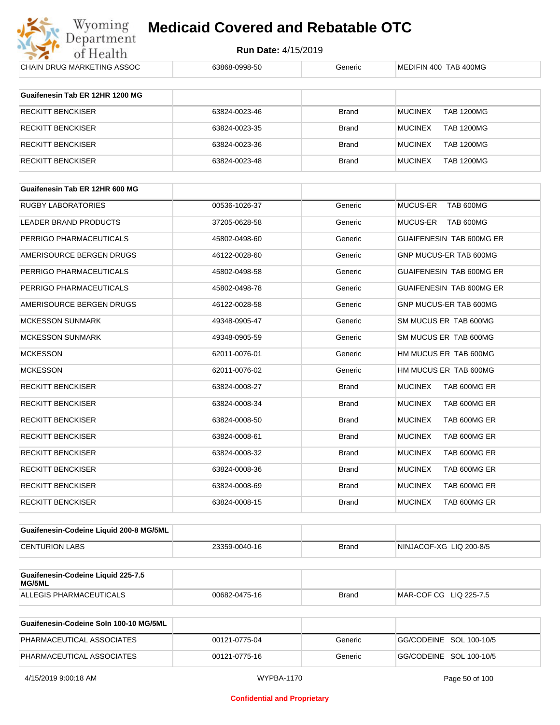

**Run Date:** 4/15/2019

| CHAIN DRUG MARKETING ASSOC                          | 63868-0998-50 | Generic      | MEDIFIN 400 TAB 400MG               |
|-----------------------------------------------------|---------------|--------------|-------------------------------------|
| Guaifenesin Tab ER 12HR 1200 MG                     |               |              |                                     |
| RECKITT BENCKISER                                   | 63824-0023-46 | <b>Brand</b> | <b>MUCINEX</b><br><b>TAB 1200MG</b> |
| RECKITT BENCKISER                                   | 63824-0023-35 | <b>Brand</b> | <b>MUCINEX</b><br><b>TAB 1200MG</b> |
| RECKITT BENCKISER                                   | 63824-0023-36 | <b>Brand</b> | <b>MUCINEX</b><br><b>TAB 1200MG</b> |
| RECKITT BENCKISER                                   | 63824-0023-48 | <b>Brand</b> | <b>MUCINEX</b><br><b>TAB 1200MG</b> |
|                                                     |               |              |                                     |
| Guaifenesin Tab ER 12HR 600 MG                      |               |              |                                     |
| RUGBY LABORATORIES                                  | 00536-1026-37 | Generic      | TAB 600MG<br><b>MUCUS-ER</b>        |
| LEADER BRAND PRODUCTS                               | 37205-0628-58 | Generic      | MUCUS-ER<br>TAB 600MG               |
| PERRIGO PHARMACEUTICALS                             | 45802-0498-60 | Generic      | GUAIFENESIN TAB 600MG ER            |
| AMERISOURCE BERGEN DRUGS                            | 46122-0028-60 | Generic      | GNP MUCUS-ER TAB 600MG              |
| PERRIGO PHARMACEUTICALS                             | 45802-0498-58 | Generic      | GUAIFENESIN TAB 600MG ER            |
| PERRIGO PHARMACEUTICALS                             | 45802-0498-78 | Generic      | GUAIFENESIN TAB 600MG ER            |
| AMERISOURCE BERGEN DRUGS                            | 46122-0028-58 | Generic      | GNP MUCUS-ER TAB 600MG              |
| MCKESSON SUNMARK                                    | 49348-0905-47 | Generic      | SM MUCUS ER TAB 600MG               |
| MCKESSON SUNMARK                                    | 49348-0905-59 | Generic      | SM MUCUS ER TAB 600MG               |
| <b>MCKESSON</b>                                     | 62011-0076-01 | Generic      | HM MUCUS ER TAB 600MG               |
| MCKESSON                                            | 62011-0076-02 | Generic      | HM MUCUS ER TAB 600MG               |
| RECKITT BENCKISER                                   | 63824-0008-27 | Brand        | <b>MUCINEX</b><br>TAB 600MG ER      |
| RECKITT BENCKISER                                   | 63824-0008-34 | Brand        | <b>MUCINEX</b><br>TAB 600MG ER      |
| RECKITT BENCKISER                                   | 63824-0008-50 | Brand        | <b>MUCINEX</b><br>TAB 600MG ER      |
| <b>RECKITT BENCKISER</b>                            | 63824-0008-61 | Brand        | <b>MUCINEX</b><br>TAB 600MG ER      |
| RECKITT BENCKISER                                   | 63824-0008-32 | Brand        | <b>MUCINEX</b><br>TAB 600MG ER      |
| RECKITT BENCKISER                                   | 63824-0008-36 | Brand        | <b>MUCINEX</b><br>TAB 600MG ER      |
| <b>RECKITT BENCKISER</b>                            | 63824-0008-69 | <b>Brand</b> | <b>MUCINEX</b><br>TAB 600MG ER      |
| <b>RECKITT BENCKISER</b>                            | 63824-0008-15 | Brand        | TAB 600MG ER<br><b>MUCINEX</b>      |
|                                                     |               |              |                                     |
| Guaifenesin-Codeine Liquid 200-8 MG/5ML             |               |              |                                     |
| <b>CENTURION LABS</b>                               | 23359-0040-16 | Brand        | NINJACOF-XG LIQ 200-8/5             |
| Guaifenesin-Codeine Liquid 225-7.5<br><b>MG/5ML</b> |               |              |                                     |
| ALLEGIS PHARMACEUTICALS                             | 00682-0475-16 | <b>Brand</b> | MAR-COF CG LIQ 225-7.5              |
|                                                     |               |              |                                     |
| Guaifenesin-Codeine Soln 100-10 MG/5ML              |               |              |                                     |
| PHARMACEUTICAL ASSOCIATES                           | 00121-0775-04 | Generic      | GG/CODEINE SOL 100-10/5             |

PHARMACEUTICAL ASSOCIATES 00121-0775-16 Generic GG/CODEINE SOL 100-10/5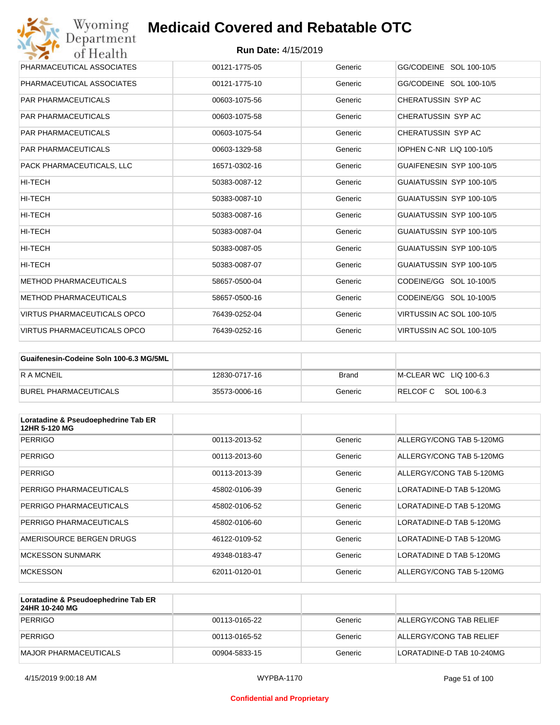| Wyoming<br>Department              | <b>Medicaid Covered and Rebatable OTC</b> |         |                                 |
|------------------------------------|-------------------------------------------|---------|---------------------------------|
| of Health                          | <b>Run Date: 4/15/2019</b>                |         |                                 |
| PHARMACEUTICAL ASSOCIATES          | 00121-1775-05                             | Generic | GG/CODEINE SOL 100-10/5         |
| PHARMACEUTICAL ASSOCIATES          | 00121-1775-10                             | Generic | GG/CODEINE SOL 100-10/5         |
| <b>PAR PHARMACEUTICALS</b>         | 00603-1075-56                             | Generic | CHERATUSSIN SYP AC              |
| <b>PAR PHARMACEUTICALS</b>         | 00603-1075-58                             | Generic | CHERATUSSIN SYP AC              |
| <b>PAR PHARMACEUTICALS</b>         | 00603-1075-54                             | Generic | CHERATUSSIN SYP AC              |
| <b>PAR PHARMACEUTICALS</b>         | 00603-1329-58                             | Generic | <b>IOPHEN C-NR LIQ 100-10/5</b> |
| PACK PHARMACEUTICALS. LLC          | 16571-0302-16                             | Generic | GUAIFENESIN SYP 100-10/5        |
| HI-TECH                            | 50383-0087-12                             | Generic | GUAIATUSSIN SYP 100-10/5        |
| HI-TECH                            | 50383-0087-10                             | Generic | GUAIATUSSIN SYP 100-10/5        |
| HI-TECH                            | 50383-0087-16                             | Generic | GUAIATUSSIN SYP 100-10/5        |
| HI-TECH                            | 50383-0087-04                             | Generic | GUAIATUSSIN SYP 100-10/5        |
| <b>HI-TECH</b>                     | 50383-0087-05                             | Generic | GUAIATUSSIN SYP 100-10/5        |
| HI-TECH                            | 50383-0087-07                             | Generic | GUAIATUSSIN SYP 100-10/5        |
| <b>METHOD PHARMACEUTICALS</b>      | 58657-0500-04                             | Generic | CODEINE/GG SOL 10-100/5         |
| <b>METHOD PHARMACEUTICALS</b>      | 58657-0500-16                             | Generic | CODEINE/GG SOL 10-100/5         |
| <b>VIRTUS PHARMACEUTICALS OPCO</b> | 76439-0252-04                             | Generic | VIRTUSSIN AC SOL 100-10/5       |
| VIRTUS PHARMACEUTICALS OPCO        | 76439-0252-16                             | Generic | VIRTUSSIN AC SOL 100-10/5       |

| Guaifenesin-Codeine Soln 100-6.3 MG/5ML |               |         |                        |
|-----------------------------------------|---------------|---------|------------------------|
| <b>RAMCNEIL</b>                         | 12830-0717-16 | Brand   | M-CLEAR WC LIQ 100-6.3 |
| BUREL PHARMACEUTICALS                   | 35573-0006-16 | Generic | RELCOFC SOL 100-6.3    |

| Loratadine & Pseudoephedrine Tab ER<br>12HR 5-120 MG |               |         |                          |
|------------------------------------------------------|---------------|---------|--------------------------|
| <b>PERRIGO</b>                                       | 00113-2013-52 | Generic | ALLERGY/CONG TAB 5-120MG |
| <b>PERRIGO</b>                                       | 00113-2013-60 | Generic | ALLERGY/CONG TAB 5-120MG |
| <b>PERRIGO</b>                                       | 00113-2013-39 | Generic | ALLERGY/CONG TAB 5-120MG |
| PERRIGO PHARMACEUTICALS                              | 45802-0106-39 | Generic | LORATADINE-D TAB 5-120MG |
| PERRIGO PHARMACEUTICALS                              | 45802-0106-52 | Generic | LORATADINE-D TAB 5-120MG |
| PERRIGO PHARMACEUTICALS                              | 45802-0106-60 | Generic | LORATADINE-D TAB 5-120MG |
| AMERISOURCE BERGEN DRUGS                             | 46122-0109-52 | Generic | LORATADINE-D TAB 5-120MG |
| <b>MCKESSON SUNMARK</b>                              | 49348-0183-47 | Generic | LORATADINE D TAB 5-120MG |
| <b>MCKESSON</b>                                      | 62011-0120-01 | Generic | ALLERGY/CONG TAB 5-120MG |

| Loratadine & Pseudoephedrine Tab ER<br>24HR 10-240 MG |               |         |                           |
|-------------------------------------------------------|---------------|---------|---------------------------|
| PERRIGO                                               | 00113-0165-22 | Generic | ALLERGY/CONG TAB RELIEF   |
| PERRIGO                                               | 00113-0165-52 | Generic | ALLERGY/CONG TAB RELIEF   |
| MAJOR PHARMACEUTICALS                                 | 00904-5833-15 | Generic | LORATADINE-D TAB 10-240MG |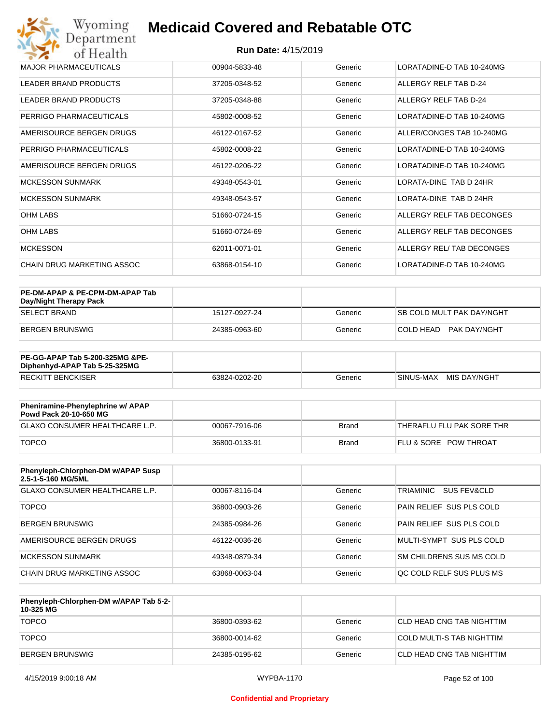| Wyoming<br><b>Medicaid Covered and Rebatable OTC</b><br>Department |                            |         |                           |  |
|--------------------------------------------------------------------|----------------------------|---------|---------------------------|--|
| of Health                                                          | <b>Run Date: 4/15/2019</b> |         |                           |  |
| <b>MAJOR PHARMACEUTICALS</b>                                       | 00904-5833-48              | Generic | LORATADINE-D TAB 10-240MG |  |
| <b>LEADER BRAND PRODUCTS</b>                                       | 37205-0348-52              | Generic | ALLERGY RELF TAB D-24     |  |
| <b>LEADER BRAND PRODUCTS</b>                                       | 37205-0348-88              | Generic | ALLERGY RELF TAB D-24     |  |
| PERRIGO PHARMACEUTICALS                                            | 45802-0008-52              | Generic | LORATADINE-D TAB 10-240MG |  |
| AMERISOURCE BERGEN DRUGS                                           | 46122-0167-52              | Generic | ALLER/CONGES TAB 10-240MG |  |
| PERRIGO PHARMACEUTICALS                                            | 45802-0008-22              | Generic | LORATADINE-D TAB 10-240MG |  |
| AMERISOURCE BERGEN DRUGS                                           | 46122-0206-22              | Generic | LORATADINE-D TAB 10-240MG |  |
| <b>MCKESSON SUNMARK</b>                                            | 49348-0543-01              | Generic | LORATA-DINE TAB D 24HR    |  |
| <b>MCKESSON SUNMARK</b>                                            | 49348-0543-57              | Generic | LORATA-DINE TAB D 24HR    |  |
| <b>OHM LABS</b>                                                    | 51660-0724-15              | Generic | ALLERGY RELF TAB DECONGES |  |
| <b>OHM LABS</b>                                                    | 51660-0724-69              | Generic | ALLERGY RELF TAB DECONGES |  |
| <b>MCKESSON</b>                                                    | 62011-0071-01              | Generic | ALLERGY REL/TAB DECONGES  |  |
| CHAIN DRUG MARKETING ASSOC                                         | 63868-0154-10              | Generic | LORATADINE-D TAB 10-240MG |  |

| PE-DM-APAP & PE-CPM-DM-APAP Tab<br>Day/Night Therapy Pack |               |         |                                  |
|-----------------------------------------------------------|---------------|---------|----------------------------------|
| ISELECT BRAND                                             | 15127-0927-24 | Generic | <b>SB COLD MULT PAK DAY/NGHT</b> |
| BERGEN BRUNSWIG                                           | 24385-0963-60 | Generic | COLD HEAD PAK DAY/NGHT           |

| <b>PE-GG-APAP Tab 5-200-325MG &amp;PE-</b><br>Diphenhyd-APAP Tab 5-25-325MG |               |         |                           |
|-----------------------------------------------------------------------------|---------------|---------|---------------------------|
| <b>RECKITT BENCKISER</b>                                                    | 63824-0202-20 | Generic | MIS DAY/NGHT<br>SINUS-MAX |

| Pheniramine-Phenylephrine w/ APAP<br>Powd Pack 20-10-650 MG |               |       |                                  |
|-------------------------------------------------------------|---------------|-------|----------------------------------|
| GLAXO CONSUMER HEALTHCARE L.P.                              | 00067-7916-06 | Brand | 'THERAFLU FLU PAK SORE THR       |
| <b>TOPCO</b>                                                | 36800-0133-91 | Brand | <b>FLU &amp; SORE POW THROAT</b> |

| Phenyleph-Chlorphen-DM w/APAP Susp<br>2.5-1-5-160 MG/5ML |               |         |                                     |
|----------------------------------------------------------|---------------|---------|-------------------------------------|
| <b>GLAXO CONSUMER HEALTHCARE L.P.</b>                    | 00067-8116-04 | Generic | TRIAMINIC<br><b>SUS FEV&amp;CLD</b> |
| <b>TOPCO</b>                                             | 36800-0903-26 | Generic | PAIN RELIEF SUS PLS COLD            |
| <b>BERGEN BRUNSWIG</b>                                   | 24385-0984-26 | Generic | PAIN RELIEF SUS PLS COLD            |
| AMERISOURCE BERGEN DRUGS                                 | 46122-0036-26 | Generic | MULTI-SYMPT SUS PLS COLD            |
| MCKESSON SUNMARK                                         | 49348-0879-34 | Generic | SM CHILDRENS SUS MS COLD            |
| CHAIN DRUG MARKETING ASSOC                               | 63868-0063-04 | Generic | OC COLD RELF SUS PLUS MS            |

| Phenyleph-Chlorphen-DM w/APAP Tab 5-2-<br>10-325 MG |               |         |                            |
|-----------------------------------------------------|---------------|---------|----------------------------|
| <b>TOPCO</b>                                        | 36800-0393-62 | Generic | ICLD HEAD CNG TAB NIGHTTIM |
| <b>TOPCO</b>                                        | 36800-0014-62 | Generic | COLD MULTI-S TAB NIGHTTIM  |
| <b>BERGEN BRUNSWIG</b>                              | 24385-0195-62 | Generic | CLD HEAD CNG TAB NIGHTTIM  |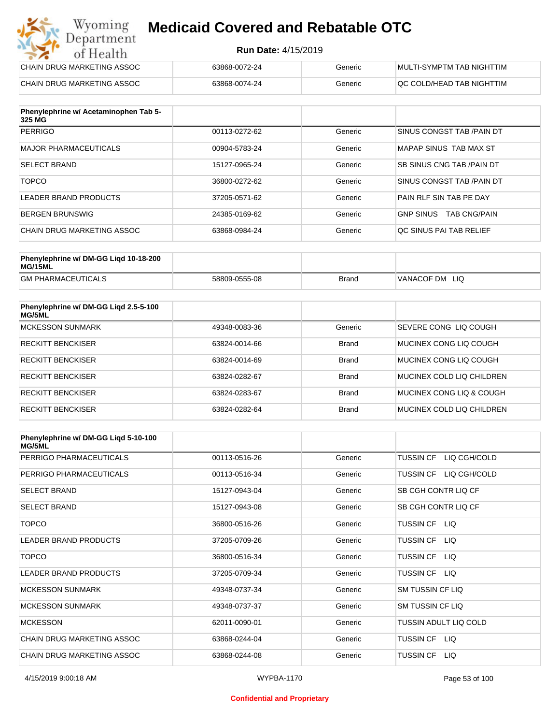#### **Run Date:** 4/15/2019

| Wyoming<br><b>Medicaid Covered and Rebatable OTC</b><br>Department |                            |         |                           |  |  |
|--------------------------------------------------------------------|----------------------------|---------|---------------------------|--|--|
| of Health                                                          | <b>Run Date: 4/15/2019</b> |         |                           |  |  |
| CHAIN DRUG MARKETING ASSOC                                         | 63868-0072-24              | Generic | MULTI-SYMPTM TAB NIGHTTIM |  |  |
| CHAIN DRUG MARKETING ASSOC                                         | 63868-0074-24              | Generic | QC COLD/HEAD TAB NIGHTTIM |  |  |

| Phenylephrine w/ Acetaminophen Tab 5-<br>325 MG |               |         |                                         |
|-------------------------------------------------|---------------|---------|-----------------------------------------|
| <b>PERRIGO</b>                                  | 00113-0272-62 | Generic | SINUS CONGST TAB / PAIN DT              |
| MAJOR PHARMACEUTICALS                           | 00904-5783-24 | Generic | MAPAP SINUS TAB MAX ST                  |
| <b>SELECT BRAND</b>                             | 15127-0965-24 | Generic | SB SINUS CNG TAB / PAIN DT              |
| <b>TOPCO</b>                                    | 36800-0272-62 | Generic | SINUS CONGST TAB /PAIN DT               |
| LEADER BRAND PRODUCTS                           | 37205-0571-62 | Generic | PAIN RLF SIN TAB PE DAY                 |
| BERGEN BRUNSWIG                                 | 24385-0169-62 | Generic | <b>GNP SINUS</b><br><b>TAB CNG/PAIN</b> |
| CHAIN DRUG MARKETING ASSOC                      | 63868-0984-24 | Generic | OC SINUS PAI TAB RELIEF                 |

| Phenylephrine w/ DM-GG Ligd 10-18-200<br>MG/15ML |               |       |                |
|--------------------------------------------------|---------------|-------|----------------|
| <b>GM PHARMACEUTICALS</b>                        | 58809-0555-08 | Brand | VANACOF DM LIQ |

| Phenylephrine w/ DM-GG Ligd 2.5-5-100<br>MG/5ML |               |              |                           |
|-------------------------------------------------|---------------|--------------|---------------------------|
| <b>MCKESSON SUNMARK</b>                         | 49348-0083-36 | Generic      | SEVERE CONG LIQ COUGH     |
| <b>RECKITT BENCKISER</b>                        | 63824-0014-66 | <b>Brand</b> | MUCINEX CONG LIO COUGH    |
| <b>RECKITT BENCKISER</b>                        | 63824-0014-69 | <b>Brand</b> | MUCINEX CONG LIO COUGH    |
| <b>RECKITT BENCKISER</b>                        | 63824-0282-67 | <b>Brand</b> | MUCINEX COLD LIQ CHILDREN |
| <b>RECKITT BENCKISER</b>                        | 63824-0283-67 | <b>Brand</b> | MUCINEX CONG LIO & COUGH  |
| RECKITT BENCKISER                               | 63824-0282-64 | <b>Brand</b> | MUCINEX COLD LIQ CHILDREN |

| Phenylephrine w/ DM-GG Ligd 5-10-100<br><b>MG/5ML</b> |               |         |                                  |
|-------------------------------------------------------|---------------|---------|----------------------------------|
| PERRIGO PHARMACEUTICALS                               | 00113-0516-26 | Generic | LIQ CGH/COLD<br><b>TUSSIN CF</b> |
| PERRIGO PHARMACEUTICALS                               | 00113-0516-34 | Generic | LIQ CGH/COLD<br><b>TUSSIN CF</b> |
| <b>SELECT BRAND</b>                                   | 15127-0943-04 | Generic | SB CGH CONTR LIQ CF              |
| <b>SELECT BRAND</b>                                   | 15127-0943-08 | Generic | SB CGH CONTR LIQ CF              |
| <b>TOPCO</b>                                          | 36800-0516-26 | Generic | TUSSIN CF LIQ                    |
| <b>LEADER BRAND PRODUCTS</b>                          | 37205-0709-26 | Generic | <b>TUSSIN CF</b><br>LIQ.         |
| <b>TOPCO</b>                                          | 36800-0516-34 | Generic | <b>TUSSIN CF</b><br>LIQ.         |
| <b>LEADER BRAND PRODUCTS</b>                          | 37205-0709-34 | Generic | <b>TUSSIN CF</b><br>LIQ          |
| <b>MCKESSON SUNMARK</b>                               | 49348-0737-34 | Generic | <b>SM TUSSIN CF LIQ</b>          |
| <b>MCKESSON SUNMARK</b>                               | 49348-0737-37 | Generic | SM TUSSIN CF LIQ                 |
| <b>MCKESSON</b>                                       | 62011-0090-01 | Generic | TUSSIN ADULT LIQ COLD            |
| CHAIN DRUG MARKETING ASSOC                            | 63868-0244-04 | Generic | TUSSIN CF LIQ                    |
| CHAIN DRUG MARKETING ASSOC                            | 63868-0244-08 | Generic | <b>TUSSIN CF</b><br>LIQ.         |

#### **Confidential and Proprietary**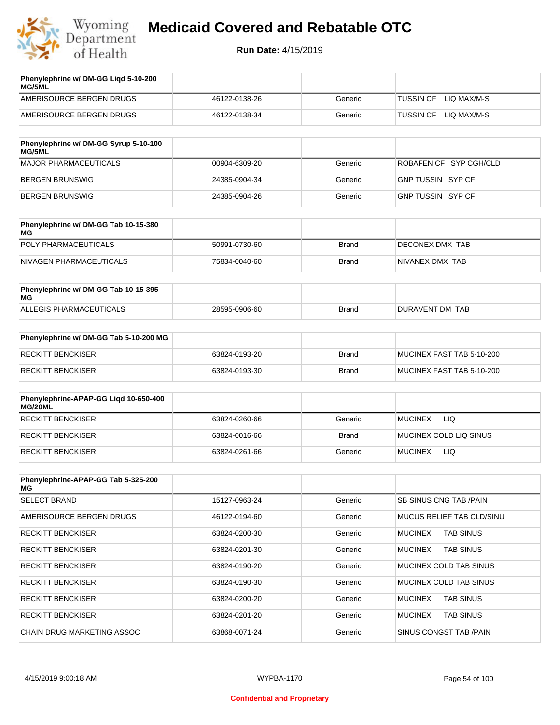

| Phenylephrine w/ DM-GG Ligd 5-10-200<br><b>MG/5ML</b> |               |         |                                 |
|-------------------------------------------------------|---------------|---------|---------------------------------|
| AMERISOURCE BERGEN DRUGS                              | 46122-0138-26 | Generic | LIO MAX/M-S<br><b>TUSSIN CF</b> |
| AMERISOURCE BERGEN DRUGS                              | 46122-0138-34 | Generic | LIO MAX/M-S<br><b>TUSSIN CF</b> |

| Phenylephrine w/ DM-GG Syrup 5-10-100<br>MG/5ML |               |         |                        |
|-------------------------------------------------|---------------|---------|------------------------|
| MAJOR PHARMACEUTICALS                           | 00904-6309-20 | Generic | ROBAFEN CF SYP CGH/CLD |
| BERGEN BRUNSWIG                                 | 24385-0904-34 | Generic | GNP TUSSIN SYP CF      |
| BERGEN BRUNSWIG                                 | 24385-0904-26 | Generic | GNP TUSSIN SYP CF      |

| Phenylephrine w/ DM-GG Tab 10-15-380<br>MG |               |              |                         |
|--------------------------------------------|---------------|--------------|-------------------------|
| POLY PHARMACEUTICALS                       | 50991-0730-60 | <b>Brand</b> | <b>IDECONEX DMX TAB</b> |
| NIVAGEN PHARMACEUTICALS                    | 75834-0040-60 | Brand        | NIVANEX DMX TAB         |

| Phenylephrine w/ DM-GG Tab 10-15-395<br>MG |               |       |                 |
|--------------------------------------------|---------------|-------|-----------------|
| ALLEGIS PHARMACEUTICALS                    | 28595-0906-60 | Brand | DURAVENT DM TAB |

| Phenylephrine w/ DM-GG Tab 5-10-200 MG |               |       |                           |
|----------------------------------------|---------------|-------|---------------------------|
| RECKITT BENCKISER                      | 63824-0193-20 | Brand | MUCINEX FAST TAB 5-10-200 |
| RECKITT BENCKISER                      | 63824-0193-30 | Brand | MUCINEX FAST TAB 5-10-200 |

| Phenylephrine-APAP-GG Ligd 10-650-400<br>MG/20ML |               |              |                              |
|--------------------------------------------------|---------------|--------------|------------------------------|
| <b>RECKITT BENCKISER</b>                         | 63824-0260-66 | Generic      | LIQ<br><b>MUCINEX</b>        |
| <b>RECKITT BENCKISER</b>                         | 63824-0016-66 | <b>Brand</b> | MUCINEX COLD LIQ SINUS       |
| RECKITT BENCKISER                                | 63824-0261-66 | Generic      | <b>LIQ</b><br><b>MUCINEX</b> |

| Phenylephrine-APAP-GG Tab 5-325-200<br>MG |               |         |                                    |
|-------------------------------------------|---------------|---------|------------------------------------|
| <b>SELECT BRAND</b>                       | 15127-0963-24 | Generic | <b>SB SINUS CNG TAB /PAIN</b>      |
| AMERISOURCE BERGEN DRUGS                  | 46122-0194-60 | Generic | MUCUS RELIEF TAB CLD/SINU          |
| <b>RECKITT BENCKISER</b>                  | 63824-0200-30 | Generic | <b>TAB SINUS</b><br><b>MUCINEX</b> |
| <b>RECKITT BENCKISER</b>                  | 63824-0201-30 | Generic | <b>MUCINEX</b><br><b>TAB SINUS</b> |
| <b>RECKITT BENCKISER</b>                  | 63824-0190-20 | Generic | MUCINEX COLD TAB SINUS             |
| <b>RECKITT BENCKISER</b>                  | 63824-0190-30 | Generic | MUCINEX COLD TAB SINUS             |
| <b>RECKITT BENCKISER</b>                  | 63824-0200-20 | Generic | <b>TAB SINUS</b><br><b>MUCINEX</b> |
| <b>RECKITT BENCKISER</b>                  | 63824-0201-20 | Generic | <b>MUCINEX</b><br><b>TAB SINUS</b> |
| CHAIN DRUG MARKETING ASSOC                | 63868-0071-24 | Generic | SINUS CONGST TAB /PAIN             |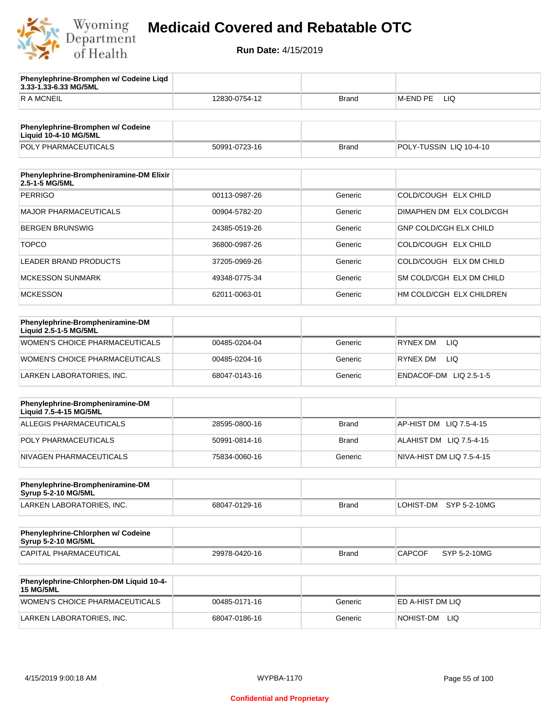

**3.33-1.33-6.33 MG/5ML**

**Phenylephrine-Bromphen w/ Codeine Liqd** 

### **Medicaid Covered and Rebatable OTC**

| <b>RAMCNEIL</b>                                                   | 12830-0754-12 | <b>Brand</b> | <b>M-END PE</b><br>LIQ        |
|-------------------------------------------------------------------|---------------|--------------|-------------------------------|
|                                                                   |               |              |                               |
| Phenylephrine-Bromphen w/ Codeine<br><b>Liquid 10-4-10 MG/5ML</b> |               |              |                               |
| POLY PHARMACEUTICALS                                              | 50991-0723-16 | <b>Brand</b> | POLY-TUSSIN LIQ 10-4-10       |
|                                                                   |               |              |                               |
| Phenylephrine-Brompheniramine-DM Elixir<br>2.5-1-5 MG/5ML         |               |              |                               |
| <b>PERRIGO</b>                                                    | 00113-0987-26 | Generic      | COLD/COUGH ELX CHILD          |
| <b>MAJOR PHARMACEUTICALS</b>                                      | 00904-5782-20 | Generic      | DIMAPHEN DM ELX COLD/CGH      |
| <b>BERGEN BRUNSWIG</b>                                            | 24385-0519-26 | Generic      | <b>GNP COLD/CGH ELX CHILD</b> |
| <b>TOPCO</b>                                                      | 36800-0987-26 | Generic      | COLD/COUGH ELX CHILD          |
| <b>LEADER BRAND PRODUCTS</b>                                      | 37205-0969-26 | Generic      | COLD/COUGH ELX DM CHILD       |
| <b>MCKESSON SUNMARK</b>                                           | 49348-0775-34 | Generic      | SM COLD/CGH ELX DM CHILD      |
| <b>MCKESSON</b>                                                   | 62011-0063-01 | Generic      | HM COLD/CGH ELX CHILDREN      |
|                                                                   |               |              |                               |
| Phenylephrine-Brompheniramine-DM<br>Liquid 2.5-1-5 MG/5ML         |               |              |                               |
| WOMEN'S CHOICE PHARMACEUTICALS                                    | 00485-0204-04 | Generic      | <b>LIQ</b><br>RYNEX DM        |
| WOMEN'S CHOICE PHARMACEUTICALS                                    | 00485-0204-16 | Generic      | RYNEX DM<br>LIQ.              |
| LARKEN LABORATORIES, INC.                                         | 68047-0143-16 | Generic      | ENDACOF-DM LIQ 2.5-1-5        |
|                                                                   |               |              |                               |
| Phenylephrine-Brompheniramine-DM<br>Liquid 7.5-4-15 MG/5ML        |               |              |                               |
| <b>ALLEGIS PHARMACEUTICALS</b>                                    | 28595-0800-16 | <b>Brand</b> | AP-HIST DM<br>LIQ 7.5-4-15    |
| POLY PHARMACEUTICALS                                              | 50991-0814-16 | <b>Brand</b> | ALAHIST DM LIQ 7.5-4-15       |
| NIVAGEN PHARMACEUTICALS                                           | 75834-0060-16 | Generic      | NIVA-HIST DM LIQ 7.5-4-15     |
|                                                                   |               |              |                               |
| Phenylephrine-Brompheniramine-DM<br><b>Syrup 5-2-10 MG/5ML</b>    |               |              |                               |
| LARKEN LABORATORIES, INC.                                         | 68047-0129-16 | <b>Brand</b> | LOHIST-DM<br>SYP 5-2-10MG     |
|                                                                   |               |              |                               |
| Phenylephrine-Chlorphen w/ Codeine<br>Syrup 5-2-10 MG/5ML         |               |              |                               |
| <b>CAPITAL PHARMACEUTICAL</b>                                     | 29978-0420-16 | <b>Brand</b> | <b>CAPCOF</b><br>SYP 5-2-10MG |
| Phenylephrine-Chlorphen-DM Liquid 10-4-                           |               |              |                               |
| <b>15 MG/5ML</b>                                                  |               |              |                               |
| WOMEN'S CHOICE PHARMACEUTICALS                                    | 00485-0171-16 | Generic      | ED A-HIST DM LIQ              |
| LARKEN LABORATORIES, INC.                                         | 68047-0186-16 | Generic      | NOHIST-DM LIQ                 |
|                                                                   |               |              |                               |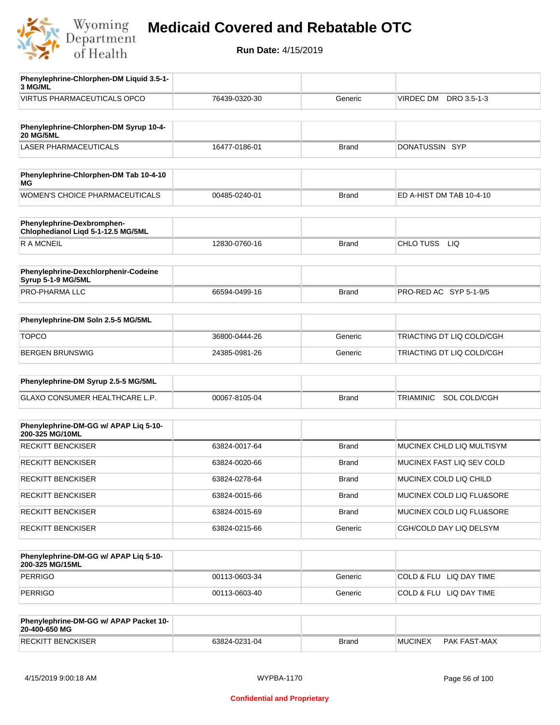

| Phenylephrine-Chlorphen-DM Liquid 3.5-1-                         |               |              |                                  |
|------------------------------------------------------------------|---------------|--------------|----------------------------------|
| 3 MG/ML                                                          |               |              |                                  |
| <b>VIRTUS PHARMACEUTICALS OPCO</b>                               | 76439-0320-30 | Generic      | VIRDEC DM DRO 3.5-1-3            |
|                                                                  |               |              |                                  |
| Phenylephrine-Chlorphen-DM Syrup 10-4-<br><b>20 MG/5ML</b>       |               |              |                                  |
| <b>LASER PHARMACEUTICALS</b>                                     | 16477-0186-01 | <b>Brand</b> | DONATUSSIN SYP                   |
|                                                                  |               |              |                                  |
| Phenylephrine-Chlorphen-DM Tab 10-4-10<br>ΜG                     |               |              |                                  |
| WOMEN'S CHOICE PHARMACEUTICALS                                   | 00485-0240-01 | <b>Brand</b> | ED A-HIST DM TAB 10-4-10         |
| Phenylephrine-Dexbromphen-<br>Chlophedianol Liqd 5-1-12.5 MG/5ML |               |              |                                  |
| R A MCNEIL                                                       | 12830-0760-16 | <b>Brand</b> | CHLO TUSS LIQ                    |
|                                                                  |               |              |                                  |
| Phenylephrine-Dexchlorphenir-Codeine<br>Syrup 5-1-9 MG/5ML       |               |              |                                  |
| PRO-PHARMA LLC                                                   | 66594-0499-16 | <b>Brand</b> | PRO-RED AC SYP 5-1-9/5           |
| Phenylephrine-DM Soln 2.5-5 MG/5ML                               |               |              |                                  |
| <b>TOPCO</b>                                                     | 36800-0444-26 | Generic      | TRIACTING DT LIQ COLD/CGH        |
| <b>BERGEN BRUNSWIG</b>                                           |               |              | TRIACTING DT LIQ COLD/CGH        |
|                                                                  | 24385-0981-26 | Generic      |                                  |
|                                                                  |               |              |                                  |
| Phenylephrine-DM Syrup 2.5-5 MG/5ML                              |               |              |                                  |
| GLAXO CONSUMER HEALTHCARE L.P.                                   | 00067-8105-04 | <b>Brand</b> | SOL COLD/CGH<br><b>TRIAMINIC</b> |
|                                                                  |               |              |                                  |
| Phenylephrine-DM-GG w/ APAP Liq 5-10-<br>200-325 MG/10ML         |               |              |                                  |
| <b>RECKITT BENCKISER</b>                                         | 63824-0017-64 | <b>Brand</b> | MUCINEX CHLD LIQ MULTISYM        |
| <b>RECKITT BENCKISER</b>                                         | 63824-0020-66 | <b>Brand</b> | MUCINEX FAST LIQ SEV COLD        |
| <b>RECKITT BENCKISER</b>                                         | 63824-0278-64 | Brand        | MUCINEX COLD LIQ CHILD           |
| <b>RECKITT BENCKISER</b>                                         | 63824-0015-66 | Brand        | MUCINEX COLD LIQ FLU&SORE        |
| <b>RECKITT BENCKISER</b>                                         | 63824-0015-69 | <b>Brand</b> | MUCINEX COLD LIQ FLU&SORE        |
| <b>RECKITT BENCKISER</b>                                         | 63824-0215-66 | Generic      | CGH/COLD DAY LIQ DELSYM          |
|                                                                  |               |              |                                  |
| Phenylephrine-DM-GG w/ APAP Liq 5-10-<br>200-325 MG/15ML         |               |              |                                  |
| <b>PERRIGO</b>                                                   | 00113-0603-34 | Generic      | COLD & FLU LIQ DAY TIME          |
| <b>PERRIGO</b>                                                   | 00113-0603-40 | Generic      | COLD & FLU LIQ DAY TIME          |
|                                                                  |               |              |                                  |
| Phenylephrine-DM-GG w/ APAP Packet 10-<br>20-400-650 MG          |               |              |                                  |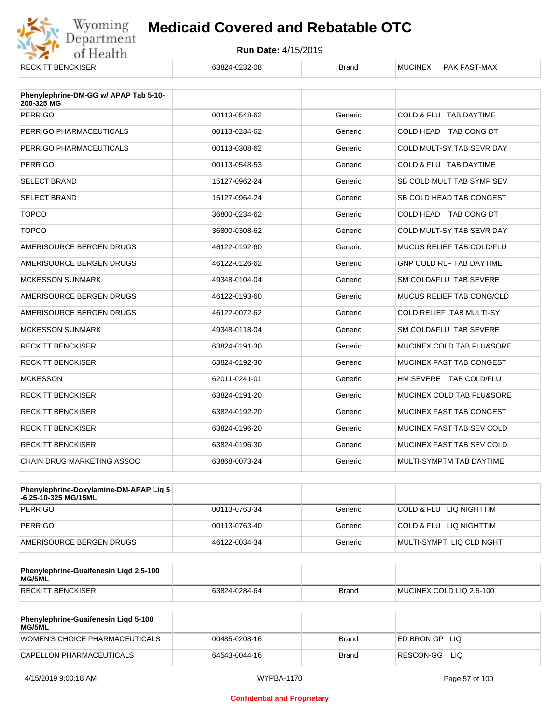

| <b>RECKITT BENCKISER</b>                            | 63824-0232-08 | <b>Brand</b> | <b>MUCINEX</b><br><b>PAK FAST-MAX</b> |
|-----------------------------------------------------|---------------|--------------|---------------------------------------|
| Phenylephrine-DM-GG w/ APAP Tab 5-10-<br>200-325 MG |               |              |                                       |
| <b>PERRIGO</b>                                      | 00113-0548-62 | Generic      | COLD & FLU TAB DAYTIME                |
| PERRIGO PHARMACEUTICALS                             | 00113-0234-62 | Generic      | COLD HEAD TAB CONG DT                 |
| PERRIGO PHARMACEUTICALS                             | 00113-0308-62 | Generic      | COLD MULT-SY TAB SEVR DAY             |
| <b>PERRIGO</b>                                      | 00113-0548-53 | Generic      | COLD & FLU TAB DAYTIME                |
| <b>SELECT BRAND</b>                                 | 15127-0962-24 | Generic      | SB COLD MULT TAB SYMP SEV             |
| <b>SELECT BRAND</b>                                 | 15127-0964-24 | Generic      | SB COLD HEAD TAB CONGEST              |
| <b>TOPCO</b>                                        | 36800-0234-62 | Generic      | COLD HEAD TAB CONG DT                 |
| <b>TOPCO</b>                                        | 36800-0308-62 | Generic      | COLD MULT-SY TAB SEVR DAY             |
| AMERISOURCE BERGEN DRUGS                            | 46122-0192-60 | Generic      | MUCUS RELIEF TAB COLD/FLU             |
| AMERISOURCE BERGEN DRUGS                            | 46122-0126-62 | Generic      | <b>GNP COLD RLF TAB DAYTIME</b>       |
| <b>MCKESSON SUNMARK</b>                             | 49348-0104-04 | Generic      | SM COLD&FLU TAB SEVERE                |
| AMERISOURCE BERGEN DRUGS                            | 46122-0193-60 | Generic      | MUCUS RELIEF TAB CONG/CLD             |
| AMERISOURCE BERGEN DRUGS                            | 46122-0072-62 | Generic      | COLD RELIEF TAB MULTI-SY              |
| <b>MCKESSON SUNMARK</b>                             | 49348-0118-04 | Generic      | SM COLD&FLU TAB SEVERE                |
| <b>RECKITT BENCKISER</b>                            | 63824-0191-30 | Generic      | MUCINEX COLD TAB FLU&SORE             |
| <b>RECKITT BENCKISER</b>                            | 63824-0192-30 | Generic      | MUCINEX FAST TAB CONGEST              |
| <b>MCKESSON</b>                                     | 62011-0241-01 | Generic      | HM SEVERE TAB COLD/FLU                |
| <b>RECKITT BENCKISER</b>                            | 63824-0191-20 | Generic      | MUCINEX COLD TAB FLU&SORE             |
| <b>RECKITT BENCKISER</b>                            | 63824-0192-20 | Generic      | MUCINEX FAST TAB CONGEST              |
| <b>RECKITT BENCKISER</b>                            | 63824-0196-20 | Generic      | MUCINEX FAST TAB SEV COLD             |
| <b>RECKITT BENCKISER</b>                            | 63824-0196-30 | Generic      | MUCINEX FAST TAB SEV COLD             |
| <b>CHAIN DRUG MARKETING ASSOC</b>                   | 63868-0073-24 | Generic      | MULTI-SYMPTM TAB DAYTIME              |

| Phenylephrine-Doxylamine-DM-APAP Liq 5<br>-6.25-10-325 MG/15ML |               |         |                          |
|----------------------------------------------------------------|---------------|---------|--------------------------|
| PERRIGO                                                        | 00113-0763-34 | Generic | COLD & FLU LIQ NIGHTTIM  |
| PERRIGO                                                        | 00113-0763-40 | Generic | COLD & FLU LIQ NIGHTTIM  |
| AMERISOURCE BERGEN DRUGS                                       | 46122-0034-34 | Generic | MULTI-SYMPT LIQ CLD NGHT |

| Phenylephrine-Guaifenesin Ligd 2.5-100<br>MG/5ML |               |              |                          |
|--------------------------------------------------|---------------|--------------|--------------------------|
| <b>RECKITT BENCKISER</b>                         | 63824-0284-64 | <b>Brand</b> | MUCINEX COLD LIQ 2.5-100 |

| Phenylephrine-Guaifenesin Ligd 5-100<br>MG/5ML |               |       |                     |
|------------------------------------------------|---------------|-------|---------------------|
| WOMEN'S CHOICE PHARMACEUTICALS                 | 00485-0208-16 | Brand | I ED BRON GP<br>LIQ |
| CAPELLON PHARMACEUTICALS                       | 64543-0044-16 | Brand | RESCON-GG<br>-LIQ   |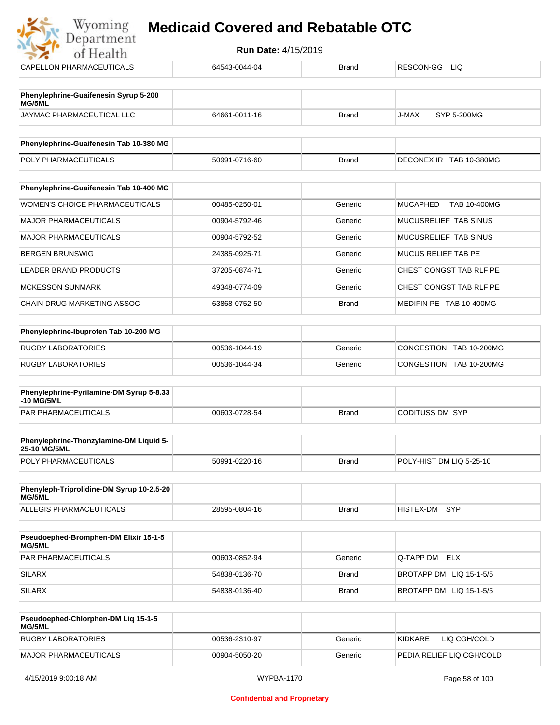| of Health                                       | <b>Run Date: 4/15/2019</b> |              |                                 |
|-------------------------------------------------|----------------------------|--------------|---------------------------------|
| CAPELLON PHARMACEUTICALS                        | 64543-0044-04              | <b>Brand</b> | RESCON-GG<br><b>LIQ</b>         |
| Phenylephrine-Guaifenesin Syrup 5-200<br>MG/5ML |                            |              |                                 |
| JAYMAC PHARMACEUTICAL LLC                       | 64661-0011-16              | <b>Brand</b> | <b>J-MAX</b><br>SYP 5-200MG     |
| Phenylephrine-Guaifenesin Tab 10-380 MG         |                            |              |                                 |
| POLY PHARMACEUTICALS                            | 50991-0716-60              | <b>Brand</b> | DECONEX IR TAB 10-380MG         |
| Phenylephrine-Guaifenesin Tab 10-400 MG         |                            |              |                                 |
| <b>WOMEN'S CHOICE PHARMACEUTICALS</b>           | 00485-0250-01              | Generic      | <b>MUCAPHED</b><br>TAB 10-400MG |
| <b>MAJOR PHARMACEUTICALS</b>                    | 00904-5792-46              | Generic      | MUCUSRELIEF TAB SINUS           |
| <b>MAJOR PHARMACEUTICALS</b>                    | 00904-5792-52              | Generic      | MUCUSRELIEF TAB SINUS           |
| <b>BERGEN BRUNSWIG</b>                          | 24385-0925-71              | Generic      | <b>MUCUS RELIEF TAB PE</b>      |
| <b>LEADER BRAND PRODUCTS</b>                    | 37205-0874-71              | Generic      | CHEST CONGST TAB RLF PE         |
| <b>MCKESSON SUNMARK</b>                         | 49348-0774-09              | Generic      | CHEST CONGST TAB RLF PE         |
| <b>CHAIN DRUG MARKETING ASSOC</b>               | 63868-0752-50              | <b>Brand</b> | MEDIFIN PE TAB 10-400MG         |
| Phenylephrine-Ibuprofen Tab 10-200 MG           |                            |              |                                 |
|                                                 |                            |              |                                 |

| RUGBY LABORATORIES | 00536-1044-19 | Generic | CONGESTION TAB 10-200MG |
|--------------------|---------------|---------|-------------------------|
| RUGBY LABORATORIES | 00536-1044-34 | Generic | CONGESTION TAB 10-200MG |

| Phenylephrine-Pyrilamine-DM Syrup 5-8.33<br>-10 MG/5ML |               |       |                 |
|--------------------------------------------------------|---------------|-------|-----------------|
| PAR PHARMACEUTICALS                                    | 00603-0728-54 | Brand | CODITUSS DM SYP |

| <b>Phenylephrine-Thonzylamine-DM Liquid 5-</b><br><b>25-10 MG/5ML</b> |               |       |                          |
|-----------------------------------------------------------------------|---------------|-------|--------------------------|
| <b>POLY PHARMACEUTICALS</b>                                           | 50991-0220-16 | Brand | POLY-HIST DM LIQ 5-25-10 |

| Phenyleph-Triprolidine-DM Syrup 10-2.5-20<br>MG/5ML |               |       |               |  |
|-----------------------------------------------------|---------------|-------|---------------|--|
| ALLEGIS PHARMACEUTICALS                             | 28595-0804-16 | Brand | HISTEX-DM SYP |  |

| <b>Pseudoephed-Bromphen-DM Elixir 15-1-5</b><br>MG/5ML |               |              |                         |
|--------------------------------------------------------|---------------|--------------|-------------------------|
| <b>PAR PHARMACEUTICALS</b>                             | 00603-0852-94 | Generic      | Q-TAPP DM ELX           |
| SILARX                                                 | 54838-0136-70 | Brand        | BROTAPP DM LIQ 15-1-5/5 |
| SILARX                                                 | 54838-0136-40 | <b>Brand</b> | BROTAPP DM LIQ 15-1-5/5 |

| Pseudoephed-Chlorphen-DM Lig 15-1-5<br><b>MG/5ML</b> |               |         |                           |
|------------------------------------------------------|---------------|---------|---------------------------|
| RUGBY LABORATORIES                                   | 00536-2310-97 | Generic | KIDKARE<br>LIQ CGH/COLD   |
| MAJOR PHARMACEUTICALS                                | 00904-5050-20 | Generic | PEDIA RELIEF LIQ CGH/COLD |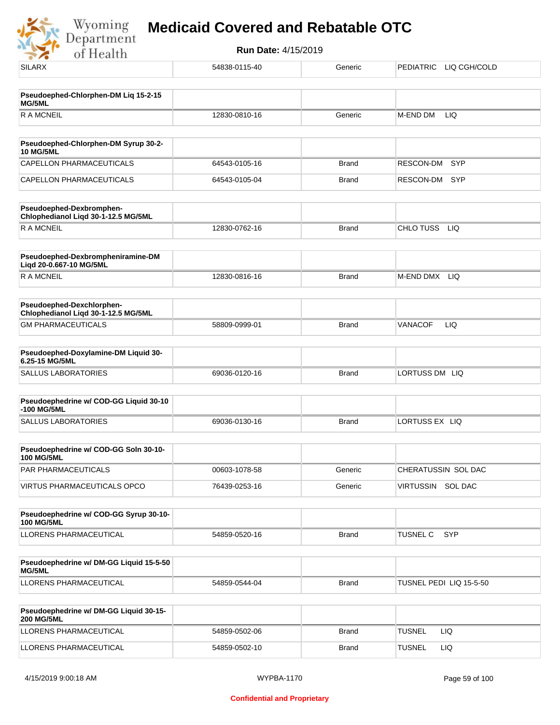

| <b>SILARX</b>                                                    | 54838-0115-40 | Generic      | PEDIATRIC LIQ CGH/COLD  |
|------------------------------------------------------------------|---------------|--------------|-------------------------|
|                                                                  |               |              |                         |
| Pseudoephed-Chlorphen-DM Liq 15-2-15<br>MG/5ML                   |               |              |                         |
| <b>RAMCNEIL</b>                                                  | 12830-0810-16 | Generic      | M-END DM<br>LIQ         |
|                                                                  |               |              |                         |
| Pseudoephed-Chlorphen-DM Syrup 30-2-<br><b>10 MG/5ML</b>         |               |              |                         |
| CAPELLON PHARMACEUTICALS                                         | 64543-0105-16 | <b>Brand</b> | RESCON-DM<br>SYP        |
| CAPELLON PHARMACEUTICALS                                         | 64543-0105-04 | <b>Brand</b> | RESCON-DM SYP           |
| Pseudoephed-Dexbromphen-<br>Chlophedianol Liqd 30-1-12.5 MG/5ML  |               |              |                         |
| <b>RAMCNEIL</b>                                                  | 12830-0762-16 | <b>Brand</b> | CHLO TUSS LIQ           |
| Pseudoephed-Dexbrompheniramine-DM<br>Liqd 20-0.667-10 MG/5ML     |               |              |                         |
| <b>RAMCNEIL</b>                                                  | 12830-0816-16 | <b>Brand</b> | M-END DMX LIQ           |
| Pseudoephed-Dexchlorphen-<br>Chlophedianol Liqd 30-1-12.5 MG/5ML |               |              |                         |
| <b>GM PHARMACEUTICALS</b>                                        | 58809-0999-01 | <b>Brand</b> | LIQ<br>VANACOF          |
| Pseudoephed-Doxylamine-DM Liquid 30-                             |               |              |                         |
| 6.25-15 MG/5ML                                                   |               |              |                         |
| <b>SALLUS LABORATORIES</b>                                       | 69036-0120-16 | <b>Brand</b> | LORTUSS DM LIQ          |
| Pseudoephedrine w/ COD-GG Liquid 30-10<br>-100 MG/5ML            |               |              |                         |
| <b>SALLUS LABORATORIES</b>                                       | 69036-0130-16 | <b>Brand</b> | LORTUSS EX LIQ          |
| Pseudoephedrine w/ COD-GG Soln 30-10-<br>100 MG/5ML              |               |              |                         |
| PAR PHARMACEUTICALS                                              | 00603-1078-58 | Generic      | CHERATUSSIN SOL DAC     |
| <b>VIRTUS PHARMACEUTICALS OPCO</b>                               | 76439-0253-16 | Generic      | VIRTUSSIN SOL DAC       |
| Pseudoephedrine w/ COD-GG Syrup 30-10-                           |               |              |                         |
| <b>100 MG/5ML</b><br>LLORENS PHARMACEUTICAL                      | 54859-0520-16 | <b>Brand</b> | TUSNEL C<br><b>SYP</b>  |
|                                                                  |               |              |                         |
| Pseudoephedrine w/ DM-GG Liquid 15-5-50<br>MG/5ML                |               |              |                         |
| LLORENS PHARMACEUTICAL                                           | 54859-0544-04 | <b>Brand</b> | TUSNEL PEDI LIQ 15-5-50 |
| Pseudoephedrine w/ DM-GG Liquid 30-15-<br><b>200 MG/5ML</b>      |               |              |                         |
| LLORENS PHARMACEUTICAL                                           | 54859-0502-06 | Brand        | <b>TUSNEL</b><br>LIQ    |
| LLORENS PHARMACEUTICAL                                           | 54859-0502-10 | <b>Brand</b> | <b>TUSNEL</b><br>LIQ.   |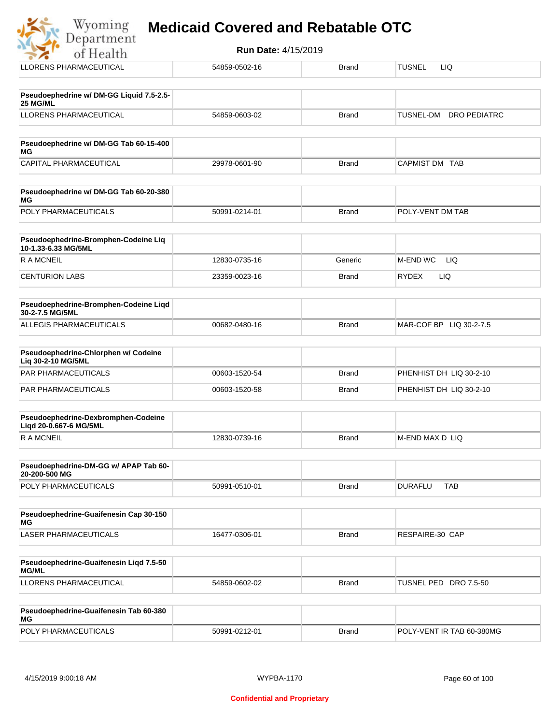|  |  | <b>Medicaid Covered and Rebatable OTC</b> |  |
|--|--|-------------------------------------------|--|
|  |  |                                           |  |

| Wyoming<br><b>Medicaid Covered and Rebatable OTC</b><br>Department |                            |              |                                  |  |  |
|--------------------------------------------------------------------|----------------------------|--------------|----------------------------------|--|--|
| of Health                                                          | <b>Run Date: 4/15/2019</b> |              |                                  |  |  |
| <b>LLORENS PHARMACEUTICAL</b>                                      | 54859-0502-16              | <b>Brand</b> | <b>TUSNEL</b><br>LIQ.            |  |  |
| Pseudoephedrine w/ DM-GG Liquid 7.5-2.5-<br>25 MG/ML               |                            |              |                                  |  |  |
| <b>LLORENS PHARMACEUTICAL</b>                                      | 54859-0603-02              | Brand        | <b>DRO PEDIATRC</b><br>TUSNEL-DM |  |  |
| Pseudoephedrine w/ DM-GG Tab 60-15-400<br>ΜG                       |                            |              |                                  |  |  |
| CAPITAL PHARMACEUTICAL                                             | 29978-0601-90              | Brand        | CAPMIST DM TAB                   |  |  |
| Pseudoephedrine w/ DM-GG Tab 60-20-380<br>ΜG                       |                            |              |                                  |  |  |
| POLY PHARMACEUTICALS                                               | 50991-0214-01              | <b>Brand</b> | POLY-VENT DM TAB                 |  |  |
| Pseudoephedrine-Bromphen-Codeine Liq<br>10-1.33-6.33 MG/5ML        |                            |              |                                  |  |  |
| <b>RAMCNEIL</b>                                                    | 12830-0735-16              | Generic      | M-END WC<br>LIQ                  |  |  |
| <b>CENTURION LABS</b>                                              | 23359-0023-16              | Brand        | <b>RYDEX</b><br>LIQ              |  |  |
| Pseudoephedrine-Bromphen-Codeine Liqd<br>30-2-7.5 MG/5ML           |                            |              |                                  |  |  |
| ALLEGIS PHARMACEUTICALS                                            | 00682-0480-16              | <b>Brand</b> | MAR-COF BP LIQ 30-2-7.5          |  |  |
| Pseudoephedrine-Chlorphen w/ Codeine<br>Liq 30-2-10 MG/5ML         |                            |              |                                  |  |  |
| PAR PHARMACEUTICALS                                                | 00603-1520-54              | <b>Brand</b> | PHENHIST DH LIQ 30-2-10          |  |  |
| PAR PHARMACEUTICALS                                                | 00603-1520-58              | Brand        | PHENHIST DH LIQ 30-2-10          |  |  |
| Pseudoephedrine-Dexbromphen-Codeine<br>Liqd 20-0.667-6 MG/5ML      |                            |              |                                  |  |  |
| <b>RAMCNEIL</b>                                                    | 12830-0739-16              | Brand        | M-END MAX D LIQ                  |  |  |
| Pseudoephedrine-DM-GG w/ APAP Tab 60-<br>20-200-500 MG             |                            |              |                                  |  |  |
| POLY PHARMACEUTICALS                                               | 50991-0510-01              | <b>Brand</b> | <b>DURAFLU</b><br><b>TAB</b>     |  |  |
| Pseudoephedrine-Guaifenesin Cap 30-150<br>МG                       |                            |              |                                  |  |  |
| LASER PHARMACEUTICALS                                              | 16477-0306-01              | <b>Brand</b> | RESPAIRE-30 CAP                  |  |  |
| Pseudoephedrine-Guaifenesin Liqd 7.5-50<br><b>MG/ML</b>            |                            |              |                                  |  |  |
| LLORENS PHARMACEUTICAL                                             | 54859-0602-02              | <b>Brand</b> | TUSNEL PED DRO 7.5-50            |  |  |

| Pseudoephedrine-Guaifenesin Tab 60-380<br>MG |               |       |                           |
|----------------------------------------------|---------------|-------|---------------------------|
| <b>POLY PHARMACEUTICALS</b>                  | 50991-0212-01 | Brand | POLY-VENT IR TAB 60-380MG |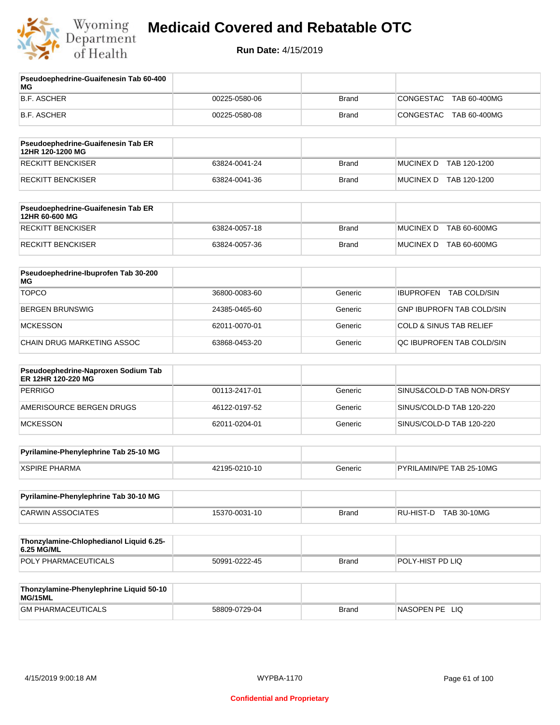

**Pseudoephedrine-Guaifenesin Tab 60-400** 

### **Medicaid Covered and Rebatable OTC**

| МG                                                        |               |              |                                    |
|-----------------------------------------------------------|---------------|--------------|------------------------------------|
| <b>B.F. ASCHER</b>                                        | 00225-0580-06 | <b>Brand</b> | <b>CONGESTAC</b><br>TAB 60-400MG   |
| <b>B.F. ASCHER</b>                                        | 00225-0580-08 | <b>Brand</b> | CONGESTAC<br>TAB 60-400MG          |
| Pseudoephedrine-Guaifenesin Tab ER<br>12HR 120-1200 MG    |               |              |                                    |
| <b>RECKITT BENCKISER</b>                                  | 63824-0041-24 | <b>Brand</b> | <b>MUCINEX D</b><br>TAB 120-1200   |
| <b>RECKITT BENCKISER</b>                                  | 63824-0041-36 | <b>Brand</b> | MUCINEX D TAB 120-1200             |
| Pseudoephedrine-Guaifenesin Tab ER<br>12HR 60-600 MG      |               |              |                                    |
| <b>RECKITT BENCKISER</b>                                  | 63824-0057-18 | <b>Brand</b> | <b>MUCINEX D</b><br>TAB 60-600MG   |
| RECKITT BENCKISER                                         | 63824-0057-36 | <b>Brand</b> | MUCINEX D<br>TAB 60-600MG          |
| Pseudoephedrine-Ibuprofen Tab 30-200<br>МG                |               |              |                                    |
| <b>TOPCO</b>                                              | 36800-0083-60 | Generic      | IBUPROFEN TAB COLD/SIN             |
| <b>BERGEN BRUNSWIG</b>                                    | 24385-0465-60 | Generic      | <b>GNP IBUPROFN TAB COLD/SIN</b>   |
| <b>MCKESSON</b>                                           | 62011-0070-01 | Generic      | <b>COLD &amp; SINUS TAB RELIEF</b> |
| CHAIN DRUG MARKETING ASSOC                                | 63868-0453-20 | Generic      | QC IBUPROFEN TAB COLD/SIN          |
| Pseudoephedrine-Naproxen Sodium Tab<br>ER 12HR 120-220 MG |               |              |                                    |
| <b>PERRIGO</b>                                            | 00113-2417-01 | Generic      | SINUS&COLD-D TAB NON-DRSY          |
| AMERISOURCE BERGEN DRUGS                                  | 46122-0197-52 | Generic      | SINUS/COLD-D TAB 120-220           |
| <b>MCKESSON</b>                                           | 62011-0204-01 | Generic      | SINUS/COLD-D TAB 120-220           |
| Pyrilamine-Phenylephrine Tab 25-10 MG                     |               |              |                                    |
| <b>XSPIRE PHARMA</b>                                      | 42195-0210-10 | Generic      | PYRILAMIN/PE TAB 25-10MG           |
| Pyrilamine-Phenylephrine Tab 30-10 MG                     |               |              |                                    |
| <b>CARWIN ASSOCIATES</b>                                  | 15370-0031-10 | <b>Brand</b> | RU-HIST-D TAB 30-10MG              |
| Thonzylamine-Chlophedianol Liquid 6.25-<br>6.25 MG/ML     |               |              |                                    |
| POLY PHARMACEUTICALS                                      | 50991-0222-45 | <b>Brand</b> | POLY-HIST PD LIQ                   |
| Thonzylamine-Phenylephrine Liquid 50-10<br>MG/15ML        |               |              |                                    |
| <b>GM PHARMACEUTICALS</b>                                 | 58809-0729-04 | <b>Brand</b> | NASOPEN PE LIQ                     |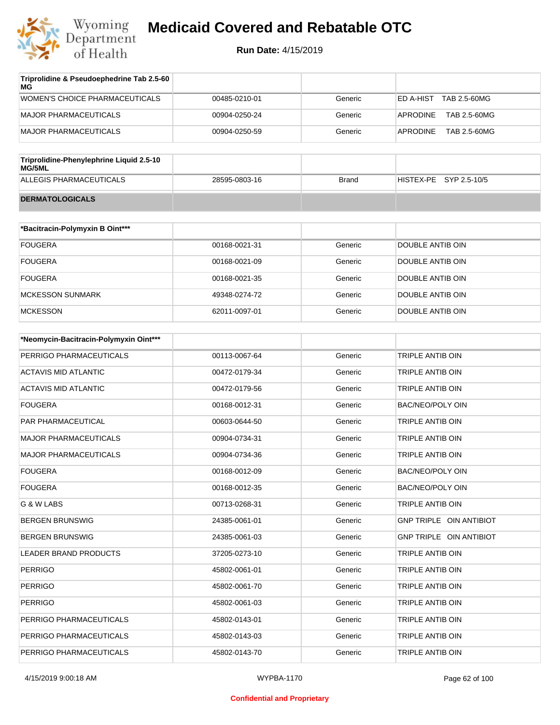

| 00485-0210-01 | Generic | TAB 2.5-60MG<br>ED A-HIST |
|---------------|---------|---------------------------|
| 00904-0250-24 | Generic | APRODINE<br>TAB 2.5-60MG  |
| 00904-0250-59 | Generic | APRODINE<br>TAB 2.5-60MG  |
|               |         |                           |
|               |         |                           |

| Triprofiaine-Phenylephrine Liquid 2.5-10<br>MG/5ML |               |       |                        |
|----------------------------------------------------|---------------|-------|------------------------|
| ALLEGIS PHARMACEUTICALS                            | 28595-0803-16 | Brand | HISTEX-PE SYP 2.5-10/5 |
| <b>DERMATOLOGICALS</b>                             |               |       |                        |

| *Bacitracin-Polymyxin B Oint*** |               |         |                  |
|---------------------------------|---------------|---------|------------------|
| <b>FOUGERA</b>                  | 00168-0021-31 | Generic | DOUBLE ANTIB OIN |
| <b>FOUGERA</b>                  | 00168-0021-09 | Generic | DOUBLE ANTIB OIN |
| <b>FOUGERA</b>                  | 00168-0021-35 | Generic | DOUBLE ANTIB OIN |
| <b>MCKESSON SUNMARK</b>         | 49348-0274-72 | Generic | DOUBLE ANTIB OIN |
| <b>MCKESSON</b>                 | 62011-0097-01 | Generic | DOUBLE ANTIB OIN |

| *Neomycin-Bacitracin-Polymyxin Oint*** |               |         |                                |
|----------------------------------------|---------------|---------|--------------------------------|
| PERRIGO PHARMACEUTICALS                | 00113-0067-64 | Generic | <b>TRIPLE ANTIB OIN</b>        |
| <b>ACTAVIS MID ATLANTIC</b>            | 00472-0179-34 | Generic | TRIPLE ANTIB OIN               |
| <b>ACTAVIS MID ATLANTIC</b>            | 00472-0179-56 | Generic | <b>TRIPLE ANTIB OIN</b>        |
| <b>FOUGERA</b>                         | 00168-0012-31 | Generic | <b>BAC/NEO/POLY OIN</b>        |
| PAR PHARMACEUTICAL                     | 00603-0644-50 | Generic | <b>TRIPLE ANTIB OIN</b>        |
| <b>MAJOR PHARMACEUTICALS</b>           | 00904-0734-31 | Generic | <b>TRIPLE ANTIB OIN</b>        |
| <b>MAJOR PHARMACEUTICALS</b>           | 00904-0734-36 | Generic | TRIPLE ANTIB OIN               |
| <b>FOUGERA</b>                         | 00168-0012-09 | Generic | <b>BAC/NEO/POLY OIN</b>        |
| <b>FOUGERA</b>                         | 00168-0012-35 | Generic | BAC/NEO/POLY OIN               |
| G & W LABS                             | 00713-0268-31 | Generic | <b>TRIPLE ANTIB OIN</b>        |
| <b>BERGEN BRUNSWIG</b>                 | 24385-0061-01 | Generic | <b>GNP TRIPLE OIN ANTIBIOT</b> |
| <b>BERGEN BRUNSWIG</b>                 | 24385-0061-03 | Generic | GNP TRIPLE OIN ANTIBIOT        |
| <b>LEADER BRAND PRODUCTS</b>           | 37205-0273-10 | Generic | <b>TRIPLE ANTIB OIN</b>        |
| <b>PERRIGO</b>                         | 45802-0061-01 | Generic | TRIPLE ANTIB OIN               |
| <b>PERRIGO</b>                         | 45802-0061-70 | Generic | <b>TRIPLE ANTIB OIN</b>        |
| <b>PERRIGO</b>                         | 45802-0061-03 | Generic | <b>TRIPLE ANTIB OIN</b>        |
| PERRIGO PHARMACEUTICALS                | 45802-0143-01 | Generic | <b>TRIPLE ANTIB OIN</b>        |
| PERRIGO PHARMACEUTICALS                | 45802-0143-03 | Generic | <b>TRIPLE ANTIB OIN</b>        |
| PERRIGO PHARMACEUTICALS                | 45802-0143-70 | Generic | <b>TRIPLE ANTIB OIN</b>        |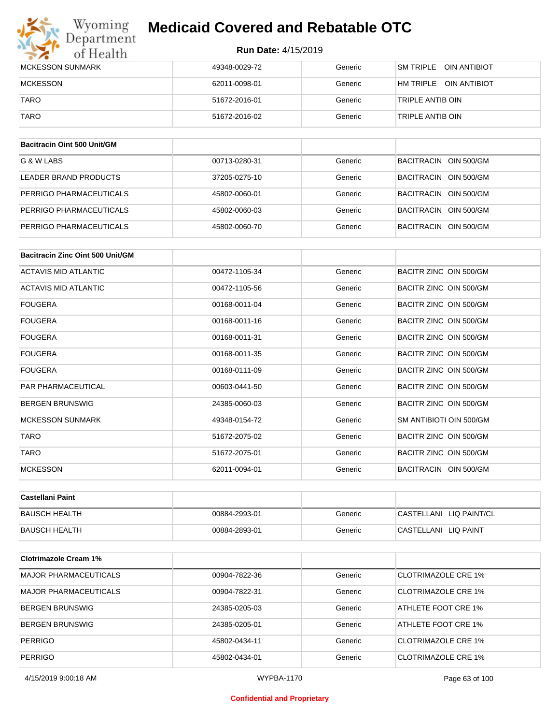## Wyoming<br>Department<br>of Health **Medicaid Covered and Rebatable OTC**

#### **Run Date:** 4/15/2019

| MCKESSON SUNMARK | 49348-0029-72 | Generic | <b>SM TRIPLE</b><br>OIN ANTIBIOT |
|------------------|---------------|---------|----------------------------------|
| MCKESSON         | 62011-0098-01 | Generic | HM TRIPLE OIN ANTIBIOT           |
| <b>TARO</b>      | 51672-2016-01 | Generic | TRIPLE ANTIB OIN                 |
| <b>TARO</b>      | 51672-2016-02 | Generic | TRIPLE ANTIB OIN                 |

| Bacitracin Oint 500 Unit/GM |               |         |                       |
|-----------------------------|---------------|---------|-----------------------|
| G & W LABS                  | 00713-0280-31 | Generic | BACITRACIN OIN 500/GM |
| LEADER BRAND PRODUCTS       | 37205-0275-10 | Generic | BACITRACIN OIN 500/GM |
| PERRIGO PHARMACEUTICALS     | 45802-0060-01 | Generic | BACITRACIN OIN 500/GM |
| PERRIGO PHARMACEUTICALS     | 45802-0060-03 | Generic | BACITRACIN OIN 500/GM |
| PERRIGO PHARMACEUTICALS     | 45802-0060-70 | Generic | BACITRACIN OIN 500/GM |

| Bacitracin Zinc Oint 500 Unit/GM |               |         |                         |
|----------------------------------|---------------|---------|-------------------------|
| <b>ACTAVIS MID ATLANTIC</b>      | 00472-1105-34 | Generic | BACITR ZINC OIN 500/GM  |
| <b>ACTAVIS MID ATLANTIC</b>      | 00472-1105-56 | Generic | BACITR ZINC OIN 500/GM  |
| <b>FOUGERA</b>                   | 00168-0011-04 | Generic | BACITR ZINC OIN 500/GM  |
| <b>FOUGERA</b>                   | 00168-0011-16 | Generic | BACITR ZINC OIN 500/GM  |
| <b>FOUGERA</b>                   | 00168-0011-31 | Generic | BACITR ZINC OIN 500/GM  |
| <b>FOUGERA</b>                   | 00168-0011-35 | Generic | BACITR ZINC OIN 500/GM  |
| <b>FOUGERA</b>                   | 00168-0111-09 | Generic | BACITR ZINC OIN 500/GM  |
| <b>PAR PHARMACEUTICAL</b>        | 00603-0441-50 | Generic | BACITR ZINC OIN 500/GM  |
| <b>BERGEN BRUNSWIG</b>           | 24385-0060-03 | Generic | BACITR ZINC OIN 500/GM  |
| <b>MCKESSON SUNMARK</b>          | 49348-0154-72 | Generic | SM ANTIBIOTI OIN 500/GM |
| <b>TARO</b>                      | 51672-2075-02 | Generic | BACITR ZINC OIN 500/GM  |
| <b>TARO</b>                      | 51672-2075-01 | Generic | BACITR ZINC OIN 500/GM  |
| <b>MCKESSON</b>                  | 62011-0094-01 | Generic | BACITRACIN OIN 500/GM   |

| <b>Castellani Paint</b> |               |         |                         |
|-------------------------|---------------|---------|-------------------------|
| BAUSCH HEALTH           | 00884-2993-01 | Generic | CASTELLANI LIQ PAINT/CL |
| BAUSCH HEALTH           | 00884-2893-01 | Generic | CASTELLANI LIQ PAINT    |

| <b>Clotrimazole Cream 1%</b> |               |         |                     |
|------------------------------|---------------|---------|---------------------|
| <b>MAJOR PHARMACEUTICALS</b> | 00904-7822-36 | Generic | CLOTRIMAZOLE CRE 1% |
| <b>MAJOR PHARMACEUTICALS</b> | 00904-7822-31 | Generic | CLOTRIMAZOLE CRE 1% |
| <b>BERGEN BRUNSWIG</b>       | 24385-0205-03 | Generic | ATHLETE FOOT CRE 1% |
| <b>BERGEN BRUNSWIG</b>       | 24385-0205-01 | Generic | ATHLETE FOOT CRE 1% |
| <b>PERRIGO</b>               | 45802-0434-11 | Generic | CLOTRIMAZOLE CRE 1% |
| <b>PERRIGO</b>               | 45802-0434-01 | Generic | CLOTRIMAZOLE CRE 1% |

#### **Confidential and Proprietary**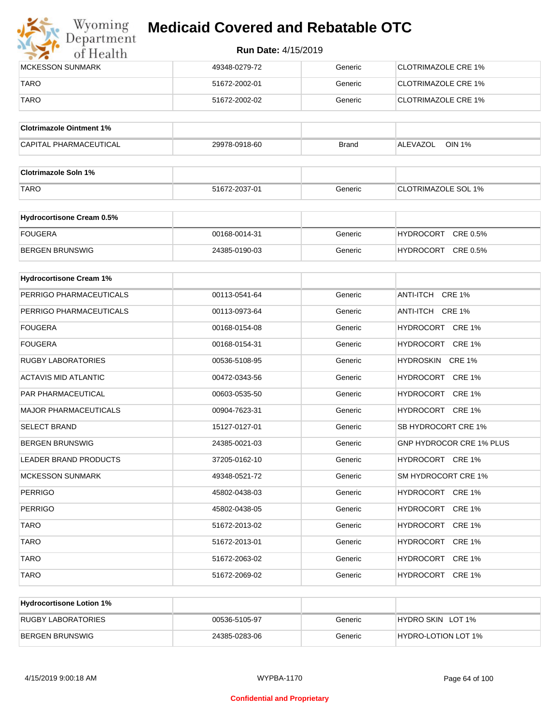

| <b>IMCKESSON SUNMARK</b> | 49348-0279-72 | Generic | <b>ICLOTRIMAZOLE CRE 1%</b> |
|--------------------------|---------------|---------|-----------------------------|
| <b>TARO</b>              | 51672-2002-01 | Generic | <b>ICLOTRIMAZOLE CRE 1%</b> |
| <b>TARO</b>              | 51672-2002-02 | Generic | CLOTRIMAZOLE CRE 1%         |

| <b>Clotrimazole Ointment 1%</b> |               |              |                                  |
|---------------------------------|---------------|--------------|----------------------------------|
| <b>CAPITAL PHARMACEUTICAL</b>   | 29978-0918-60 | <b>Brand</b> | <b>OIN 1%</b><br><b>ALEVAZOL</b> |

| <b>Clotrimazole Soln 1%</b> |               |         |                            |
|-----------------------------|---------------|---------|----------------------------|
| <b>TARO</b>                 | 51672-2037-01 | Generic | <b>CLOTRIMAZOLE SOL 1%</b> |

| <b>Hydrocortisone Cream 0.5%</b> |               |         |                              |
|----------------------------------|---------------|---------|------------------------------|
| FOUGERA                          | 00168-0014-31 | Generic | CRE 0.5%<br><b>HYDROCORT</b> |
| BERGEN BRUNSWIG                  | 24385-0190-03 | Generic | CRE 0.5%<br><b>HYDROCORT</b> |

| <b>Hydrocortisone Cream 1%</b> |               |         |                                 |
|--------------------------------|---------------|---------|---------------------------------|
| PERRIGO PHARMACEUTICALS        | 00113-0541-64 | Generic | ANTI-ITCH CRE 1%                |
| PERRIGO PHARMACEUTICALS        | 00113-0973-64 | Generic | ANTI-ITCH CRE 1%                |
| <b>FOUGERA</b>                 | 00168-0154-08 | Generic | HYDROCORT CRE 1%                |
| <b>FOUGERA</b>                 | 00168-0154-31 | Generic | HYDROCORT CRE 1%                |
| <b>RUGBY LABORATORIES</b>      | 00536-5108-95 | Generic | HYDROSKIN CRE 1%                |
| <b>ACTAVIS MID ATLANTIC</b>    | 00472-0343-56 | Generic | HYDROCORT CRE 1%                |
| PAR PHARMACEUTICAL             | 00603-0535-50 | Generic | HYDROCORT CRE 1%                |
| <b>MAJOR PHARMACEUTICALS</b>   | 00904-7623-31 | Generic | HYDROCORT CRE 1%                |
| <b>SELECT BRAND</b>            | 15127-0127-01 | Generic | SB HYDROCORT CRE 1%             |
| <b>BERGEN BRUNSWIG</b>         | 24385-0021-03 | Generic | <b>GNP HYDROCOR CRE 1% PLUS</b> |
| <b>LEADER BRAND PRODUCTS</b>   | 37205-0162-10 | Generic | HYDROCORT CRE 1%                |
| <b>MCKESSON SUNMARK</b>        | 49348-0521-72 | Generic | SM HYDROCORT CRE 1%             |
| <b>PERRIGO</b>                 | 45802-0438-03 | Generic | HYDROCORT CRE 1%                |
| <b>PERRIGO</b>                 | 45802-0438-05 | Generic | HYDROCORT CRE 1%                |
| <b>TARO</b>                    | 51672-2013-02 | Generic | HYDROCORT CRE 1%                |
| <b>TARO</b>                    | 51672-2013-01 | Generic | HYDROCORT CRE 1%                |
| <b>TARO</b>                    | 51672-2063-02 | Generic | HYDROCORT CRE 1%                |
| <b>TARO</b>                    | 51672-2069-02 | Generic | HYDROCORT CRE 1%                |

| <b>Hydrocortisone Lotion 1%</b> |               |         |                     |
|---------------------------------|---------------|---------|---------------------|
| RUGBY LABORATORIES              | 00536-5105-97 | Generic | HYDRO SKIN LOT 1%   |
| <b>BERGEN BRUNSWIG</b>          | 24385-0283-06 | Generic | HYDRO-LOTION LOT 1% |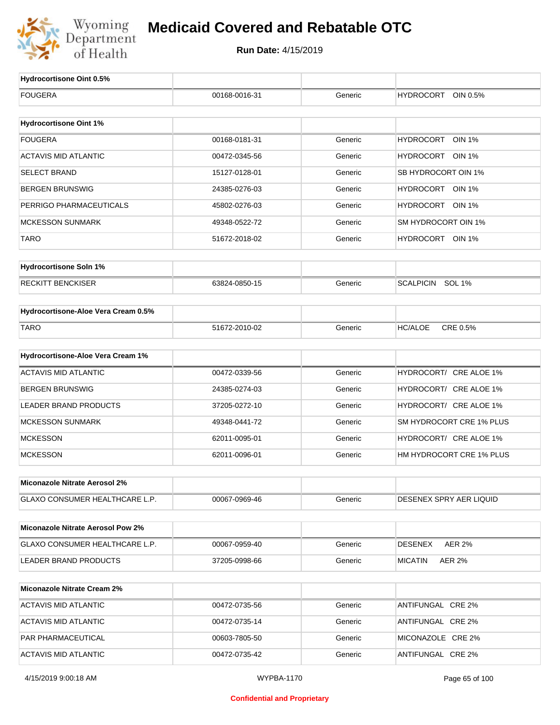

| Hydrocortisone Oint 0.5%                 |               |         |                                   |
|------------------------------------------|---------------|---------|-----------------------------------|
| <b>FOUGERA</b>                           | 00168-0016-31 | Generic | <b>HYDROCORT</b><br>OIN 0.5%      |
|                                          |               |         |                                   |
| <b>Hydrocortisone Oint 1%</b>            |               |         |                                   |
| <b>FOUGERA</b>                           | 00168-0181-31 | Generic | <b>HYDROCORT</b><br><b>OIN 1%</b> |
| <b>ACTAVIS MID ATLANTIC</b>              | 00472-0345-56 | Generic | HYDROCORT OIN 1%                  |
| <b>SELECT BRAND</b>                      | 15127-0128-01 | Generic | SB HYDROCORT OIN 1%               |
| <b>BERGEN BRUNSWIG</b>                   | 24385-0276-03 | Generic | HYDROCORT OIN 1%                  |
| PERRIGO PHARMACEUTICALS                  | 45802-0276-03 | Generic | HYDROCORT OIN 1%                  |
| <b>MCKESSON SUNMARK</b>                  | 49348-0522-72 | Generic | SM HYDROCORT OIN 1%               |
| <b>TARO</b>                              | 51672-2018-02 | Generic | HYDROCORT OIN 1%                  |
|                                          |               |         |                                   |
| <b>Hydrocortisone Soln 1%</b>            |               |         |                                   |
| <b>RECKITT BENCKISER</b>                 | 63824-0850-15 | Generic | SCALPICIN SOL 1%                  |
| Hydrocortisone-Aloe Vera Cream 0.5%      |               |         |                                   |
| <b>TARO</b>                              | 51672-2010-02 | Generic | CRE 0.5%<br><b>HC/ALOE</b>        |
|                                          |               |         |                                   |
| Hydrocortisone-Aloe Vera Cream 1%        |               |         |                                   |
| <b>ACTAVIS MID ATLANTIC</b>              | 00472-0339-56 | Generic | HYDROCORT/ CRE ALOE 1%            |
| <b>BERGEN BRUNSWIG</b>                   | 24385-0274-03 | Generic | HYDROCORT/ CRE ALOE 1%            |
| LEADER BRAND PRODUCTS                    | 37205-0272-10 | Generic | HYDROCORT/ CRE ALOE 1%            |
| <b>MCKESSON SUNMARK</b>                  | 49348-0441-72 | Generic | SM HYDROCORT CRE 1% PLUS          |
| <b>MCKESSON</b>                          | 62011-0095-01 | Generic | HYDROCORT/ CRE ALOE 1%            |
| <b>MCKESSON</b>                          | 62011-0096-01 | Generic | HM HYDROCORT CRE 1% PLUS          |
| Miconazole Nitrate Aerosol 2%            |               |         |                                   |
|                                          |               |         |                                   |
| GLAXO CONSUMER HEALTHCARE L.P.           | 00067-0969-46 | Generic | DESENEX SPRY AER LIQUID           |
| <b>Miconazole Nitrate Aerosol Pow 2%</b> |               |         |                                   |
| GLAXO CONSUMER HEALTHCARE L.P.           | 00067-0959-40 | Generic | <b>DESENEX</b><br><b>AER 2%</b>   |
| LEADER BRAND PRODUCTS                    | 37205-0998-66 | Generic | <b>MICATIN</b><br>AER 2%          |
|                                          |               |         |                                   |
| <b>Miconazole Nitrate Cream 2%</b>       |               |         |                                   |
| <b>ACTAVIS MID ATLANTIC</b>              | 00472-0735-56 | Generic | ANTIFUNGAL CRE 2%                 |
| <b>ACTAVIS MID ATLANTIC</b>              | 00472-0735-14 | Generic | ANTIFUNGAL CRE 2%                 |
| PAR PHARMACEUTICAL                       | 00603-7805-50 | Generic | MICONAZOLE CRE 2%                 |
| <b>ACTAVIS MID ATLANTIC</b>              | 00472-0735-42 | Generic | ANTIFUNGAL CRE 2%                 |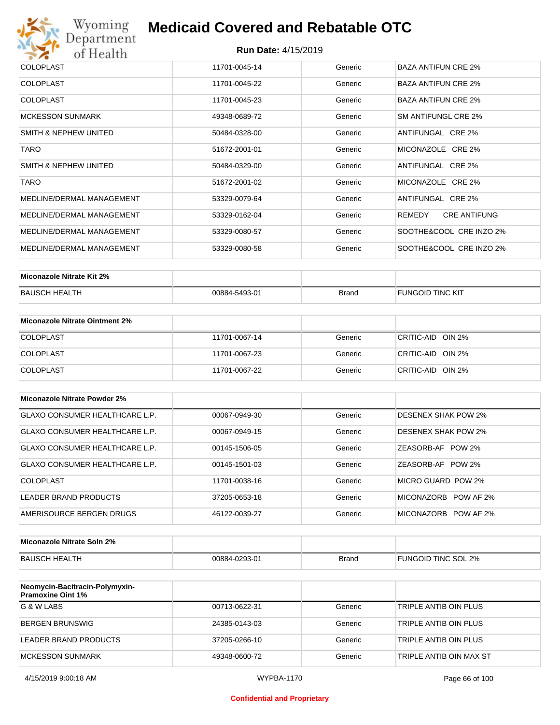

| <b>COLOPLAST</b>          | 11701-0045-14 | Generic | BAZA ANTIFUN CRE 2%           |
|---------------------------|---------------|---------|-------------------------------|
| <b>COLOPLAST</b>          | 11701-0045-22 | Generic | <b>BAZA ANTIFUN CRE 2%</b>    |
| <b>COLOPLAST</b>          | 11701-0045-23 | Generic | <b>BAZA ANTIFUN CRE 2%</b>    |
| <b>MCKESSON SUNMARK</b>   | 49348-0689-72 | Generic | SM ANTIFUNGL CRE 2%           |
| SMITH & NEPHEW UNITED     | 50484-0328-00 | Generic | ANTIFUNGAL CRE 2%             |
| <b>TARO</b>               | 51672-2001-01 | Generic | MICONAZOLE CRE 2%             |
| SMITH & NEPHEW UNITED     | 50484-0329-00 | Generic | ANTIFUNGAL CRE 2%             |
| <b>TARO</b>               | 51672-2001-02 | Generic | MICONAZOLE CRE 2%             |
| MEDLINE/DERMAL MANAGEMENT | 53329-0079-64 | Generic | ANTIFUNGAL CRE 2%             |
| MEDLINE/DERMAL MANAGEMENT | 53329-0162-04 | Generic | <b>CRE ANTIFUNG</b><br>REMEDY |
| MEDLINE/DERMAL MANAGEMENT | 53329-0080-57 | Generic | SOOTHE&COOL CRE INZO 2%       |
| MEDLINE/DERMAL MANAGEMENT | 53329-0080-58 | Generic | SOOTHE&COOL CRE INZO 2%       |

| Miconazole Nitrate Kit 2% |               |       |                         |
|---------------------------|---------------|-------|-------------------------|
| BAUSCH HEALTH             | 00884-5493-01 | Brand | <b>FUNGOID TINC KIT</b> |

| Miconazole Nitrate Ointment 2% |               |         |                   |
|--------------------------------|---------------|---------|-------------------|
| <b>COLOPLAST</b>               | 11701-0067-14 | Generic | CRITIC-AID OIN 2% |
| <b>COLOPLAST</b>               | 11701-0067-23 | Generic | CRITIC-AID OIN 2% |
| <b>COLOPLAST</b>               | 11701-0067-22 | Generic | CRITIC-AID OIN 2% |

| Miconazole Nitrate Powder 2%          |               |         |                            |
|---------------------------------------|---------------|---------|----------------------------|
| <b>GLAXO CONSUMER HEALTHCARE L.P.</b> | 00067-0949-30 | Generic | DESENEX SHAK POW 2%        |
| GLAXO CONSUMER HEALTHCARE L.P.        | 00067-0949-15 | Generic | <b>DESENEX SHAK POW 2%</b> |
| GLAXO CONSUMER HEALTHCARE L.P.        | 00145-1506-05 | Generic | ZEASORB-AF POW 2%          |
| GLAXO CONSUMER HEALTHCARE L.P.        | 00145-1501-03 | Generic | ZEASORB-AF POW 2%          |
| COLOPLAST                             | 11701-0038-16 | Generic | MICRO GUARD POW 2%         |
| LEADER BRAND PRODUCTS                 | 37205-0653-18 | Generic | MICONAZORB POW AF 2%       |
| AMERISOURCE BERGEN DRUGS              | 46122-0039-27 | Generic | MICONAZORB POW AF 2%       |

| Miconazole Nitrate Soln 2% |               |       |                     |
|----------------------------|---------------|-------|---------------------|
| BAUSCH HEALTH              | 00884-0293-01 | Brand | FUNGOID TINC SOL 2% |

| Neomycin-Bacitracin-Polymyxin-<br><b>Pramoxine Oint 1%</b> |               |         |                         |
|------------------------------------------------------------|---------------|---------|-------------------------|
| G & W LABS                                                 | 00713-0622-31 | Generic | TRIPLE ANTIB OIN PLUS   |
| BERGEN BRUNSWIG                                            | 24385-0143-03 | Generic | TRIPLE ANTIB OIN PLUS   |
| LEADER BRAND PRODUCTS                                      | 37205-0266-10 | Generic | TRIPLE ANTIB OIN PLUS   |
| <b>MCKESSON SUNMARK</b>                                    | 49348-0600-72 | Generic | TRIPLE ANTIB OIN MAX ST |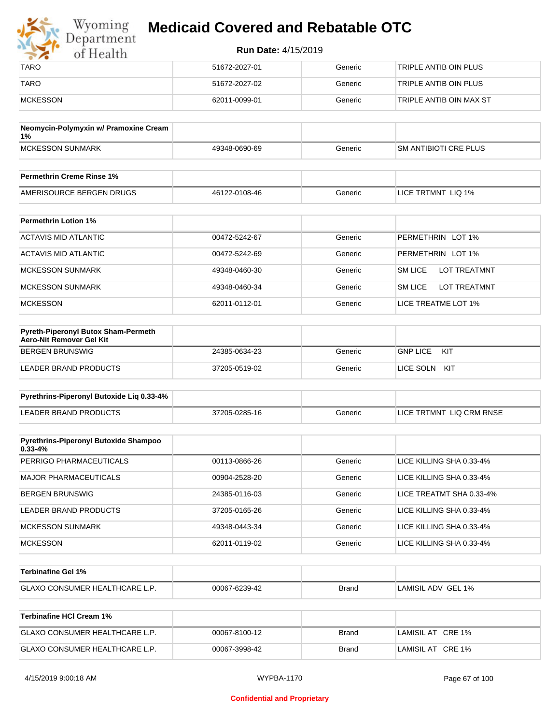| Wyoming<br>Department | <b>Medicaid Covered and Rebatable OTC</b> |         |                         |  |
|-----------------------|-------------------------------------------|---------|-------------------------|--|
| of Health             | <b>Run Date: 4/15/2019</b>                |         |                         |  |
| <b>TARO</b>           | 51672-2027-01                             | Generic | TRIPLE ANTIB OIN PLUS   |  |
| <b>TARO</b>           | 51672-2027-02                             | Generic | TRIPLE ANTIB OIN PLUS   |  |
| MCKESSON              | 62011-0099-01                             | Generic | TRIPLE ANTIB OIN MAX ST |  |

| Neomycin-Polymyxin w/ Pramoxine Cream<br>1% |               |         |                              |
|---------------------------------------------|---------------|---------|------------------------------|
| <b>IMCKESSON SUNMARK</b>                    | 49348-0690-69 | Generic | <b>SM ANTIBIOTI CRE PLUS</b> |
|                                             |               |         |                              |
| <b>Permethrin Creme Rinse 1%</b>            |               |         |                              |

| <b>Permethrin Creme Rinse 1%</b> |               |         |                    |
|----------------------------------|---------------|---------|--------------------|
| AMERISOURCE BERGEN DRUGS         | 46122-0108-46 | Beneric | LICE TRTMNT LIQ 1% |

| <b>Permethrin Lotion 1%</b> |               |         |                                       |
|-----------------------------|---------------|---------|---------------------------------------|
| ACTAVIS MID ATLANTIC        | 00472-5242-67 | Generic | PERMETHRIN LOT 1%                     |
| ACTAVIS MID ATLANTIC        | 00472-5242-69 | Generic | PERMETHRIN LOT 1%                     |
| <b>MCKESSON SUNMARK</b>     | 49348-0460-30 | Generic | <b>SM LICE</b><br><b>LOT TREATMNT</b> |
| <b>MCKESSON SUNMARK</b>     | 49348-0460-34 | Generic | <b>SM LICE</b><br><b>LOT TREATMNT</b> |
| <b>MCKESSON</b>             | 62011-0112-01 | Generic | LICE TREATME LOT 1%                   |

| <b>Pyreth-Piperonyl Butox Sham-Permeth</b><br>Aero-Nit Remover Gel Kit |               |         |                        |
|------------------------------------------------------------------------|---------------|---------|------------------------|
| BERGEN BRUNSWIG                                                        | 24385-0634-23 | Generic | <b>GNP LICE</b><br>KIT |
| LEADER BRAND PRODUCTS                                                  | 37205-0519-02 | Generic | KIT<br>LICE SOLN       |

| Pyrethrins-Piperonyl Butoxide Lig 0.33-4% |               |         |                          |
|-------------------------------------------|---------------|---------|--------------------------|
| LEADER BRAND PRODUCTS                     | 37205-0285-16 | Generic | LICE TRTMNT LIQ CRM RNSE |

| <b>Pyrethrins-Piperonyl Butoxide Shampoo</b><br>$0.33 - 4%$ |               |         |                          |
|-------------------------------------------------------------|---------------|---------|--------------------------|
|                                                             |               |         |                          |
| PERRIGO PHARMACEUTICALS                                     | 00113-0866-26 | Generic | LICE KILLING SHA 0.33-4% |
| <b>MAJOR PHARMACEUTICALS</b>                                | 00904-2528-20 | Generic | LICE KILLING SHA 0.33-4% |
| <b>BERGEN BRUNSWIG</b>                                      | 24385-0116-03 | Generic | LICE TREATMT SHA 0.33-4% |
| LEADER BRAND PRODUCTS                                       | 37205-0165-26 | Generic | LICE KILLING SHA 0.33-4% |
| <b>MCKESSON SUNMARK</b>                                     | 49348-0443-34 | Generic | LICE KILLING SHA 0.33-4% |
| <b>MCKESSON</b>                                             | 62011-0119-02 | Generic | LICE KILLING SHA 0.33-4% |

| ∣Terbinafine Gel 1%                   |               |              |                    |
|---------------------------------------|---------------|--------------|--------------------|
| <b>GLAXO CONSUMER HEALTHCARE L.P.</b> | 00067-6239-42 | <b>Brand</b> | LAMISIL ADV GEL 1% |

| Terbinafine HCI Cream 1%              |               |       |                   |
|---------------------------------------|---------------|-------|-------------------|
| <b>GLAXO CONSUMER HEALTHCARE L.P.</b> | 00067-8100-12 | Brand | LAMISIL AT CRE 1% |
| <b>GLAXO CONSUMER HEALTHCARE L.P.</b> | 00067-3998-42 | Brand | LAMISIL AT CRE 1% |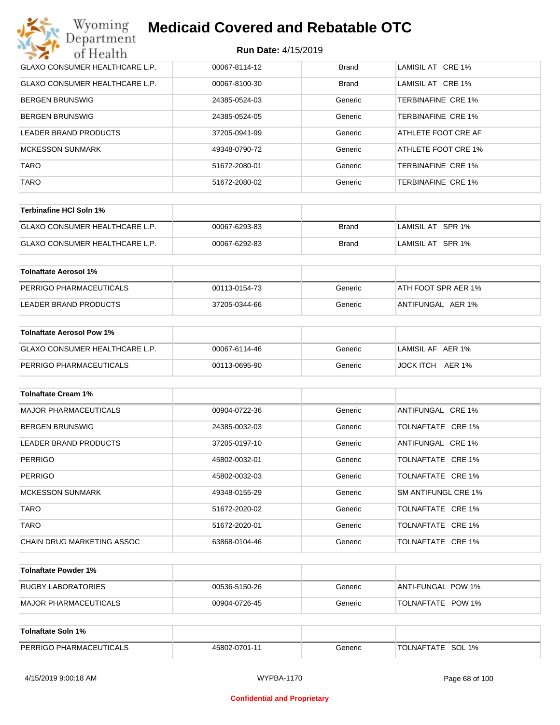| Wyoming<br><b>Medicaid Covered and Rebatable OTC</b><br>Department |                            |              |                           |  |
|--------------------------------------------------------------------|----------------------------|--------------|---------------------------|--|
| of Health                                                          | <b>Run Date: 4/15/2019</b> |              |                           |  |
| <b>GLAXO CONSUMER HEALTHCARE L.P.</b>                              | 00067-8114-12              | <b>Brand</b> | LAMISIL AT CRE 1%         |  |
| <b>GLAXO CONSUMER HEALTHCARE L.P.</b>                              | 00067-8100-30              | Brand        | LAMISIL AT CRE 1%         |  |
| BERGEN BRUNSWIG                                                    | 24385-0524-03              | Generic      | TERBINAFINE CRE 1%        |  |
| <b>BERGEN BRUNSWIG</b>                                             | 24385-0524-05              | Generic      | TERBINAFINE CRE 1%        |  |
| LEADER BRAND PRODUCTS                                              | 37205-0941-99              | Generic      | ATHLETE FOOT CRE AF       |  |
| <b>MCKESSON SUNMARK</b>                                            | 49348-0790-72              | Generic      | ATHLETE FOOT CRE 1%       |  |
| <b>TARO</b>                                                        | 51672-2080-01              | Generic      | TERBINAFINE CRE 1%        |  |
| <b>TARO</b>                                                        | 51672-2080-02              | Generic      | <b>TERBINAFINE CRE 1%</b> |  |

| Terbinafine HCI Soln 1%               |               |       |                   |
|---------------------------------------|---------------|-------|-------------------|
| <b>GLAXO CONSUMER HEALTHCARE L.P.</b> | 00067-6293-83 | Brand | LAMISIL AT SPR 1% |
| GLAXO CONSUMER HEALTHCARE L.P.        | 00067-6292-83 | Brand | LAMISIL AT SPR 1% |

| Tolnaftate Aerosol 1%   |               |         |                     |
|-------------------------|---------------|---------|---------------------|
| PERRIGO PHARMACEUTICALS | 00113-0154-73 | Generic | ATH FOOT SPR AER 1% |
| LEADER BRAND PRODUCTS   | 37205-0344-66 | Generic | ANTIFUNGAL AER 1%   |

| Tolnaftate Aerosol Pow 1%      |               |         |                   |
|--------------------------------|---------------|---------|-------------------|
| GLAXO CONSUMER HEALTHCARE L.P. | 00067-6114-46 | Generic | LAMISIL AF AER 1% |
| PERRIGO PHARMACEUTICALS        | 00113-0695-90 | Generic | JOCK ITCH AER 1%  |

| <b>Tolnaftate Cream 1%</b>   |               |         |                     |
|------------------------------|---------------|---------|---------------------|
| <b>MAJOR PHARMACEUTICALS</b> | 00904-0722-36 | Generic | ANTIFUNGAL CRE 1%   |
| <b>BERGEN BRUNSWIG</b>       | 24385-0032-03 | Generic | TOLNAFTATE CRE 1%   |
| LEADER BRAND PRODUCTS        | 37205-0197-10 | Generic | ANTIFUNGAL CRE 1%   |
| <b>PERRIGO</b>               | 45802-0032-01 | Generic | TOLNAFTATE CRE 1%   |
| <b>PERRIGO</b>               | 45802-0032-03 | Generic | TOLNAFTATE CRE 1%   |
| <b>MCKESSON SUNMARK</b>      | 49348-0155-29 | Generic | SM ANTIFUNGL CRE 1% |
| <b>TARO</b>                  | 51672-2020-02 | Generic | TOLNAFTATE CRE 1%   |
| <b>TARO</b>                  | 51672-2020-01 | Generic | TOLNAFTATE CRE 1%   |
| CHAIN DRUG MARKETING ASSOC   | 63868-0104-46 | Generic | TOLNAFTATE CRE 1%   |

| Tolnaftate Powder 1%  |               |         |                     |
|-----------------------|---------------|---------|---------------------|
| RUGBY LABORATORIES    | 00536-5150-26 | Generic | IANTI-FUNGAL POW 1% |
| MAJOR PHARMACEUTICALS | 00904-0726-45 | Generic | TOLNAFTATE POW 1%   |

| Tolnaftate Soln 1%             |               |         |                      |
|--------------------------------|---------------|---------|----------------------|
| <b>PERRIGO PHARMACEUTICALS</b> | 45802-0701-11 | Generic | SOL 1%<br>TOLNAFTATE |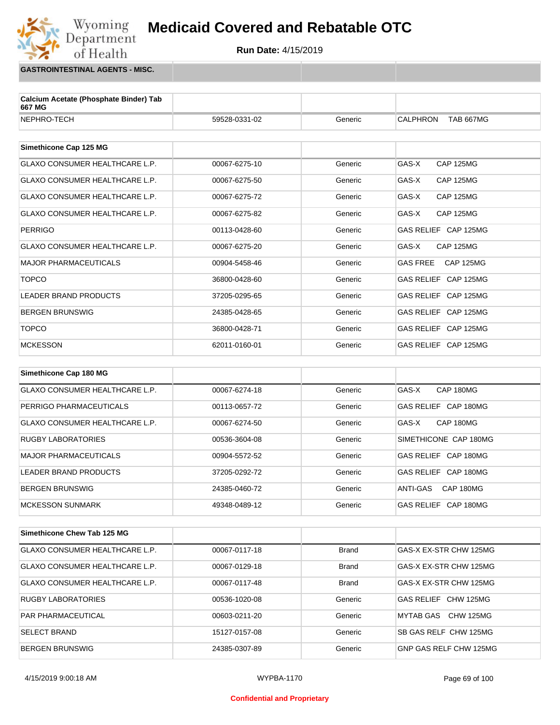

**GASTROINTESTINAL AGENTS - MISC.**

Wyoming<br>Department

of Health

| Calcium Acetate (Phosphate Binder) Tab<br>667 MG |               |         |                                     |
|--------------------------------------------------|---------------|---------|-------------------------------------|
| NEPHRO-TECH                                      | 59528-0331-02 | Generic | <b>CALPHRON</b><br><b>TAB 667MG</b> |
|                                                  |               |         |                                     |
| Simethicone Cap 125 MG                           |               |         |                                     |
| <b>GLAXO CONSUMER HEALTHCARE L.P.</b>            | 00067-6275-10 | Generic | GAS-X<br><b>CAP 125MG</b>           |
| <b>GLAXO CONSUMER HEALTHCARE L.P.</b>            | 00067-6275-50 | Generic | GAS-X<br><b>CAP 125MG</b>           |
| <b>GLAXO CONSUMER HEALTHCARE L.P.</b>            | 00067-6275-72 | Generic | GAS-X<br><b>CAP 125MG</b>           |
| <b>GLAXO CONSUMER HEALTHCARE L.P.</b>            | 00067-6275-82 | Generic | GAS-X<br><b>CAP 125MG</b>           |
| <b>PERRIGO</b>                                   | 00113-0428-60 | Generic | GAS RELIEF CAP 125MG                |
| <b>GLAXO CONSUMER HEALTHCARE L.P.</b>            | 00067-6275-20 | Generic | GAS-X<br><b>CAP 125MG</b>           |
| <b>MAJOR PHARMACEUTICALS</b>                     | 00904-5458-46 | Generic | <b>CAP 125MG</b><br><b>GAS FREE</b> |
| <b>TOPCO</b>                                     | 36800-0428-60 | Generic | GAS RELIEF CAP 125MG                |
| <b>LEADER BRAND PRODUCTS</b>                     | 37205-0295-65 | Generic | GAS RELIEF CAP 125MG                |
| <b>BERGEN BRUNSWIG</b>                           | 24385-0428-65 | Generic | GAS RELIEF CAP 125MG                |
| <b>TOPCO</b>                                     | 36800-0428-71 | Generic | GAS RELIEF CAP 125MG                |
| <b>MCKESSON</b>                                  | 62011-0160-01 | Generic | GAS RELIEF CAP 125MG                |
|                                                  |               |         |                                     |
| Simethicone Cap 180 MG                           |               |         |                                     |
| <b>GLAXO CONSUMER HEALTHCARE L.P.</b>            | 00067-6274-18 | Generic | GAS-X<br>CAP 180MG                  |

| PERRIGO PHARMACEUTICALS        | 00113-0657-72 | Generic | GAS RELIEF CAP 180MG  |
|--------------------------------|---------------|---------|-----------------------|
| GLAXO CONSUMER HEALTHCARE L.P. | 00067-6274-50 | Generic | CAP 180MG<br>GAS-X    |
| <b>RUGBY LABORATORIES</b>      | 00536-3604-08 | Generic | SIMETHICONE CAP 180MG |
| MAJOR PHARMACEUTICALS          | 00904-5572-52 | Generic | GAS RELIEF CAP 180MG  |
| LEADER BRAND PRODUCTS          | 37205-0292-72 | Generic | GAS RELIEF CAP 180MG  |
| <b>BERGEN BRUNSWIG</b>         | 24385-0460-72 | Generic | CAP 180MG<br>ANTI-GAS |
| MCKESSON SUNMARK               | 49348-0489-12 | Generic | GAS RELIEF CAP 180MG  |

| Simethicone Chew Tab 125 MG    |               |              |                        |
|--------------------------------|---------------|--------------|------------------------|
| GLAXO CONSUMER HEALTHCARE L.P. | 00067-0117-18 | <b>Brand</b> | GAS-X EX-STR CHW 125MG |
| GLAXO CONSUMER HEALTHCARE L.P. | 00067-0129-18 | <b>Brand</b> | GAS-X EX-STR CHW 125MG |
| GLAXO CONSUMER HEALTHCARE L.P. | 00067-0117-48 | <b>Brand</b> | GAS-X EX-STR CHW 125MG |
| RUGBY LABORATORIES             | 00536-1020-08 | Generic      | GAS RELIEF CHW 125MG   |
| <b>PAR PHARMACEUTICAL</b>      | 00603-0211-20 | Generic      | MYTAB GAS CHW 125MG    |
| <b>SELECT BRAND</b>            | 15127-0157-08 | Generic      | SB GAS RELF CHW 125MG  |
| <b>BERGEN BRUNSWIG</b>         | 24385-0307-89 | Generic      | GNP GAS RELF CHW 125MG |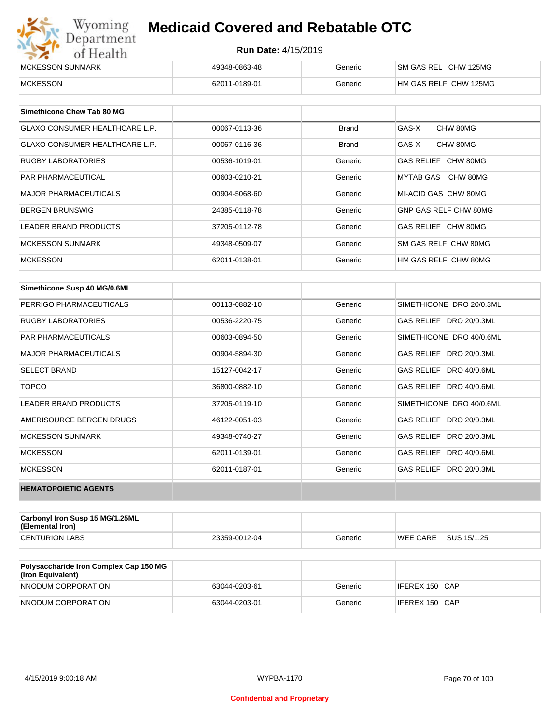| Wyoming<br><b>Medicaid Covered and Rebatable OTC</b><br>Department |                            |         |                       |  |
|--------------------------------------------------------------------|----------------------------|---------|-----------------------|--|
| of Health                                                          | <b>Run Date: 4/15/2019</b> |         |                       |  |
| MCKESSON SUNMARK                                                   | 49348-0863-48              | Generic | SM GAS REL CHW 125MG  |  |
| <b>MCKESSON</b>                                                    | 62011-0189-01              | Generic | HM GAS RELF CHW 125MG |  |

| Simethicone Chew Tab 80 MG            |               |         |                       |
|---------------------------------------|---------------|---------|-----------------------|
| <b>GLAXO CONSUMER HEALTHCARE L.P.</b> | 00067-0113-36 | Brand   | GAS-X<br>CHW 80MG     |
| <b>GLAXO CONSUMER HEALTHCARE L.P.</b> | 00067-0116-36 | Brand   | GAS-X<br>CHW 80MG     |
| <b>RUGBY LABORATORIES</b>             | 00536-1019-01 | Generic | GAS RELIEF CHW 80MG   |
| <b>PAR PHARMACEUTICAL</b>             | 00603-0210-21 | Generic | MYTAB GAS CHW 80MG    |
| <b>MAJOR PHARMACEUTICALS</b>          | 00904-5068-60 | Generic | MI-ACID GAS CHW 80MG  |
| <b>BERGEN BRUNSWIG</b>                | 24385-0118-78 | Generic | GNP GAS RELF CHW 80MG |
| <b>LEADER BRAND PRODUCTS</b>          | 37205-0112-78 | Generic | GAS RELIEF CHW 80MG   |
| <b>MCKESSON SUNMARK</b>               | 49348-0509-07 | Generic | SM GAS RELF CHW 80MG  |
| <b>MCKESSON</b>                       | 62011-0138-01 | Generic | HM GAS RELF CHW 80MG  |

| Simethicone Susp 40 MG/0.6ML |               |         |                          |
|------------------------------|---------------|---------|--------------------------|
| PERRIGO PHARMACEUTICALS      | 00113-0882-10 | Generic | SIMETHICONE DRO 20/0.3ML |
| <b>RUGBY LABORATORIES</b>    | 00536-2220-75 | Generic | GAS RELIEF DRO 20/0.3ML  |
| <b>PAR PHARMACEUTICALS</b>   | 00603-0894-50 | Generic | SIMETHICONE DRO 40/0.6ML |
| <b>MAJOR PHARMACEUTICALS</b> | 00904-5894-30 | Generic | GAS RELIEF DRO 20/0.3ML  |
| <b>SELECT BRAND</b>          | 15127-0042-17 | Generic | GAS RELIEF DRO 40/0.6ML  |
| <b>TOPCO</b>                 | 36800-0882-10 | Generic | GAS RELIEF DRO 40/0.6ML  |
| <b>LEADER BRAND PRODUCTS</b> | 37205-0119-10 | Generic | SIMETHICONE DRO 40/0.6ML |
| AMERISOURCE BERGEN DRUGS     | 46122-0051-03 | Generic | GAS RELIEF DRO 20/0.3ML  |
| <b>MCKESSON SUNMARK</b>      | 49348-0740-27 | Generic | GAS RELIEF DRO 20/0.3ML  |
| <b>MCKESSON</b>              | 62011-0139-01 | Generic | GAS RELIEF DRO 40/0.6ML  |
| <b>MCKESSON</b>              | 62011-0187-01 | Generic | GAS RELIEF DRO 20/0.3ML  |
| <b>HEMATOPOIETIC AGENTS</b>  |               |         |                          |

| Carbonyl Iron Susp 15 MG/1.25ML<br>(Elemental Iron) |               |         |                 |             |
|-----------------------------------------------------|---------------|---------|-----------------|-------------|
| <b>CENTURION LABS</b>                               | 23359-0012-04 | Generic | <b>WEE CARE</b> | SUS 15/1.25 |

| <b>Polysaccharide Iron Complex Cap 150 MG</b><br>(Iron Equivalent) |               |         |                |
|--------------------------------------------------------------------|---------------|---------|----------------|
| NNODUM CORPORATION                                                 | 63044-0203-61 | Generic | IFEREX 150 CAP |
| NNODUM CORPORATION                                                 | 63044-0203-01 | Generic | IFEREX 150 CAP |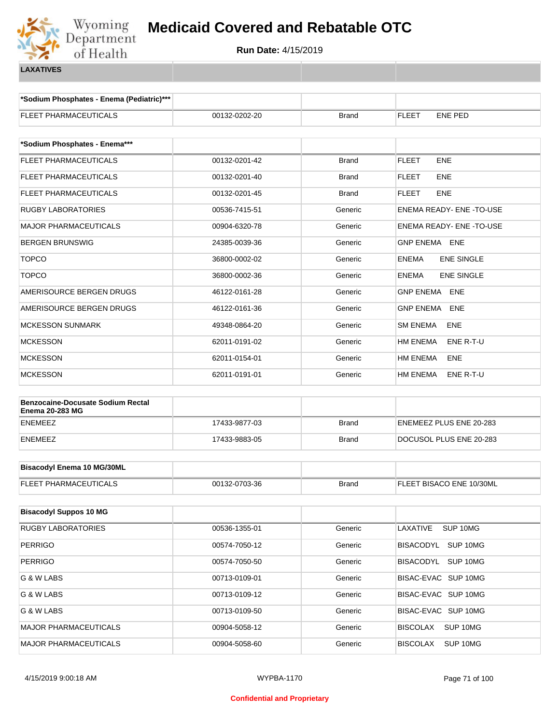

**\*Sodium Phosphates - Enema (Pediatric)\*\*\***

| <b>FLEET PHARMACEUTICALS</b>             | 00132-0202-20 | <b>Brand</b> | <b>FLEET</b><br><b>ENE PED</b>    |  |  |
|------------------------------------------|---------------|--------------|-----------------------------------|--|--|
| *Sodium Phosphates - Enema***            |               |              |                                   |  |  |
| FLEET PHARMACEUTICALS                    | 00132-0201-42 | <b>Brand</b> | ENE<br><b>FLEET</b>               |  |  |
| FLEET PHARMACEUTICALS                    | 00132-0201-40 | Brand        | <b>FLEET</b><br>ENE               |  |  |
| FLEET PHARMACEUTICALS                    | 00132-0201-45 | Brand        | <b>FLEET</b><br>ENE               |  |  |
| <b>RUGBY LABORATORIES</b>                | 00536-7415-51 | Generic      | ENEMA READY- ENE - TO-USE         |  |  |
| <b>MAJOR PHARMACEUTICALS</b>             | 00904-6320-78 | Generic      | ENEMA READY- ENE-TO-USE           |  |  |
| <b>BERGEN BRUNSWIG</b>                   | 24385-0039-36 | Generic      | GNP ENEMA ENE                     |  |  |
| <b>TOPCO</b>                             | 36800-0002-02 | Generic      | <b>ENEMA</b><br><b>ENE SINGLE</b> |  |  |
| <b>TOPCO</b>                             | 36800-0002-36 | Generic      | <b>ENE SINGLE</b><br><b>ENEMA</b> |  |  |
| AMERISOURCE BERGEN DRUGS                 | 46122-0161-28 | Generic      | <b>GNP ENEMA</b><br>ENE           |  |  |
| AMERISOURCE BERGEN DRUGS                 | 46122-0161-36 | Generic      | <b>GNP ENEMA</b><br><b>ENE</b>    |  |  |
| <b>MCKESSON SUNMARK</b>                  | 49348-0864-20 | Generic      | <b>SM ENEMA</b><br>ENE            |  |  |
| <b>MCKESSON</b>                          | 62011-0191-02 | Generic      | HM ENEMA<br>ENE R-T-U             |  |  |
| <b>MCKESSON</b>                          | 62011-0154-01 | Generic      | HM ENEMA<br>ENE                   |  |  |
| <b>MCKESSON</b>                          | 62011-0191-01 | Generic      | HM ENEMA<br>ENE R-T-U             |  |  |
| <b>Benzocaine-Docusate Sodium Rectal</b> |               |              |                                   |  |  |
| <b>Enema 20-283 MG</b>                   |               |              |                                   |  |  |
| <b>ENEMEEZ</b>                           | 17433-9877-03 | <b>Brand</b> | ENEMEEZ PLUS ENE 20-283           |  |  |
| <b>ENEMEEZ</b>                           | 17433-9883-05 | <b>Brand</b> | DOCUSOL PLUS ENE 20-283           |  |  |
| <b>Bisacodyl Enema 10 MG/30ML</b>        |               |              |                                   |  |  |
| FLEET PHARMACEUTICALS                    | 00132-0703-36 | <b>Brand</b> | FLEET BISACO ENE 10/30ML          |  |  |
|                                          |               |              |                                   |  |  |
| <b>Bisacodyl Suppos 10 MG</b>            |               |              |                                   |  |  |
| <b>RUGBY LABORATORIES</b>                | 00536-1355-01 | Generic      | LAXATIVE<br>SUP 10MG              |  |  |
| <b>PERRIGO</b>                           | 00574-7050-12 | Generic      | BISACODYL SUP 10MG                |  |  |
| <b>PERRIGO</b>                           | 00574-7050-50 | Generic      | BISACODYL SUP 10MG                |  |  |
| G & W LABS                               | 00713-0109-01 | Generic      | BISAC-EVAC SUP 10MG               |  |  |
| G & W LABS                               | 00713-0109-12 | Generic      | BISAC-EVAC SUP 10MG               |  |  |
| G & W LABS                               | 00713-0109-50 | Generic      | BISAC-EVAC SUP 10MG               |  |  |
| MAJOR PHARMACEUTICALS                    | 00904-5058-12 | Generic      | SUP 10MG<br><b>BISCOLAX</b>       |  |  |
| <b>MAJOR PHARMACEUTICALS</b>             | 00904-5058-60 | Generic      | SUP 10MG<br><b>BISCOLAX</b>       |  |  |
|                                          |               |              |                                   |  |  |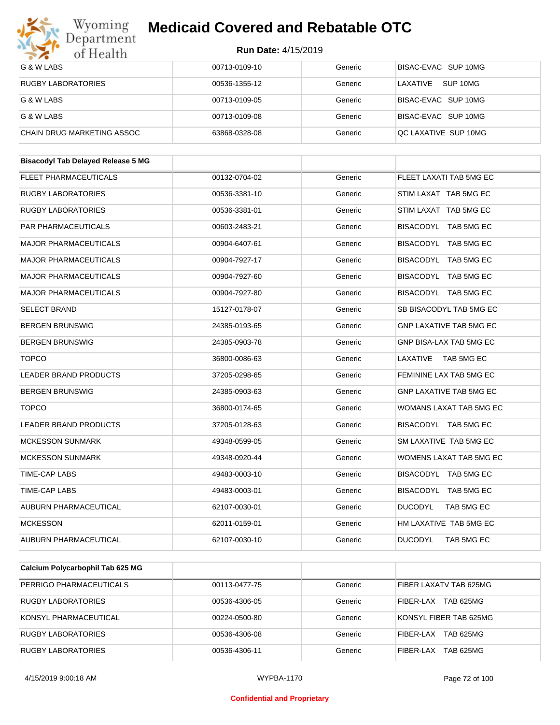

| $\bullet$<br>of riegith                   |               |         |                                |
|-------------------------------------------|---------------|---------|--------------------------------|
| G & W LABS                                | 00713-0109-10 | Generic | BISAC-EVAC SUP 10MG            |
| <b>RUGBY LABORATORIES</b>                 | 00536-1355-12 | Generic | LAXATIVE SUP 10MG              |
| G & W LABS                                | 00713-0109-05 | Generic | BISAC-EVAC SUP 10MG            |
| G & W LABS                                | 00713-0109-08 | Generic | BISAC-EVAC SUP 10MG            |
| CHAIN DRUG MARKETING ASSOC                | 63868-0328-08 | Generic | QC LAXATIVE SUP 10MG           |
|                                           |               |         |                                |
| <b>Bisacodyl Tab Delayed Release 5 MG</b> |               |         |                                |
| <b>FLEET PHARMACEUTICALS</b>              | 00132-0704-02 | Generic | FLEET LAXATI TAB 5MG EC        |
| RUGBY LABORATORIES                        | 00536-3381-10 | Generic | STIM LAXAT TAB 5MG EC          |
| RUGBY LABORATORIES                        | 00536-3381-01 | Generic | STIM LAXAT TAB 5MG EC          |
| PAR PHARMACEUTICALS                       | 00603-2483-21 | Generic | BISACODYL TAB 5MG EC           |
| <b>MAJOR PHARMACEUTICALS</b>              | 00904-6407-61 | Generic | BISACODYL TAB 5MG EC           |
| <b>MAJOR PHARMACEUTICALS</b>              | 00904-7927-17 | Generic | BISACODYL TAB 5MG EC           |
| <b>MAJOR PHARMACEUTICALS</b>              | 00904-7927-60 | Generic | BISACODYL TAB 5MG EC           |
| <b>MAJOR PHARMACEUTICALS</b>              | 00904-7927-80 | Generic | BISACODYL TAB 5MG EC           |
| <b>SELECT BRAND</b>                       | 15127-0178-07 | Generic | SB BISACODYL TAB 5MG EC        |
| <b>BERGEN BRUNSWIG</b>                    | 24385-0193-65 | Generic | <b>GNP LAXATIVE TAB 5MG EC</b> |
| <b>BERGEN BRUNSWIG</b>                    | 24385-0903-78 | Generic | GNP BISA-LAX TAB 5MG EC        |
| <b>TOPCO</b>                              | 36800-0086-63 | Generic | LAXATIVE TAB 5MG EC            |
| LEADER BRAND PRODUCTS                     | 37205-0298-65 | Generic | FEMININE LAX TAB 5MG EC        |
| <b>BERGEN BRUNSWIG</b>                    | 24385-0903-63 | Generic | <b>GNP LAXATIVE TAB 5MG EC</b> |
| <b>TOPCO</b>                              | 36800-0174-65 | Generic | WOMANS LAXAT TAB 5MG EC        |
| <b>LEADER BRAND PRODUCTS</b>              | 37205-0128-63 | Generic | BISACODYL TAB 5MG EC           |
| <b>MCKESSON SUNMARK</b>                   | 49348-0599-05 | Generic | SM LAXATIVE TAB 5MG EC         |
| <b>MCKESSON SUNMARK</b>                   | 49348-0920-44 | Generic | WOMENS LAXAT TAB 5MG EC        |
| TIME-CAP LABS                             | 49483-0003-10 | Generic | BISACODYL TAB 5MG EC           |
| <b>TIME-CAP LABS</b>                      | 49483-0003-01 | Generic | BISACODYL TAB 5MG EC           |
| AUBURN PHARMACEUTICAL                     | 62107-0030-01 | Generic | <b>DUCODYL</b><br>TAB 5MG EC   |
| <b>MCKESSON</b>                           | 62011-0159-01 | Generic | HM LAXATIVE TAB 5MG EC         |
| AUBURN PHARMACEUTICAL                     | 62107-0030-10 | Generic | <b>DUCODYL</b><br>TAB 5MG EC   |
|                                           |               |         |                                |
| Calcium Polycarbophil Tab 625 MG          |               |         |                                |

| Calcium Polycarbophii Tab 625 MG |               |         |                         |
|----------------------------------|---------------|---------|-------------------------|
| PERRIGO PHARMACEUTICALS          | 00113-0477-75 | Generic | FIBER LAXATV TAB 625MG  |
| <b>RUGBY LABORATORIES</b>        | 00536-4306-05 | Generic | TAB 625MG<br>FIBER-LAX  |
| KONSYL PHARMACEUTICAL            | 00224-0500-80 | Generic | KONSYL FIBER TAB 625MG  |
| <b>RUGBY LABORATORIES</b>        | 00536-4306-08 | Generic | TAB 625MG<br>FIBFR-I AX |
| RUGBY LABORATORIES               | 00536-4306-11 | Generic | TAB 625MG<br>FIBER-LAX  |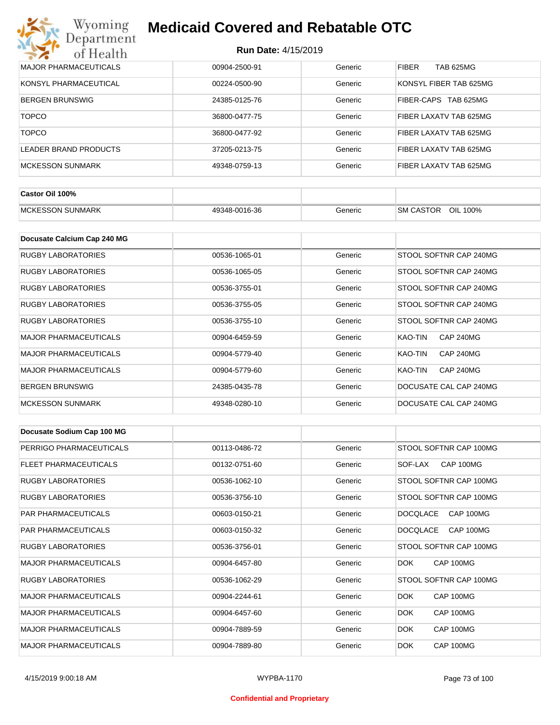| Wyoming<br><b>Medicaid Covered and Rebatable OTC</b><br>Department |                            |         |                           |  |  |
|--------------------------------------------------------------------|----------------------------|---------|---------------------------|--|--|
| of Health                                                          | <b>Run Date: 4/15/2019</b> |         |                           |  |  |
| <b>MAJOR PHARMACEUTICALS</b>                                       | 00904-2500-91              | Generic | <b>FIBER</b><br>TAB 625MG |  |  |
| KONSYL PHARMACEUTICAL                                              | 00224-0500-90              | Generic | KONSYL FIBER TAB 625MG    |  |  |
| <b>BERGEN BRUNSWIG</b>                                             | 24385-0125-76              | Generic | FIBER-CAPS<br>TAB 625MG   |  |  |
| <b>TOPCO</b>                                                       | 36800-0477-75              | Generic | FIBER LAXATV TAB 625MG    |  |  |
| <b>TOPCO</b>                                                       | 36800-0477-92              | Generic | FIBER LAXATV TAB 625MG    |  |  |
| <b>LEADER BRAND PRODUCTS</b>                                       | 37205-0213-75              | Generic | FIBER LAXATV TAB 625MG    |  |  |
| <b>MCKESSON SUNMARK</b>                                            | 49348-0759-13              | Generic | FIBER LAXATV TAB 625MG    |  |  |

| Castor Oil 100%          |               |         |                              |
|--------------------------|---------------|---------|------------------------------|
| <b>IMCKESSON SUNMARK</b> | 49348-0016-36 | Generic | OIL 100%<br><b>SM CASTOR</b> |

| Docusate Calcium Cap 240 MG  |               |         |                             |
|------------------------------|---------------|---------|-----------------------------|
| <b>RUGBY LABORATORIES</b>    | 00536-1065-01 | Generic | STOOL SOFTNR CAP 240MG      |
| RUGBY LABORATORIES           | 00536-1065-05 | Generic | STOOL SOFTNR CAP 240MG      |
| RUGBY LABORATORIES           | 00536-3755-01 | Generic | STOOL SOFTNR CAP 240MG      |
| RUGBY LABORATORIES           | 00536-3755-05 | Generic | STOOL SOFTNR CAP 240MG      |
| RUGBY LABORATORIES           | 00536-3755-10 | Generic | STOOL SOFTNR CAP 240MG      |
| <b>MAJOR PHARMACEUTICALS</b> | 00904-6459-59 | Generic | CAP 240MG<br>KAO-TIN        |
| <b>MAJOR PHARMACEUTICALS</b> | 00904-5779-40 | Generic | KAO-TIN<br><b>CAP 240MG</b> |
| <b>MAJOR PHARMACEUTICALS</b> | 00904-5779-60 | Generic | KAO-TIN<br><b>CAP 240MG</b> |
| <b>BERGEN BRUNSWIG</b>       | 24385-0435-78 | Generic | DOCUSATE CAL CAP 240MG      |
| <b>MCKESSON SUNMARK</b>      | 49348-0280-10 | Generic | DOCUSATE CAL CAP 240MG      |

| Docusate Sodium Cap 100 MG   |               |         |                              |
|------------------------------|---------------|---------|------------------------------|
| PERRIGO PHARMACEUTICALS      | 00113-0486-72 | Generic | STOOL SOFTNR CAP 100MG       |
| FLEET PHARMACEUTICALS        | 00132-0751-60 | Generic | CAP 100MG<br>SOF-LAX         |
| <b>RUGBY LABORATORIES</b>    | 00536-1062-10 | Generic | STOOL SOFTNR CAP 100MG       |
| <b>RUGBY LABORATORIES</b>    | 00536-3756-10 | Generic | STOOL SOFTNR CAP 100MG       |
| <b>PAR PHARMACEUTICALS</b>   | 00603-0150-21 | Generic | <b>DOCQLACE</b><br>CAP 100MG |
| <b>PAR PHARMACEUTICALS</b>   | 00603-0150-32 | Generic | <b>DOCQLACE</b><br>CAP 100MG |
| <b>RUGBY LABORATORIES</b>    | 00536-3756-01 | Generic | STOOL SOFTNR CAP 100MG       |
| <b>MAJOR PHARMACEUTICALS</b> | 00904-6457-80 | Generic | CAP 100MG<br>DOK.            |
| <b>RUGBY LABORATORIES</b>    | 00536-1062-29 | Generic | STOOL SOFTNR CAP 100MG       |
| <b>MAJOR PHARMACEUTICALS</b> | 00904-2244-61 | Generic | DOK.<br>CAP 100MG            |
| <b>MAJOR PHARMACEUTICALS</b> | 00904-6457-60 | Generic | DOK.<br>CAP 100MG            |
| <b>MAJOR PHARMACEUTICALS</b> | 00904-7889-59 | Generic | <b>DOK</b><br>CAP 100MG      |
| <b>MAJOR PHARMACEUTICALS</b> | 00904-7889-80 | Generic | <b>DOK</b><br>CAP 100MG      |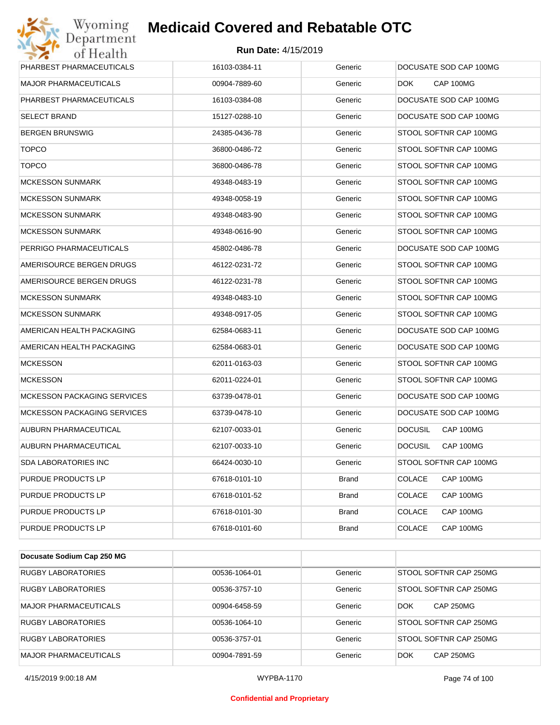| Department<br>of Health            | <b>Run Date: 4/15/2019</b> |              |                             |
|------------------------------------|----------------------------|--------------|-----------------------------|
| PHARBEST PHARMACEUTICALS           | 16103-0384-11              | Generic      | DOCUSATE SOD CAP 100MG      |
| MAJOR PHARMACEUTICALS              | 00904-7889-60              | Generic      | CAP 100MG<br>DOK.           |
| PHARBEST PHARMACEUTICALS           | 16103-0384-08              | Generic      | DOCUSATE SOD CAP 100MG      |
| SELECT BRAND                       | 15127-0288-10              | Generic      | DOCUSATE SOD CAP 100MG      |
| BERGEN BRUNSWIG                    | 24385-0436-78              | Generic      | STOOL SOFTNR CAP 100MG      |
| <b>TOPCO</b>                       | 36800-0486-72              | Generic      | STOOL SOFTNR CAP 100MG      |
| <b>TOPCO</b>                       | 36800-0486-78              | Generic      | STOOL SOFTNR CAP 100MG      |
| MCKESSON SUNMARK                   | 49348-0483-19              | Generic      | STOOL SOFTNR CAP 100MG      |
| <b>MCKESSON SUNMARK</b>            | 49348-0058-19              | Generic      | STOOL SOFTNR CAP 100MG      |
| MCKESSON SUNMARK                   | 49348-0483-90              | Generic      | STOOL SOFTNR CAP 100MG      |
| MCKESSON SUNMARK                   | 49348-0616-90              | Generic      | STOOL SOFTNR CAP 100MG      |
| PERRIGO PHARMACEUTICALS            | 45802-0486-78              | Generic      | DOCUSATE SOD CAP 100MG      |
| AMERISOURCE BERGEN DRUGS           | 46122-0231-72              | Generic      | STOOL SOFTNR CAP 100MG      |
| AMERISOURCE BERGEN DRUGS           | 46122-0231-78              | Generic      | STOOL SOFTNR CAP 100MG      |
| <b>MCKESSON SUNMARK</b>            | 49348-0483-10              | Generic      | STOOL SOFTNR CAP 100MG      |
| MCKESSON SUNMARK                   | 49348-0917-05              | Generic      | STOOL SOFTNR CAP 100MG      |
| AMERICAN HEALTH PACKAGING          | 62584-0683-11              | Generic      | DOCUSATE SOD CAP 100MG      |
| AMERICAN HEALTH PACKAGING          | 62584-0683-01              | Generic      | DOCUSATE SOD CAP 100MG      |
| <b>MCKESSON</b>                    | 62011-0163-03              | Generic      | STOOL SOFTNR CAP 100MG      |
| <b>MCKESSON</b>                    | 62011-0224-01              | Generic      | STOOL SOFTNR CAP 100MG      |
| <b>MCKESSON PACKAGING SERVICES</b> | 63739-0478-01              | Generic      | DOCUSATE SOD CAP 100MG      |
| <b>MCKESSON PACKAGING SERVICES</b> | 63739-0478-10              | Generic      | DOCUSATE SOD CAP 100MG      |
| AUBURN PHARMACEUTICAL              | 62107-0033-01              | Generic      | <b>DOCUSIL</b><br>CAP 100MG |
| AUBURN PHARMACEUTICAL              | 62107-0033-10              | Generic      | <b>DOCUSIL</b><br>CAP 100MG |
| SDA LABORATORIES INC               | 66424-0030-10              | Generic      | STOOL SOFTNR CAP 100MG      |
| PURDUE PRODUCTS LP                 | 67618-0101-10              | <b>Brand</b> | CAP 100MG<br><b>COLACE</b>  |
| PURDUE PRODUCTS LP                 | 67618-0101-52              | Brand        | <b>COLACE</b><br>CAP 100MG  |
| PURDUE PRODUCTS LP                 | 67618-0101-30              | <b>Brand</b> | <b>COLACE</b><br>CAP 100MG  |
| PURDUE PRODUCTS LP                 | 67618-0101-60              | Brand        | <b>COLACE</b><br>CAP 100MG  |

| Docusate Sodium Cap 250 MG   |               |         |                                |
|------------------------------|---------------|---------|--------------------------------|
| RUGBY LABORATORIES           | 00536-1064-01 | Generic | STOOL SOFTNR CAP 250MG         |
| <b>RUGBY LABORATORIES</b>    | 00536-3757-10 | Generic | STOOL SOFTNR CAP 250MG         |
| <b>MAJOR PHARMACEUTICALS</b> | 00904-6458-59 | Generic | <b>CAP 250MG</b><br><b>DOK</b> |
| <b>RUGBY LABORATORIES</b>    | 00536-1064-10 | Generic | STOOL SOFTNR CAP 250MG         |
| RUGBY LABORATORIES           | 00536-3757-01 | Generic | STOOL SOFTNR CAP 250MG         |
| <b>MAJOR PHARMACEUTICALS</b> | 00904-7891-59 | Generic | <b>DOK</b><br><b>CAP 250MG</b> |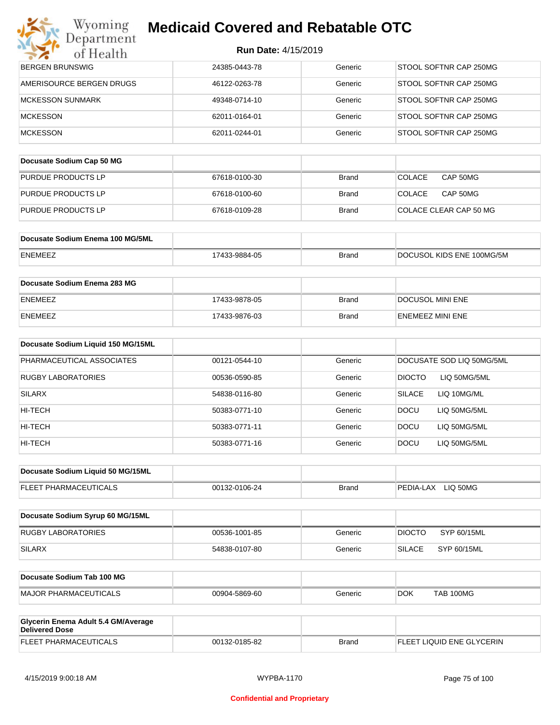| <b>Run Date: 4/15/2019</b> |  |
|----------------------------|--|
|----------------------------|--|

| Department<br>of Health                                      | <b>Run Date: 4/15/2019</b> |              |                               |
|--------------------------------------------------------------|----------------------------|--------------|-------------------------------|
| <b>BERGEN BRUNSWIG</b>                                       | 24385-0443-78              | Generic      | STOOL SOFTNR CAP 250MG        |
| AMERISOURCE BERGEN DRUGS                                     | 46122-0263-78              | Generic      | STOOL SOFTNR CAP 250MG        |
| <b>MCKESSON SUNMARK</b>                                      | 49348-0714-10              | Generic      | STOOL SOFTNR CAP 250MG        |
| <b>MCKESSON</b>                                              | 62011-0164-01              | Generic      | STOOL SOFTNR CAP 250MG        |
| <b>MCKESSON</b>                                              | 62011-0244-01              | Generic      | STOOL SOFTNR CAP 250MG        |
|                                                              |                            |              |                               |
| Docusate Sodium Cap 50 MG                                    |                            |              |                               |
| PURDUE PRODUCTS LP                                           | 67618-0100-30              | <b>Brand</b> | <b>COLACE</b><br>CAP 50MG     |
| PURDUE PRODUCTS LP                                           | 67618-0100-60              | <b>Brand</b> | <b>COLACE</b><br>CAP 50MG     |
| PURDUE PRODUCTS LP                                           | 67618-0109-28              | <b>Brand</b> | COLACE CLEAR CAP 50 MG        |
| Docusate Sodium Enema 100 MG/5ML                             |                            |              |                               |
| ENEMEEZ                                                      | 17433-9884-05              | <b>Brand</b> | DOCUSOL KIDS ENE 100MG/5M     |
|                                                              |                            |              |                               |
| Docusate Sodium Enema 283 MG                                 |                            |              |                               |
| ENEMEEZ                                                      | 17433-9878-05              | <b>Brand</b> | DOCUSOL MINI ENE              |
| ENEMEEZ                                                      | 17433-9876-03              | <b>Brand</b> | ENEMEEZ MINI ENE              |
| Docusate Sodium Liquid 150 MG/15ML                           |                            |              |                               |
| PHARMACEUTICAL ASSOCIATES                                    | 00121-0544-10              | Generic      | DOCUSATE SOD LIQ 50MG/5ML     |
| RUGBY LABORATORIES                                           | 00536-0590-85              | Generic      | <b>DIOCTO</b><br>LIQ 50MG/5ML |
| SILARX                                                       | 54838-0116-80              | Generic      | <b>SILACE</b><br>LIQ 10MG/ML  |
| HI-TECH                                                      | 50383-0771-10              | Generic      | DOCU<br>LIQ 50MG/5ML          |
| HI-TECH                                                      | 50383-0771-11              | Generic      | DOCU<br>LIQ 50MG/5ML          |
| HI-TECH                                                      | 50383-0771-16              | Generic      | <b>DOCU</b><br>LIQ 50MG/5ML   |
| Docusate Sodium Liquid 50 MG/15ML                            |                            |              |                               |
| FLEET PHARMACEUTICALS                                        | 00132-0106-24              | <b>Brand</b> | PEDIA-LAX LIQ 50MG            |
| Docusate Sodium Syrup 60 MG/15ML                             |                            |              |                               |
| RUGBY LABORATORIES                                           | 00536-1001-85              | Generic      | <b>DIOCTO</b><br>SYP 60/15ML  |
| <b>SILARX</b>                                                | 54838-0107-80              | Generic      | <b>SILACE</b><br>SYP 60/15ML  |
|                                                              |                            |              |                               |
| Docusate Sodium Tab 100 MG                                   |                            |              |                               |
| <b>MAJOR PHARMACEUTICALS</b>                                 | 00904-5869-60              | Generic      | <b>TAB 100MG</b><br>DOK.      |
| Glycerin Enema Adult 5.4 GM/Average<br><b>Delivered Dose</b> |                            |              |                               |
| FLEET PHARMACEUTICALS                                        | 00132-0185-82              | <b>Brand</b> | FLEET LIQUID ENE GLYCERIN     |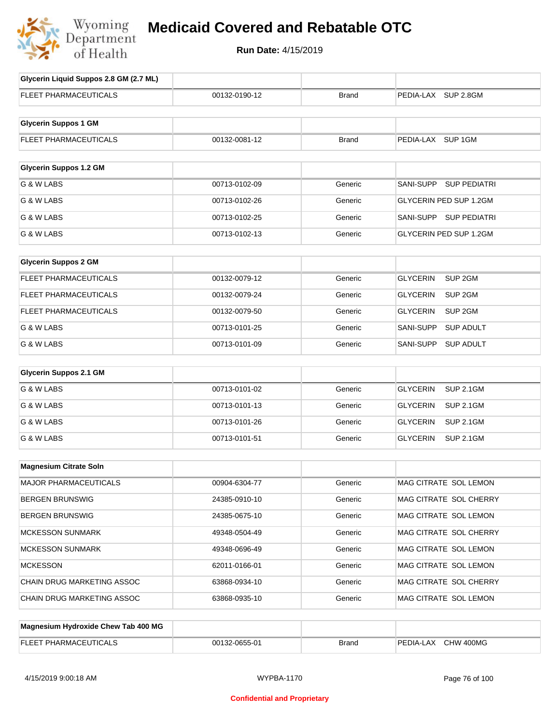

# **Medicaid Covered and Rebatable OTC**

**Run Date:** 4/15/2019

| Glycerin Liquid Suppos 2.8 GM (2.7 ML) |               |              |                                       |
|----------------------------------------|---------------|--------------|---------------------------------------|
|                                        |               |              |                                       |
| <b>FLEET PHARMACEUTICALS</b>           | 00132-0190-12 | Brand        | PEDIA-LAX SUP 2.8GM                   |
|                                        |               |              |                                       |
| <b>Glycerin Suppos 1 GM</b>            |               |              |                                       |
| FLEET PHARMACEUTICALS                  | 00132-0081-12 | <b>Brand</b> | PEDIA-LAX SUP 1GM                     |
|                                        |               |              |                                       |
| <b>Glycerin Suppos 1.2 GM</b>          |               |              |                                       |
| G & W LABS                             | 00713-0102-09 | Generic      | SANI-SUPP<br><b>SUP PEDIATRI</b>      |
| G & W LABS                             | 00713-0102-26 | Generic      | GLYCERIN PED SUP 1.2GM                |
| G & W LABS                             | 00713-0102-25 | Generic      | SANI-SUPP SUP PEDIATRI                |
| G & W LABS                             | 00713-0102-13 | Generic      | GLYCERIN PED SUP 1.2GM                |
|                                        |               |              |                                       |
| <b>Glycerin Suppos 2 GM</b>            |               |              |                                       |
| FLEET PHARMACEUTICALS                  | 00132-0079-12 | Generic      | <b>GLYCERIN</b><br>SUP <sub>2GM</sub> |
| <b>FLEET PHARMACEUTICALS</b>           | 00132-0079-24 | Generic      | <b>GLYCERIN</b><br>SUP 2GM            |
| <b>FLEET PHARMACEUTICALS</b>           | 00132-0079-50 | Generic      | <b>GLYCERIN</b><br>SUP 2GM            |
| G & W LABS                             | 00713-0101-25 | Generic      | SANI-SUPP<br><b>SUP ADULT</b>         |
| G & W LABS                             | 00713-0101-09 | Generic      | SANI-SUPP<br><b>SUP ADULT</b>         |
|                                        |               |              |                                       |
| <b>Glycerin Suppos 2.1 GM</b>          |               |              |                                       |
| G & W LABS                             | 00713-0101-02 | Generic      | <b>GLYCERIN</b><br><b>SUP 2.1GM</b>   |
| G & W LABS                             | 00713-0101-13 | Generic      | <b>GLYCERIN</b><br><b>SUP 2.1GM</b>   |
| G & W LABS                             | 00713-0101-26 | Generic      | <b>GLYCERIN</b><br><b>SUP 2.1GM</b>   |
| G & W LABS                             | 00713-0101-51 | Generic      | <b>GLYCERIN</b><br><b>SUP 2.1GM</b>   |
|                                        |               |              |                                       |
| <b>Magnesium Citrate Soln</b>          |               |              |                                       |
| MAJOR PHARMACEUTICALS                  | 00904-6304-77 | Generic      | MAG CITRATE SOL LEMON                 |
| <b>BERGEN BRUNSWIG</b>                 | 24385-0910-10 | Generic      | MAG CITRATE SOL CHERRY                |
| <b>BERGEN BRUNSWIG</b>                 | 24385-0675-10 | Generic      | MAG CITRATE SOL LEMON                 |
| <b>MCKESSON SUNMARK</b>                | 49348-0504-49 | Generic      | MAG CITRATE SOL CHERRY                |
| <b>MCKESSON SUNMARK</b>                | 49348-0696-49 | Generic      | MAG CITRATE SOL LEMON                 |
| <b>MCKESSON</b>                        | 62011-0166-01 | Generic      | MAG CITRATE SOL LEMON                 |
| CHAIN DRUG MARKETING ASSOC             | 63868-0934-10 | Generic      | MAG CITRATE SOL CHERRY                |
| CHAIN DRUG MARKETING ASSOC             | 63868-0935-10 | Generic      | MAG CITRATE SOL LEMON                 |
| Magnesium Hydroxide Chew Tab 400 MG    |               |              |                                       |
|                                        |               |              |                                       |
| FLEET PHARMACEUTICALS                  | 00132-0655-01 | <b>Brand</b> | PEDIA-LAX CHW 400MG                   |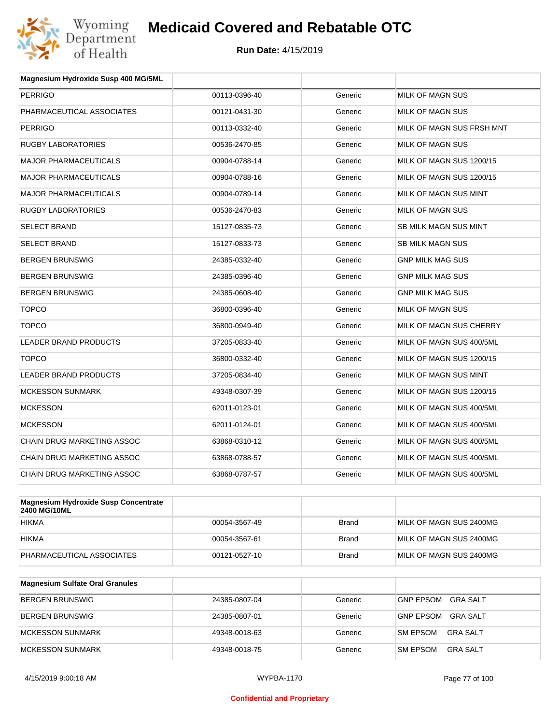

| Magnesium Hydroxide Susp 400 MG/5ML         |               |         |                              |
|---------------------------------------------|---------------|---------|------------------------------|
| <b>PERRIGO</b>                              | 00113-0396-40 | Generic | <b>MILK OF MAGN SUS</b>      |
| PHARMACEUTICAL ASSOCIATES                   | 00121-0431-30 | Generic | MILK OF MAGN SUS             |
| <b>PERRIGO</b>                              | 00113-0332-40 | Generic | MILK OF MAGN SUS FRSH MNT    |
| RUGBY LABORATORIES                          | 00536-2470-85 | Generic | MILK OF MAGN SUS             |
| <b>MAJOR PHARMACEUTICALS</b>                | 00904-0788-14 | Generic | MILK OF MAGN SUS 1200/15     |
| <b>MAJOR PHARMACEUTICALS</b>                | 00904-0788-16 | Generic | MILK OF MAGN SUS 1200/15     |
| <b>MAJOR PHARMACEUTICALS</b>                | 00904-0789-14 | Generic | MILK OF MAGN SUS MINT        |
| <b>RUGBY LABORATORIES</b>                   | 00536-2470-83 | Generic | MILK OF MAGN SUS             |
| <b>SELECT BRAND</b>                         | 15127-0835-73 | Generic | <b>SB MILK MAGN SUS MINT</b> |
| <b>SELECT BRAND</b>                         | 15127-0833-73 | Generic | <b>SB MILK MAGN SUS</b>      |
| <b>BERGEN BRUNSWIG</b>                      | 24385-0332-40 | Generic | <b>GNP MILK MAG SUS</b>      |
| <b>BERGEN BRUNSWIG</b>                      | 24385-0396-40 | Generic | <b>GNP MILK MAG SUS</b>      |
| <b>BERGEN BRUNSWIG</b>                      | 24385-0608-40 | Generic | <b>GNP MILK MAG SUS</b>      |
| <b>TOPCO</b>                                | 36800-0396-40 | Generic | <b>MILK OF MAGN SUS</b>      |
| <b>TOPCO</b>                                | 36800-0949-40 | Generic | MILK OF MAGN SUS CHERRY      |
| <b>LEADER BRAND PRODUCTS</b>                | 37205-0833-40 | Generic | MILK OF MAGN SUS 400/5ML     |
| <b>TOPCO</b>                                | 36800-0332-40 | Generic | MILK OF MAGN SUS 1200/15     |
| <b>LEADER BRAND PRODUCTS</b>                | 37205-0834-40 | Generic | MILK OF MAGN SUS MINT        |
| <b>MCKESSON SUNMARK</b>                     | 49348-0307-39 | Generic | MILK OF MAGN SUS 1200/15     |
| <b>MCKESSON</b>                             | 62011-0123-01 | Generic | MILK OF MAGN SUS 400/5ML     |
| <b>MCKESSON</b>                             | 62011-0124-01 | Generic | MILK OF MAGN SUS 400/5ML     |
| <b>CHAIN DRUG MARKETING ASSOC</b>           | 63868-0310-12 | Generic | MILK OF MAGN SUS 400/5ML     |
| CHAIN DRUG MARKETING ASSOC                  | 63868-0788-57 | Generic | MILK OF MAGN SUS 400/5ML     |
| <b>CHAIN DRUG MARKETING ASSOC</b>           | 63868-0787-57 | Generic | MILK OF MAGN SUS 400/5ML     |
|                                             |               |         |                              |
| <b>Magnesium Hydroxide Susp Concentrate</b> |               |         |                              |

| Magnesium Hydroxide Susp Concentrate<br>2400 MG/10ML |               |       |                         |
|------------------------------------------------------|---------------|-------|-------------------------|
| <b>HIKMA</b>                                         | 00054-3567-49 | Brand | MILK OF MAGN SUS 2400MG |
| <b>HIKMA</b>                                         | 00054-3567-61 | Brand | MILK OF MAGN SUS 2400MG |
| PHARMACEUTICAL ASSOCIATES                            | 00121-0527-10 | Brand | MILK OF MAGN SUS 2400MG |

| <b>Magnesium Sulfate Oral Granules</b> |               |         |                                     |
|----------------------------------------|---------------|---------|-------------------------------------|
| <b>BERGEN BRUNSWIG</b>                 | 24385-0807-04 | Generic | <b>GNP EPSOM</b><br><b>GRA SALT</b> |
| BERGEN BRUNSWIG                        | 24385-0807-01 | Generic | GNP EPSOM<br><b>GRA SALT</b>        |
| MCKESSON SUNMARK                       | 49348-0018-63 | Generic | GRA SALT<br><b>SM EPSOM</b>         |
| MCKESSON SUNMARK                       | 49348-0018-75 | Generic | <b>SM EPSOM</b><br>GRA SALT         |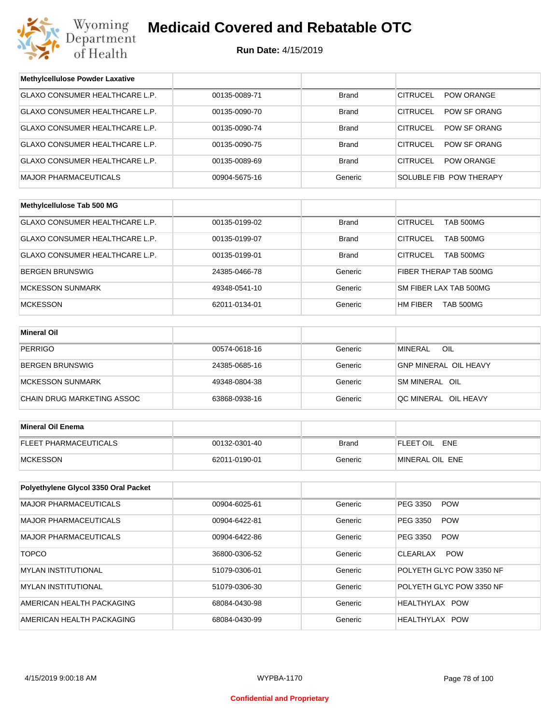

**Run Date:** 4/15/2019

| <b>Methylcellulose Powder Laxative</b> |               |              |                                      |  |
|----------------------------------------|---------------|--------------|--------------------------------------|--|
| <b>GLAXO CONSUMER HEALTHCARE L.P.</b>  | 00135-0089-71 | <b>Brand</b> | <b>CITRUCEL</b><br><b>POW ORANGE</b> |  |
| GLAXO CONSUMER HEALTHCARE L.P.         | 00135-0090-70 | <b>Brand</b> | <b>CITRUCEL</b><br>POW SF ORANG      |  |
| GLAXO CONSUMER HEALTHCARE L.P.         | 00135-0090-74 | <b>Brand</b> | <b>CITRUCEL</b><br>POW SF ORANG      |  |
| GLAXO CONSUMER HEALTHCARE L.P.         | 00135-0090-75 | <b>Brand</b> | <b>CITRUCEL</b><br>POW SF ORANG      |  |
| GLAXO CONSUMER HEALTHCARE L.P.         | 00135-0089-69 | <b>Brand</b> | <b>CITRUCEL</b><br>POW ORANGE        |  |
| <b>MAJOR PHARMACEUTICALS</b>           | 00904-5675-16 | Generic      | SOLUBLE FIB POW THERAPY              |  |
|                                        |               |              |                                      |  |
| Methylcellulose Tab 500 MG             |               |              |                                      |  |
| GLAXO CONSUMER HEALTHCARE L.P.         | 00135-0199-02 | <b>Brand</b> | <b>CITRUCEL</b><br><b>TAB 500MG</b>  |  |
| GLAXO CONSUMER HEALTHCARE L.P.         | 00135-0199-07 | Brand        | <b>CITRUCEL</b><br>TAB 500MG         |  |
| GLAXO CONSUMER HEALTHCARE L.P.         | 00135-0199-01 | <b>Brand</b> | <b>CITRUCEL</b><br><b>TAB 500MG</b>  |  |
| <b>BERGEN BRUNSWIG</b>                 | 24385-0466-78 | Generic      | FIBER THERAP TAB 500MG               |  |
| <b>MCKESSON SUNMARK</b>                | 49348-0541-10 | Generic      | SM FIBER LAX TAB 500MG               |  |
| <b>MCKESSON</b>                        | 62011-0134-01 | Generic      | HM FIBER<br>TAB 500MG                |  |
|                                        |               |              |                                      |  |
| <b>Mineral Oil</b>                     |               |              |                                      |  |
| <b>PERRIGO</b>                         | 00574-0618-16 | Generic      | OIL<br><b>MINERAL</b>                |  |
| <b>BERGEN BRUNSWIG</b>                 | 24385-0685-16 | Generic      | <b>GNP MINERAL OIL HEAVY</b>         |  |
| <b>MCKESSON SUNMARK</b>                | 49348-0804-38 | Generic      | SM MINERAL OIL                       |  |
| CHAIN DRUG MARKETING ASSOC             | 63868-0938-16 | Generic      | QC MINERAL OIL HEAVY                 |  |
|                                        |               |              |                                      |  |
| <b>Mineral Oil Enema</b>               |               |              |                                      |  |
| <b>FLEET PHARMACEUTICALS</b>           | 00132-0301-40 | <b>Brand</b> | FLEET OIL ENE                        |  |
| <b>MCKESSON</b>                        | 62011-0190-01 | Generic      | MINERAL OIL ENE                      |  |
|                                        |               |              |                                      |  |
| Polyethylene Glycol 3350 Oral Packet   |               |              |                                      |  |
| MAJOR PHARMACEUTICALS                  | 00904-6025-61 | Generic      | PEG 3350<br><b>POW</b>               |  |
| <b>MAJOR PHARMACEUTICALS</b>           | 00904-6422-81 | Generic      | PEG 3350<br><b>POW</b>               |  |
| <b>MAJOR PHARMACEUTICALS</b>           | 00904-6422-86 | Generic      | PEG 3350<br><b>POW</b>               |  |
| <b>TOPCO</b>                           | 36800-0306-52 | Generic      | <b>POW</b><br>CLEARLAX               |  |
| MYLAN INSTITUTIONAL                    | 51079-0306-01 | Generic      | POLYETH GLYC POW 3350 NF             |  |
| <b>MYLAN INSTITUTIONAL</b>             | 51079-0306-30 | Generic      | POLYETH GLYC POW 3350 NF             |  |
| AMERICAN HEALTH PACKAGING              | 68084-0430-98 | Generic      | HEALTHYLAX POW                       |  |
| AMERICAN HEALTH PACKAGING              | 68084-0430-99 | Generic      | HEALTHYLAX POW                       |  |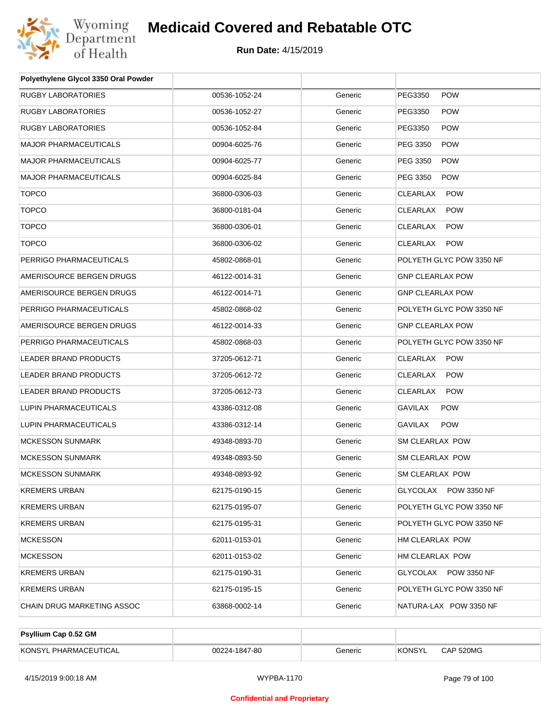

| Polyethylene Glycol 3350 Oral Powder |               |         |                              |
|--------------------------------------|---------------|---------|------------------------------|
| RUGBY LABORATORIES                   | 00536-1052-24 | Generic | PEG3350<br><b>POW</b>        |
| RUGBY LABORATORIES                   | 00536-1052-27 | Generic | PEG3350<br><b>POW</b>        |
| <b>RUGBY LABORATORIES</b>            | 00536-1052-84 | Generic | PEG3350<br><b>POW</b>        |
| <b>MAJOR PHARMACEUTICALS</b>         | 00904-6025-76 | Generic | PEG 3350<br><b>POW</b>       |
| <b>MAJOR PHARMACEUTICALS</b>         | 00904-6025-77 | Generic | PEG 3350<br><b>POW</b>       |
| <b>MAJOR PHARMACEUTICALS</b>         | 00904-6025-84 | Generic | PEG 3350<br><b>POW</b>       |
| <b>TOPCO</b>                         | 36800-0306-03 | Generic | CLEARLAX<br><b>POW</b>       |
| <b>TOPCO</b>                         | 36800-0181-04 | Generic | CLEARLAX<br><b>POW</b>       |
| <b>TOPCO</b>                         | 36800-0306-01 | Generic | CLEARLAX<br><b>POW</b>       |
| <b>TOPCO</b>                         | 36800-0306-02 | Generic | CLEARLAX<br><b>POW</b>       |
| PERRIGO PHARMACEUTICALS              | 45802-0868-01 | Generic | POLYETH GLYC POW 3350 NF     |
| AMERISOURCE BERGEN DRUGS             | 46122-0014-31 | Generic | <b>GNP CLEARLAX POW</b>      |
| AMERISOURCE BERGEN DRUGS             | 46122-0014-71 | Generic | <b>GNP CLEARLAX POW</b>      |
| PERRIGO PHARMACEUTICALS              | 45802-0868-02 | Generic | POLYETH GLYC POW 3350 NF     |
| AMERISOURCE BERGEN DRUGS             | 46122-0014-33 | Generic | <b>GNP CLEARLAX POW</b>      |
| PERRIGO PHARMACEUTICALS              | 45802-0868-03 | Generic | POLYETH GLYC POW 3350 NF     |
| LEADER BRAND PRODUCTS                | 37205-0612-71 | Generic | CLEARLAX POW                 |
| LEADER BRAND PRODUCTS                | 37205-0612-72 | Generic | CLEARLAX<br><b>POW</b>       |
| LEADER BRAND PRODUCTS                | 37205-0612-73 | Generic | CLEARLAX<br><b>POW</b>       |
| LUPIN PHARMACEUTICALS                | 43386-0312-08 | Generic | <b>GAVILAX</b><br><b>POW</b> |
| LUPIN PHARMACEUTICALS                | 43386-0312-14 | Generic | GAVILAX<br><b>POW</b>        |
| <b>MCKESSON SUNMARK</b>              | 49348-0893-70 | Generic | <b>SM CLEARLAX POW</b>       |
| <b>MCKESSON SUNMARK</b>              | 49348-0893-50 | Generic | <b>SM CLEARLAX POW</b>       |
| <b>MCKESSON SUNMARK</b>              | 49348-0893-92 | Generic | SM CLEARLAX POW              |
| <b>KREMERS URBAN</b>                 | 62175-0190-15 | Generic | GLYCOLAX POW 3350 NF         |
| KREMERS URBAN                        | 62175-0195-07 | Generic | POLYETH GLYC POW 3350 NF     |
| KREMERS URBAN                        | 62175-0195-31 | Generic | POLYETH GLYC POW 3350 NF     |
| <b>MCKESSON</b>                      | 62011-0153-01 | Generic | HM CLEARLAX POW              |
| <b>MCKESSON</b>                      | 62011-0153-02 | Generic | HM CLEARLAX POW              |
| KREMERS URBAN                        | 62175-0190-31 | Generic | GLYCOLAX POW 3350 NF         |
| <b>KREMERS URBAN</b>                 | 62175-0195-15 | Generic | POLYETH GLYC POW 3350 NF     |
| CHAIN DRUG MARKETING ASSOC           | 63868-0002-14 | Generic | NATURA-LAX POW 3350 NF       |
|                                      |               |         |                              |

| Psyllium Cap 0.52 GM       |               |         |        |           |
|----------------------------|---------------|---------|--------|-----------|
| KONSYL<br>' PHARMACEUTICAL | 00224-1847-80 | Generic | KONSYL | CAP 520MG |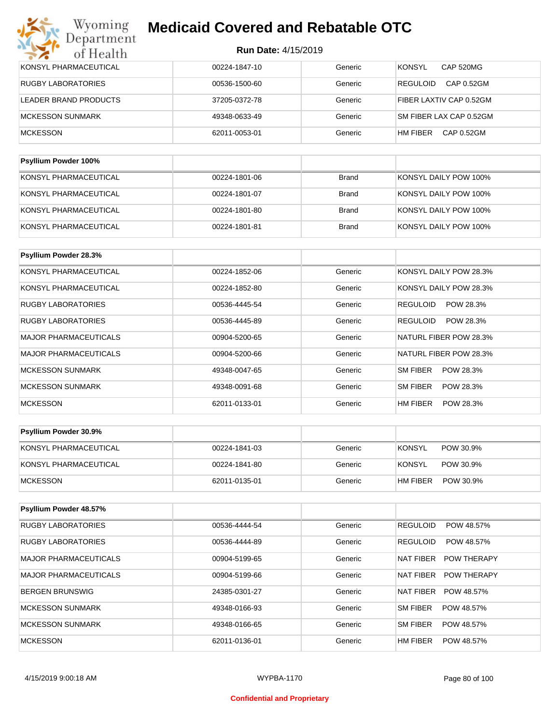| KONSYL PHARMACEUTICAL     | 00224-1847-10 | Generic      | <b>KONSYL</b><br>CAP 520MG    |
|---------------------------|---------------|--------------|-------------------------------|
| <b>RUGBY LABORATORIES</b> | 00536-1500-60 | Generic      | CAP 0.52GM<br><b>REGULOID</b> |
| LEADER BRAND PRODUCTS     | 37205-0372-78 | Generic      | FIBER LAXTIV CAP 0.52GM       |
| <b>MCKESSON SUNMARK</b>   | 49348-0633-49 | Generic      | SM FIBER LAX CAP 0.52GM       |
| <b>MCKESSON</b>           | 62011-0053-01 | Generic      | CAP 0.52GM<br>HM FIBER        |
|                           |               |              |                               |
| Psyllium Powder 100%      |               |              |                               |
| KONSYL PHARMACEUTICAL     | 00224-1801-06 | <b>Brand</b> | KONSYL DAILY POW 100%         |
| KONSYL PHARMACEUTICAL     | 00224-1801-07 | <b>Brand</b> | KONSYL DAILY POW 100%         |
| KONSYL PHARMACEUTICAL     | 00224-1801-80 | <b>Brand</b> | KONSYL DAILY POW 100%         |
|                           |               |              |                               |

| <b>Psyllium Powder 28.3%</b> |               |         |                              |
|------------------------------|---------------|---------|------------------------------|
| KONSYL PHARMACEUTICAL        | 00224-1852-06 | Generic | KONSYL DAILY POW 28.3%       |
| KONSYL PHARMACEUTICAL        | 00224-1852-80 | Generic | KONSYL DAILY POW 28.3%       |
| <b>RUGBY LABORATORIES</b>    | 00536-4445-54 | Generic | POW 28.3%<br><b>REGULOID</b> |
| <b>RUGBY LABORATORIES</b>    | 00536-4445-89 | Generic | <b>REGULOID</b><br>POW 28.3% |
| <b>MAJOR PHARMACEUTICALS</b> | 00904-5200-65 | Generic | NATURL FIBER POW 28.3%       |
| <b>MAJOR PHARMACEUTICALS</b> | 00904-5200-66 | Generic | NATURL FIBER POW 28.3%       |
| <b>MCKESSON SUNMARK</b>      | 49348-0047-65 | Generic | SM FIBER<br>POW 28.3%        |
| <b>MCKESSON SUNMARK</b>      | 49348-0091-68 | Generic | SM FIBER<br>POW 28.3%        |
| <b>MCKESSON</b>              | 62011-0133-01 | Generic | HM FIBER<br>POW 28.3%        |

| <b>Psyllium Powder 30.9%</b> |               |         |                            |
|------------------------------|---------------|---------|----------------------------|
| KONSYL PHARMACEUTICAL        | 00224-1841-03 | Generic | <b>KONSYL</b><br>POW 30.9% |
| KONSYL PHARMACEUTICAL        | 00224-1841-80 | Generic | KONSYL<br>POW 30.9%        |
| <b>IMCKESSON</b>             | 62011-0135-01 | Generic | HM FIBER<br>POW 30.9%      |

| Psyllium Powder 48.57%       |               |         |                                        |
|------------------------------|---------------|---------|----------------------------------------|
| <b>RUGBY LABORATORIES</b>    | 00536-4444-54 | Generic | <b>REGULOID</b><br>POW 48.57%          |
| <b>RUGBY LABORATORIES</b>    | 00536-4444-89 | Generic | <b>REGULOID</b><br>POW 48.57%          |
| <b>MAJOR PHARMACEUTICALS</b> | 00904-5199-65 | Generic | <b>NAT FIBER</b><br><b>POW THERAPY</b> |
| <b>MAJOR PHARMACEUTICALS</b> | 00904-5199-66 | Generic | NAT FIBER<br><b>POW THERAPY</b>        |
| <b>BERGEN BRUNSWIG</b>       | 24385-0301-27 | Generic | <b>NAT FIBER</b><br>POW 48.57%         |
| MCKESSON SUNMARK             | 49348-0166-93 | Generic | SM FIBER<br>POW 48.57%                 |
| MCKESSON SUNMARK             | 49348-0166-65 | Generic | <b>SM FIBER</b><br>POW 48.57%          |
| <b>MCKESSON</b>              | 62011-0136-01 | Generic | HM FIBER<br>POW 48.57%                 |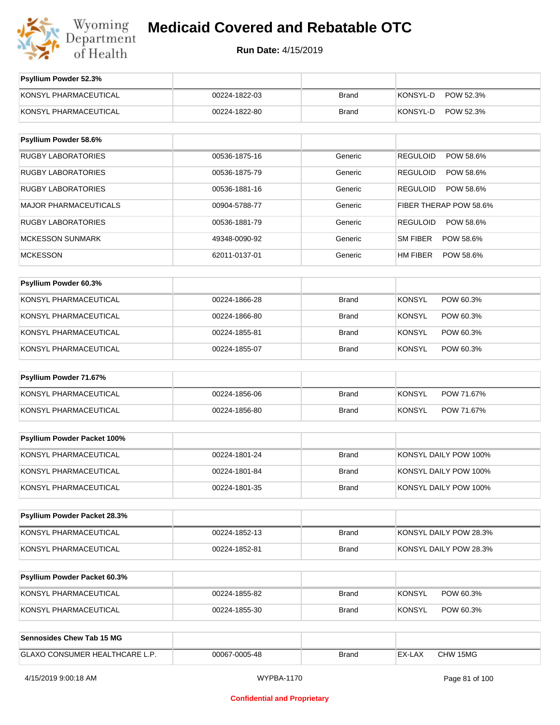

**Run Date:** 4/15/2019

| Psyllium Powder 52.3%            |               |              |                              |
|----------------------------------|---------------|--------------|------------------------------|
| KONSYL PHARMACEUTICAL            | 00224-1822-03 | <b>Brand</b> | KONSYL-D<br>POW 52.3%        |
| KONSYL PHARMACEUTICAL            | 00224-1822-80 | <b>Brand</b> | KONSYL-D<br>POW 52.3%        |
|                                  |               |              |                              |
| Psyllium Powder 58.6%            |               |              |                              |
| <b>RUGBY LABORATORIES</b>        | 00536-1875-16 | Generic      | <b>REGULOID</b><br>POW 58.6% |
| <b>RUGBY LABORATORIES</b>        | 00536-1875-79 | Generic      | <b>REGULOID</b><br>POW 58.6% |
| <b>RUGBY LABORATORIES</b>        | 00536-1881-16 | Generic      | <b>REGULOID</b><br>POW 58.6% |
| <b>MAJOR PHARMACEUTICALS</b>     | 00904-5788-77 | Generic      | FIBER THERAP POW 58.6%       |
| <b>RUGBY LABORATORIES</b>        | 00536-1881-79 | Generic      | <b>REGULOID</b><br>POW 58.6% |
| <b>MCKESSON SUNMARK</b>          | 49348-0090-92 | Generic      | SM FIBER<br>POW 58.6%        |
| <b>MCKESSON</b>                  | 62011-0137-01 | Generic      | <b>HM FIBER</b><br>POW 58.6% |
|                                  |               |              |                              |
| Psyllium Powder 60.3%            |               |              |                              |
| KONSYL PHARMACEUTICAL            | 00224-1866-28 | <b>Brand</b> | <b>KONSYL</b><br>POW 60.3%   |
| KONSYL PHARMACEUTICAL            | 00224-1866-80 | Brand        | <b>KONSYL</b><br>POW 60.3%   |
| KONSYL PHARMACEUTICAL            | 00224-1855-81 | <b>Brand</b> | <b>KONSYL</b><br>POW 60.3%   |
| KONSYL PHARMACEUTICAL            | 00224-1855-07 | Brand        | <b>KONSYL</b><br>POW 60.3%   |
| Psyllium Powder 71.67%           |               |              |                              |
| KONSYL PHARMACEUTICAL            | 00224-1856-06 | <b>Brand</b> | <b>KONSYL</b><br>POW 71.67%  |
| KONSYL PHARMACEUTICAL            | 00224-1856-80 | <b>Brand</b> | <b>KONSYL</b><br>POW 71.67%  |
|                                  |               |              |                              |
| Psyllium Powder Packet 100%      |               |              |                              |
| KONSYL PHARMACEUTICAL            | 00224-1801-24 | <b>Brand</b> | KONSYL DAILY POW 100%        |
| KONSYL PHARMACEUTICAL            | 00224-1801-84 | Brand        | KONSYL DAILY POW 100%        |
| KONSYL PHARMACEUTICAL            | 00224-1801-35 | Brand        | KONSYL DAILY POW 100%        |
|                                  |               |              |                              |
| Psyllium Powder Packet 28.3%     |               |              |                              |
| KONSYL PHARMACEUTICAL            | 00224-1852-13 | Brand        | KONSYL DAILY POW 28.3%       |
| KONSYL PHARMACEUTICAL            | 00224-1852-81 | Brand        | KONSYL DAILY POW 28.3%       |
| Psyllium Powder Packet 60.3%     |               |              |                              |
|                                  |               |              |                              |
| KONSYL PHARMACEUTICAL            | 00224-1855-82 | Brand        | <b>KONSYL</b><br>POW 60.3%   |
| KONSYL PHARMACEUTICAL            | 00224-1855-30 | Brand        | <b>KONSYL</b><br>POW 60.3%   |
| <b>Sennosides Chew Tab 15 MG</b> |               |              |                              |
|                                  |               |              |                              |
| GLAXO CONSUMER HEALTHCARE L.P.   | 00067-0005-48 | <b>Brand</b> | CHW 15MG<br>EX-LAX           |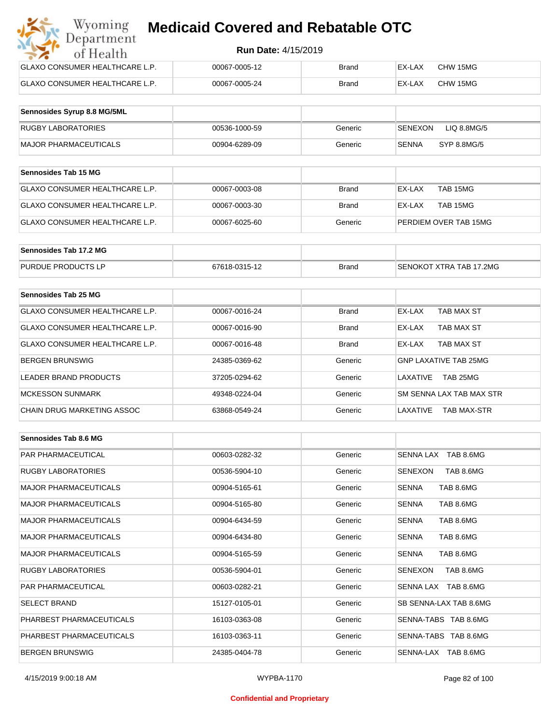#### **Run Date:** 4/15/2019

| Wyoming<br><b>Medicaid Covered and Rebatable OTC</b><br>Department |                            |       |        |          |  |  |
|--------------------------------------------------------------------|----------------------------|-------|--------|----------|--|--|
| of Health                                                          | <b>Run Date: 4/15/2019</b> |       |        |          |  |  |
| <b>GLAXO CONSUMER HEALTHCARE L.P.</b>                              | 00067-0005-12              | Brand | EX-LAX | CHW 15MG |  |  |
| <b>GLAXO CONSUMER HEALTHCARE L.P.</b>                              | 00067-0005-24              | Brand | EX-LAX | CHW 15MG |  |  |

| Sennosides Syrup 8.8 MG/5ML |               |         |                        |
|-----------------------------|---------------|---------|------------------------|
| <b>RUGBY LABORATORIES</b>   | 00536-1000-59 | Generic | LIQ 8.8MG/5<br>SENEXON |
| MAJOR PHARMACEUTICALS       | 00904-6289-09 | Generic | SYP 8.8MG/5<br>SENNA   |

| <b>Sennosides Tab 15 MG</b>           |               |              |                       |
|---------------------------------------|---------------|--------------|-----------------------|
| <b>GLAXO CONSUMER HEALTHCARE L.P.</b> | 00067-0003-08 | <b>Brand</b> | EX-LAX<br>TAB 15MG    |
| GLAXO CONSUMER HEALTHCARE L.P.        | 00067-0003-30 | <b>Brand</b> | EX-LAX<br>TAB 15MG    |
| GLAXO CONSUMER HEALTHCARE L.P.        | 00067-6025-60 | Generic      | PERDIEM OVER TAB 15MG |

| Sennosides Tab 17.2 MG    |               |              |                         |
|---------------------------|---------------|--------------|-------------------------|
| <b>PURDUE PRODUCTS LP</b> | 67618-0315-12 | <b>Brand</b> | SENOKOT XTRA TAB 17.2MG |

| Sennosides Tab 25 MG                  |               |              |                                |
|---------------------------------------|---------------|--------------|--------------------------------|
| <b>GLAXO CONSUMER HEALTHCARE L.P.</b> | 00067-0016-24 | <b>Brand</b> | EX-LAX<br>TAB MAX ST           |
| GLAXO CONSUMER HEALTHCARE L.P.        | 00067-0016-90 | <b>Brand</b> | TAB MAX ST<br>EX-LAX           |
| GLAXO CONSUMER HEALTHCARE L.P.        | 00067-0016-48 | <b>Brand</b> | <b>TAB MAX ST</b><br>EX-LAX    |
| <b>BERGEN BRUNSWIG</b>                | 24385-0369-62 | Generic      | <b>GNP LAXATIVE TAB 25MG</b>   |
| LEADER BRAND PRODUCTS                 | 37205-0294-62 | Generic      | TAB 25MG<br>LAXATIVE           |
| <b>MCKESSON SUNMARK</b>               | 49348-0224-04 | Generic      | SM SENNA LAX TAB MAX STR       |
| CHAIN DRUG MARKETING ASSOC            | 63868-0549-24 | Generic      | LAXATIVE<br><b>TAB MAX-STR</b> |

| Sennosides Tab 8.6 MG        |               |         |                             |
|------------------------------|---------------|---------|-----------------------------|
| <b>PAR PHARMACEUTICAL</b>    | 00603-0282-32 | Generic | SENNA LAX TAB 8.6MG         |
| <b>RUGBY LABORATORIES</b>    | 00536-5904-10 | Generic | SENEXON<br>TAB 8.6MG        |
| <b>MAJOR PHARMACEUTICALS</b> | 00904-5165-61 | Generic | TAB 8.6MG<br><b>SENNA</b>   |
| <b>MAJOR PHARMACEUTICALS</b> | 00904-5165-80 | Generic | TAB 8.6MG<br><b>SENNA</b>   |
| <b>MAJOR PHARMACEUTICALS</b> | 00904-6434-59 | Generic | <b>SENNA</b><br>TAB 8.6MG   |
| <b>MAJOR PHARMACEUTICALS</b> | 00904-6434-80 | Generic | TAB 8.6MG<br><b>SENNA</b>   |
| <b>MAJOR PHARMACEUTICALS</b> | 00904-5165-59 | Generic | TAB 8.6MG<br><b>SENNA</b>   |
| <b>RUGBY LABORATORIES</b>    | 00536-5904-01 | Generic | <b>SENEXON</b><br>TAB 8.6MG |
| <b>PAR PHARMACEUTICAL</b>    | 00603-0282-21 | Generic | SENNA LAX TAB 8.6MG         |
| <b>SELECT BRAND</b>          | 15127-0105-01 | Generic | SB SENNA-LAX TAB 8.6MG      |
| PHARBEST PHARMACEUTICALS     | 16103-0363-08 | Generic | SENNA-TABS TAB 8.6MG        |
| PHARBEST PHARMACEUTICALS     | 16103-0363-11 | Generic | SENNA-TABS TAB 8.6MG        |
| <b>BERGEN BRUNSWIG</b>       | 24385-0404-78 | Generic | SENNA-LAX TAB 8.6MG         |

#### **Confidential and Proprietary**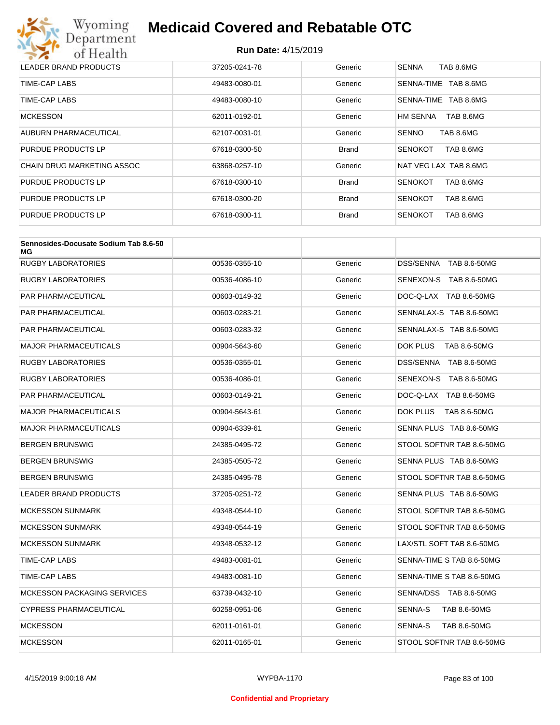

| LEADER BRAND PRODUCTS      | 37205-0241-78 | Generic      | <b>SENNA</b><br>TAB 8.6MG   |
|----------------------------|---------------|--------------|-----------------------------|
| TIME-CAP LABS              | 49483-0080-01 | Generic      | SENNA-TIME<br>TAB 8.6MG     |
| TIME-CAP LABS              | 49483-0080-10 | Generic      | SENNA-TIME<br>TAB 8.6MG     |
| <b>MCKESSON</b>            | 62011-0192-01 | Generic      | HM SENNA<br>TAB 8.6MG       |
| AUBURN PHARMACEUTICAL      | 62107-0031-01 | Generic      | <b>SENNO</b><br>TAB 8.6MG   |
| PURDUE PRODUCTS LP         | 67618-0300-50 | <b>Brand</b> | TAB 8.6MG<br><b>SENOKOT</b> |
| CHAIN DRUG MARKETING ASSOC | 63868-0257-10 | Generic      | NAT VEG LAX TAB 8.6MG       |
| PURDUE PRODUCTS LP         | 67618-0300-10 | <b>Brand</b> | TAB 8.6MG<br><b>SENOKOT</b> |
| PURDUE PRODUCTS LP         | 67618-0300-20 | <b>Brand</b> | TAB 8.6MG<br><b>SENOKOT</b> |
| PURDUE PRODUCTS LP         | 67618-0300-11 | <b>Brand</b> | TAB 8.6MG<br><b>SENOKOT</b> |

| Sennosides-Docusate Sodium Tab 8.6-50<br>МG |               |         |                           |
|---------------------------------------------|---------------|---------|---------------------------|
| <b>RUGBY LABORATORIES</b>                   | 00536-0355-10 | Generic | DSS/SENNA TAB 8.6-50MG    |
| <b>RUGBY LABORATORIES</b>                   | 00536-4086-10 | Generic | SENEXON-S TAB 8.6-50MG    |
| PAR PHARMACEUTICAL                          | 00603-0149-32 | Generic | DOC-Q-LAX TAB 8.6-50MG    |
| PAR PHARMACEUTICAL                          | 00603-0283-21 | Generic | SENNALAX-S TAB 8.6-50MG   |
| PAR PHARMACEUTICAL                          | 00603-0283-32 | Generic | SENNALAX-S TAB 8.6-50MG   |
| MAJOR PHARMACEUTICALS                       | 00904-5643-60 | Generic | DOK PLUS<br>TAB 8.6-50MG  |
| <b>RUGBY LABORATORIES</b>                   | 00536-0355-01 | Generic | DSS/SENNA TAB 8.6-50MG    |
| RUGBY LABORATORIES                          | 00536-4086-01 | Generic | SENEXON-S TAB 8.6-50MG    |
| PAR PHARMACEUTICAL                          | 00603-0149-21 | Generic | DOC-Q-LAX TAB 8.6-50MG    |
| <b>MAJOR PHARMACEUTICALS</b>                | 00904-5643-61 | Generic | DOK PLUS<br>TAB 8.6-50MG  |
| <b>MAJOR PHARMACEUTICALS</b>                | 00904-6339-61 | Generic | SENNA PLUS TAB 8.6-50MG   |
| BERGEN BRUNSWIG                             | 24385-0495-72 | Generic | STOOL SOFTNR TAB 8.6-50MG |
| BERGEN BRUNSWIG                             | 24385-0505-72 | Generic | SENNA PLUS TAB 8.6-50MG   |
| BERGEN BRUNSWIG                             | 24385-0495-78 | Generic | STOOL SOFTNR TAB 8.6-50MG |
| LEADER BRAND PRODUCTS                       | 37205-0251-72 | Generic | SENNA PLUS TAB 8.6-50MG   |
| <b>MCKESSON SUNMARK</b>                     | 49348-0544-10 | Generic | STOOL SOFTNR TAB 8.6-50MG |
| <b>MCKESSON SUNMARK</b>                     | 49348-0544-19 | Generic | STOOL SOFTNR TAB 8.6-50MG |
| <b>MCKESSON SUNMARK</b>                     | 49348-0532-12 | Generic | LAX/STL SOFT TAB 8.6-50MG |
| TIME-CAP LABS                               | 49483-0081-01 | Generic | SENNA-TIME S TAB 8.6-50MG |
| TIME-CAP LABS                               | 49483-0081-10 | Generic | SENNA-TIME S TAB 8.6-50MG |
| <b>MCKESSON PACKAGING SERVICES</b>          | 63739-0432-10 | Generic | SENNA/DSS TAB 8.6-50MG    |
| <b>CYPRESS PHARMACEUTICAL</b>               | 60258-0951-06 | Generic | SENNA-S<br>TAB 8.6-50MG   |
| <b>MCKESSON</b>                             | 62011-0161-01 | Generic | SENNA-S<br>TAB 8.6-50MG   |
| <b>MCKESSON</b>                             | 62011-0165-01 | Generic | STOOL SOFTNR TAB 8.6-50MG |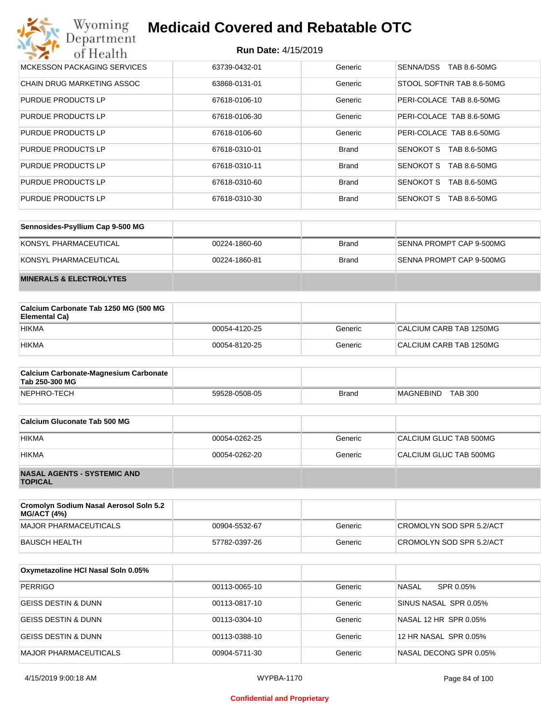#### **Run Date:** 4/15/2019

| Wyoming<br><b>Medicaid Covered and Rebatable OTC</b><br>Department |                            |              |                                  |  |
|--------------------------------------------------------------------|----------------------------|--------------|----------------------------------|--|
| of Health                                                          | <b>Run Date: 4/15/2019</b> |              |                                  |  |
| MCKESSON PACKAGING SERVICES                                        | 63739-0432-01              | Generic      | SENNA/DSS<br>TAB 8.6-50MG        |  |
| <b>CHAIN DRUG MARKETING ASSOC</b>                                  | 63868-0131-01              | Generic      | STOOL SOFTNR TAB 8.6-50MG        |  |
| PURDUE PRODUCTS LP                                                 | 67618-0106-10              | Generic      | PERI-COLACE TAB 8.6-50MG         |  |
| PURDUE PRODUCTS LP                                                 | 67618-0106-30              | Generic      | PERI-COLACE TAB 8.6-50MG         |  |
| PURDUE PRODUCTS LP                                                 | 67618-0106-60              | Generic      | PERI-COLACE TAB 8.6-50MG         |  |
| PURDUE PRODUCTS LP                                                 | 67618-0310-01              | <b>Brand</b> | <b>SENOKOT S</b><br>TAB 8.6-50MG |  |
| PURDUE PRODUCTS LP                                                 | 67618-0310-11              | <b>Brand</b> | <b>SENOKOT S</b><br>TAB 8.6-50MG |  |
| PURDUE PRODUCTS LP                                                 | 67618-0310-60              | <b>Brand</b> | <b>SENOKOT S</b><br>TAB 8.6-50MG |  |
| PURDUE PRODUCTS LP                                                 | 67618-0310-30              | <b>Brand</b> | SENOKOT S<br>TAB 8.6-50MG        |  |

| Sennosides-Psyllium Cap 9-500 MG   |               |       |                          |
|------------------------------------|---------------|-------|--------------------------|
| KONSYL PHARMACEUTICAL              | 00224-1860-60 | Brand | SENNA PROMPT CAP 9-500MG |
| KONSYL PHARMACEUTICAL              | 00224-1860-81 | Brand | SENNA PROMPT CAP 9-500MG |
| <b>MINERALS &amp; ELECTROLYTES</b> |               |       |                          |

| Calcium Carbonate Tab 1250 MG (500 MG<br>Elemental Ca) |               |         |                         |
|--------------------------------------------------------|---------------|---------|-------------------------|
| <b>HIKMA</b>                                           | 00054-4120-25 | Generic | CALCIUM CARB TAB 1250MG |
| <b>HIKMA</b>                                           | 00054-8120-25 | Generic | CALCIUM CARB TAB 1250MG |

| <b>Calcium Carbonate-Magnesium Carbonate</b><br>Tab 250-300 MG |               |              |                                    |
|----------------------------------------------------------------|---------------|--------------|------------------------------------|
| NEPHRO-TECH                                                    | 59528-0508-05 | <b>Brand</b> | <b>TAB 300</b><br><b>MAGNEBIND</b> |

| Calcium Gluconate Tab 500 MG                         |               |         |                        |
|------------------------------------------------------|---------------|---------|------------------------|
| <b>HIKMA</b>                                         | 00054-0262-25 | Generic | CALCIUM GLUC TAB 500MG |
| <b>HIKMA</b>                                         | 00054-0262-20 | Generic | CALCIUM GLUC TAB 500MG |
| <b>NASAL AGENTS - SYSTEMIC AND</b><br><b>TOPICAL</b> |               |         |                        |

| Cromolyn Sodium Nasal Aerosol Soln 5.2<br><b>MG/ACT (4%)</b> |               |         |                          |
|--------------------------------------------------------------|---------------|---------|--------------------------|
| MAJOR PHARMACEUTICALS                                        | 00904-5532-67 | Generic | CROMOLYN SOD SPR 5.2/ACT |
| BAUSCH HEALTH                                                | 57782-0397-26 | Generic | CROMOLYN SOD SPR 5.2/ACT |

| Oxymetazoline HCI Nasal Soln 0.05% |               |         |                           |
|------------------------------------|---------------|---------|---------------------------|
| PERRIGO                            | 00113-0065-10 | Generic | <b>NASAL</b><br>SPR 0.05% |
| <b>GEISS DESTIN &amp; DUNN</b>     | 00113-0817-10 | Generic | SINUS NASAL SPR 0.05%     |
| <b>GEISS DESTIN &amp; DUNN</b>     | 00113-0304-10 | Generic | NASAL 12 HR SPR 0.05%     |
| GEISS DESTIN & DUNN                | 00113-0388-10 | Generic | 12 HR NASAL SPR 0.05%     |
| MAJOR PHARMACEUTICALS              | 00904-5711-30 | Generic | NASAL DECONG SPR 0.05%    |

#### **Confidential and Proprietary**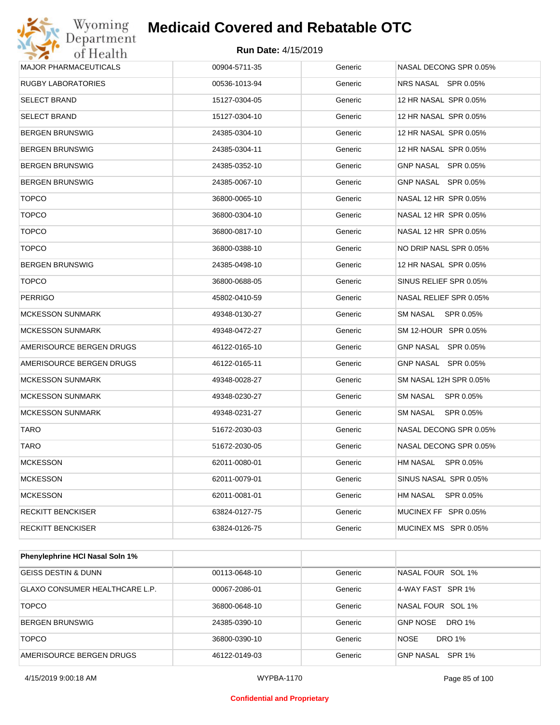#### **Run Date:** 4/15/2019

| Department<br>of Health      | <b>Run Date: 4/15/2019</b> |         |                        |
|------------------------------|----------------------------|---------|------------------------|
| <b>MAJOR PHARMACEUTICALS</b> | 00904-5711-35              | Generic | NASAL DECONG SPR 0.05% |
| <b>RUGBY LABORATORIES</b>    | 00536-1013-94              | Generic | NRS NASAL SPR 0.05%    |
| <b>SELECT BRAND</b>          | 15127-0304-05              | Generic | 12 HR NASAL SPR 0.05%  |
| <b>SELECT BRAND</b>          | 15127-0304-10              | Generic | 12 HR NASAL SPR 0.05%  |
| <b>BERGEN BRUNSWIG</b>       | 24385-0304-10              | Generic | 12 HR NASAL SPR 0.05%  |
| <b>BERGEN BRUNSWIG</b>       | 24385-0304-11              | Generic | 12 HR NASAL SPR 0.05%  |
| <b>BERGEN BRUNSWIG</b>       | 24385-0352-10              | Generic | GNP NASAL SPR 0.05%    |
| <b>BERGEN BRUNSWIG</b>       | 24385-0067-10              | Generic | GNP NASAL SPR 0.05%    |
| <b>TOPCO</b>                 | 36800-0065-10              | Generic | NASAL 12 HR SPR 0.05%  |
| <b>TOPCO</b>                 | 36800-0304-10              | Generic | NASAL 12 HR SPR 0.05%  |
| <b>TOPCO</b>                 | 36800-0817-10              | Generic | NASAL 12 HR SPR 0.05%  |
| <b>TOPCO</b>                 | 36800-0388-10              | Generic | NO DRIP NASL SPR 0.05% |
| <b>BERGEN BRUNSWIG</b>       | 24385-0498-10              | Generic | 12 HR NASAL SPR 0.05%  |
| <b>TOPCO</b>                 | 36800-0688-05              | Generic | SINUS RELIEF SPR 0.05% |
| <b>PERRIGO</b>               | 45802-0410-59              | Generic | NASAL RELIEF SPR 0.05% |
| <b>MCKESSON SUNMARK</b>      | 49348-0130-27              | Generic | SM NASAL<br>SPR 0.05%  |
| <b>MCKESSON SUNMARK</b>      | 49348-0472-27              | Generic | SM 12-HOUR SPR 0.05%   |
| AMERISOURCE BERGEN DRUGS     | 46122-0165-10              | Generic | GNP NASAL SPR 0.05%    |
| AMERISOURCE BERGEN DRUGS     | 46122-0165-11              | Generic | GNP NASAL SPR 0.05%    |
| <b>MCKESSON SUNMARK</b>      | 49348-0028-27              | Generic | SM NASAL 12H SPR 0.05% |
| <b>MCKESSON SUNMARK</b>      | 49348-0230-27              | Generic | SM NASAL<br>SPR 0.05%  |
| <b>MCKESSON SUNMARK</b>      | 49348-0231-27              | Generic | SM NASAL<br>SPR 0.05%  |
| <b>TARO</b>                  | 51672-2030-03              | Generic | NASAL DECONG SPR 0.05% |
| TARO                         | 51672-2030-05              | Generic | NASAL DECONG SPR 0.05% |
| <b>MCKESSON</b>              | 62011-0080-01              | Generic | SPR 0.05%<br>HM NASAL  |
| <b>MCKESSON</b>              | 62011-0079-01              | Generic | SINUS NASAL SPR 0.05%  |
| <b>MCKESSON</b>              | 62011-0081-01              | Generic | SPR 0.05%<br>HM NASAL  |
| <b>RECKITT BENCKISER</b>     | 63824-0127-75              | Generic | MUCINEX FF SPR 0.05%   |
| <b>RECKITT BENCKISER</b>     | 63824-0126-75              | Generic | MUCINEX MS SPR 0.05%   |

| Phenylephrine HCI Nasal Soln 1%       |               |         |                                  |
|---------------------------------------|---------------|---------|----------------------------------|
| <b>GEISS DESTIN &amp; DUNN</b>        | 00113-0648-10 | Generic | NASAL FOUR SOL 1%                |
| <b>GLAXO CONSUMER HEALTHCARE L.P.</b> | 00067-2086-01 | Generic | 4-WAY FAST SPR 1%                |
| <b>TOPCO</b>                          | 36800-0648-10 | Generic | NASAL FOUR SOL 1%                |
| <b>BERGEN BRUNSWIG</b>                | 24385-0390-10 | Generic | <b>GNP NOSE</b><br><b>DRO 1%</b> |
| <b>TOPCO</b>                          | 36800-0390-10 | Generic | <b>NOSE</b><br>DRO 1%            |
| AMERISOURCE BERGEN DRUGS              | 46122-0149-03 | Generic | SPR 1%<br>GNP NASAL              |

#### **Confidential and Proprietary**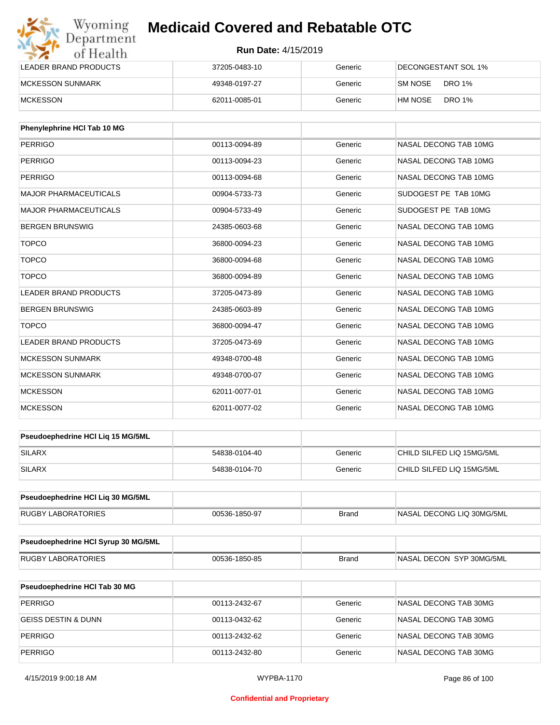| Wyoming<br>Department   | <b>Medicaid Covered and Rebatable OTC</b><br><b>Run Date: 4/15/2019</b> |         |                          |  |
|-------------------------|-------------------------------------------------------------------------|---------|--------------------------|--|
| of Health               |                                                                         |         |                          |  |
| LEADER BRAND PRODUCTS   | 37205-0483-10                                                           | Generic | DECONGESTANT SOL 1%      |  |
| <b>MCKESSON SUNMARK</b> | 49348-0197-27                                                           | Generic | DRO 1%<br>SM NOSE        |  |
| <b>MCKESSON</b>         | 62011-0085-01                                                           | Generic | <b>DRO 1%</b><br>HM NOSE |  |

| Phenylephrine HCI Tab 10 MG  |               |         |                       |
|------------------------------|---------------|---------|-----------------------|
| <b>PERRIGO</b>               | 00113-0094-89 | Generic | NASAL DECONG TAB 10MG |
| PERRIGO                      | 00113-0094-23 | Generic | NASAL DECONG TAB 10MG |
| <b>PERRIGO</b>               | 00113-0094-68 | Generic | NASAL DECONG TAB 10MG |
| <b>MAJOR PHARMACEUTICALS</b> | 00904-5733-73 | Generic | SUDOGEST PE TAB 10MG  |
| <b>MAJOR PHARMACEUTICALS</b> | 00904-5733-49 | Generic | SUDOGEST PE TAB 10MG  |
| <b>BERGEN BRUNSWIG</b>       | 24385-0603-68 | Generic | NASAL DECONG TAB 10MG |
| <b>TOPCO</b>                 | 36800-0094-23 | Generic | NASAL DECONG TAB 10MG |
| <b>TOPCO</b>                 | 36800-0094-68 | Generic | NASAL DECONG TAB 10MG |
| <b>TOPCO</b>                 | 36800-0094-89 | Generic | NASAL DECONG TAB 10MG |
| <b>LEADER BRAND PRODUCTS</b> | 37205-0473-89 | Generic | NASAL DECONG TAB 10MG |
| <b>BERGEN BRUNSWIG</b>       | 24385-0603-89 | Generic | NASAL DECONG TAB 10MG |
| <b>TOPCO</b>                 | 36800-0094-47 | Generic | NASAL DECONG TAB 10MG |
| <b>LEADER BRAND PRODUCTS</b> | 37205-0473-69 | Generic | NASAL DECONG TAB 10MG |
| <b>MCKESSON SUNMARK</b>      | 49348-0700-48 | Generic | NASAL DECONG TAB 10MG |
| <b>MCKESSON SUNMARK</b>      | 49348-0700-07 | Generic | NASAL DECONG TAB 10MG |
| <b>MCKESSON</b>              | 62011-0077-01 | Generic | NASAL DECONG TAB 10MG |
| <b>MCKESSON</b>              | 62011-0077-02 | Generic | NASAL DECONG TAB 10MG |

| <b>Pseudoephedrine HCI Lig 15 MG/5ML</b> |               |         |                           |
|------------------------------------------|---------------|---------|---------------------------|
| <b>SILARX</b>                            | 54838-0104-40 | Generic | CHILD SILFED LIQ 15MG/5ML |
| <b>SILARX</b>                            | 54838-0104-70 | Generic | CHILD SILFED LIQ 15MG/5ML |

| <b>Pseudoephedrine HCI Lig 30 MG/5ML</b> |               |       |                           |
|------------------------------------------|---------------|-------|---------------------------|
| RUGBY LABORATORIES                       | 00536-1850-97 | Brand | NASAL DECONG LIQ 30MG/5ML |

| Pseudoephedrine HCI Syrup 30 MG/5ML |               |       |                             |
|-------------------------------------|---------------|-------|-----------------------------|
| <b>LABORATORIES</b><br>RUGBY L      | 00536-1850-85 | Brand | DECON SYP 30MG/5ML<br>NASAL |

| <b>Pseudoephedrine HCI Tab 30 MG</b> |               |         |                       |
|--------------------------------------|---------------|---------|-----------------------|
| PERRIGO                              | 00113-2432-67 | Generic | NASAL DECONG TAB 30MG |
| <b>GEISS DESTIN &amp; DUNN</b>       | 00113-0432-62 | Generic | NASAL DECONG TAB 30MG |
| PERRIGO                              | 00113-2432-62 | Generic | NASAL DECONG TAB 30MG |
| PERRIGO                              | 00113-2432-80 | Generic | NASAL DECONG TAB 30MG |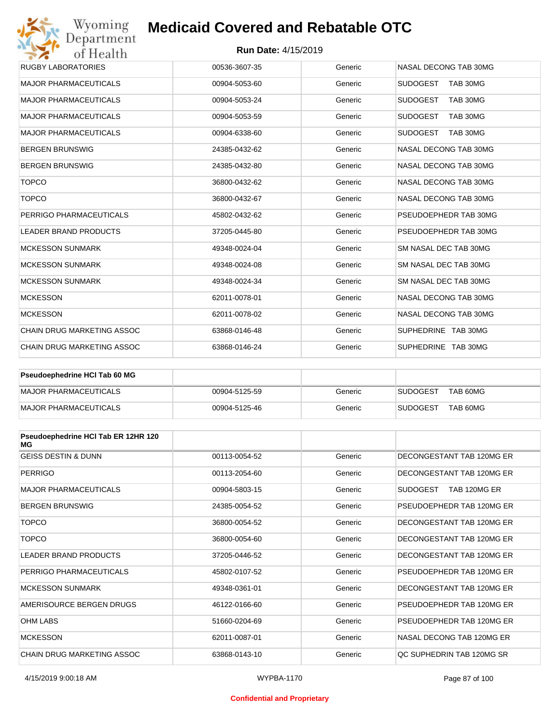#### **Run Date:** 4/15/2019

| Wyoming                                               | <b>Medicaid Covered and Rebatable OTC</b> |         |                             |  |  |
|-------------------------------------------------------|-------------------------------------------|---------|-----------------------------|--|--|
| Department<br><b>Run Date: 4/15/2019</b><br>of Health |                                           |         |                             |  |  |
| <b>RUGBY LABORATORIES</b>                             | 00536-3607-35                             | Generic | NASAL DECONG TAB 30MG       |  |  |
| <b>MAJOR PHARMACEUTICALS</b>                          | 00904-5053-60                             | Generic | <b>SUDOGEST</b><br>TAB 30MG |  |  |
| <b>MAJOR PHARMACEUTICALS</b>                          | 00904-5053-24                             | Generic | <b>SUDOGEST</b><br>TAB 30MG |  |  |
| <b>MAJOR PHARMACEUTICALS</b>                          | 00904-5053-59                             | Generic | <b>SUDOGEST</b><br>TAB 30MG |  |  |
| <b>MAJOR PHARMACEUTICALS</b>                          | 00904-6338-60                             | Generic | <b>SUDOGEST</b><br>TAB 30MG |  |  |
| <b>BERGEN BRUNSWIG</b>                                | 24385-0432-62                             | Generic | NASAL DECONG TAB 30MG       |  |  |
| <b>BERGEN BRUNSWIG</b>                                | 24385-0432-80                             | Generic | NASAL DECONG TAB 30MG       |  |  |
| <b>TOPCO</b>                                          | 36800-0432-62                             | Generic | NASAL DECONG TAB 30MG       |  |  |
| <b>TOPCO</b>                                          | 36800-0432-67                             | Generic | NASAL DECONG TAB 30MG       |  |  |
| PERRIGO PHARMACEUTICALS                               | 45802-0432-62                             | Generic | PSEUDOEPHEDR TAB 30MG       |  |  |
| <b>LEADER BRAND PRODUCTS</b>                          | 37205-0445-80                             | Generic | PSEUDOEPHEDR TAB 30MG       |  |  |
| <b>MCKESSON SUNMARK</b>                               | 49348-0024-04                             | Generic | SM NASAL DEC TAB 30MG       |  |  |
| <b>MCKESSON SUNMARK</b>                               | 49348-0024-08                             | Generic | SM NASAL DEC TAB 30MG       |  |  |
| <b>MCKESSON SUNMARK</b>                               | 49348-0024-34                             | Generic | SM NASAL DEC TAB 30MG       |  |  |
| <b>MCKESSON</b>                                       | 62011-0078-01                             | Generic | NASAL DECONG TAB 30MG       |  |  |
| <b>MCKESSON</b>                                       | 62011-0078-02                             | Generic | NASAL DECONG TAB 30MG       |  |  |
| <b>CHAIN DRUG MARKETING ASSOC</b>                     | 63868-0146-48                             | Generic | SUPHEDRINE TAB 30MG         |  |  |
| CHAIN DRUG MARKETING ASSOC                            | 63868-0146-24                             | Generic | SUPHEDRINE TAB 30MG         |  |  |

| <b>Pseudoephedrine HCI Tab 60 MG</b> |               |         |                             |
|--------------------------------------|---------------|---------|-----------------------------|
| MAJOR PHARMACEUTICALS                | 00904-5125-59 | Generic | TAB 60MG<br><b>SUDOGEST</b> |
| MAJOR PHARMACEUTICALS                | 00904-5125-46 | Generic | TAB 60MG<br><b>SUDOGEST</b> |

| Pseudoephedrine HCI Tab ER 12HR 120<br>МG |               |         |                           |
|-------------------------------------------|---------------|---------|---------------------------|
| <b>GEISS DESTIN &amp; DUNN</b>            | 00113-0054-52 | Generic | DECONGESTANT TAB 120MG ER |
| <b>PERRIGO</b>                            | 00113-2054-60 | Generic | DECONGESTANT TAB 120MG ER |
| <b>MAJOR PHARMACEUTICALS</b>              | 00904-5803-15 | Generic | SUDOGEST<br>TAB 120MG ER  |
| <b>BERGEN BRUNSWIG</b>                    | 24385-0054-52 | Generic | PSEUDOEPHEDR TAB 120MG ER |
| <b>TOPCO</b>                              | 36800-0054-52 | Generic | DECONGESTANT TAB 120MG ER |
| <b>TOPCO</b>                              | 36800-0054-60 | Generic | DECONGESTANT TAB 120MG ER |
| <b>LEADER BRAND PRODUCTS</b>              | 37205-0446-52 | Generic | DECONGESTANT TAB 120MG ER |
| PERRIGO PHARMACEUTICALS                   | 45802-0107-52 | Generic | PSEUDOEPHEDR TAB 120MG ER |
| <b>MCKESSON SUNMARK</b>                   | 49348-0361-01 | Generic | DECONGESTANT TAB 120MG ER |
| AMERISOURCE BERGEN DRUGS                  | 46122-0166-60 | Generic | PSEUDOEPHEDR TAB 120MG ER |
| <b>OHM LABS</b>                           | 51660-0204-69 | Generic | PSEUDOEPHEDR TAB 120MG ER |
| <b>MCKESSON</b>                           | 62011-0087-01 | Generic | NASAL DECONG TAB 120MG ER |
| <b>CHAIN DRUG MARKETING ASSOC</b>         | 63868-0143-10 | Generic | OC SUPHEDRIN TAB 120MG SR |

#### **Confidential and Proprietary**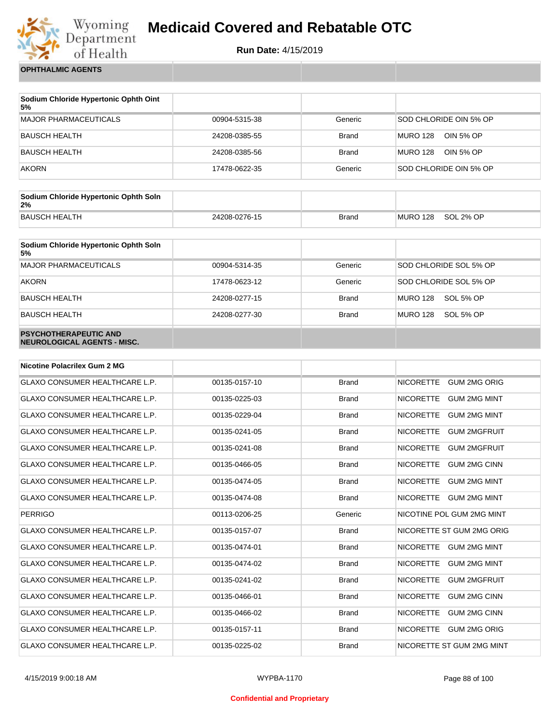

**Run Date:** 4/15/2019

**OPHTHALMIC AGENTS**

| Sodium Chloride Hypertonic Ophth Oint<br>5% |               |              |                              |
|---------------------------------------------|---------------|--------------|------------------------------|
| <b>MAJOR PHARMACEUTICALS</b>                | 00904-5315-38 | Generic      | SOD CHLORIDE OIN 5% OP       |
| <b>BAUSCH HEALTH</b>                        | 24208-0385-55 | <b>Brand</b> | <b>MURO 128</b><br>OIN 5% OP |
| <b>BAUSCH HEALTH</b>                        | 24208-0385-56 | <b>Brand</b> | <b>MURO 128</b><br>OIN 5% OP |
| <b>AKORN</b>                                | 17478-0622-35 | Generic      | SOD CHLORIDE OIN 5% OP       |

| Sodium Chloride Hypertonic Ophth Soln<br>2% |               |              |          |           |
|---------------------------------------------|---------------|--------------|----------|-----------|
| <b>BAUSCH HEALTH</b>                        | 24208-0276-15 | <b>Brand</b> | MURO 128 | SOL 2% OP |

| Sodium Chloride Hypertonic Ophth Soln<br>5%                 |               |              |                              |
|-------------------------------------------------------------|---------------|--------------|------------------------------|
| <b>MAJOR PHARMACEUTICALS</b>                                | 00904-5314-35 | Generic      | SOD CHLORIDE SOL 5% OP       |
| <b>AKORN</b>                                                | 17478-0623-12 | Generic      | SOD CHLORIDE SOL 5% OP       |
| <b>BAUSCH HEALTH</b>                                        | 24208-0277-15 | <b>Brand</b> | <b>MURO 128</b><br>SOL 5% OP |
| <b>BAUSCH HEALTH</b>                                        | 24208-0277-30 | <b>Brand</b> | <b>MURO 128</b><br>SOL 5% OP |
| <b>PSYCHOTHERAPEUTIC AND</b><br>NEUROLOGICAL AGENTS - MISC. |               |              |                              |

| <b>Nicotine Polacrilex Gum 2 MG</b>   |               |              |                                         |
|---------------------------------------|---------------|--------------|-----------------------------------------|
| <b>GLAXO CONSUMER HEALTHCARE L.P.</b> | 00135-0157-10 | <b>Brand</b> | <b>NICORETTE</b><br><b>GUM 2MG ORIG</b> |
| <b>GLAXO CONSUMER HEALTHCARE L.P.</b> | 00135-0225-03 | <b>Brand</b> | <b>GUM 2MG MINT</b><br><b>NICORETTE</b> |
| <b>GLAXO CONSUMER HEALTHCARE L.P.</b> | 00135-0229-04 | <b>Brand</b> | <b>NICORETTE</b><br><b>GUM 2MG MINT</b> |
| <b>GLAXO CONSUMER HEALTHCARE L.P.</b> | 00135-0241-05 | <b>Brand</b> | <b>NICORETTE</b><br><b>GUM 2MGFRUIT</b> |
| <b>GLAXO CONSUMER HEALTHCARE L.P.</b> | 00135-0241-08 | <b>Brand</b> | <b>NICORETTE</b><br><b>GUM 2MGFRUIT</b> |
| <b>GLAXO CONSUMER HEALTHCARE L.P.</b> | 00135-0466-05 | <b>Brand</b> | <b>NICORETTE</b><br><b>GUM 2MG CINN</b> |
| <b>GLAXO CONSUMER HEALTHCARE L.P.</b> | 00135-0474-05 | <b>Brand</b> | <b>NICORETTE</b><br><b>GUM 2MG MINT</b> |
| <b>GLAXO CONSUMER HEALTHCARE L.P.</b> | 00135-0474-08 | <b>Brand</b> | <b>NICORETTE</b><br><b>GUM 2MG MINT</b> |
| <b>PERRIGO</b>                        | 00113-0206-25 | Generic      | NICOTINE POL GUM 2MG MINT               |
| GLAXO CONSUMER HEALTHCARE L.P.        | 00135-0157-07 | <b>Brand</b> | NICORETTE ST GUM 2MG ORIG               |
| <b>GLAXO CONSUMER HEALTHCARE L.P.</b> | 00135-0474-01 | <b>Brand</b> | <b>NICORETTE</b><br><b>GUM 2MG MINT</b> |
| <b>GLAXO CONSUMER HEALTHCARE L.P.</b> | 00135-0474-02 | <b>Brand</b> | <b>NICORETTE</b><br><b>GUM 2MG MINT</b> |
| <b>GLAXO CONSUMER HEALTHCARE L.P.</b> | 00135-0241-02 | <b>Brand</b> | <b>NICORETTE</b><br><b>GUM 2MGFRUIT</b> |
| <b>GLAXO CONSUMER HEALTHCARE L.P.</b> | 00135-0466-01 | <b>Brand</b> | <b>NICORETTE</b><br><b>GUM 2MG CINN</b> |
| <b>GLAXO CONSUMER HEALTHCARE L.P.</b> | 00135-0466-02 | <b>Brand</b> | <b>NICORETTE</b><br><b>GUM 2MG CINN</b> |
| <b>GLAXO CONSUMER HEALTHCARE L.P.</b> | 00135-0157-11 | <b>Brand</b> | <b>NICORETTE</b><br><b>GUM 2MG ORIG</b> |
| <b>GLAXO CONSUMER HEALTHCARE L.P.</b> | 00135-0225-02 | <b>Brand</b> | NICORETTE ST GUM 2MG MINT               |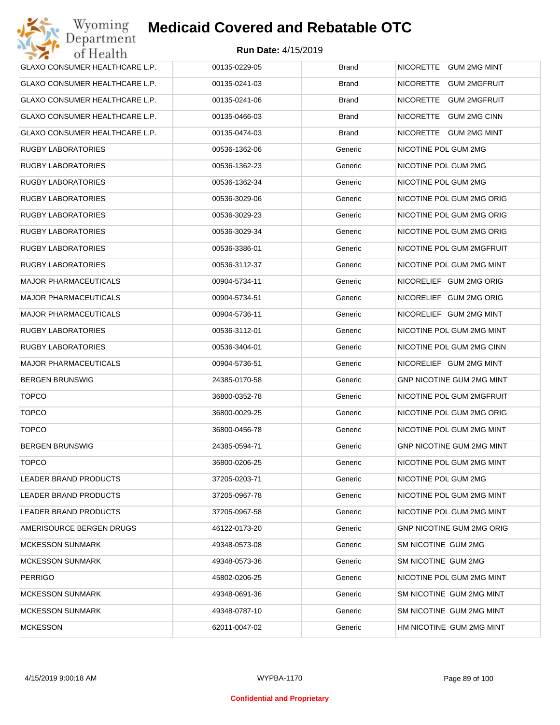| <b>GLAXO CONSUMER HEALTHCARE L.P.</b> | 00135-0229-05 | <b>Brand</b> | NICORETTE GUM 2MG MINT           |
|---------------------------------------|---------------|--------------|----------------------------------|
| GLAXO CONSUMER HEALTHCARE L.P.        | 00135-0241-03 | <b>Brand</b> | NICORETTE GUM 2MGFRUIT           |
| GLAXO CONSUMER HEALTHCARE L.P.        | 00135-0241-06 | <b>Brand</b> | NICORETTE GUM 2MGFRUIT           |
| GLAXO CONSUMER HEALTHCARE L.P.        | 00135-0466-03 | <b>Brand</b> | NICORETTE GUM 2MG CINN           |
| GLAXO CONSUMER HEALTHCARE L.P.        | 00135-0474-03 | <b>Brand</b> | NICORETTE GUM 2MG MINT           |
| <b>RUGBY LABORATORIES</b>             | 00536-1362-06 | Generic      | NICOTINE POL GUM 2MG             |
| <b>RUGBY LABORATORIES</b>             | 00536-1362-23 | Generic      | NICOTINE POL GUM 2MG             |
| <b>RUGBY LABORATORIES</b>             | 00536-1362-34 | Generic      | NICOTINE POL GUM 2MG             |
| <b>RUGBY LABORATORIES</b>             | 00536-3029-06 | Generic      | NICOTINE POL GUM 2MG ORIG        |
| <b>RUGBY LABORATORIES</b>             | 00536-3029-23 | Generic      | NICOTINE POL GUM 2MG ORIG        |
| <b>RUGBY LABORATORIES</b>             | 00536-3029-34 | Generic      | NICOTINE POL GUM 2MG ORIG        |
| <b>RUGBY LABORATORIES</b>             | 00536-3386-01 | Generic      | NICOTINE POL GUM 2MGFRUIT        |
| <b>RUGBY LABORATORIES</b>             | 00536-3112-37 | Generic      | NICOTINE POL GUM 2MG MINT        |
| <b>MAJOR PHARMACEUTICALS</b>          | 00904-5734-11 | Generic      | NICORELIEF GUM 2MG ORIG          |
| <b>MAJOR PHARMACEUTICALS</b>          | 00904-5734-51 | Generic      | NICORELIEF GUM 2MG ORIG          |
| <b>MAJOR PHARMACEUTICALS</b>          | 00904-5736-11 | Generic      | NICORELIEF GUM 2MG MINT          |
| <b>RUGBY LABORATORIES</b>             | 00536-3112-01 | Generic      | NICOTINE POL GUM 2MG MINT        |
| <b>RUGBY LABORATORIES</b>             | 00536-3404-01 | Generic      | NICOTINE POL GUM 2MG CINN        |
| <b>MAJOR PHARMACEUTICALS</b>          | 00904-5736-51 | Generic      | NICORELIEF GUM 2MG MINT          |
| <b>BERGEN BRUNSWIG</b>                | 24385-0170-58 | Generic      | GNP NICOTINE GUM 2MG MINT        |
| <b>TOPCO</b>                          | 36800-0352-78 | Generic      | NICOTINE POL GUM 2MGFRUIT        |
| <b>TOPCO</b>                          | 36800-0029-25 | Generic      | NICOTINE POL GUM 2MG ORIG        |
| <b>TOPCO</b>                          | 36800-0456-78 | Generic      | NICOTINE POL GUM 2MG MINT        |
| <b>BERGEN BRUNSWIG</b>                | 24385-0594-71 | Generic      | <b>GNP NICOTINE GUM 2MG MINT</b> |
| <b>TOPCO</b>                          | 36800-0206-25 | Generic      | NICOTINE POL GUM 2MG MINT        |
| <b>LEADER BRAND PRODUCTS</b>          | 37205-0203-71 | Generic      | NICOTINE POL GUM 2MG             |
| LEADER BRAND PRODUCTS                 | 37205-0967-78 | Generic      | NICOTINE POL GUM 2MG MINT        |
| LEADER BRAND PRODUCTS                 | 37205-0967-58 | Generic      | NICOTINE POL GUM 2MG MINT        |
| AMERISOURCE BERGEN DRUGS              | 46122-0173-20 | Generic      | <b>GNP NICOTINE GUM 2MG ORIG</b> |
| <b>MCKESSON SUNMARK</b>               | 49348-0573-08 | Generic      | SM NICOTINE GUM 2MG              |
| <b>MCKESSON SUNMARK</b>               | 49348-0573-36 | Generic      | SM NICOTINE GUM 2MG              |
| <b>PERRIGO</b>                        | 45802-0206-25 | Generic      | NICOTINE POL GUM 2MG MINT        |
| <b>MCKESSON SUNMARK</b>               | 49348-0691-36 | Generic      | SM NICOTINE GUM 2MG MINT         |
| <b>MCKESSON SUNMARK</b>               | 49348-0787-10 | Generic      | SM NICOTINE GUM 2MG MINT         |
| <b>MCKESSON</b>                       | 62011-0047-02 | Generic      | HM NICOTINE GUM 2MG MINT         |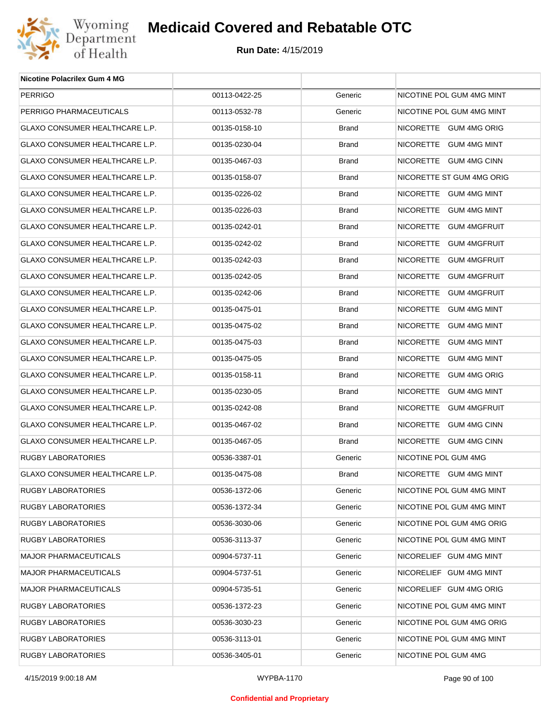

| Nicotine Polacrilex Gum 4 MG          |               |              |                           |
|---------------------------------------|---------------|--------------|---------------------------|
| <b>PERRIGO</b>                        | 00113-0422-25 | Generic      | NICOTINE POL GUM 4MG MINT |
| PERRIGO PHARMACEUTICALS               | 00113-0532-78 | Generic      | NICOTINE POL GUM 4MG MINT |
| <b>GLAXO CONSUMER HEALTHCARE L.P.</b> | 00135-0158-10 | <b>Brand</b> | NICORETTE GUM 4MG ORIG    |
| GLAXO CONSUMER HEALTHCARE L.P.        | 00135-0230-04 | <b>Brand</b> | NICORETTE GUM 4MG MINT    |
| GLAXO CONSUMER HEALTHCARE L.P.        | 00135-0467-03 | <b>Brand</b> | NICORETTE GUM 4MG CINN    |
| GLAXO CONSUMER HEALTHCARE L.P.        | 00135-0158-07 | <b>Brand</b> | NICORETTE ST GUM 4MG ORIG |
| GLAXO CONSUMER HEALTHCARE L.P.        | 00135-0226-02 | <b>Brand</b> | NICORETTE GUM 4MG MINT    |
| GLAXO CONSUMER HEALTHCARE L.P.        | 00135-0226-03 | <b>Brand</b> | NICORETTE GUM 4MG MINT    |
| GLAXO CONSUMER HEALTHCARE L.P.        | 00135-0242-01 | <b>Brand</b> | NICORETTE GUM 4MGFRUIT    |
| GLAXO CONSUMER HEALTHCARE L.P.        | 00135-0242-02 | <b>Brand</b> | NICORETTE GUM 4MGFRUIT    |
| GLAXO CONSUMER HEALTHCARE L.P.        | 00135-0242-03 | <b>Brand</b> | NICORETTE GUM 4MGFRUIT    |
| GLAXO CONSUMER HEALTHCARE L.P.        | 00135-0242-05 | <b>Brand</b> | NICORETTE GUM 4MGFRUIT    |
| GLAXO CONSUMER HEALTHCARE L.P.        | 00135-0242-06 | <b>Brand</b> | NICORETTE GUM 4MGFRUIT    |
| GLAXO CONSUMER HEALTHCARE L.P.        | 00135-0475-01 | <b>Brand</b> | NICORETTE GUM 4MG MINT    |
| GLAXO CONSUMER HEALTHCARE L.P.        | 00135-0475-02 | <b>Brand</b> | NICORETTE GUM 4MG MINT    |
| GLAXO CONSUMER HEALTHCARE L.P.        | 00135-0475-03 | <b>Brand</b> | NICORETTE GUM 4MG MINT    |
| GLAXO CONSUMER HEALTHCARE L.P.        | 00135-0475-05 | <b>Brand</b> | NICORETTE GUM 4MG MINT    |
| GLAXO CONSUMER HEALTHCARE L.P.        | 00135-0158-11 | <b>Brand</b> | NICORETTE GUM 4MG ORIG    |
| GLAXO CONSUMER HEALTHCARE L.P.        | 00135-0230-05 | <b>Brand</b> | NICORETTE GUM 4MG MINT    |
| GLAXO CONSUMER HEALTHCARE L.P.        | 00135-0242-08 | <b>Brand</b> | NICORETTE GUM 4MGFRUIT    |
| GLAXO CONSUMER HEALTHCARE L.P.        | 00135-0467-02 | <b>Brand</b> | NICORETTE GUM 4MG CINN    |
| GLAXO CONSUMER HEALTHCARE L.P.        | 00135-0467-05 | <b>Brand</b> | NICORETTE GUM 4MG CINN    |
| <b>RUGBY LABORATORIES</b>             | 00536-3387-01 | Generic      | NICOTINE POL GUM 4MG      |
| <b>GLAXO CONSUMER HEALTHCARE L.P.</b> | 00135-0475-08 | <b>Brand</b> | NICORETTE GUM 4MG MINT    |
| RUGBY LABORATORIES                    | 00536-1372-06 | Generic      | NICOTINE POL GUM 4MG MINT |
| RUGBY LABORATORIES                    | 00536-1372-34 | Generic      | NICOTINE POL GUM 4MG MINT |
| RUGBY LABORATORIES                    | 00536-3030-06 | Generic      | NICOTINE POL GUM 4MG ORIG |
| RUGBY LABORATORIES                    | 00536-3113-37 | Generic      | NICOTINE POL GUM 4MG MINT |
| <b>MAJOR PHARMACEUTICALS</b>          | 00904-5737-11 | Generic      | NICORELIEF GUM 4MG MINT   |
| <b>MAJOR PHARMACEUTICALS</b>          | 00904-5737-51 | Generic      | NICORELIEF GUM 4MG MINT   |
| <b>MAJOR PHARMACEUTICALS</b>          | 00904-5735-51 | Generic      | NICORELIEF GUM 4MG ORIG   |
| RUGBY LABORATORIES                    | 00536-1372-23 | Generic      | NICOTINE POL GUM 4MG MINT |
| RUGBY LABORATORIES                    | 00536-3030-23 | Generic      | NICOTINE POL GUM 4MG ORIG |
| RUGBY LABORATORIES                    | 00536-3113-01 | Generic      | NICOTINE POL GUM 4MG MINT |
| RUGBY LABORATORIES                    | 00536-3405-01 | Generic      | NICOTINE POL GUM 4MG      |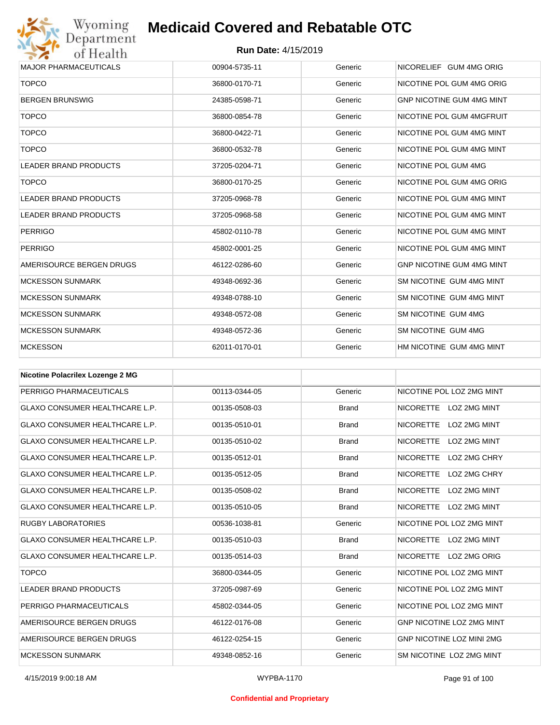

| <b>MAJOR PHARMACEUTICALS</b> | 00904-5735-11 | Generic | NICORELIEF GUM 4MG ORIG          |
|------------------------------|---------------|---------|----------------------------------|
| <b>TOPCO</b>                 | 36800-0170-71 | Generic | NICOTINE POL GUM 4MG ORIG        |
| <b>BERGEN BRUNSWIG</b>       | 24385-0598-71 | Generic | <b>GNP NICOTINE GUM 4MG MINT</b> |
| <b>TOPCO</b>                 | 36800-0854-78 | Generic | NICOTINE POL GUM 4MGFRUIT        |
| <b>TOPCO</b>                 | 36800-0422-71 | Generic | NICOTINE POL GUM 4MG MINT        |
| <b>TOPCO</b>                 | 36800-0532-78 | Generic | NICOTINE POL GUM 4MG MINT        |
| <b>LEADER BRAND PRODUCTS</b> | 37205-0204-71 | Generic | NICOTINE POL GUM 4MG             |
| <b>TOPCO</b>                 | 36800-0170-25 | Generic | NICOTINE POL GUM 4MG ORIG        |
| <b>LEADER BRAND PRODUCTS</b> | 37205-0968-78 | Generic | NICOTINE POL GUM 4MG MINT        |
| <b>LEADER BRAND PRODUCTS</b> | 37205-0968-58 | Generic | NICOTINE POL GUM 4MG MINT        |
| <b>PERRIGO</b>               | 45802-0110-78 | Generic | NICOTINE POL GUM 4MG MINT        |
| <b>PERRIGO</b>               | 45802-0001-25 | Generic | NICOTINE POL GUM 4MG MINT        |
| AMERISOURCE BERGEN DRUGS     | 46122-0286-60 | Generic | <b>GNP NICOTINE GUM 4MG MINT</b> |
| <b>MCKESSON SUNMARK</b>      | 49348-0692-36 | Generic | SM NICOTINE GUM 4MG MINT         |
| <b>MCKESSON SUNMARK</b>      | 49348-0788-10 | Generic | SM NICOTINE GUM 4MG MINT         |
| <b>MCKESSON SUNMARK</b>      | 49348-0572-08 | Generic | SM NICOTINE GUM 4MG              |
| <b>MCKESSON SUNMARK</b>      | 49348-0572-36 | Generic | SM NICOTINE GUM 4MG              |
| <b>MCKESSON</b>              | 62011-0170-01 | Generic | HM NICOTINE GUM 4MG MINT         |

| <b>Nicotine Polacrilex Lozenge 2 MG</b> |               |              |                                  |
|-----------------------------------------|---------------|--------------|----------------------------------|
| PERRIGO PHARMACEUTICALS                 | 00113-0344-05 | Generic      | NICOTINE POL LOZ 2MG MINT        |
| <b>GLAXO CONSUMER HEALTHCARE L.P.</b>   | 00135-0508-03 | <b>Brand</b> | NICORETTE LOZ 2MG MINT           |
| <b>GLAXO CONSUMER HEALTHCARE L.P.</b>   | 00135-0510-01 | <b>Brand</b> | <b>LOZ 2MG MINT</b><br>NICORETTE |
| <b>GLAXO CONSUMER HEALTHCARE L.P.</b>   | 00135-0510-02 | <b>Brand</b> | <b>NICORETTE</b><br>LOZ 2MG MINT |
| <b>GLAXO CONSUMER HEALTHCARE L.P.</b>   | 00135-0512-01 | <b>Brand</b> | LOZ 2MG CHRY<br><b>NICORETTE</b> |
| <b>GLAXO CONSUMER HEALTHCARE L.P.</b>   | 00135-0512-05 | <b>Brand</b> | <b>NICORETTE</b><br>LOZ 2MG CHRY |
| <b>GLAXO CONSUMER HEALTHCARE L.P.</b>   | 00135-0508-02 | <b>Brand</b> | <b>NICORETTE</b><br>LOZ 2MG MINT |
| <b>GLAXO CONSUMER HEALTHCARE L.P.</b>   | 00135-0510-05 | <b>Brand</b> | NICORETTE<br>LOZ 2MG MINT        |
| <b>RUGBY LABORATORIES</b>               | 00536-1038-81 | Generic      | NICOTINE POL LOZ 2MG MINT        |
| <b>GLAXO CONSUMER HEALTHCARE L.P.</b>   | 00135-0510-03 | <b>Brand</b> | NICORETTE LOZ 2MG MINT           |
| <b>GLAXO CONSUMER HEALTHCARE L.P.</b>   | 00135-0514-03 | <b>Brand</b> | NICORETTE LOZ 2MG ORIG           |
| <b>TOPCO</b>                            | 36800-0344-05 | Generic      | NICOTINE POL LOZ 2MG MINT        |
| <b>LEADER BRAND PRODUCTS</b>            | 37205-0987-69 | Generic      | NICOTINE POL LOZ 2MG MINT        |
| PERRIGO PHARMACEUTICALS                 | 45802-0344-05 | Generic      | NICOTINE POL LOZ 2MG MINT        |
| AMERISOURCE BERGEN DRUGS                | 46122-0176-08 | Generic      | GNP NICOTINE LOZ 2MG MINT        |
| AMERISOURCE BERGEN DRUGS                | 46122-0254-15 | Generic      | <b>GNP NICOTINE LOZ MINI 2MG</b> |
| <b>MCKESSON SUNMARK</b>                 | 49348-0852-16 | Generic      | SM NICOTINE LOZ 2MG MINT         |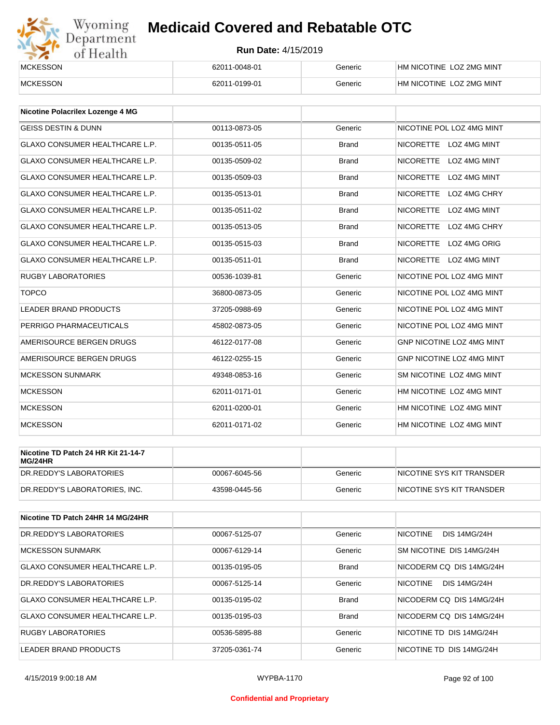# Wyoming<br>Department<br>of Health

# **Medicaid Covered and Rebatable OTC**

| MCKESSON        | 62011-0048-01 | Generic | HM NICOTINE LOZ 2MG MINT |
|-----------------|---------------|---------|--------------------------|
| <b>MCKESSON</b> | 62011-0199-01 | Generic | HM NICOTINE LOZ 2MG MINT |

| Nicotine Polacrilex Lozenge 4 MG      |               |              |                                         |
|---------------------------------------|---------------|--------------|-----------------------------------------|
| <b>GEISS DESTIN &amp; DUNN</b>        | 00113-0873-05 | Generic      | NICOTINE POL LOZ 4MG MINT               |
| <b>GLAXO CONSUMER HEALTHCARE L.P.</b> | 00135-0511-05 | <b>Brand</b> | NICORETTE LOZ 4MG MINT                  |
| <b>GLAXO CONSUMER HEALTHCARE L.P.</b> | 00135-0509-02 | <b>Brand</b> | <b>NICORETTE</b><br><b>LOZ 4MG MINT</b> |
| <b>GLAXO CONSUMER HEALTHCARE L.P.</b> | 00135-0509-03 | <b>Brand</b> | <b>NICORETTE</b><br>LOZ 4MG MINT        |
| <b>GLAXO CONSUMER HEALTHCARE L.P.</b> | 00135-0513-01 | <b>Brand</b> | <b>NICORETTE</b><br>LOZ 4MG CHRY        |
| <b>GLAXO CONSUMER HEALTHCARE L.P.</b> | 00135-0511-02 | <b>Brand</b> | <b>NICORETTE</b><br>LOZ 4MG MINT        |
| <b>GLAXO CONSUMER HEALTHCARE L.P.</b> | 00135-0513-05 | <b>Brand</b> | <b>NICORETTE</b><br>LOZ 4MG CHRY        |
| <b>GLAXO CONSUMER HEALTHCARE L.P.</b> | 00135-0515-03 | <b>Brand</b> | <b>NICORETTE</b><br>LOZ 4MG ORIG        |
| <b>GLAXO CONSUMER HEALTHCARE L.P.</b> | 00135-0511-01 | <b>Brand</b> | NICORETTE LOZ 4MG MINT                  |
| <b>RUGBY LABORATORIES</b>             | 00536-1039-81 | Generic      | NICOTINE POL LOZ 4MG MINT               |
| <b>TOPCO</b>                          | 36800-0873-05 | Generic      | NICOTINE POL LOZ 4MG MINT               |
| <b>LEADER BRAND PRODUCTS</b>          | 37205-0988-69 | Generic      | NICOTINE POL LOZ 4MG MINT               |
| PERRIGO PHARMACEUTICALS               | 45802-0873-05 | Generic      | NICOTINE POL LOZ 4MG MINT               |
| AMERISOURCE BERGEN DRUGS              | 46122-0177-08 | Generic      | <b>GNP NICOTINE LOZ 4MG MINT</b>        |
| AMERISOURCE BERGEN DRUGS              | 46122-0255-15 | Generic      | <b>GNP NICOTINE LOZ 4MG MINT</b>        |
| <b>MCKESSON SUNMARK</b>               | 49348-0853-16 | Generic      | SM NICOTINE LOZ 4MG MINT                |
| <b>MCKESSON</b>                       | 62011-0171-01 | Generic      | HM NICOTINE LOZ 4MG MINT                |
| <b>MCKESSON</b>                       | 62011-0200-01 | Generic      | HM NICOTINE LOZ 4MG MINT                |
| <b>MCKESSON</b>                       | 62011-0171-02 | Generic      | HM NICOTINE LOZ 4MG MINT                |

| Nicotine TD Patch 24 HR Kit 21-14-7<br>MG/24HR |               |         |                            |
|------------------------------------------------|---------------|---------|----------------------------|
| DR.REDDY'S LABORATORIES                        | 00067-6045-56 | Generic | INICOTINE SYS KIT TRANSDER |
| DR.REDDY'S LABORATORIES. INC.                  | 43598-0445-56 | Generic | NICOTINE SYS KIT TRANSDER  |

| Nicotine TD Patch 24HR 14 MG/24HR |               |              |                                        |
|-----------------------------------|---------------|--------------|----------------------------------------|
| DR.REDDY'S LABORATORIES           | 00067-5125-07 | Generic      | <b>NICOTINE</b><br><b>DIS 14MG/24H</b> |
| <b>MCKESSON SUNMARK</b>           | 00067-6129-14 | Generic      | SM NICOTINE DIS 14MG/24H               |
| GLAXO CONSUMER HEALTHCARE L.P.    | 00135-0195-05 | <b>Brand</b> | NICODERM CO DIS 14MG/24H               |
| DR.REDDY'S LABORATORIES           | 00067-5125-14 | Generic      | NICOTINE<br><b>DIS 14MG/24H</b>        |
| GLAXO CONSUMER HEALTHCARE L.P.    | 00135-0195-02 | <b>Brand</b> | NICODERM CO DIS 14MG/24H               |
| GLAXO CONSUMER HEALTHCARE L.P.    | 00135-0195-03 | <b>Brand</b> | NICODERM CO DIS 14MG/24H               |
| RUGBY LABORATORIES                | 00536-5895-88 | Generic      | NICOTINE TD DIS 14MG/24H               |
| LEADER BRAND PRODUCTS             | 37205-0361-74 | Generic      | NICOTINE TD DIS 14MG/24H               |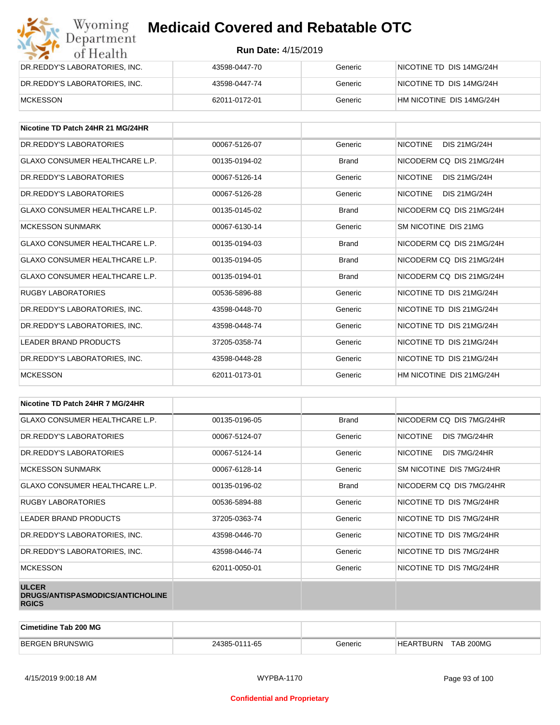| Wyoming<br><b>Medicaid Covered and Rebatable OTC</b><br>Department |                            |         |                          |  |  |
|--------------------------------------------------------------------|----------------------------|---------|--------------------------|--|--|
| of Health                                                          | <b>Run Date: 4/15/2019</b> |         |                          |  |  |
| DR.REDDY'S LABORATORIES, INC.                                      | 43598-0447-70              | Generic | NICOTINE TD DIS 14MG/24H |  |  |
| DR.REDDY'S LABORATORIES, INC.                                      | 43598-0447-74              | Generic | NICOTINE TD DIS 14MG/24H |  |  |
| MCKESSON                                                           | 62011-0172-01              | Generic | HM NICOTINE DIS 14MG/24H |  |  |

| Nicotine TD Patch 24HR 21 MG/24HR     |               |              |                                        |
|---------------------------------------|---------------|--------------|----------------------------------------|
| DR. REDDY'S LABORATORIES              | 00067-5126-07 | Generic      | <b>NICOTINE</b><br><b>DIS 21MG/24H</b> |
| GLAXO CONSUMER HEALTHCARE L.P.        | 00135-0194-02 | <b>Brand</b> | NICODERM CO DIS 21MG/24H               |
| DR.REDDY'S LABORATORIES               | 00067-5126-14 | Generic      | <b>NICOTINE</b><br><b>DIS 21MG/24H</b> |
| DR. REDDY'S LABORATORIES              | 00067-5126-28 | Generic      | <b>NICOTINE</b><br><b>DIS 21MG/24H</b> |
| <b>GLAXO CONSUMER HEALTHCARE L.P.</b> | 00135-0145-02 | <b>Brand</b> | NICODERM CQ DIS 21MG/24H               |
| <b>MCKESSON SUNMARK</b>               | 00067-6130-14 | Generic      | SM NICOTINE DIS 21MG                   |
| <b>GLAXO CONSUMER HEALTHCARE L.P.</b> | 00135-0194-03 | <b>Brand</b> | NICODERM CO DIS 21MG/24H               |
| <b>GLAXO CONSUMER HEALTHCARE L.P.</b> | 00135-0194-05 | <b>Brand</b> | NICODERM CO DIS 21MG/24H               |
| <b>GLAXO CONSUMER HEALTHCARE L.P.</b> | 00135-0194-01 | <b>Brand</b> | NICODERM CO DIS 21MG/24H               |
| <b>RUGBY LABORATORIES</b>             | 00536-5896-88 | Generic      | NICOTINE TD DIS 21MG/24H               |
| DR.REDDY'S LABORATORIES, INC.         | 43598-0448-70 | Generic      | NICOTINE TD DIS 21MG/24H               |
| DR. REDDY'S LABORATORIES. INC.        | 43598-0448-74 | Generic      | NICOTINE TD DIS 21MG/24H               |
| <b>LEADER BRAND PRODUCTS</b>          | 37205-0358-74 | Generic      | NICOTINE TD DIS 21MG/24H               |
| DR.REDDY'S LABORATORIES, INC.         | 43598-0448-28 | Generic      | NICOTINE TD DIS 21MG/24H               |
| <b>MCKESSON</b>                       | 62011-0173-01 | Generic      | HM NICOTINE DIS 21MG/24H               |

| Nicotine TD Patch 24HR 7 MG/24HR                                 |               |              |                                 |
|------------------------------------------------------------------|---------------|--------------|---------------------------------|
| GLAXO CONSUMER HEALTHCARE L.P.                                   | 00135-0196-05 | <b>Brand</b> | NICODERM CO DIS 7MG/24HR        |
| DR. REDDY'S LABORATORIES                                         | 00067-5124-07 | Generic      | <b>NICOTINE</b><br>DIS 7MG/24HR |
| DR. REDDY'S LABORATORIES                                         | 00067-5124-14 | Generic      | <b>NICOTINE</b><br>DIS 7MG/24HR |
| <b>MCKESSON SUNMARK</b>                                          | 00067-6128-14 | Generic      | SM NICOTINE DIS 7MG/24HR        |
| <b>GLAXO CONSUMER HEALTHCARE L.P.</b>                            | 00135-0196-02 | <b>Brand</b> | NICODERM CQ DIS 7MG/24HR        |
| RUGBY LABORATORIES                                               | 00536-5894-88 | Generic      | NICOTINE TD DIS 7MG/24HR        |
| LEADER BRAND PRODUCTS                                            | 37205-0363-74 | Generic      | NICOTINE TD DIS 7MG/24HR        |
| DR.REDDY'S LABORATORIES, INC.                                    | 43598-0446-70 | Generic      | NICOTINE TD DIS 7MG/24HR        |
| DR.REDDY'S LABORATORIES, INC.                                    | 43598-0446-74 | Generic      | NICOTINE TD DIS 7MG/24HR        |
| <b>MCKESSON</b>                                                  | 62011-0050-01 | Generic      | NICOTINE TD DIS 7MG/24HR        |
| <b>ULCER</b><br>DRUGS/ANTISPASMODICS/ANTICHOLINE<br><b>RGICS</b> |               |              |                                 |

| Cimetidine Tab 200 MG  |               |         |                                           |  |
|------------------------|---------------|---------|-------------------------------------------|--|
| <b>BERGEN BRUNSWIG</b> | 24385-0111-65 | Generic | <b>TAB 200MG</b><br>TBURN<br>$AD^+$<br>НF |  |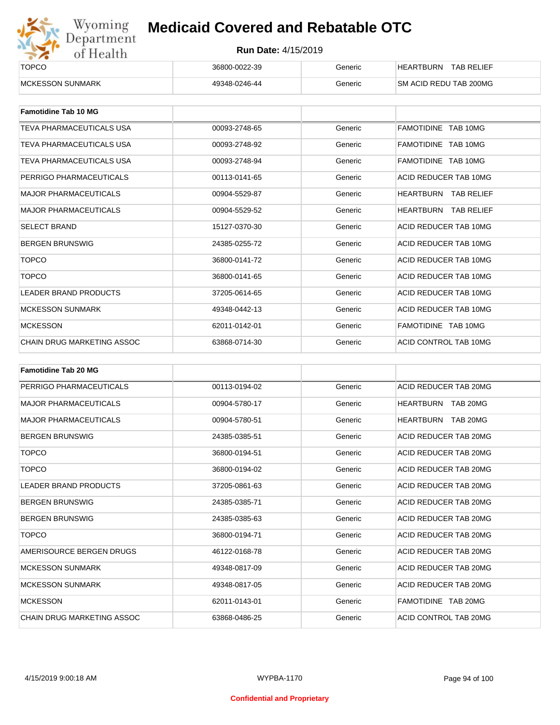

| ______<br><b>TOPCO</b>   | 36800-0022-39 | Generic | <b>TAB RELIEF</b><br><b>HEARTBURN</b> |
|--------------------------|---------------|---------|---------------------------------------|
| <b>IMCKESSON SUNMARK</b> | 49348-0246-44 | Generic | SM ACID REDU TAB 200MG                |

| <b>Famotidine Tab 10 MG</b>  |               |         |                             |
|------------------------------|---------------|---------|-----------------------------|
| TEVA PHARMACEUTICALS USA     | 00093-2748-65 | Generic | FAMOTIDINE TAB 10MG         |
| TEVA PHARMACEUTICALS USA     | 00093-2748-92 | Generic | FAMOTIDINE TAB 10MG         |
| TEVA PHARMACEUTICALS USA     | 00093-2748-94 | Generic | FAMOTIDINE TAB 10MG         |
| PERRIGO PHARMACEUTICALS      | 00113-0141-65 | Generic | ACID REDUCER TAB 10MG       |
| <b>MAJOR PHARMACEUTICALS</b> | 00904-5529-87 | Generic | HEARTBURN TAB RELIEF        |
| <b>MAJOR PHARMACEUTICALS</b> | 00904-5529-52 | Generic | <b>HEARTBURN TAB RELIEF</b> |
| <b>SELECT BRAND</b>          | 15127-0370-30 | Generic | ACID REDUCER TAB 10MG       |
| <b>BERGEN BRUNSWIG</b>       | 24385-0255-72 | Generic | ACID REDUCER TAB 10MG       |
| <b>TOPCO</b>                 | 36800-0141-72 | Generic | ACID REDUCER TAB 10MG       |
| <b>TOPCO</b>                 | 36800-0141-65 | Generic | ACID REDUCER TAB 10MG       |
| <b>LEADER BRAND PRODUCTS</b> | 37205-0614-65 | Generic | ACID REDUCER TAB 10MG       |
| <b>MCKESSON SUNMARK</b>      | 49348-0442-13 | Generic | ACID REDUCER TAB 10MG       |
| <b>MCKESSON</b>              | 62011-0142-01 | Generic | FAMOTIDINE TAB 10MG         |
| CHAIN DRUG MARKETING ASSOC   | 63868-0714-30 | Generic | ACID CONTROL TAB 10MG       |

| <b>Famotidine Tab 20 MG</b>       |               |         |                              |
|-----------------------------------|---------------|---------|------------------------------|
| PERRIGO PHARMACEUTICALS           | 00113-0194-02 | Generic | ACID REDUCER TAB 20MG        |
| <b>MAJOR PHARMACEUTICALS</b>      | 00904-5780-17 | Generic | HEARTBURN TAB 20MG           |
| <b>MAJOR PHARMACEUTICALS</b>      | 00904-5780-51 | Generic | <b>HEARTBURN</b><br>TAB 20MG |
| <b>BERGEN BRUNSWIG</b>            | 24385-0385-51 | Generic | ACID REDUCER TAB 20MG        |
| <b>TOPCO</b>                      | 36800-0194-51 | Generic | ACID REDUCER TAB 20MG        |
| <b>TOPCO</b>                      | 36800-0194-02 | Generic | ACID REDUCER TAB 20MG        |
| <b>LEADER BRAND PRODUCTS</b>      | 37205-0861-63 | Generic | ACID REDUCER TAB 20MG        |
| <b>BERGEN BRUNSWIG</b>            | 24385-0385-71 | Generic | ACID REDUCER TAB 20MG        |
| <b>BERGEN BRUNSWIG</b>            | 24385-0385-63 | Generic | ACID REDUCER TAB 20MG        |
| <b>TOPCO</b>                      | 36800-0194-71 | Generic | ACID REDUCER TAB 20MG        |
| AMERISOURCE BERGEN DRUGS          | 46122-0168-78 | Generic | ACID REDUCER TAB 20MG        |
| <b>MCKESSON SUNMARK</b>           | 49348-0817-09 | Generic | ACID REDUCER TAB 20MG        |
| <b>MCKESSON SUNMARK</b>           | 49348-0817-05 | Generic | ACID REDUCER TAB 20MG        |
| <b>MCKESSON</b>                   | 62011-0143-01 | Generic | FAMOTIDINE TAB 20MG          |
| <b>CHAIN DRUG MARKETING ASSOC</b> | 63868-0486-25 | Generic | ACID CONTROL TAB 20MG        |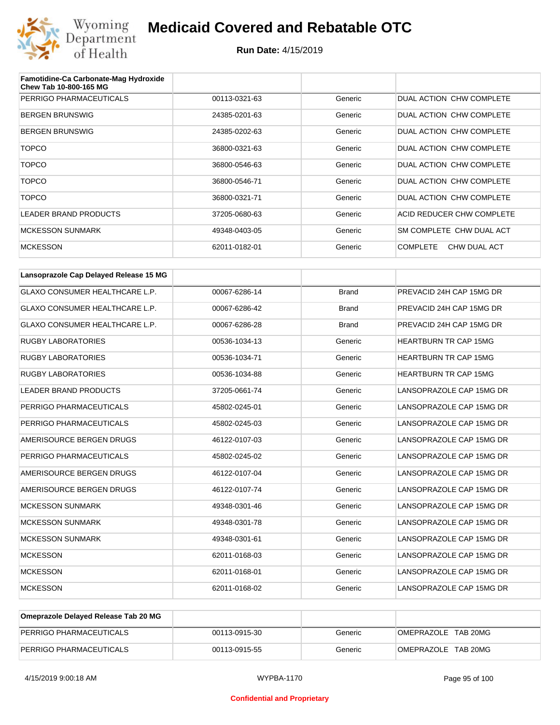

| Famotidine-Ca Carbonate-Mag Hydroxide<br>Chew Tab 10-800-165 MG |               |         |                                 |
|-----------------------------------------------------------------|---------------|---------|---------------------------------|
| PERRIGO PHARMACEUTICALS                                         | 00113-0321-63 | Generic | DUAL ACTION CHW COMPLETE        |
| <b>BERGEN BRUNSWIG</b>                                          | 24385-0201-63 | Generic | DUAL ACTION CHW COMPLETE        |
| <b>BERGEN BRUNSWIG</b>                                          | 24385-0202-63 | Generic | DUAL ACTION CHW COMPLETE        |
| <b>TOPCO</b>                                                    | 36800-0321-63 | Generic | DUAL ACTION CHW COMPLETE        |
| <b>TOPCO</b>                                                    | 36800-0546-63 | Generic | DUAL ACTION CHW COMPLETE        |
| <b>TOPCO</b>                                                    | 36800-0546-71 | Generic | DUAL ACTION CHW COMPLETE        |
| <b>TOPCO</b>                                                    | 36800-0321-71 | Generic | DUAL ACTION CHW COMPLETE        |
| LEADER BRAND PRODUCTS                                           | 37205-0680-63 | Generic | ACID REDUCER CHW COMPLETE       |
| <b>MCKESSON SUNMARK</b>                                         | 49348-0403-05 | Generic | SM COMPLETE CHW DUAL ACT        |
| <b>MCKESSON</b>                                                 | 62011-0182-01 | Generic | <b>COMPLETE</b><br>CHW DUAL ACT |

| Lansoprazole Cap Delayed Release 15 MG |               |              |                              |
|----------------------------------------|---------------|--------------|------------------------------|
| <b>GLAXO CONSUMER HEALTHCARE L.P.</b>  | 00067-6286-14 | <b>Brand</b> | PREVACID 24H CAP 15MG DR     |
| <b>GLAXO CONSUMER HEALTHCARE L.P.</b>  | 00067-6286-42 | <b>Brand</b> | PREVACID 24H CAP 15MG DR     |
| <b>GLAXO CONSUMER HEALTHCARE L.P.</b>  | 00067-6286-28 | <b>Brand</b> | PREVACID 24H CAP 15MG DR     |
| <b>RUGBY LABORATORIES</b>              | 00536-1034-13 | Generic      | HEARTBURN TR CAP 15MG        |
| <b>RUGBY LABORATORIES</b>              | 00536-1034-71 | Generic      | <b>HEARTBURN TR CAP 15MG</b> |
| <b>RUGBY LABORATORIES</b>              | 00536-1034-88 | Generic      | <b>HEARTBURN TR CAP 15MG</b> |
| <b>LEADER BRAND PRODUCTS</b>           | 37205-0661-74 | Generic      | LANSOPRAZOLE CAP 15MG DR     |
| PERRIGO PHARMACEUTICALS                | 45802-0245-01 | Generic      | LANSOPRAZOLE CAP 15MG DR     |
| PERRIGO PHARMACEUTICALS                | 45802-0245-03 | Generic      | LANSOPRAZOLE CAP 15MG DR     |
| AMERISOURCE BERGEN DRUGS               | 46122-0107-03 | Generic      | LANSOPRAZOLE CAP 15MG DR     |
| PERRIGO PHARMACEUTICALS                | 45802-0245-02 | Generic      | LANSOPRAZOLE CAP 15MG DR     |
| AMERISOURCE BERGEN DRUGS               | 46122-0107-04 | Generic      | LANSOPRAZOLE CAP 15MG DR     |
| AMERISOURCE BERGEN DRUGS               | 46122-0107-74 | Generic      | LANSOPRAZOLE CAP 15MG DR     |
| <b>MCKESSON SUNMARK</b>                | 49348-0301-46 | Generic      | LANSOPRAZOLE CAP 15MG DR     |
| <b>MCKESSON SUNMARK</b>                | 49348-0301-78 | Generic      | LANSOPRAZOLE CAP 15MG DR     |
| <b>MCKESSON SUNMARK</b>                | 49348-0301-61 | Generic      | LANSOPRAZOLE CAP 15MG DR     |
| <b>MCKESSON</b>                        | 62011-0168-03 | Generic      | LANSOPRAZOLE CAP 15MG DR     |
| <b>MCKESSON</b>                        | 62011-0168-01 | Generic      | LANSOPRAZOLE CAP 15MG DR     |
| <b>MCKESSON</b>                        | 62011-0168-02 | Generic      | LANSOPRAZOLE CAP 15MG DR     |

| Omeprazole Delayed Release Tab 20 MG |               |         |                     |
|--------------------------------------|---------------|---------|---------------------|
| <b>PERRIGO PHARMACEUTICALS</b>       | 00113-0915-30 | Generic | OMEPRAZOLE TAB 20MG |
| PERRIGO PHARMACEUTICALS              | 00113-0915-55 | Generic | OMEPRAZOLE TAB 20MG |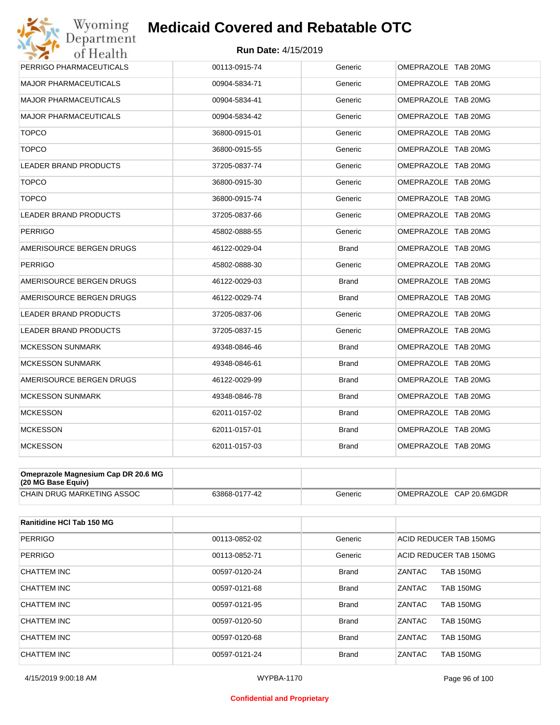#### **Run Date:** 4/15/2019

| Wyoming                             | <b>Medicaid Covered and Rebatable OTC</b> |              |                     |
|-------------------------------------|-------------------------------------------|--------------|---------------------|
| Department<br>of Health             | <b>Run Date: 4/15/2019</b>                |              |                     |
| PERRIGO PHARMACEUTICALS             | 00113-0915-74                             | Generic      | OMEPRAZOLE TAB 20MG |
| <b>MAJOR PHARMACEUTICALS</b>        | 00904-5834-71                             | Generic      | OMEPRAZOLE TAB 20MG |
| <b>MAJOR PHARMACEUTICALS</b>        | 00904-5834-41                             | Generic      | OMEPRAZOLE TAB 20MG |
| <b>MAJOR PHARMACEUTICALS</b>        | 00904-5834-42                             | Generic      | OMEPRAZOLE TAB 20MG |
| <b>TOPCO</b>                        | 36800-0915-01                             | Generic      | OMEPRAZOLE TAB 20MG |
| <b>TOPCO</b>                        | 36800-0915-55                             | Generic      | OMEPRAZOLE TAB 20MG |
| <b>LEADER BRAND PRODUCTS</b>        | 37205-0837-74                             | Generic      | OMEPRAZOLE TAB 20MG |
| <b>TOPCO</b>                        | 36800-0915-30                             | Generic      | OMEPRAZOLE TAB 20MG |
| <b>TOPCO</b>                        | 36800-0915-74                             | Generic      | OMEPRAZOLE TAB 20MG |
| <b>LEADER BRAND PRODUCTS</b>        | 37205-0837-66                             | Generic      | OMEPRAZOLE TAB 20MG |
| <b>PERRIGO</b>                      | 45802-0888-55                             | Generic      | OMEPRAZOLE TAB 20MG |
| AMERISOURCE BERGEN DRUGS            | 46122-0029-04                             | <b>Brand</b> | OMEPRAZOLE TAB 20MG |
| <b>PERRIGO</b>                      | 45802-0888-30                             | Generic      | OMEPRAZOLE TAB 20MG |
| AMERISOURCE BERGEN DRUGS            | 46122-0029-03                             | <b>Brand</b> | OMEPRAZOLE TAB 20MG |
| AMERISOURCE BERGEN DRUGS            | 46122-0029-74                             | Brand        | OMEPRAZOLE TAB 20MG |
| LEADER BRAND PRODUCTS               | 37205-0837-06                             | Generic      | OMEPRAZOLE TAB 20MG |
| LEADER BRAND PRODUCTS               | 37205-0837-15                             | Generic      | OMEPRAZOLE TAB 20MG |
| <b>MCKESSON SUNMARK</b>             | 49348-0846-46                             | <b>Brand</b> | OMEPRAZOLE TAB 20MG |
| <b>MCKESSON SUNMARK</b>             | 49348-0846-61                             | <b>Brand</b> | OMEPRAZOLE TAB 20MG |
| AMERISOURCE BERGEN DRUGS            | 46122-0029-99                             | <b>Brand</b> | OMEPRAZOLE TAB 20MG |
| <b>MCKESSON SUNMARK</b>             | 49348-0846-78                             | <b>Brand</b> | OMEPRAZOLE TAB 20MG |
| <b>MCKESSON</b>                     | 62011-0157-02                             | <b>Brand</b> | OMEPRAZOLE TAB 20MG |
| <b>MCKESSON</b>                     | 62011-0157-01                             | <b>Brand</b> | OMEPRAZOLE TAB 20MG |
| <b>MCKESSON</b>                     | 62011-0157-03                             | <b>Brand</b> | OMEPRAZOLE TAB 20MG |
| Omeprazole Magnesium Cap DR 20.6 MG |                                           |              |                     |

| $(20 \text{ MG Base}$ Equiv)      |               |         |              |
|-----------------------------------|---------------|---------|--------------|
| <b>CHAIN DRUG MARKETING ASSOC</b> | 63868-0177-42 | Generic | CAP 20.6MGDR |
|                                   |               | .       | OMEPRAZOLE   |

| Ranitidine HCI Tab 150 MG |               |              |                            |
|---------------------------|---------------|--------------|----------------------------|
| <b>PERRIGO</b>            | 00113-0852-02 | Generic      | ACID REDUCER TAB 150MG     |
| <b>PERRIGO</b>            | 00113-0852-71 | Generic      | ACID REDUCER TAB 150MG     |
| CHATTEM INC               | 00597-0120-24 | <b>Brand</b> | <b>TAB 150MG</b><br>ZANTAC |
| CHATTEM INC               | 00597-0121-68 | <b>Brand</b> | ZANTAC<br><b>TAB 150MG</b> |
| CHATTEM INC               | 00597-0121-95 | <b>Brand</b> | ZANTAC<br><b>TAB 150MG</b> |
| CHATTEM INC               | 00597-0120-50 | <b>Brand</b> | <b>TAB 150MG</b><br>ZANTAC |
| CHATTEM INC               | 00597-0120-68 | <b>Brand</b> | ZANTAC<br><b>TAB 150MG</b> |
| CHATTEM INC               | 00597-0121-24 | <b>Brand</b> | ZANTAC<br><b>TAB 150MG</b> |

#### **Confidential and Proprietary**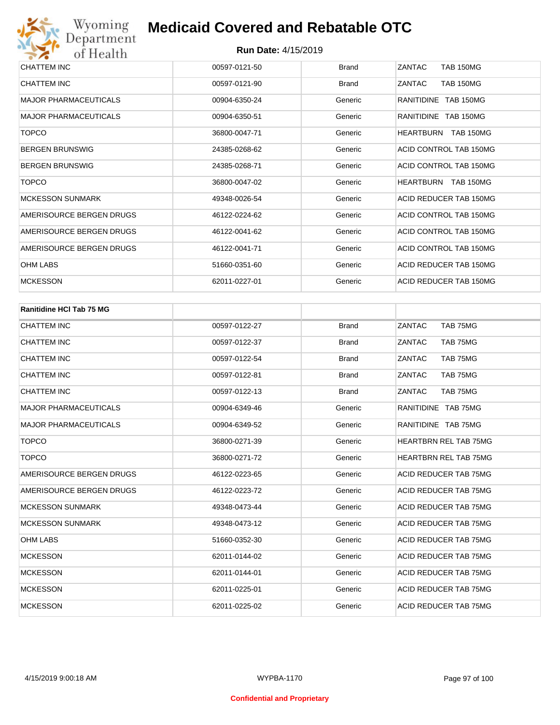| CHATTEM INC                  | 00597-0121-50 | <b>Brand</b> | ZANTAC<br><b>TAB 150MG</b>           |
|------------------------------|---------------|--------------|--------------------------------------|
| CHATTEM INC                  | 00597-0121-90 | <b>Brand</b> | ZANTAC<br><b>TAB 150MG</b>           |
| <b>MAJOR PHARMACEUTICALS</b> | 00904-6350-24 | Generic      | RANITIDINE TAB 150MG                 |
| <b>MAJOR PHARMACEUTICALS</b> | 00904-6350-51 | Generic      | RANITIDINE TAB 150MG                 |
| <b>TOPCO</b>                 | 36800-0047-71 | Generic      | <b>TAB 150MG</b><br><b>HEARTBURN</b> |
| <b>BERGEN BRUNSWIG</b>       | 24385-0268-62 | Generic      | ACID CONTROL TAB 150MG               |
| <b>BERGEN BRUNSWIG</b>       | 24385-0268-71 | Generic      | ACID CONTROL TAB 150MG               |
| <b>TOPCO</b>                 | 36800-0047-02 | Generic      | <b>HEARTBURN</b><br><b>TAB 150MG</b> |
| <b>MCKESSON SUNMARK</b>      | 49348-0026-54 | Generic      | ACID REDUCER TAB 150MG               |
| AMERISOURCE BERGEN DRUGS     | 46122-0224-62 | Generic      | ACID CONTROL TAB 150MG               |
| AMERISOURCE BERGEN DRUGS     | 46122-0041-62 | Generic      | ACID CONTROL TAB 150MG               |
| AMERISOURCE BERGEN DRUGS     | 46122-0041-71 | Generic      | ACID CONTROL TAB 150MG               |
| <b>OHM LABS</b>              | 51660-0351-60 | Generic      | ACID REDUCER TAB 150MG               |
| <b>MCKESSON</b>              | 62011-0227-01 | Generic      | ACID REDUCER TAB 150MG               |

| <b>Ranitidine HCI Tab 75 MG</b> |               |              |                              |
|---------------------------------|---------------|--------------|------------------------------|
| <b>CHATTEM INC</b>              | 00597-0122-27 | <b>Brand</b> | ZANTAC<br>TAB 75MG           |
| <b>CHATTEM INC</b>              | 00597-0122-37 | <b>Brand</b> | TAB 75MG<br>ZANTAC           |
| <b>CHATTEM INC</b>              | 00597-0122-54 | <b>Brand</b> | ZANTAC<br>TAB 75MG           |
| <b>CHATTEM INC</b>              | 00597-0122-81 | <b>Brand</b> | ZANTAC<br>TAB 75MG           |
| <b>CHATTEM INC</b>              | 00597-0122-13 | <b>Brand</b> | ZANTAC<br>TAB 75MG           |
| <b>MAJOR PHARMACEUTICALS</b>    | 00904-6349-46 | Generic      | RANITIDINE TAB 75MG          |
| <b>MAJOR PHARMACEUTICALS</b>    | 00904-6349-52 | Generic      | RANITIDINE TAB 75MG          |
| <b>TOPCO</b>                    | 36800-0271-39 | Generic      | <b>HEARTBRN REL TAB 75MG</b> |
| <b>TOPCO</b>                    | 36800-0271-72 | Generic      | <b>HEARTBRN REL TAB 75MG</b> |
| AMERISOURCE BERGEN DRUGS        | 46122-0223-65 | Generic      | ACID REDUCER TAB 75MG        |
| AMERISOURCE BERGEN DRUGS        | 46122-0223-72 | Generic      | ACID REDUCER TAB 75MG        |
| <b>MCKESSON SUNMARK</b>         | 49348-0473-44 | Generic      | ACID REDUCER TAB 75MG        |
| <b>MCKESSON SUNMARK</b>         | 49348-0473-12 | Generic      | ACID REDUCER TAB 75MG        |
| <b>OHM LABS</b>                 | 51660-0352-30 | Generic      | ACID REDUCER TAB 75MG        |
| <b>MCKESSON</b>                 | 62011-0144-02 | Generic      | ACID REDUCER TAB 75MG        |
| <b>MCKESSON</b>                 | 62011-0144-01 | Generic      | ACID REDUCER TAB 75MG        |
| <b>MCKESSON</b>                 | 62011-0225-01 | Generic      | ACID REDUCER TAB 75MG        |
| <b>MCKESSON</b>                 | 62011-0225-02 | Generic      | <b>ACID REDUCER TAB 75MG</b> |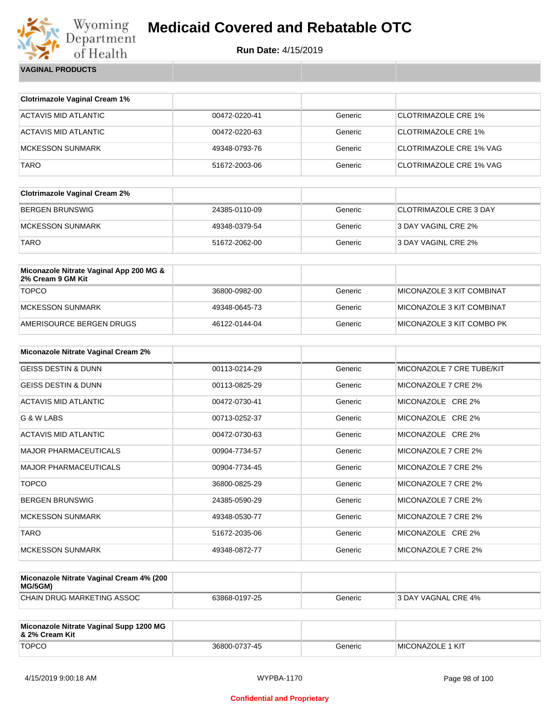

| <b>VAGINAL PRODUCTS</b> |
|-------------------------|
|                         |

| <b>Clotrimazole Vaginal Cream 1%</b>                         |               |         |                                |
|--------------------------------------------------------------|---------------|---------|--------------------------------|
| <b>ACTAVIS MID ATLANTIC</b>                                  | 00472-0220-41 | Generic | <b>CLOTRIMAZOLE CRE 1%</b>     |
| <b>ACTAVIS MID ATLANTIC</b>                                  | 00472-0220-63 | Generic | <b>CLOTRIMAZOLE CRE 1%</b>     |
| <b>MCKESSON SUNMARK</b>                                      | 49348-0793-76 | Generic | <b>CLOTRIMAZOLE CRE 1% VAG</b> |
| <b>TARO</b>                                                  | 51672-2003-06 | Generic | <b>CLOTRIMAZOLE CRE 1% VAG</b> |
| <b>Clotrimazole Vaginal Cream 2%</b>                         |               |         |                                |
| <b>BERGEN BRUNSWIG</b>                                       | 24385-0110-09 | Generic | <b>CLOTRIMAZOLE CRE 3 DAY</b>  |
| <b>MCKESSON SUNMARK</b>                                      | 49348-0379-54 | Generic | 3 DAY VAGINL CRE 2%            |
| <b>TARO</b>                                                  | 51672-2062-00 | Generic | 3 DAY VAGINL CRE 2%            |
| Miconazole Nitrate Vaginal App 200 MG &<br>2% Cream 9 GM Kit |               |         |                                |
| <b>TOPCO</b>                                                 | 36800-0982-00 | Generic | MICONAZOLE 3 KIT COMBINAT      |
| <b>MCKESSON SUNMARK</b>                                      | 49348-0645-73 | Generic | MICONAZOLE 3 KIT COMBINAT      |
| AMERISOURCE BERGEN DRUGS                                     | 46122-0144-04 | Generic | MICONAZOLE 3 KIT COMBO PK      |
| Miconazole Nitrate Vaginal Cream 2%                          |               |         |                                |
| <b>GEISS DESTIN &amp; DUNN</b>                               | 00113-0214-29 | Generic | MICONAZOLE 7 CRE TUBE/KIT      |
| <b>GEISS DESTIN &amp; DUNN</b>                               | 00113-0825-29 | Generic | MICONAZOLE 7 CRE 2%            |
| <b>ACTAVIS MID ATLANTIC</b>                                  | 00472-0730-41 | Generic | MICONAZOLE CRE 2%              |
| G & W LABS                                                   | 00713-0252-37 | Generic | MICONAZOLE CRE 2%              |
| <b>ACTAVIS MID ATLANTIC</b>                                  | 00472-0730-63 | Generic | MICONAZOLE CRE 2%              |
| <b>MAJOR PHARMACEUTICALS</b>                                 | 00904-7734-57 | Generic | MICONAZOLE 7 CRE 2%            |
| <b>MAJOR PHARMACEUTICALS</b>                                 | 00904-7734-45 | Generic | MICONAZOLE 7 CRE 2%            |
| <b>TOPCO</b>                                                 | 36800-0825-29 | Generic | MICONAZOLE 7 CRE 2%            |
| <b>BERGEN BRUNSWIG</b>                                       | 24385-0590-29 | Generic | MICONAZOLE 7 CRE 2%            |
| <b>MCKESSON SUNMARK</b>                                      | 49348-0530-77 | Generic | MICONAZOLE 7 CRE 2%            |
| <b>TARO</b>                                                  | 51672-2035-06 | Generic | MICONAZOLE CRE 2%              |
| <b>MCKESSON SUNMARK</b>                                      | 49348-0872-77 | Generic | MICONAZOLE 7 CRE 2%            |

| Miconazole Nitrate Vaginal Cream 4% (200<br>MG/5GM) |               |         |                     |
|-----------------------------------------------------|---------------|---------|---------------------|
| CHAIN DRUG MARKETING ASSOC                          | 63868-0197-25 | Generic | 3 DAY VAGNAL CRE 4% |

| Miconazole Nitrate Vaginal Supp 1200 MG<br>8 2% Cream Kit |               |         |                          |
|-----------------------------------------------------------|---------------|---------|--------------------------|
| <b>TOPCO</b>                                              | 36800-0737-45 | Generic | <b>IMICONAZOLE 1 KIT</b> |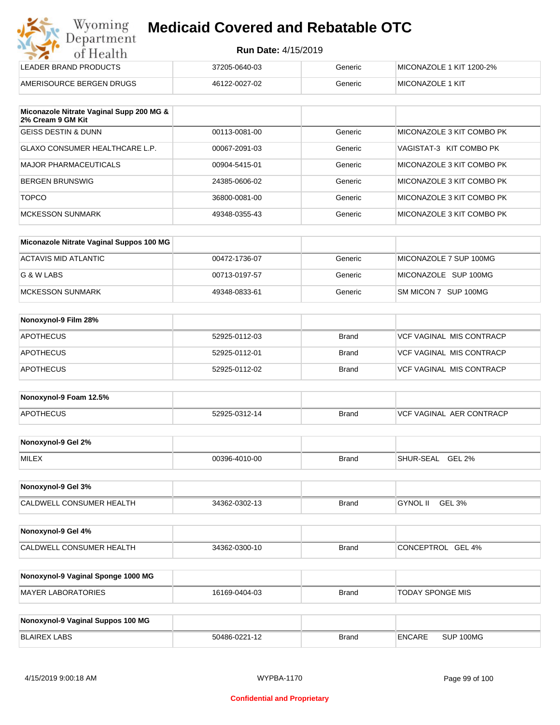| Wyoming    |
|------------|
| Department |
| of Health  |
|            |

| LEADER BRAND PRODUCTS    | 37205-0640-03 | Generic | MICONAZOLE 1 KIT 1200-2% |
|--------------------------|---------------|---------|--------------------------|
| AMERISOURCE BERGEN DRUGS | 46122-0027-02 | Generic | <b>IMICONAZOLE 1 KIT</b> |

| Miconazole Nitrate Vaginal Supp 200 MG &<br>2% Cream 9 GM Kit |               |         |                           |
|---------------------------------------------------------------|---------------|---------|---------------------------|
| <b>GEISS DESTIN &amp; DUNN</b>                                | 00113-0081-00 | Generic | MICONAZOLE 3 KIT COMBO PK |
| GLAXO CONSUMER HEALTHCARE L.P.                                | 00067-2091-03 | Generic | VAGISTAT-3 KIT COMBO PK   |
| MAJOR PHARMACEUTICALS                                         | 00904-5415-01 | Generic | MICONAZOLE 3 KIT COMBO PK |
| BERGEN BRUNSWIG                                               | 24385-0606-02 | Generic | MICONAZOLE 3 KIT COMBO PK |
| <b>TOPCO</b>                                                  | 36800-0081-00 | Generic | MICONAZOLE 3 KIT COMBO PK |
| <b>MCKESSON SUNMARK</b>                                       | 49348-0355-43 | Generic | MICONAZOLE 3 KIT COMBO PK |

| Miconazole Nitrate Vaginal Suppos 100 MG |               |         |                        |
|------------------------------------------|---------------|---------|------------------------|
| ACTAVIS MID ATLANTIC                     | 00472-1736-07 | Generic | MICONAZOLE 7 SUP 100MG |
| G & W LABS                               | 00713-0197-57 | Generic | MICONAZOLE SUP 100MG   |
| <b>IMCKESSON SUNMARK</b>                 | 49348-0833-61 | Generic | SM MICON 7 SUP 100MG   |

| Nonoxynol-9 Film 28% |               |              |                          |
|----------------------|---------------|--------------|--------------------------|
| <b>APOTHECUS</b>     | 52925-0112-03 | <b>Brand</b> | VCF VAGINAL MIS CONTRACP |
| <b>APOTHECUS</b>     | 52925-0112-01 | <b>Brand</b> | VCF VAGINAL MIS CONTRACP |
| <b>APOTHECUS</b>     | 52925-0112-02 | <b>Brand</b> | VCF VAGINAL MIS CONTRACP |

| Nonoxynol-9 Foam 12.5% |               |              |                                  |
|------------------------|---------------|--------------|----------------------------------|
| <b>APOTHECUS</b>       | 52925-0312-14 | <b>Brand</b> | <b>IVCF VAGINAL AER CONTRACP</b> |

| Nonoxynol-9 Gel 2% |               |       |                            |
|--------------------|---------------|-------|----------------------------|
| <b>MILEX</b>       | 00396-4010-00 | Brand | GEL 2%<br><b>SHUR-SEAL</b> |

| Nonoxynol-9 Gel 3%              |               |       |          |        |
|---------------------------------|---------------|-------|----------|--------|
| <b>CALDWELL CONSUMER HEALTH</b> | 34362-0302-13 | Brand | GYNOL II | GEL 3% |

| Nonoxynol-9 Gel 4%       |               |              |                   |
|--------------------------|---------------|--------------|-------------------|
| CALDWELL CONSUMER HEALTH | 34362-0300-10 | <b>Brand</b> | CONCEPTROL GEL 4% |

| Nonoxynol-9 Vaginal Sponge 1000 MG |               |       |                  |
|------------------------------------|---------------|-------|------------------|
| MAYER LABORATORIES                 | 16169-0404-03 | Brand | TODAY SPONGE MIS |

| Nonoxynol-9 Vaginal Suppos 100 MG |               |              |        |           |
|-----------------------------------|---------------|--------------|--------|-----------|
| BLAIREX LABS                      | 50486-0221-12 | <b>Brand</b> | ENCARE | SUP 100MG |